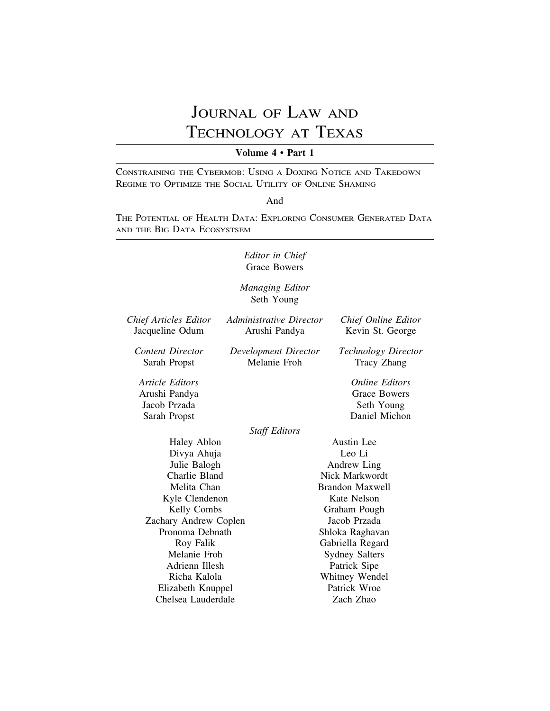# JOURNAL OF LAW AND TECHNOLOGY AT TEXAS

## **Volume 4 • Part 1**

CONSTRAINING THE CYBERMOB: USING A DOXING NOTICE AND TAKEDOWN REGIME TO OPTIMIZE THE SOCIAL UTILITY OF ONLINE SHAMING

#### And

THE POTENTIAL OF HEALTH DATA: EXPLORING CONSUMER GENERATED DATA AND THE BIG DATA ECOSYSTSEM

# *Editor in Chief* Grace Bowers

*Managing Editor* Seth Young

| <b>Chief Articles Editor</b><br>Jacqueline Odum                  | Administrative Director<br>Arushi Pandya | Chief Online Editor<br>Kevin St. George                                     |
|------------------------------------------------------------------|------------------------------------------|-----------------------------------------------------------------------------|
| <b>Content Director</b><br>Sarah Propst                          | Development Director<br>Melanie Froh     | <b>Technology Director</b><br>Tracy Zhang                                   |
| Article Editors<br>Arushi Pandya<br>Jacob Przada<br>Sarah Propst |                                          | <i><b>Online Editors</b></i><br>Grace Bowers<br>Seth Young<br>Daniel Michon |
|                                                                  | <b>Staff Editors</b>                     |                                                                             |
| Haley Ablon                                                      |                                          | Austin Lee                                                                  |
| Divya Ahuja                                                      |                                          | Leo Li                                                                      |
| Julie Balogh                                                     |                                          | Andrew Ling                                                                 |
| Charlie Bland                                                    |                                          | Nick Markwordt                                                              |
| Melita Chan                                                      |                                          | Brandon Maxwell                                                             |
| Kyle Clendenon                                                   |                                          | Kate Nelson                                                                 |
| Kelly Combs                                                      |                                          | Graham Pough                                                                |
| Zachary Andrew Coplen                                            |                                          | Jacob Przada                                                                |
| Pronoma Debnath                                                  |                                          | Shloka Raghavan                                                             |
| Roy Falik                                                        |                                          | Gabriella Regard                                                            |
| Melanie Froh                                                     |                                          | <b>Sydney Salters</b>                                                       |
| Adrienn Illesh                                                   |                                          | Patrick Sipe                                                                |
| Richa Kalola                                                     |                                          | Whitney Wendel                                                              |
| Elizabeth Knuppel                                                |                                          | Patrick Wroe                                                                |
| Chelsea Lauderdale                                               |                                          | Zach Zhao                                                                   |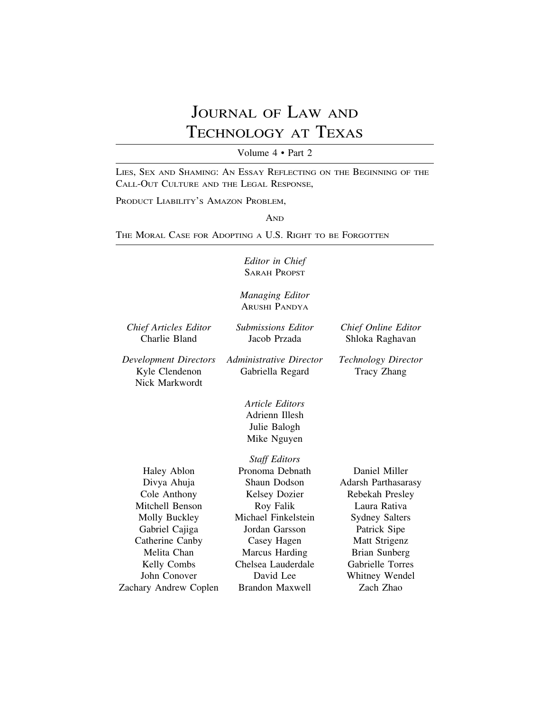# JOURNAL OF LAW AND TECHNOLOGY AT TEXAS

Volume 4 • Part 2

LIES, SEX AND SHAMING: AN ESSAY REFLECTING ON THE BEGINNING OF THE CALL-OUT CULTURE AND THE LEGAL RESPONSE,

PRODUCT LIABILITY'S AMAZON PROBLEM,

AND

THE MORAL CASE FOR ADOPTING A U.S. RIGHT TO BE FORGOTTEN

*Editor in Chief* SARAH PROPST

*Managing Editor* ARUSHI PANDYA

| <b>Chief Articles Editor</b><br>Charlie Bland             | <b>Submissions Editor</b><br>Jacob Przada                               | Chief Online Editor<br>Shloka Raghavan    |
|-----------------------------------------------------------|-------------------------------------------------------------------------|-------------------------------------------|
| Development Directors<br>Kyle Clendenon<br>Nick Markwordt | Administrative Director<br>Gabriella Regard                             | <b>Technology Director</b><br>Tracy Zhang |
|                                                           | <i>Article Editors</i><br>Adrienn Illesh<br>Julie Balogh<br>Mike Nguyen |                                           |
|                                                           | <b>Staff Editors</b>                                                    |                                           |
| Haley Ablon                                               | Pronoma Debnath                                                         | Daniel Miller                             |
| Divya Ahuja                                               | Shaun Dodson                                                            | <b>Adarsh Parthasarasy</b>                |
| Cole Anthony                                              | <b>Kelsey Dozier</b>                                                    | Rebekah Presley                           |
| Mitchell Benson                                           | Roy Falik                                                               | Laura Rativa                              |
| Molly Buckley                                             | Michael Finkelstein                                                     | <b>Sydney Salters</b>                     |
| Gabriel Cajiga                                            | Jordan Garsson                                                          | Patrick Sipe                              |
| Catherine Canby                                           | Casey Hagen                                                             | Matt Strigenz                             |
| Melita Chan                                               | Marcus Harding                                                          | Brian Sunberg                             |
| Kelly Combs                                               | Chelsea Lauderdale                                                      | <b>Gabrielle Torres</b>                   |
| John Conover                                              | David Lee                                                               | Whitney Wendel                            |
| Zachary Andrew Coplen                                     | Brandon Maxwell                                                         | Zach Zhao                                 |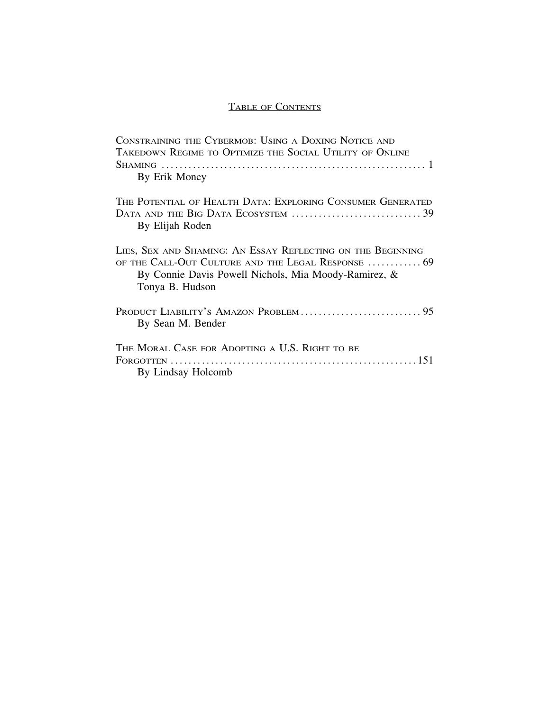# TABLE OF CONTENTS

| CONSTRAINING THE CYBERMOB: USING A DOXING NOTICE AND<br>TAKEDOWN REGIME TO OPTIMIZE THE SOCIAL UTILITY OF ONLINE                                                                             |
|----------------------------------------------------------------------------------------------------------------------------------------------------------------------------------------------|
|                                                                                                                                                                                              |
| By Erik Money                                                                                                                                                                                |
| THE POTENTIAL OF HEALTH DATA: EXPLORING CONSUMER GENERATED                                                                                                                                   |
| By Elijah Roden                                                                                                                                                                              |
| LIES, SEX AND SHAMING: AN ESSAY REFLECTING ON THE BEGINNING<br>OF THE CALL-OUT CULTURE AND THE LEGAL RESPONSE  69<br>By Connie Davis Powell Nichols, Mia Moody-Ramirez, &<br>Tonya B. Hudson |
| By Sean M. Bender                                                                                                                                                                            |
| THE MORAL CASE FOR ADOPTING A U.S. RIGHT TO BE<br>By Lindsay Holcomb                                                                                                                         |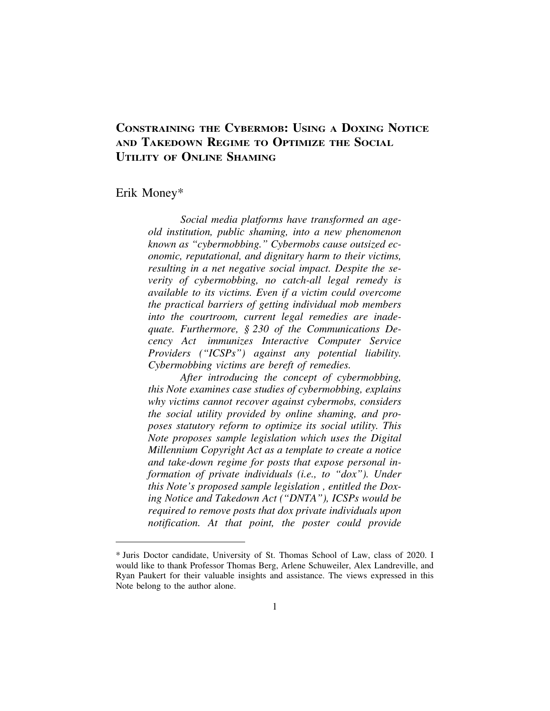# **CONSTRAINING THE CYBERMOB: USING A DOXING NOTICE AND TAKEDOWN REGIME TO OPTIMIZE THE SOCIAL UTILITY OF ONLINE SHAMING**

## Erik Money\*

*Social media platforms have transformed an ageold institution, public shaming, into a new phenomenon known as "cybermobbing." Cybermobs cause outsized economic, reputational, and dignitary harm to their victims, resulting in a net negative social impact. Despite the severity of cybermobbing, no catch-all legal remedy is available to its victims. Even if a victim could overcome the practical barriers of getting individual mob members into the courtroom, current legal remedies are inadequate. Furthermore, § 230 of the Communications Decency Act immunizes Interactive Computer Service Providers ("ICSPs") against any potential liability. Cybermobbing victims are bereft of remedies.*

*After introducing the concept of cybermobbing, this Note examines case studies of cybermobbing, explains why victims cannot recover against cybermobs, considers the social utility provided by online shaming, and proposes statutory reform to optimize its social utility. This Note proposes sample legislation which uses the Digital Millennium Copyright Act as a template to create a notice and take-down regime for posts that expose personal information of private individuals (i.e., to "dox"). Under this Note's proposed sample legislation , entitled the Doxing Notice and Takedown Act ("DNTA"), ICSPs would be required to remove posts that dox private individuals upon notification. At that point, the poster could provide*

<sup>\*</sup> Juris Doctor candidate, University of St. Thomas School of Law, class of 2020. I would like to thank Professor Thomas Berg, Arlene Schuweiler, Alex Landreville, and Ryan Paukert for their valuable insights and assistance. The views expressed in this Note belong to the author alone.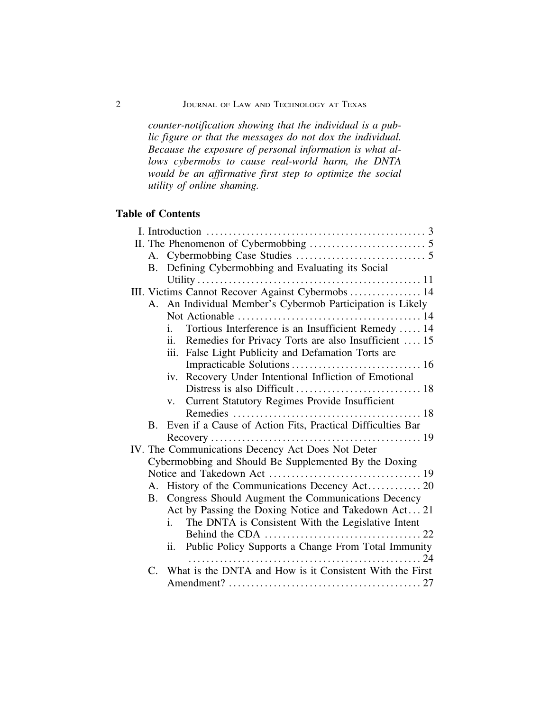*counter-notification showing that the individual is a public figure or that the messages do not dox the individual. Because the exposure of personal information is what allows cybermobs to cause real-world harm, the DNTA would be an affirmative first step to optimize the social utility of online shaming.*

# **Table of Contents**

| B. Defining Cybermobbing and Evaluating its Social                      |  |
|-------------------------------------------------------------------------|--|
|                                                                         |  |
| III. Victims Cannot Recover Against Cybermobs  14                       |  |
| A. An Individual Member's Cybermob Participation is Likely              |  |
|                                                                         |  |
| Tortious Interference is an Insufficient Remedy  14<br>i.               |  |
| ii. Remedies for Privacy Torts are also Insufficient  15                |  |
| iii. False Light Publicity and Defamation Torts are                     |  |
|                                                                         |  |
| iv. Recovery Under Intentional Infliction of Emotional                  |  |
|                                                                         |  |
| v. Current Statutory Regimes Provide Insufficient                       |  |
|                                                                         |  |
| Even if a Cause of Action Fits, Practical Difficulties Bar<br><b>B.</b> |  |
|                                                                         |  |
| IV. The Communications Decency Act Does Not Deter                       |  |
| Cybermobbing and Should Be Supplemented By the Doxing                   |  |
|                                                                         |  |
| A. History of the Communications Decency Act 20                         |  |
| B. Congress Should Augment the Communications Decency                   |  |
| Act by Passing the Doxing Notice and Takedown Act 21                    |  |
| The DNTA is Consistent With the Legislative Intent<br>i.                |  |
|                                                                         |  |
| ii. Public Policy Supports a Change From Total Immunity                 |  |
| C. What is the DNTA and How is it Consistent With the First             |  |
|                                                                         |  |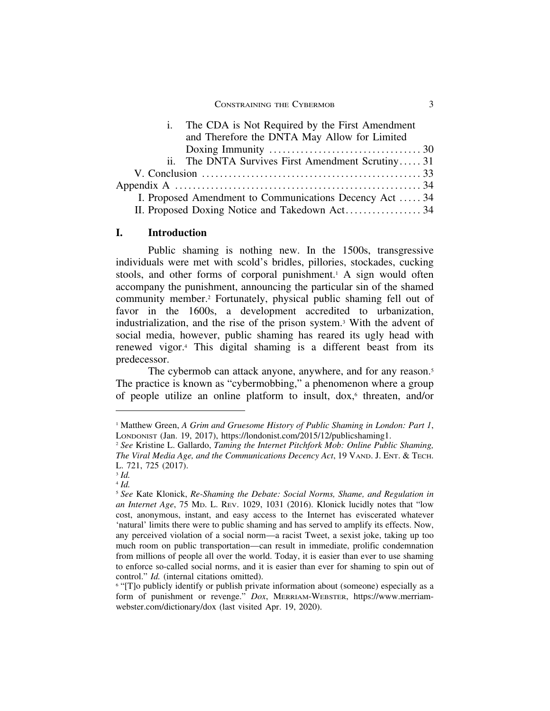| i. The CDA is Not Required by the First Amendment                                            |  |
|----------------------------------------------------------------------------------------------|--|
| and Therefore the DNTA May Allow for Limited                                                 |  |
| Doxing Immunity $\dots \dots \dots \dots \dots \dots \dots \dots \dots \dots \dots \dots 30$ |  |
| ii. The DNTA Survives First Amendment Scrutiny31                                             |  |
|                                                                                              |  |
|                                                                                              |  |
| I. Proposed Amendment to Communications Decency Act  34                                      |  |
|                                                                                              |  |

#### **I. Introduction**

Public shaming is nothing new. In the 1500s, transgressive individuals were met with scold's bridles, pillories, stockades, cucking stools, and other forms of corporal punishment.<sup>1</sup> A sign would often accompany the punishment, announcing the particular sin of the shamed community member.2 Fortunately, physical public shaming fell out of favor in the 1600s, a development accredited to urbanization, industrialization, and the rise of the prison system.3 With the advent of social media, however, public shaming has reared its ugly head with renewed vigor.4 This digital shaming is a different beast from its predecessor.

The cybermob can attack anyone, anywhere, and for any reason.<sup>5</sup> The practice is known as "cybermobbing," a phenomenon where a group of people utilize an online platform to insult,  $d$ ox, $\delta$  threaten, and/or

<sup>&</sup>lt;sup>1</sup> Matthew Green, *A Grim and Gruesome History of Public Shaming in London: Part 1,* LONDONIST (Jan. 19, 2017), https://londonist.com/2015/12/publicshaming1.

<sup>2</sup> *See* Kristine L. Gallardo, *Taming the Internet Pitchfork Mob: Online Public Shaming, The Viral Media Age, and the Communications Decency Act*, 19 VAND. J. ENT. & TECH. L. 721, 725 (2017).

<sup>3</sup> *Id.*

<sup>4</sup> *Id.*

<sup>5</sup> *See* Kate Klonick, *Re-Shaming the Debate: Social Norms, Shame, and Regulation in an Internet Age*, 75 MD. L. REV. 1029, 1031 (2016). Klonick lucidly notes that "low cost, anonymous, instant, and easy access to the Internet has eviscerated whatever 'natural' limits there were to public shaming and has served to amplify its effects. Now, any perceived violation of a social norm—a racist Tweet, a sexist joke, taking up too much room on public transportation—can result in immediate, prolific condemnation from millions of people all over the world. Today, it is easier than ever to use shaming to enforce so-called social norms, and it is easier than ever for shaming to spin out of control." *Id.* (internal citations omitted).

<sup>&</sup>lt;sup>6</sup> "[T]o publicly identify or publish private information about (someone) especially as a form of punishment or revenge." *Dox*, MERRIAM-WEBSTER, https://www.merriamwebster.com/dictionary/dox (last visited Apr. 19, 2020).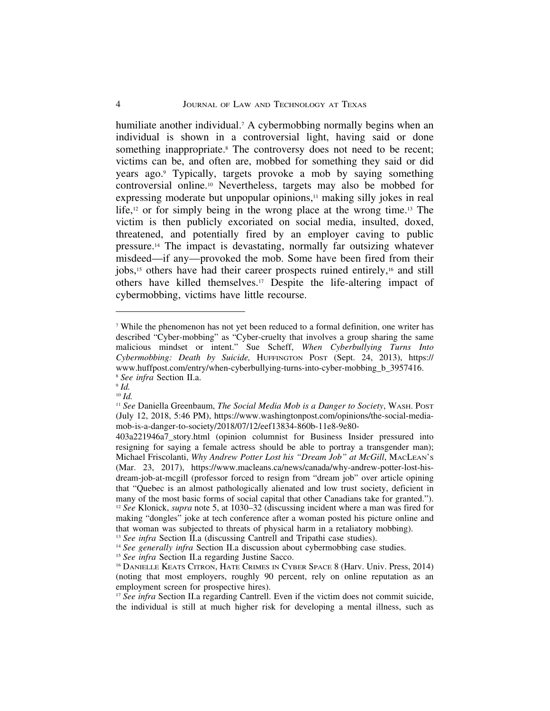humiliate another individual.<sup>7</sup> A cybermobbing normally begins when an individual is shown in a controversial light, having said or done something inappropriate.<sup>8</sup> The controversy does not need to be recent; victims can be, and often are, mobbed for something they said or did years ago.9 Typically, targets provoke a mob by saying something controversial online.10 Nevertheless, targets may also be mobbed for expressing moderate but unpopular opinions,<sup>11</sup> making silly jokes in real life,12 or for simply being in the wrong place at the wrong time.13 The victim is then publicly excoriated on social media, insulted, doxed, threatened, and potentially fired by an employer caving to public pressure.14 The impact is devastating, normally far outsizing whatever misdeed—if any—provoked the mob. Some have been fired from their jobs,15 others have had their career prospects ruined entirely,16 and still others have killed themselves.17 Despite the life-altering impact of cybermobbing, victims have little recourse.

<sup>7</sup> While the phenomenon has not yet been reduced to a formal definition, one writer has described "Cyber-mobbing" as "Cyber-cruelty that involves a group sharing the same malicious mindset or intent." Sue Scheff, *When Cyberbullying Turns Into Cybermobbing: Death by Suicide,* HUFFINGTON POST (Sept. 24, 2013), https:// www.huffpost.com/entry/when-cyberbullying-turns-into-cyber-mobbing\_b\_3957416. <sup>8</sup> *See infra* Section II.a.

<sup>9</sup> *Id.* <sup>10</sup> *Id.*

<sup>11</sup> *See* Daniella Greenbaum, *The Social Media Mob is a Danger to Society*, WASH. POST (July 12, 2018, 5:46 PM), https://www.washingtonpost.com/opinions/the-social-mediamob-is-a-danger-to-society/2018/07/12/eef13834-860b-11e8-9e80-

<sup>403</sup>a221946a7\_story.html (opinion columnist for Business Insider pressured into resigning for saying a female actress should be able to portray a transgender man); Michael Friscolanti, *Why Andrew Potter Lost his "Dream Job" at McGill*, MACLEAN'S (Mar. 23, 2017), https://www.macleans.ca/news/canada/why-andrew-potter-lost-hisdream-job-at-mcgill (professor forced to resign from "dream job" over article opining that "Quebec is an almost pathologically alienated and low trust society, deficient in many of the most basic forms of social capital that other Canadians take for granted."). <sup>12</sup> *See* Klonick, *supra* note 5, at 1030–32 (discussing incident where a man was fired for making "dongles" joke at tech conference after a woman posted his picture online and that woman was subjected to threats of physical harm in a retaliatory mobbing).

<sup>&</sup>lt;sup>13</sup> *See infra* Section II.a (discussing Cantrell and Tripathi case studies).

<sup>&</sup>lt;sup>14</sup> See generally infra Section II.a discussion about cybermobbing case studies.

<sup>&</sup>lt;sup>15</sup> See infra Section II.a regarding Justine Sacco.

<sup>16</sup> DANIELLE KEATS CITRON, HATE CRIMES IN CYBER SPACE 8 (Harv. Univ. Press, 2014) (noting that most employers, roughly 90 percent, rely on online reputation as an employment screen for prospective hires).

<sup>&</sup>lt;sup>17</sup> *See infra* Section II.a regarding Cantrell. Even if the victim does not commit suicide, the individual is still at much higher risk for developing a mental illness, such as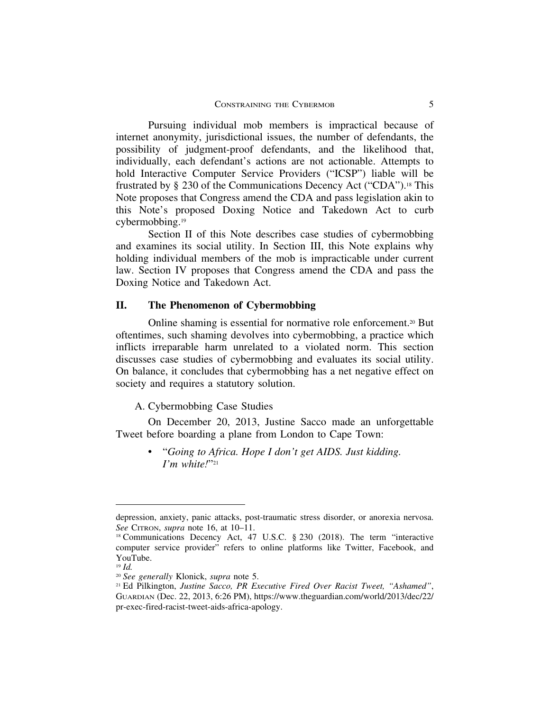Pursuing individual mob members is impractical because of internet anonymity, jurisdictional issues, the number of defendants, the possibility of judgment-proof defendants, and the likelihood that, individually, each defendant's actions are not actionable. Attempts to hold Interactive Computer Service Providers ("ICSP") liable will be frustrated by § 230 of the Communications Decency Act ("CDA").18 This Note proposes that Congress amend the CDA and pass legislation akin to this Note's proposed Doxing Notice and Takedown Act to curb cybermobbing.19

Section II of this Note describes case studies of cybermobbing and examines its social utility. In Section III, this Note explains why holding individual members of the mob is impracticable under current law. Section IV proposes that Congress amend the CDA and pass the Doxing Notice and Takedown Act.

### **II. The Phenomenon of Cybermobbing**

Online shaming is essential for normative role enforcement.20 But oftentimes, such shaming devolves into cybermobbing, a practice which inflicts irreparable harm unrelated to a violated norm. This section discusses case studies of cybermobbing and evaluates its social utility. On balance, it concludes that cybermobbing has a net negative effect on society and requires a statutory solution.

A. Cybermobbing Case Studies

On December 20, 2013, Justine Sacco made an unforgettable Tweet before boarding a plane from London to Cape Town:

> • "*Going to Africa. Hope I don't get AIDS. Just kidding. I'm white!*"21

depression, anxiety, panic attacks, post-traumatic stress disorder, or anorexia nervosa. *See* CITRON, *supra* note 16, at 10–11.

<sup>&</sup>lt;sup>18</sup> Communications Decency Act, 47 U.S.C. § 230 (2018). The term "interactive computer service provider" refers to online platforms like Twitter, Facebook, and YouTube.

<sup>19</sup> *Id.*

<sup>20</sup> *See generally* Klonick, *supra* note 5.

<sup>21</sup> Ed Pilkington, *Justine Sacco, PR Executive Fired Over Racist Tweet, "Ashamed"*, GUARDIAN (Dec. 22, 2013, 6:26 PM), https://www.theguardian.com/world/2013/dec/22/ pr-exec-fired-racist-tweet-aids-africa-apology.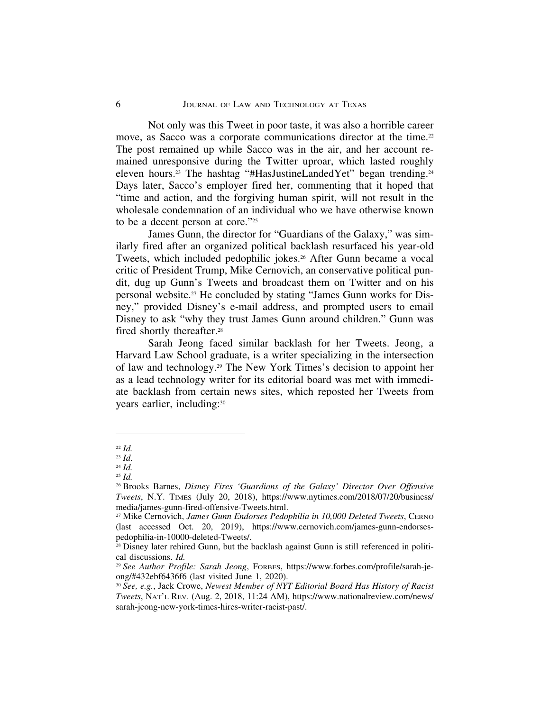Not only was this Tweet in poor taste, it was also a horrible career move, as Sacco was a corporate communications director at the time.<sup>22</sup> The post remained up while Sacco was in the air, and her account remained unresponsive during the Twitter uproar, which lasted roughly eleven hours.23 The hashtag "#HasJustineLandedYet" began trending.24 Days later, Sacco's employer fired her, commenting that it hoped that "time and action, and the forgiving human spirit, will not result in the wholesale condemnation of an individual who we have otherwise known to be a decent person at core."25

James Gunn, the director for "Guardians of the Galaxy," was similarly fired after an organized political backlash resurfaced his year-old Tweets, which included pedophilic jokes.<sup>26</sup> After Gunn became a vocal critic of President Trump, Mike Cernovich, an conservative political pundit, dug up Gunn's Tweets and broadcast them on Twitter and on his personal website.27 He concluded by stating "James Gunn works for Disney," provided Disney's e-mail address, and prompted users to email Disney to ask "why they trust James Gunn around children." Gunn was fired shortly thereafter.28

Sarah Jeong faced similar backlash for her Tweets. Jeong, a Harvard Law School graduate, is a writer specializing in the intersection of law and technology.29 The New York Times's decision to appoint her as a lead technology writer for its editorial board was met with immediate backlash from certain news sites, which reposted her Tweets from years earlier, including:30

<sup>22</sup> *Id.*

<sup>23</sup> *Id*.

<sup>24</sup> *Id.*

<sup>25</sup> *Id.*

<sup>26</sup> Brooks Barnes, *Disney Fires 'Guardians of the Galaxy' Director Over Offensive Tweets*, N.Y. TIMES (July 20, 2018), https://www.nytimes.com/2018/07/20/business/ media/james-gunn-fired-offensive-Tweets.html.

<sup>27</sup> Mike Cernovich, *James Gunn Endorses Pedophilia in 10,000 Deleted Tweets*, CERNO (last accessed Oct. 20, 2019), https://www.cernovich.com/james-gunn-endorsespedophilia-in-10000-deleted-Tweets/.

<sup>&</sup>lt;sup>28</sup> Disney later rehired Gunn, but the backlash against Gunn is still referenced in political discussions. *Id.*

<sup>29</sup> *See Author Profile: Sarah Jeong*, FORBES, https://www.forbes.com/profile/sarah-jeong/#432ebf6436f6 (last visited June 1, 2020).

<sup>30</sup> *See, e.g.*, Jack Crowe, *Newest Member of NYT Editorial Board Has History of Racist Tweets*, NAT'L REV. (Aug. 2, 2018, 11:24 AM), https://www.nationalreview.com/news/ sarah-jeong-new-york-times-hires-writer-racist-past/.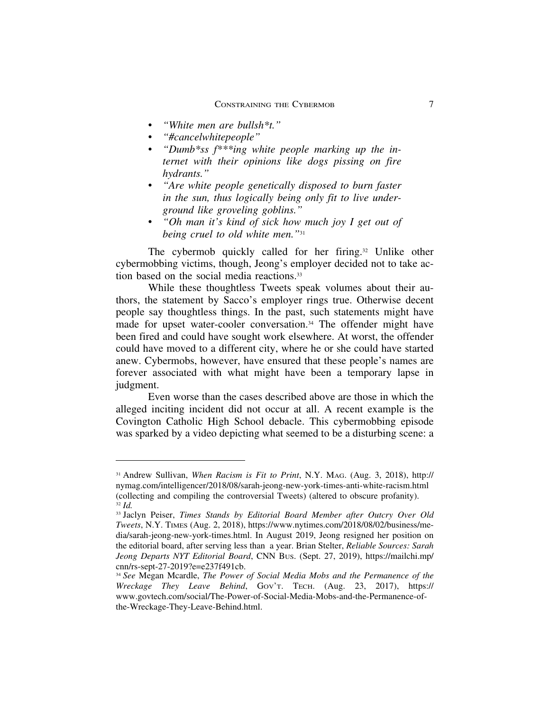- *"White men are bullsh\*t."*
- *"#cancelwhitepeople"*
- *"Dumb\*ss f\*\*\*ing white people marking up the internet with their opinions like dogs pissing on fire hydrants."*
- *"Are white people genetically disposed to burn faster in the sun, thus logically being only fit to live underground like groveling goblins."*
- *"Oh man it's kind of sick how much joy I get out of being cruel to old white men."*<sup>31</sup>

The cybermob quickly called for her firing.<sup>32</sup> Unlike other cybermobbing victims, though, Jeong's employer decided not to take action based on the social media reactions.<sup>33</sup>

While these thoughtless Tweets speak volumes about their authors, the statement by Sacco's employer rings true. Otherwise decent people say thoughtless things. In the past, such statements might have made for upset water-cooler conversation.<sup>34</sup> The offender might have been fired and could have sought work elsewhere. At worst, the offender could have moved to a different city, where he or she could have started anew. Cybermobs, however, have ensured that these people's names are forever associated with what might have been a temporary lapse in judgment.

Even worse than the cases described above are those in which the alleged inciting incident did not occur at all. A recent example is the Covington Catholic High School debacle. This cybermobbing episode was sparked by a video depicting what seemed to be a disturbing scene: a

<sup>31</sup> Andrew Sullivan, *When Racism is Fit to Print*, N.Y. MAG. (Aug. 3, 2018), http:// nymag.com/intelligencer/2018/08/sarah-jeong-new-york-times-anti-white-racism.html (collecting and compiling the controversial Tweets) (altered to obscure profanity). <sup>32</sup> *Id.*

<sup>33</sup> Jaclyn Peiser, *Times Stands by Editorial Board Member after Outcry Over Old Tweets*, N.Y. TIMES (Aug. 2, 2018), https://www.nytimes.com/2018/08/02/business/media/sarah-jeong-new-york-times.html. In August 2019, Jeong resigned her position on the editorial board, after serving less than a year. Brian Stelter, *Reliable Sources: Sarah Jeong Departs NYT Editorial Board*, CNN BUS. (Sept. 27, 2019), https://mailchi.mp/ cnn/rs-sept-27-2019?e=e237f491cb.

<sup>34</sup> *See* Megan Mcardle, *The Power of Social Media Mobs and the Permanence of the Wreckage They Leave Behind*, GOV'T. TECH. (Aug. 23, 2017), https:// www.govtech.com/social/The-Power-of-Social-Media-Mobs-and-the-Permanence-ofthe-Wreckage-They-Leave-Behind.html.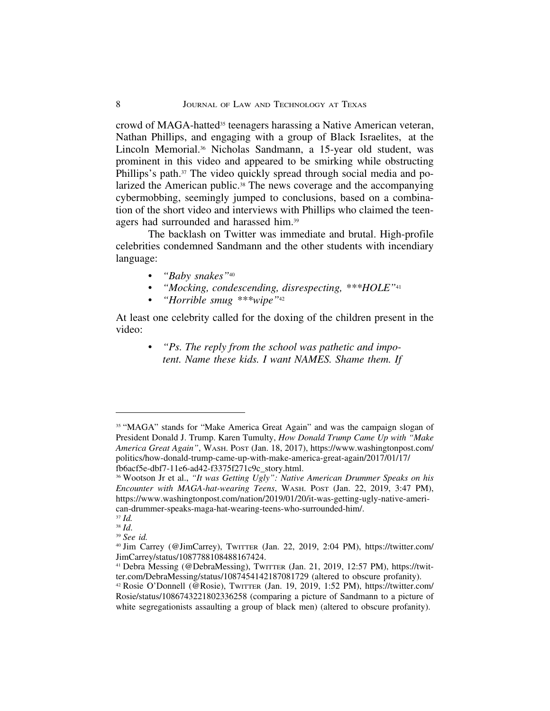crowd of MAGA-hatted<sup>35</sup> teenagers harassing a Native American veteran, Nathan Phillips, and engaging with a group of Black Israelites, at the Lincoln Memorial.36 Nicholas Sandmann, a 15-year old student, was prominent in this video and appeared to be smirking while obstructing Phillips's path.37 The video quickly spread through social media and polarized the American public.<sup>38</sup> The news coverage and the accompanying cybermobbing, seemingly jumped to conclusions, based on a combination of the short video and interviews with Phillips who claimed the teenagers had surrounded and harassed him.39

The backlash on Twitter was immediate and brutal. High-profile celebrities condemned Sandmann and the other students with incendiary language:

- *"Baby snakes"*<sup>40</sup>
- *"Mocking, condescending, disrespecting, \*\*\*HOLE"*<sup>41</sup>
- *"Horrible smug \*\*\*wipe"*<sup>42</sup>

At least one celebrity called for the doxing of the children present in the video:

> • *"Ps. The reply from the school was pathetic and impotent. Name these kids. I want NAMES. Shame them. If*

<sup>&</sup>lt;sup>35</sup> "MAGA" stands for "Make America Great Again" and was the campaign slogan of President Donald J. Trump. Karen Tumulty, *How Donald Trump Came Up with "Make America Great Again"*, WASH. POST (Jan. 18, 2017), https://www.washingtonpost.com/ politics/how-donald-trump-came-up-with-make-america-great-again/2017/01/17/ fb6acf5e-dbf7-11e6-ad42-f3375f271c9c\_story.html.

<sup>36</sup> Wootson Jr et al., *"It was Getting Ugly": Native American Drummer Speaks on his Encounter with MAGA-hat-wearing Teens*, WASH. POST (Jan. 22, 2019, 3:47 PM), https://www.washingtonpost.com/nation/2019/01/20/it-was-getting-ugly-native-american-drummer-speaks-maga-hat-wearing-teens-who-surrounded-him/.

<sup>37</sup> *Id.*

<sup>38</sup> *Id*. <sup>39</sup> *See id.*

<sup>40</sup> Jim Carrey (@JimCarrey), TWITTER (Jan. 22, 2019, 2:04 PM), https://twitter.com/ JimCarrey/status/1087788108488167424.

<sup>41</sup> Debra Messing (@DebraMessing), TWITTER (Jan. 21, 2019, 12:57 PM), https://twitter.com/DebraMessing/status/1087454142187081729 (altered to obscure profanity).

<sup>42</sup> Rosie O'Donnell (@Rosie), TWITTER (Jan. 19, 2019, 1:52 PM), https://twitter.com/ Rosie/status/1086743221802336258 (comparing a picture of Sandmann to a picture of white segregationists assaulting a group of black men) (altered to obscure profanity).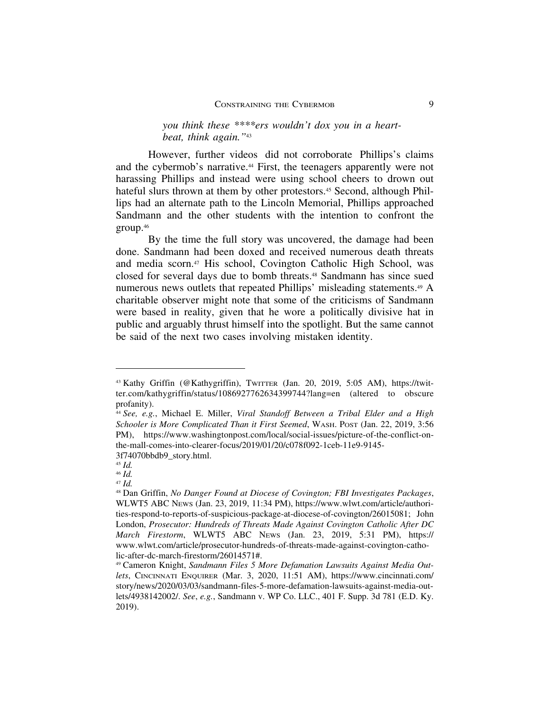However, further videos did not corroborate Phillips's claims and the cybermob's narrative.44 First, the teenagers apparently were not harassing Phillips and instead were using school cheers to drown out hateful slurs thrown at them by other protestors.<sup>45</sup> Second, although Phillips had an alternate path to the Lincoln Memorial, Phillips approached Sandmann and the other students with the intention to confront the group.46

By the time the full story was uncovered, the damage had been done. Sandmann had been doxed and received numerous death threats and media scorn.47 His school, Covington Catholic High School, was closed for several days due to bomb threats.48 Sandmann has since sued numerous news outlets that repeated Phillips' misleading statements.<sup>49</sup> A charitable observer might note that some of the criticisms of Sandmann were based in reality, given that he wore a politically divisive hat in public and arguably thrust himself into the spotlight. But the same cannot be said of the next two cases involving mistaken identity.

<sup>43</sup> Kathy Griffin (@Kathygriffin), TWITTER (Jan. 20, 2019, 5:05 AM), https://twitter.com/kathygriffin/status/1086927762634399744?lang=en (altered to obscure profanity).

<sup>44</sup> *See, e.g.*, Michael E. Miller, *Viral Standoff Between a Tribal Elder and a High Schooler is More Complicated Than it First Seemed*, WASH. POST (Jan. 22, 2019, 3:56 PM), https://www.washingtonpost.com/local/social-issues/picture-of-the-conflict-onthe-mall-comes-into-clearer-focus/2019/01/20/c078f092-1ceb-11e9-9145- 3f74070bbdb9\_story.html.

<sup>45</sup> *Id.*

<sup>46</sup> *Id.*

<sup>47</sup> *Id.*

<sup>48</sup> Dan Griffin, *No Danger Found at Diocese of Covington; FBI Investigates Packages*, WLWT5 ABC NEWS (Jan. 23, 2019, 11:34 PM), https://www.wlwt.com/article/authorities-respond-to-reports-of-suspicious-package-at-diocese-of-covington/26015081; John London, *Prosecutor: Hundreds of Threats Made Against Covington Catholic After DC March Firestorm*, WLWT5 ABC NEWS (Jan. 23, 2019, 5:31 PM), https:// www.wlwt.com/article/prosecutor-hundreds-of-threats-made-against-covington-catholic-after-dc-march-firestorm/26014571#.

<sup>49</sup> Cameron Knight, *Sandmann Files 5 More Defamation Lawsuits Against Media Outlets*, CINCINNATI ENQUIRER (Mar. 3, 2020, 11:51 AM), https://www.cincinnati.com/ story/news/2020/03/03/sandmann-files-5-more-defamation-lawsuits-against-media-outlets/4938142002/. *See*, *e.g.*, Sandmann v. WP Co. LLC., 401 F. Supp. 3d 781 (E.D. Ky. 2019).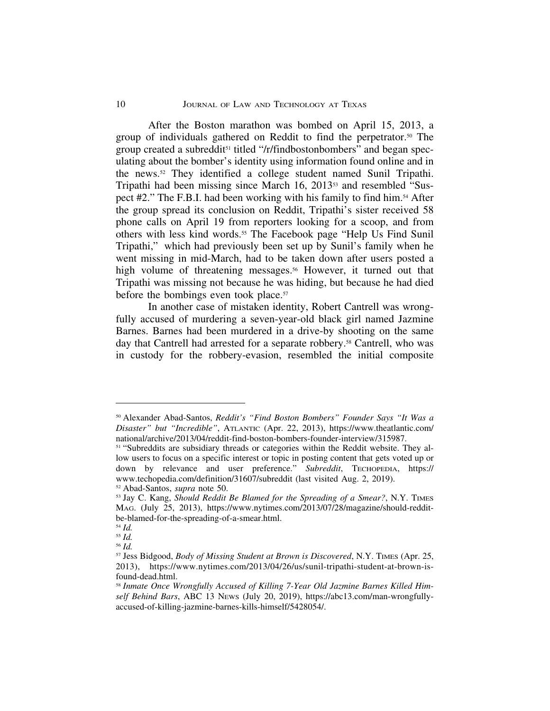After the Boston marathon was bombed on April 15, 2013, a group of individuals gathered on Reddit to find the perpetrator.50 The group created a subreddit<sup>51</sup> titled "/r/findbostonbombers" and began speculating about the bomber's identity using information found online and in the news.52 They identified a college student named Sunil Tripathi. Tripathi had been missing since March 16, 2013<sup>53</sup> and resembled "Suspect #2." The F.B.I. had been working with his family to find him.54 After the group spread its conclusion on Reddit, Tripathi's sister received 58 phone calls on April 19 from reporters looking for a scoop, and from others with less kind words.55 The Facebook page "Help Us Find Sunil Tripathi," which had previously been set up by Sunil's family when he went missing in mid-March, had to be taken down after users posted a high volume of threatening messages.<sup>56</sup> However, it turned out that Tripathi was missing not because he was hiding, but because he had died before the bombings even took place.<sup>57</sup>

In another case of mistaken identity, Robert Cantrell was wrongfully accused of murdering a seven-year-old black girl named Jazmine Barnes. Barnes had been murdered in a drive-by shooting on the same day that Cantrell had arrested for a separate robbery.<sup>58</sup> Cantrell, who was in custody for the robbery-evasion, resembled the initial composite

<sup>50</sup> Alexander Abad-Santos, *Reddit's "Find Boston Bombers" Founder Says "It Was a Disaster" but "Incredible"*, ATLANTIC (Apr. 22, 2013), https://www.theatlantic.com/ national/archive/2013/04/reddit-find-boston-bombers-founder-interview/315987.

<sup>&</sup>lt;sup>51</sup> "Subreddits are subsidiary threads or categories within the Reddit website. They allow users to focus on a specific interest or topic in posting content that gets voted up or down by relevance and user preference." *Subreddit*, TECHOPEDIA, https:// www.techopedia.com/definition/31607/subreddit (last visited Aug. 2, 2019). <sup>52</sup> Abad-Santos, *supra* note 50.

<sup>53</sup> Jay C. Kang, *Should Reddit Be Blamed for the Spreading of a Smear?*, N.Y. TIMES MAG. (July 25, 2013), https://www.nytimes.com/2013/07/28/magazine/should-redditbe-blamed-for-the-spreading-of-a-smear.html.

<sup>54</sup> *Id.*

<sup>55</sup> *Id.* <sup>56</sup> *Id.*

<sup>57</sup> Jess Bidgood, *Body of Missing Student at Brown is Discovered*, N.Y. TIMES (Apr. 25, 2013), https://www.nytimes.com/2013/04/26/us/sunil-tripathi-student-at-brown-isfound-dead.html.

<sup>58</sup> *Inmate Once Wrongfully Accused of Killing 7-Year Old Jazmine Barnes Killed Himself Behind Bars*, ABC 13 NEWS (July 20, 2019), https://abc13.com/man-wrongfullyaccused-of-killing-jazmine-barnes-kills-himself/5428054/.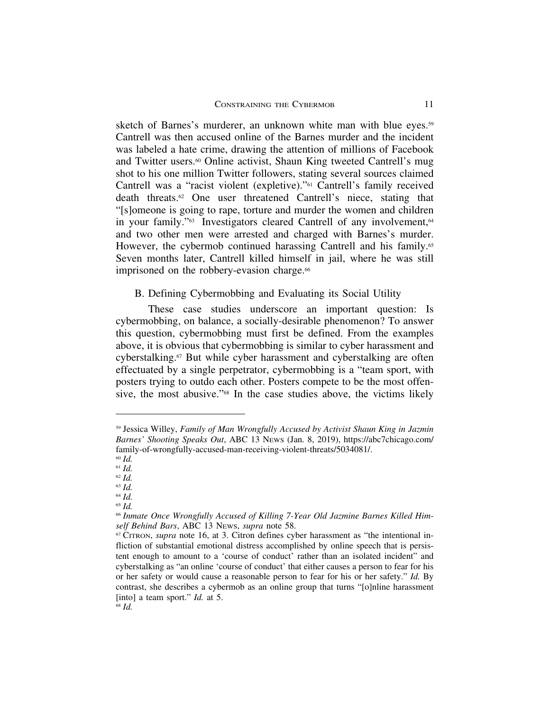sketch of Barnes's murderer, an unknown white man with blue eyes.<sup>59</sup> Cantrell was then accused online of the Barnes murder and the incident was labeled a hate crime, drawing the attention of millions of Facebook and Twitter users.<sup>60</sup> Online activist, Shaun King tweeted Cantrell's mug shot to his one million Twitter followers, stating several sources claimed Cantrell was a "racist violent (expletive)."61 Cantrell's family received death threats.62 One user threatened Cantrell's niece, stating that "[s]omeone is going to rape, torture and murder the women and children in your family."<sup>63</sup> Investigators cleared Cantrell of any involvement,<sup>64</sup> and two other men were arrested and charged with Barnes's murder. However, the cybermob continued harassing Cantrell and his family.<sup>65</sup> Seven months later, Cantrell killed himself in jail, where he was still imprisoned on the robbery-evasion charge.<sup>66</sup>

#### B. Defining Cybermobbing and Evaluating its Social Utility

These case studies underscore an important question: Is cybermobbing, on balance, a socially-desirable phenomenon? To answer this question, cybermobbing must first be defined. From the examples above, it is obvious that cybermobbing is similar to cyber harassment and cyberstalking.67 But while cyber harassment and cyberstalking are often effectuated by a single perpetrator, cybermobbing is a "team sport, with posters trying to outdo each other. Posters compete to be the most offensive, the most abusive."68 In the case studies above, the victims likely

<sup>65</sup> *Id.*

<sup>59</sup> Jessica Willey, *Family of Man Wrongfully Accused by Activist Shaun King in Jazmin Barnes' Shooting Speaks Out*, ABC 13 NEWS (Jan. 8, 2019), https://abc7chicago.com/ family-of-wrongfully-accused-man-receiving-violent-threats/5034081/.

<sup>60</sup> *Id.*

<sup>61</sup> *Id.* <sup>62</sup> *Id.*

<sup>63</sup> *Id.*

<sup>64</sup> *Id.*

<sup>66</sup> *Inmate Once Wrongfully Accused of Killing 7-Year Old Jazmine Barnes Killed Himself Behind Bars*, ABC 13 NEWS, *supra* note 58.

<sup>67</sup> CITRON, *supra* note 16, at 3. Citron defines cyber harassment as "the intentional infliction of substantial emotional distress accomplished by online speech that is persistent enough to amount to a 'course of conduct' rather than an isolated incident" and cyberstalking as "an online 'course of conduct' that either causes a person to fear for his or her safety or would cause a reasonable person to fear for his or her safety." *Id.* By contrast, she describes a cybermob as an online group that turns "[o]nline harassment [into] a team sport." *Id.* at 5.

<sup>68</sup> *Id.*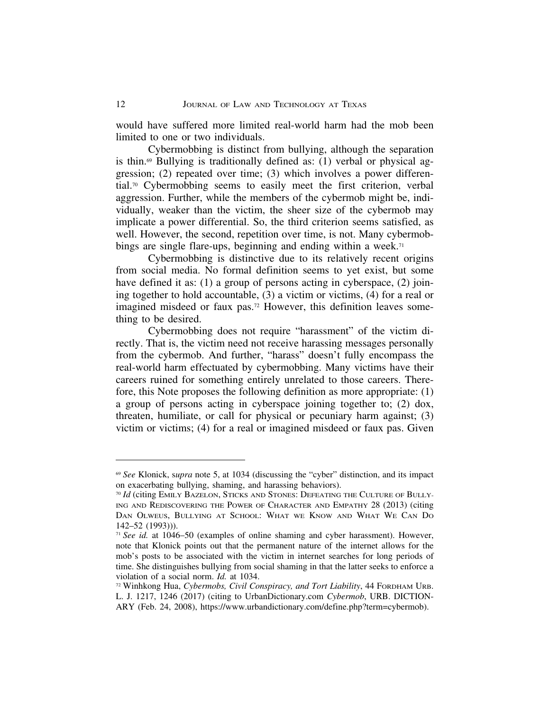would have suffered more limited real-world harm had the mob been limited to one or two individuals.

Cybermobbing is distinct from bullying, although the separation is thin. $69$  Bullying is traditionally defined as: (1) verbal or physical aggression; (2) repeated over time; (3) which involves a power differential.70 Cybermobbing seems to easily meet the first criterion, verbal aggression. Further, while the members of the cybermob might be, individually, weaker than the victim, the sheer size of the cybermob may implicate a power differential. So, the third criterion seems satisfied, as well. However, the second, repetition over time, is not. Many cybermobbings are single flare-ups, beginning and ending within a week.<sup>71</sup>

Cybermobbing is distinctive due to its relatively recent origins from social media. No formal definition seems to yet exist, but some have defined it as: (1) a group of persons acting in cyberspace, (2) joining together to hold accountable, (3) a victim or victims, (4) for a real or imagined misdeed or faux pas.72 However, this definition leaves something to be desired.

Cybermobbing does not require "harassment" of the victim directly. That is, the victim need not receive harassing messages personally from the cybermob. And further, "harass" doesn't fully encompass the real-world harm effectuated by cybermobbing. Many victims have their careers ruined for something entirely unrelated to those careers. Therefore, this Note proposes the following definition as more appropriate: (1) a group of persons acting in cyberspace joining together to; (2) dox, threaten, humiliate, or call for physical or pecuniary harm against; (3) victim or victims; (4) for a real or imagined misdeed or faux pas. Given

<sup>69</sup> *See* Klonick, s*upra* note 5, at 1034 (discussing the "cyber" distinction, and its impact on exacerbating bullying, shaming, and harassing behaviors).

<sup>70</sup> *Id* (citing EMILY BAZELON, STICKS AND STONES: DEFEATING THE CULTURE OF BULLY-ING AND REDISCOVERING THE POWER OF CHARACTER AND EMPATHY 28 (2013) (citing DAN OLWEUS, BULLYING AT SCHOOL: WHAT WE KNOW AND WHAT WE CAN DO 142–52 (1993))).

<sup>71</sup> *See id.* at 1046–50 (examples of online shaming and cyber harassment). However, note that Klonick points out that the permanent nature of the internet allows for the mob's posts to be associated with the victim in internet searches for long periods of time. She distinguishes bullying from social shaming in that the latter seeks to enforce a violation of a social norm. *Id.* at 1034.

<sup>72</sup> Winhkong Hua, *Cybermobs, Civil Conspiracy, and Tort Liability*, 44 FORDHAM URB. L. J. 1217, 1246 (2017) (citing to UrbanDictionary.com *Cybermob*, URB. DICTION-ARY (Feb. 24, 2008), https://www.urbandictionary.com/define.php?term=cybermob).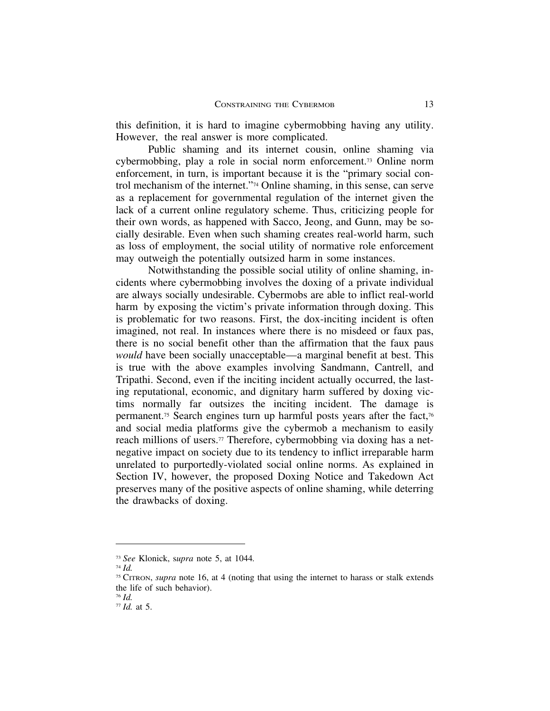this definition, it is hard to imagine cybermobbing having any utility. However, the real answer is more complicated.

Public shaming and its internet cousin, online shaming via cybermobbing, play a role in social norm enforcement.73 Online norm enforcement, in turn, is important because it is the "primary social control mechanism of the internet."74 Online shaming, in this sense, can serve as a replacement for governmental regulation of the internet given the lack of a current online regulatory scheme. Thus, criticizing people for their own words, as happened with Sacco, Jeong, and Gunn, may be socially desirable. Even when such shaming creates real-world harm, such as loss of employment, the social utility of normative role enforcement may outweigh the potentially outsized harm in some instances.

Notwithstanding the possible social utility of online shaming, incidents where cybermobbing involves the doxing of a private individual are always socially undesirable. Cybermobs are able to inflict real-world harm by exposing the victim's private information through doxing. This is problematic for two reasons. First, the dox-inciting incident is often imagined, not real. In instances where there is no misdeed or faux pas, there is no social benefit other than the affirmation that the faux paus *would* have been socially unacceptable—a marginal benefit at best. This is true with the above examples involving Sandmann, Cantrell, and Tripathi. Second, even if the inciting incident actually occurred, the lasting reputational, economic, and dignitary harm suffered by doxing victims normally far outsizes the inciting incident. The damage is permanent.75 Search engines turn up harmful posts years after the fact,76 and social media platforms give the cybermob a mechanism to easily reach millions of users.<sup>77</sup> Therefore, cybermobbing via doxing has a netnegative impact on society due to its tendency to inflict irreparable harm unrelated to purportedly-violated social online norms. As explained in Section IV, however, the proposed Doxing Notice and Takedown Act preserves many of the positive aspects of online shaming, while deterring the drawbacks of doxing.

<sup>73</sup> *See* Klonick, s*upra* note 5, at 1044*.*

<sup>74</sup> *Id.*

<sup>75</sup> CITRON, *supra* note 16, at 4 (noting that using the internet to harass or stalk extends the life of such behavior).

<sup>76</sup> *Id.*

<sup>77</sup> *Id.* at 5.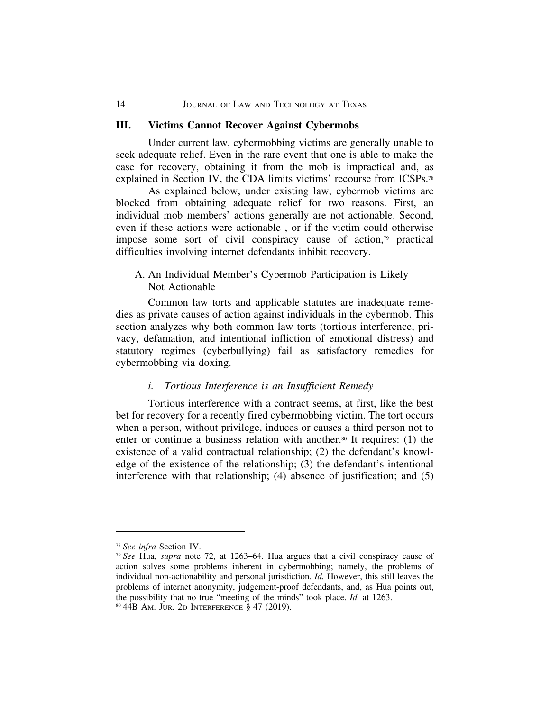#### 14 JOURNAL OF LAW AND TECHNOLOGY AT TEXAS

#### **III. Victims Cannot Recover Against Cybermobs**

Under current law, cybermobbing victims are generally unable to seek adequate relief. Even in the rare event that one is able to make the case for recovery, obtaining it from the mob is impractical and, as explained in Section IV, the CDA limits victims' recourse from ICSPs.78

As explained below, under existing law, cybermob victims are blocked from obtaining adequate relief for two reasons. First, an individual mob members' actions generally are not actionable. Second, even if these actions were actionable , or if the victim could otherwise impose some sort of civil conspiracy cause of action,79 practical difficulties involving internet defendants inhibit recovery.

### A. An Individual Member's Cybermob Participation is Likely Not Actionable

Common law torts and applicable statutes are inadequate remedies as private causes of action against individuals in the cybermob. This section analyzes why both common law torts (tortious interference, privacy, defamation, and intentional infliction of emotional distress) and statutory regimes (cyberbullying) fail as satisfactory remedies for cybermobbing via doxing.

#### *i. Tortious Interference is an Insufficient Remedy*

Tortious interference with a contract seems, at first, like the best bet for recovery for a recently fired cybermobbing victim. The tort occurs when a person, without privilege, induces or causes a third person not to enter or continue a business relation with another.80 It requires: (1) the existence of a valid contractual relationship; (2) the defendant's knowledge of the existence of the relationship; (3) the defendant's intentional interference with that relationship; (4) absence of justification; and (5)

<sup>78</sup> *See infra* Section IV.

<sup>79</sup> *See* Hua, *supra* note 72, at 1263–64. Hua argues that a civil conspiracy cause of action solves some problems inherent in cybermobbing; namely, the problems of individual non-actionability and personal jurisdiction. *Id.* However, this still leaves the problems of internet anonymity, judgement-proof defendants, and, as Hua points out, the possibility that no true "meeting of the minds" took place. *Id.* at 1263.

<sup>80</sup> 44B AM. JUR. 2D INTERFERENCE § 47 (2019).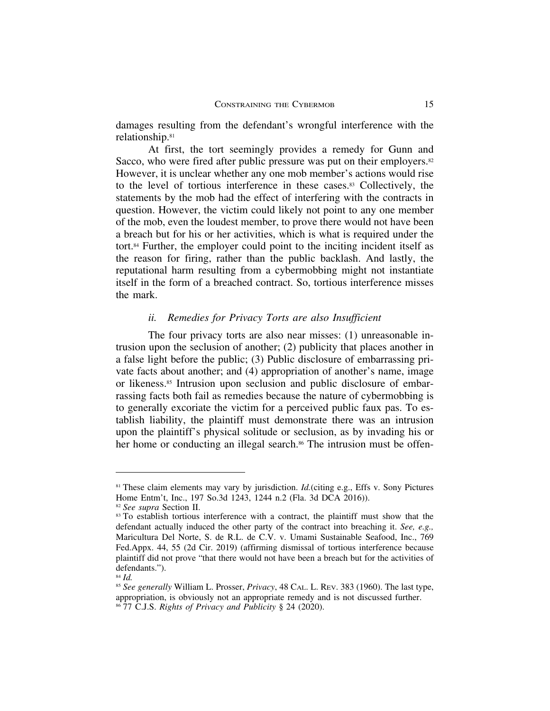damages resulting from the defendant's wrongful interference with the relationship.81

At first, the tort seemingly provides a remedy for Gunn and Sacco, who were fired after public pressure was put on their employers.<sup>82</sup> However, it is unclear whether any one mob member's actions would rise to the level of tortious interference in these cases.83 Collectively, the statements by the mob had the effect of interfering with the contracts in question. However, the victim could likely not point to any one member of the mob, even the loudest member, to prove there would not have been a breach but for his or her activities, which is what is required under the tort.84 Further, the employer could point to the inciting incident itself as the reason for firing, rather than the public backlash. And lastly, the reputational harm resulting from a cybermobbing might not instantiate itself in the form of a breached contract. So, tortious interference misses the mark.

#### *ii. Remedies for Privacy Torts are also Insufficient*

The four privacy torts are also near misses: (1) unreasonable intrusion upon the seclusion of another; (2) publicity that places another in a false light before the public; (3) Public disclosure of embarrassing private facts about another; and (4) appropriation of another's name, image or likeness.85 Intrusion upon seclusion and public disclosure of embarrassing facts both fail as remedies because the nature of cybermobbing is to generally excoriate the victim for a perceived public faux pas. To establish liability, the plaintiff must demonstrate there was an intrusion upon the plaintiff's physical solitude or seclusion, as by invading his or her home or conducting an illegal search.<sup>86</sup> The intrusion must be offen-

<sup>81</sup> These claim elements may vary by jurisdiction. *Id.*(citing e.g., Effs v. Sony Pictures Home Entm't, Inc., 197 So.3d 1243, 1244 n.2 (Fla. 3d DCA 2016)).

<sup>82</sup> *See supra* Section II.

<sup>&</sup>lt;sup>83</sup> To establish tortious interference with a contract, the plaintiff must show that the defendant actually induced the other party of the contract into breaching it. *See, e.g.,* Maricultura Del Norte, S. de R.L. de C.V. v. Umami Sustainable Seafood, Inc., 769 Fed.Appx. 44, 55 (2d Cir. 2019) (affirming dismissal of tortious interference because plaintiff did not prove "that there would not have been a breach but for the activities of defendants.").

<sup>84</sup> *Id.*

<sup>85</sup> *See generally* William L. Prosser, *Privacy*, 48 CAL. L. REV. 383 (1960). The last type, appropriation, is obviously not an appropriate remedy and is not discussed further.

<sup>86</sup> 77 C.J.S. *Rights of Privacy and Publicity* § 24 (2020).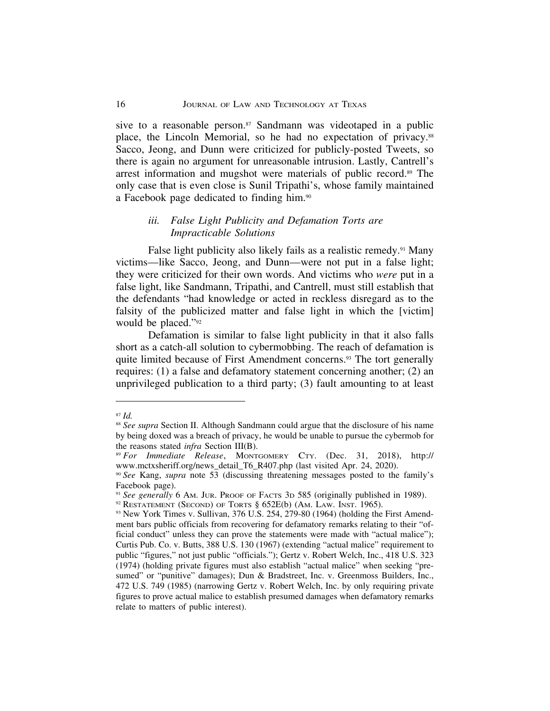sive to a reasonable person. $87$  Sandmann was videotaped in a public place, the Lincoln Memorial, so he had no expectation of privacy.<sup>88</sup> Sacco, Jeong, and Dunn were criticized for publicly-posted Tweets, so there is again no argument for unreasonable intrusion. Lastly, Cantrell's arrest information and mugshot were materials of public record.89 The only case that is even close is Sunil Tripathi's, whose family maintained a Facebook page dedicated to finding him.90

#### *iii. False Light Publicity and Defamation Torts are Impracticable Solutions*

False light publicity also likely fails as a realistic remedy.<sup>91</sup> Many victims—like Sacco, Jeong, and Dunn—were not put in a false light; they were criticized for their own words. And victims who *were* put in a false light, like Sandmann, Tripathi, and Cantrell, must still establish that the defendants "had knowledge or acted in reckless disregard as to the falsity of the publicized matter and false light in which the [victim] would be placed."92

Defamation is similar to false light publicity in that it also falls short as a catch-all solution to cybermobbing. The reach of defamation is quite limited because of First Amendment concerns.<sup>93</sup> The tort generally requires: (1) a false and defamatory statement concerning another; (2) an unprivileged publication to a third party; (3) fault amounting to at least

<sup>87</sup> *Id.*

<sup>88</sup> *See supra* Section II. Although Sandmann could argue that the disclosure of his name by being doxed was a breach of privacy, he would be unable to pursue the cybermob for the reasons stated *infra* Section III(B).

<sup>89</sup> *For Immediate Release*, MONTGOMERY CTY. (Dec. 31, 2018), http:// www.mctxsheriff.org/news\_detail\_T6\_R407.php (last visited Apr. 24, 2020).

<sup>90</sup> *See* Kang, *supra* note 53 (discussing threatening messages posted to the family's Facebook page).

<sup>91</sup> *See generally* 6 AM. JUR. PROOF OF FACTS 3D 585 (originally published in 1989).

 $92$  RESTATEMENT (SECOND) OF TORTS  $§$  652E(b) (AM. LAW. INST. 1965).

<sup>93</sup> New York Times v. Sullivan, 376 U.S. 254, 279-80 (1964) (holding the First Amendment bars public officials from recovering for defamatory remarks relating to their "official conduct" unless they can prove the statements were made with "actual malice"); Curtis Pub. Co. v. Butts, 388 U.S. 130 (1967) (extending "actual malice" requirement to public "figures," not just public "officials."); Gertz v. Robert Welch, Inc., 418 U.S. 323 (1974) (holding private figures must also establish "actual malice" when seeking "presumed" or "punitive" damages); Dun & Bradstreet, Inc. v. Greenmoss Builders, Inc., 472 U.S. 749 (1985) (narrowing Gertz v. Robert Welch, Inc. by only requiring private figures to prove actual malice to establish presumed damages when defamatory remarks relate to matters of public interest).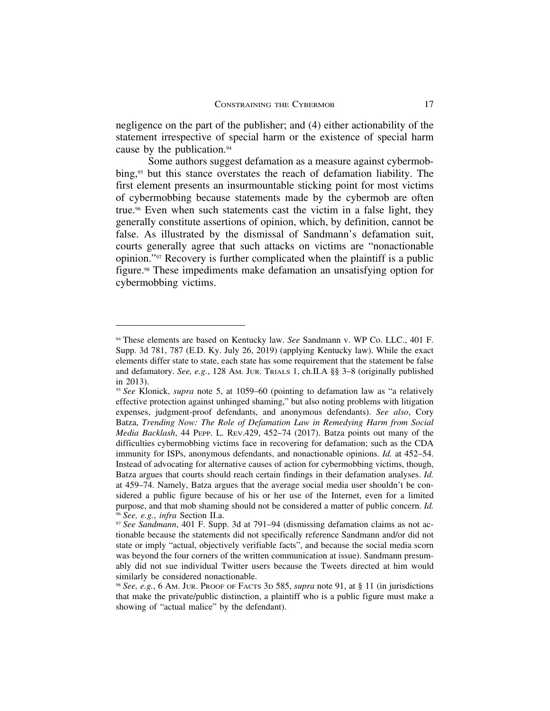negligence on the part of the publisher; and (4) either actionability of the statement irrespective of special harm or the existence of special harm cause by the publication.94

Some authors suggest defamation as a measure against cybermobbing,<sup>95</sup> but this stance overstates the reach of defamation liability. The first element presents an insurmountable sticking point for most victims of cybermobbing because statements made by the cybermob are often true.96 Even when such statements cast the victim in a false light, they generally constitute assertions of opinion, which, by definition, cannot be false. As illustrated by the dismissal of Sandmann's defamation suit, courts generally agree that such attacks on victims are "nonactionable opinion."97 Recovery is further complicated when the plaintiff is a public figure.98 These impediments make defamation an unsatisfying option for cybermobbing victims.

<sup>94</sup> These elements are based on Kentucky law. *See* Sandmann v. WP Co. LLC., 401 F. Supp. 3d 781, 787 (E.D. Ky. July 26, 2019) (applying Kentucky law). While the exact elements differ state to state, each state has some requirement that the statement be false and defamatory. *See, e.g.*, 128 AM. JUR. TRIALS 1, ch.II.A §§ 3–8 (originally published in 2013).

<sup>95</sup> *See* Klonick, *supra* note 5, at 1059–60 (pointing to defamation law as "a relatively effective protection against unhinged shaming," but also noting problems with litigation expenses, judgment-proof defendants, and anonymous defendants). *See also*, Cory Batza, *Trending Now: The Role of Defamation Law in Remedying Harm from Social Media Backlash*, 44 PEPP. L. REV.429, 452–74 (2017). Batza points out many of the difficulties cybermobbing victims face in recovering for defamation; such as the CDA immunity for ISPs, anonymous defendants, and nonactionable opinions. *Id.* at 452–54. Instead of advocating for alternative causes of action for cybermobbing victims, though, Batza argues that courts should reach certain findings in their defamation analyses. *Id.* at 459–74. Namely, Batza argues that the average social media user shouldn't be considered a public figure because of his or her use of the Internet, even for a limited purpose, and that mob shaming should not be considered a matter of public concern. *Id.* <sup>96</sup> *See, e.g.*, *infra* Section II.a.

<sup>97</sup> *See Sandmann*, 401 F. Supp. 3d at 791–94 (dismissing defamation claims as not actionable because the statements did not specifically reference Sandmann and/or did not state or imply "actual, objectively verifiable facts", and because the social media scorn was beyond the four corners of the written communication at issue). Sandmann presumably did not sue individual Twitter users because the Tweets directed at him would similarly be considered nonactionable.

<sup>98</sup> *See, e.g.*, 6 AM. JUR. PROOF OF FACTS 3D 585, *supra* note 91, at § 11 (in jurisdictions that make the private/public distinction, a plaintiff who is a public figure must make a showing of "actual malice" by the defendant).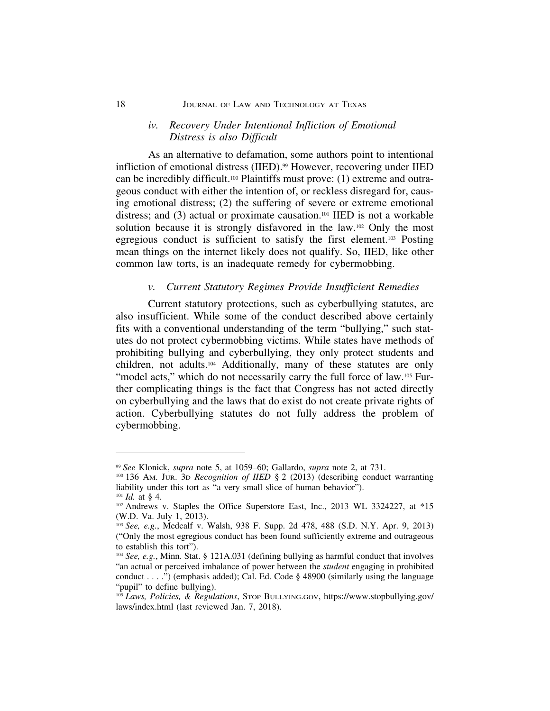#### 18 **JOURNAL OF LAW AND TECHNOLOGY AT TEXAS**

#### *iv. Recovery Under Intentional Infliction of Emotional Distress is also Difficult*

As an alternative to defamation, some authors point to intentional infliction of emotional distress (IIED).<sup>99</sup> However, recovering under IIED can be incredibly difficult.100 Plaintiffs must prove: (1) extreme and outrageous conduct with either the intention of, or reckless disregard for, causing emotional distress; (2) the suffering of severe or extreme emotional distress; and (3) actual or proximate causation.101 IIED is not a workable solution because it is strongly disfavored in the law.102 Only the most egregious conduct is sufficient to satisfy the first element.103 Posting mean things on the internet likely does not qualify. So, IIED, like other common law torts, is an inadequate remedy for cybermobbing.

#### *v. Current Statutory Regimes Provide Insufficient Remedies*

Current statutory protections, such as cyberbullying statutes, are also insufficient. While some of the conduct described above certainly fits with a conventional understanding of the term "bullying," such statutes do not protect cybermobbing victims. While states have methods of prohibiting bullying and cyberbullying, they only protect students and children, not adults.104 Additionally, many of these statutes are only "model acts," which do not necessarily carry the full force of law.<sup>105</sup> Further complicating things is the fact that Congress has not acted directly on cyberbullying and the laws that do exist do not create private rights of action. Cyberbullying statutes do not fully address the problem of cybermobbing.

<sup>99</sup> *See* Klonick, *supra* note 5, at 1059–60; Gallardo, *supra* note 2, at 731.

<sup>100</sup> 136 AM. JUR. 3D *Recognition of IIED* § 2 (2013) (describing conduct warranting liability under this tort as "a very small slice of human behavior").

 $101$  *Id.* at § 4. <sup>102</sup> Andrews v. Staples the Office Superstore East, Inc., 2013 WL 3324227, at \*15 (W.D. Va. July 1, 2013).

<sup>103</sup> *See, e.g.*, Medcalf v. Walsh, 938 F. Supp. 2d 478, 488 (S.D. N.Y. Apr. 9, 2013) ("Only the most egregious conduct has been found sufficiently extreme and outrageous to establish this tort").

<sup>104</sup> *See, e.g.*, Minn. Stat. § 121A.031 (defining bullying as harmful conduct that involves "an actual or perceived imbalance of power between the *student* engaging in prohibited conduct . . . .") (emphasis added); Cal. Ed. Code § 48900 (similarly using the language "pupil" to define bullying).

<sup>105</sup> *Laws, Policies, & Regulations*, STOP BULLYING.GOV, https://www.stopbullying.gov/ laws/index.html (last reviewed Jan. 7, 2018).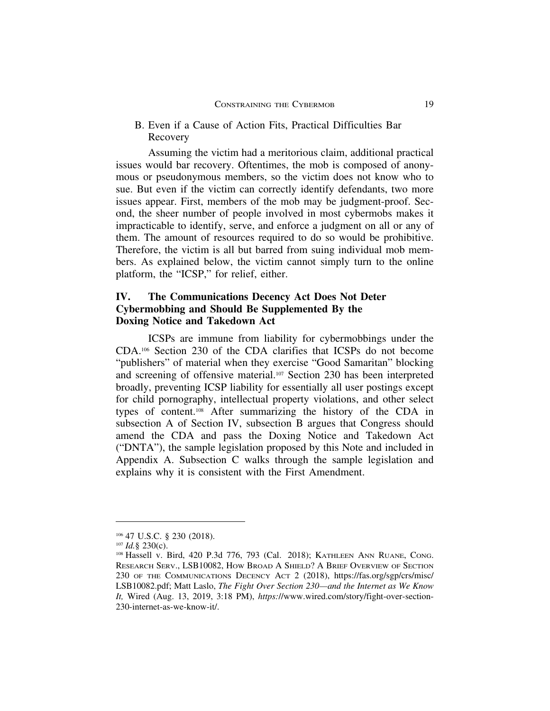## B. Even if a Cause of Action Fits, Practical Difficulties Bar Recovery

Assuming the victim had a meritorious claim, additional practical issues would bar recovery. Oftentimes, the mob is composed of anonymous or pseudonymous members, so the victim does not know who to sue. But even if the victim can correctly identify defendants, two more issues appear. First, members of the mob may be judgment-proof. Second, the sheer number of people involved in most cybermobs makes it impracticable to identify, serve, and enforce a judgment on all or any of them. The amount of resources required to do so would be prohibitive. Therefore, the victim is all but barred from suing individual mob members. As explained below, the victim cannot simply turn to the online platform, the "ICSP," for relief, either.

# **IV. The Communications Decency Act Does Not Deter Cybermobbing and Should Be Supplemented By the Doxing Notice and Takedown Act**

ICSPs are immune from liability for cybermobbings under the CDA.106 Section 230 of the CDA clarifies that ICSPs do not become "publishers" of material when they exercise "Good Samaritan" blocking and screening of offensive material.107 Section 230 has been interpreted broadly, preventing ICSP liability for essentially all user postings except for child pornography, intellectual property violations, and other select types of content.108 After summarizing the history of the CDA in subsection A of Section IV, subsection B argues that Congress should amend the CDA and pass the Doxing Notice and Takedown Act ("DNTA"), the sample legislation proposed by this Note and included in Appendix A. Subsection C walks through the sample legislation and explains why it is consistent with the First Amendment.

<sup>106</sup> 47 U.S.C. § 230 (2018).

<sup>107</sup> *Id.*§ 230(c).

<sup>108</sup> Hassell v. Bird, 420 P.3d 776, 793 (Cal. 2018); KATHLEEN ANN RUANE, CONG. RESEARCH SERV., LSB10082, HOW BROAD A SHIELD? A BRIEF OVERVIEW OF SECTION 230 OF THE COMMUNICATIONS DECENCY ACT 2 (2018), https://fas.org/sgp/crs/misc/ LSB10082.pdf; Matt Laslo, *The Fight Over Section 230—and the Internet as We Know It,* Wired (Aug. 13, 2019, 3:18 PM), *https:*//www.wired.com/story/fight-over-section-230-internet-as-we-know-it/.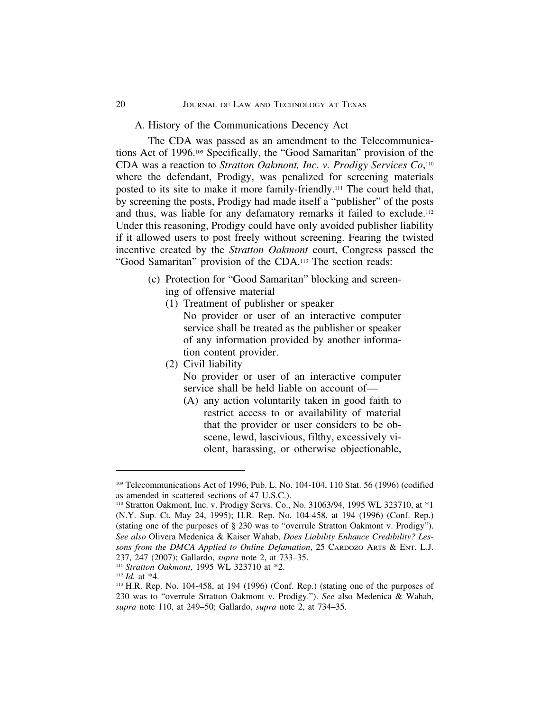#### 20 JOURNAL OF LAW AND TECHNOLOGY AT TEXAS

#### A. History of the Communications Decency Act

The CDA was passed as an amendment to the Telecommunications Act of 1996.109 Specifically, the "Good Samaritan" provision of the CDA was a reaction to *Stratton Oakmont, Inc. v. Prodigy Services Co*, 110 where the defendant, Prodigy, was penalized for screening materials posted to its site to make it more family-friendly.111 The court held that, by screening the posts, Prodigy had made itself a "publisher" of the posts and thus, was liable for any defamatory remarks it failed to exclude.112 Under this reasoning, Prodigy could have only avoided publisher liability if it allowed users to post freely without screening. Fearing the twisted incentive created by the *Stratton Oakmont* court, Congress passed the "Good Samaritan" provision of the CDA.113 The section reads:

- (c) Protection for "Good Samaritan" blocking and screening of offensive material
	- (1) Treatment of publisher or speaker No provider or user of an interactive computer service shall be treated as the publisher or speaker of any information provided by another information content provider.
	- (2) Civil liability

No provider or user of an interactive computer service shall be held liable on account of—

(A) any action voluntarily taken in good faith to restrict access to or availability of material that the provider or user considers to be obscene, lewd, lascivious, filthy, excessively violent, harassing, or otherwise objectionable,

<sup>109</sup> Telecommunications Act of 1996, Pub. L. No. 104-104, 110 Stat. 56 (1996) (codified as amended in scattered sections of 47 U.S.C.).

<sup>110</sup> Stratton Oakmont, Inc. v. Prodigy Servs. Co., No. 31063/94, 1995 WL 323710, at \*1 (N.Y. Sup. Ct. May 24, 1995); H.R. Rep. No. 104-458, at 194 (1996) (Conf. Rep.) (stating one of the purposes of § 230 was to "overrule Stratton Oakmont v. Prodigy"). *See also* Olivera Medenica & Kaiser Wahab, *Does Liability Enhance Credibility? Lessons from the DMCA Applied to Online Defamation*, 25 CARDOZO ARTS & ENT. L.J. 237, 247 (2007); Gallardo, *supra* note 2, at 733–35.

<sup>111</sup> *Stratton Oakmont*, 1995 WL 323710 at \*2.

<sup>112</sup> *Id.* at \*4.

<sup>113</sup> H.R. Rep. No. 104-458, at 194 (1996) (Conf. Rep.) (stating one of the purposes of 230 was to "overrule Stratton Oakmont v. Prodigy."). *See* also Medenica & Wahab, *supra* note 110, at 249–50; Gallardo, *supra* note 2, at 734–35.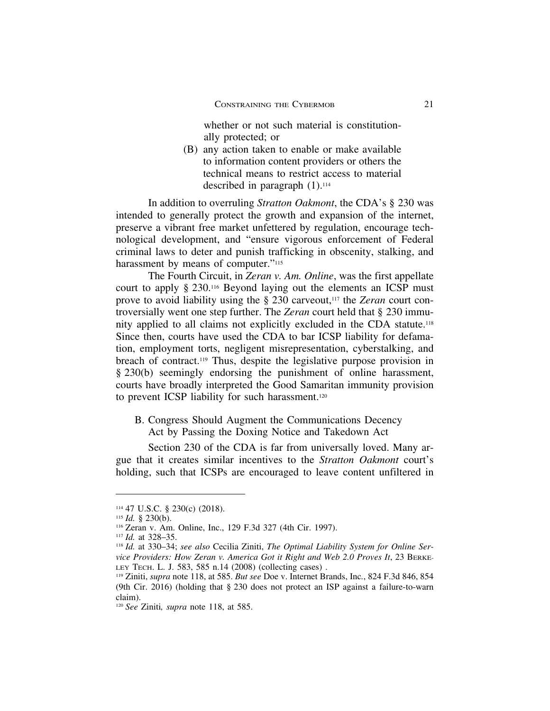whether or not such material is constitutionally protected; or

(B) any action taken to enable or make available to information content providers or others the technical means to restrict access to material described in paragraph  $(1).<sup>114</sup>$ 

In addition to overruling *Stratton Oakmont*, the CDA's § 230 was intended to generally protect the growth and expansion of the internet, preserve a vibrant free market unfettered by regulation, encourage technological development, and "ensure vigorous enforcement of Federal criminal laws to deter and punish trafficking in obscenity, stalking, and harassment by means of computer."<sup>115</sup>

The Fourth Circuit, in *Zeran v. Am. Online*, was the first appellate court to apply § 230.116 Beyond laying out the elements an ICSP must prove to avoid liability using the § 230 carveout,117 the *Zeran* court controversially went one step further. The *Zeran* court held that § 230 immunity applied to all claims not explicitly excluded in the CDA statute.118 Since then, courts have used the CDA to bar ICSP liability for defamation, employment torts, negligent misrepresentation, cyberstalking, and breach of contract.119 Thus, despite the legislative purpose provision in § 230(b) seemingly endorsing the punishment of online harassment, courts have broadly interpreted the Good Samaritan immunity provision to prevent ICSP liability for such harassment.<sup>120</sup>

B. Congress Should Augment the Communications Decency Act by Passing the Doxing Notice and Takedown Act

Section 230 of the CDA is far from universally loved. Many argue that it creates similar incentives to the *Stratton Oakmont* court's holding, such that ICSPs are encouraged to leave content unfiltered in

<sup>114</sup> 47 U.S.C. § 230(c) (2018).

<sup>115</sup> *Id.* § 230(b).

<sup>116</sup> Zeran v. Am. Online, Inc., 129 F.3d 327 (4th Cir. 1997).

<sup>117</sup> *Id.* at 328–35.

<sup>118</sup> *Id.* at 330–34; *see also* Cecilia Ziniti, *The Optimal Liability System for Online Service Providers: How Zeran v. America Got it Right and Web 2.0 Proves It*, 23 BERKE-LEY TECH. L. J. 583, 585 n.14 (2008) (collecting cases) .

<sup>119</sup> Ziniti, *supra* note 118, at 585. *But see* Doe v. Internet Brands, Inc*.*, 824 F.3d 846, 854 (9th Cir. 2016) (holding that § 230 does not protect an ISP against a failure-to-warn claim).

<sup>120</sup> *See* Ziniti*, supra* note 118, at 585.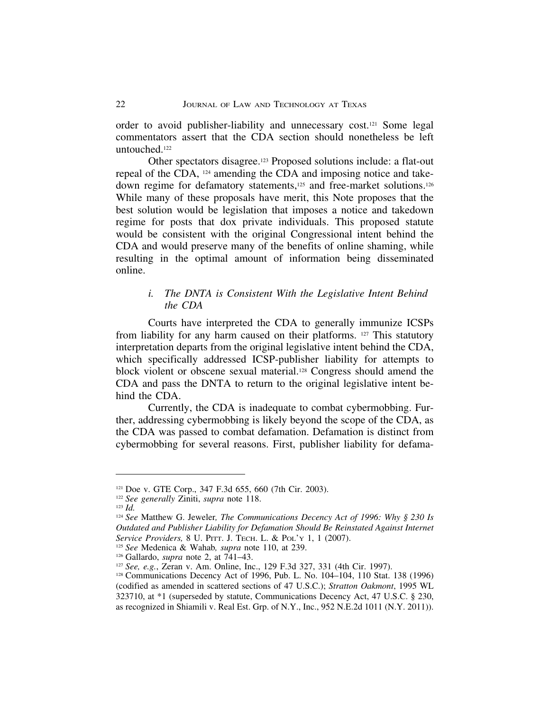order to avoid publisher-liability and unnecessary cost.121 Some legal commentators assert that the CDA section should nonetheless be left untouched.122

Other spectators disagree.123 Proposed solutions include: a flat-out repeal of the CDA, 124 amending the CDA and imposing notice and takedown regime for defamatory statements,<sup>125</sup> and free-market solutions.<sup>126</sup> While many of these proposals have merit, this Note proposes that the best solution would be legislation that imposes a notice and takedown regime for posts that dox private individuals. This proposed statute would be consistent with the original Congressional intent behind the CDA and would preserve many of the benefits of online shaming, while resulting in the optimal amount of information being disseminated online.

### *i. The DNTA is Consistent With the Legislative Intent Behind the CDA*

Courts have interpreted the CDA to generally immunize ICSPs from liability for any harm caused on their platforms. 127 This statutory interpretation departs from the original legislative intent behind the CDA, which specifically addressed ICSP-publisher liability for attempts to block violent or obscene sexual material.128 Congress should amend the CDA and pass the DNTA to return to the original legislative intent behind the CDA.

Currently, the CDA is inadequate to combat cybermobbing. Further, addressing cybermobbing is likely beyond the scope of the CDA, as the CDA was passed to combat defamation. Defamation is distinct from cybermobbing for several reasons. First, publisher liability for defama-

<sup>121</sup> Doe v. GTE Corp., 347 F.3d 655, 660 (7th Cir. 2003).

<sup>122</sup> *See generally* Ziniti, *supra* note 118.

<sup>123</sup> *Id.*

<sup>124</sup> *See* Matthew G. Jeweler*, The Communications Decency Act of 1996: Why § 230 Is Outdated and Publisher Liability for Defamation Should Be Reinstated Against Internet Service Providers,* 8 U. PITT. J. TECH. L. & POL'Y 1, 1 (2007).

<sup>125</sup> *See* Medenica & Wahab*, supra* note 110, at 239.

<sup>126</sup> Gallardo, *supra* note 2, at 741–43.

<sup>127</sup> *See, e.g.*, Zeran v. Am. Online, Inc., 129 F.3d 327, 331 (4th Cir. 1997).

<sup>128</sup> Communications Decency Act of 1996, Pub. L. No. 104–104, 110 Stat. 138 (1996) (codified as amended in scattered sections of 47 U.S.C.); *Stratton Oakmont*, 1995 WL 323710, at \*1 (superseded by statute, Communications Decency Act, 47 U.S.C. § 230, as recognized in Shiamili v. Real Est. Grp. of N.Y., Inc., 952 N.E.2d 1011 (N.Y. 2011)).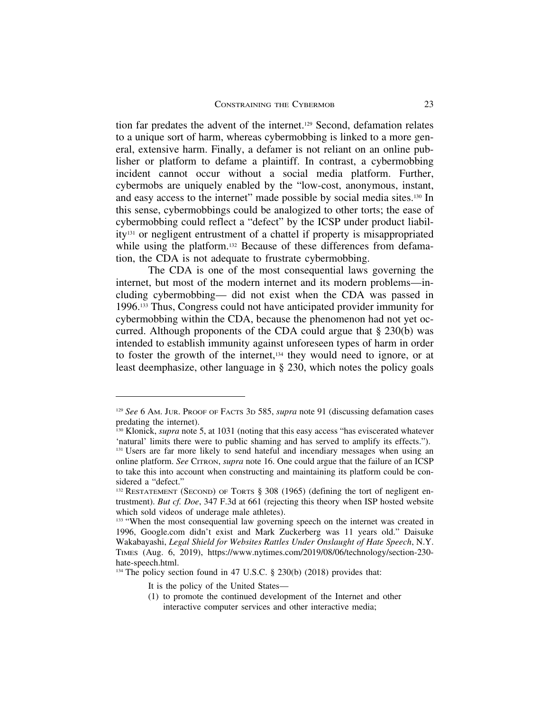tion far predates the advent of the internet.129 Second, defamation relates to a unique sort of harm, whereas cybermobbing is linked to a more general, extensive harm. Finally, a defamer is not reliant on an online publisher or platform to defame a plaintiff. In contrast, a cybermobbing incident cannot occur without a social media platform. Further, cybermobs are uniquely enabled by the "low-cost, anonymous, instant, and easy access to the internet" made possible by social media sites.130 In this sense, cybermobbings could be analogized to other torts; the ease of cybermobbing could reflect a "defect" by the ICSP under product liability131 or negligent entrustment of a chattel if property is misappropriated while using the platform.<sup>132</sup> Because of these differences from defamation, the CDA is not adequate to frustrate cybermobbing.

The CDA is one of the most consequential laws governing the internet, but most of the modern internet and its modern problems—including cybermobbing— did not exist when the CDA was passed in 1996.133 Thus, Congress could not have anticipated provider immunity for cybermobbing within the CDA, because the phenomenon had not yet occurred. Although proponents of the CDA could argue that § 230(b) was intended to establish immunity against unforeseen types of harm in order to foster the growth of the internet,<sup>134</sup> they would need to ignore, or at least deemphasize, other language in § 230, which notes the policy goals

<sup>134</sup> The policy section found in 47 U.S.C. § 230(b) (2018) provides that:

<sup>129</sup> *See* 6 AM. JUR. PROOF OF FACTS 3D 585, *supra* note 91 (discussing defamation cases predating the internet).

<sup>&</sup>lt;sup>130</sup> Klonick, *supra* note 5, at 1031 (noting that this easy access "has eviscerated whatever 'natural' limits there were to public shaming and has served to amplify its effects."). <sup>131</sup> Users are far more likely to send hateful and incendiary messages when using an online platform. *See* CITRON, *supra* note 16. One could argue that the failure of an ICSP to take this into account when constructing and maintaining its platform could be considered a "defect."

<sup>&</sup>lt;sup>132</sup> RESTATEMENT (SECOND) OF TORTS § 308 (1965) (defining the tort of negligent entrustment). *But cf. Doe*, 347 F.3d at 661 (rejecting this theory when ISP hosted website which sold videos of underage male athletes).

<sup>&</sup>lt;sup>133</sup> "When the most consequential law governing speech on the internet was created in 1996, Google.com didn't exist and Mark Zuckerberg was 11 years old." Daisuke Wakabayashi, *Legal Shield for Websites Rattles Under Onslaught of Hate Speech*, N.Y. TIMES (Aug. 6, 2019), https://www.nytimes.com/2019/08/06/technology/section-230 hate-speech.html.

It is the policy of the United States—

<sup>(1)</sup> to promote the continued development of the Internet and other interactive computer services and other interactive media;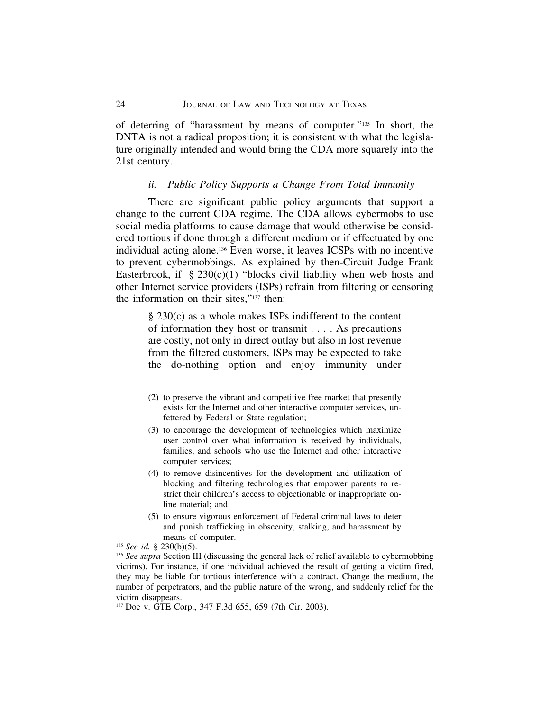of deterring of "harassment by means of computer."135 In short, the DNTA is not a radical proposition; it is consistent with what the legislature originally intended and would bring the CDA more squarely into the 21st century.

#### *ii. Public Policy Supports a Change From Total Immunity*

There are significant public policy arguments that support a change to the current CDA regime. The CDA allows cybermobs to use social media platforms to cause damage that would otherwise be considered tortious if done through a different medium or if effectuated by one individual acting alone.136 Even worse, it leaves ICSPs with no incentive to prevent cybermobbings. As explained by then-Circuit Judge Frank Easterbrook, if  $\S 230(c)(1)$  "blocks civil liability when web hosts and other Internet service providers (ISPs) refrain from filtering or censoring the information on their sites,"137 then:

> § 230(c) as a whole makes ISPs indifferent to the content of information they host or transmit . . . . As precautions are costly, not only in direct outlay but also in lost revenue from the filtered customers, ISPs may be expected to take the do-nothing option and enjoy immunity under

- (4) to remove disincentives for the development and utilization of blocking and filtering technologies that empower parents to restrict their children's access to objectionable or inappropriate online material; and
- (5) to ensure vigorous enforcement of Federal criminal laws to deter and punish trafficking in obscenity, stalking, and harassment by means of computer.

<sup>(2)</sup> to preserve the vibrant and competitive free market that presently exists for the Internet and other interactive computer services, unfettered by Federal or State regulation;

<sup>(3)</sup> to encourage the development of technologies which maximize user control over what information is received by individuals, families, and schools who use the Internet and other interactive computer services;

<sup>135</sup> *See id.* § 230(b)(5).

<sup>&</sup>lt;sup>136</sup> *See supra* Section III (discussing the general lack of relief available to cybermobbing victims). For instance, if one individual achieved the result of getting a victim fired, they may be liable for tortious interference with a contract. Change the medium, the number of perpetrators, and the public nature of the wrong, and suddenly relief for the victim disappears.

<sup>137</sup> Doe v. GTE Corp., 347 F.3d 655, 659 (7th Cir. 2003).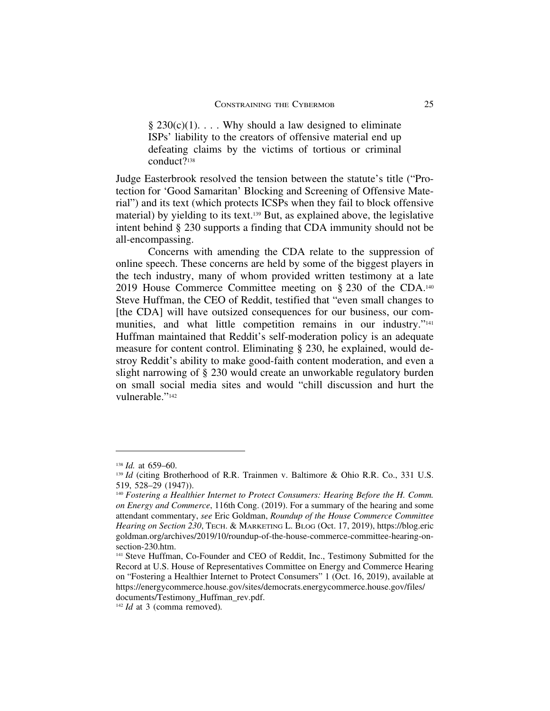$§ 230(c)(1)$ ... Why should a law designed to eliminate ISPs' liability to the creators of offensive material end up defeating claims by the victims of tortious or criminal conduct?138

Judge Easterbrook resolved the tension between the statute's title ("Protection for 'Good Samaritan' Blocking and Screening of Offensive Material") and its text (which protects ICSPs when they fail to block offensive material) by yielding to its text.139 But, as explained above, the legislative intent behind § 230 supports a finding that CDA immunity should not be all-encompassing.

Concerns with amending the CDA relate to the suppression of online speech. These concerns are held by some of the biggest players in the tech industry, many of whom provided written testimony at a late 2019 House Commerce Committee meeting on § 230 of the CDA.140 Steve Huffman, the CEO of Reddit, testified that "even small changes to [the CDA] will have outsized consequences for our business, our communities, and what little competition remains in our industry."<sup>141</sup> Huffman maintained that Reddit's self-moderation policy is an adequate measure for content control. Eliminating § 230, he explained, would destroy Reddit's ability to make good-faith content moderation, and even a slight narrowing of § 230 would create an unworkable regulatory burden on small social media sites and would "chill discussion and hurt the vulnerable."142

<sup>138</sup> *Id.* at 659–60.

<sup>&</sup>lt;sup>139</sup> *Id* (citing Brotherhood of R.R. Trainmen v. Baltimore & Ohio R.R. Co., 331 U.S. 519, 528–29 (1947)).

<sup>140</sup> *Fostering a Healthier Internet to Protect Consumers: Hearing Before the H. Comm. on Energy and Commerce*, 116th Cong. (2019). For a summary of the hearing and some attendant commentary, *see* Eric Goldman, *Roundup of the House Commerce Committee Hearing on Section 230*, TECH. & MARKETING L. BLOG (Oct. 17, 2019), https://blog.eric goldman.org/archives/2019/10/roundup-of-the-house-commerce-committee-hearing-onsection-230.htm.

<sup>141</sup> Steve Huffman, Co-Founder and CEO of Reddit, Inc., Testimony Submitted for the Record at U.S. House of Representatives Committee on Energy and Commerce Hearing on "Fostering a Healthier Internet to Protect Consumers" 1 (Oct. 16, 2019), available at https://energycommerce.house.gov/sites/democrats.energycommerce.house.gov/files/ documents/Testimony\_Huffman\_rev.pdf.

<sup>142</sup> *Id* at 3 (comma removed)*.*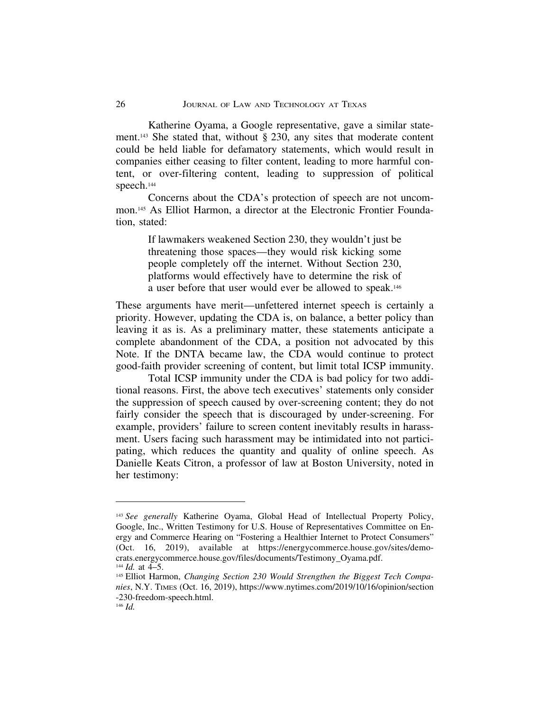Katherine Oyama, a Google representative, gave a similar statement.<sup>143</sup> She stated that, without  $\S$  230, any sites that moderate content could be held liable for defamatory statements, which would result in companies either ceasing to filter content, leading to more harmful content, or over-filtering content, leading to suppression of political speech.<sup>144</sup>

Concerns about the CDA's protection of speech are not uncommon.145 As Elliot Harmon, a director at the Electronic Frontier Foundation, stated:

> If lawmakers weakened Section 230, they wouldn't just be threatening those spaces—they would risk kicking some people completely off the internet. Without Section 230, platforms would effectively have to determine the risk of a user before that user would ever be allowed to speak.146

These arguments have merit—unfettered internet speech is certainly a priority. However, updating the CDA is, on balance, a better policy than leaving it as is. As a preliminary matter, these statements anticipate a complete abandonment of the CDA, a position not advocated by this Note. If the DNTA became law, the CDA would continue to protect good-faith provider screening of content, but limit total ICSP immunity.

Total ICSP immunity under the CDA is bad policy for two additional reasons. First, the above tech executives' statements only consider the suppression of speech caused by over-screening content; they do not fairly consider the speech that is discouraged by under-screening. For example, providers' failure to screen content inevitably results in harassment. Users facing such harassment may be intimidated into not participating, which reduces the quantity and quality of online speech. As Danielle Keats Citron, a professor of law at Boston University, noted in her testimony:

<sup>143</sup> *See generally* Katherine Oyama, Global Head of Intellectual Property Policy, Google, Inc., Written Testimony for U.S. House of Representatives Committee on Energy and Commerce Hearing on "Fostering a Healthier Internet to Protect Consumers" (Oct. 16, 2019), available at https://energycommerce.house.gov/sites/democrats.energycommerce.house.gov/files/documents/Testimony\_Oyama.pdf.  $^{144}$  *Id.* at  $4-5$ .

<sup>145</sup> Elliot Harmon, *Changing Section 230 Would Strengthen the Biggest Tech Companies*, N.Y. TIMES (Oct. 16, 2019), https://www.nytimes.com/2019/10/16/opinion/section -230-freedom-speech.html.

<sup>146</sup> *Id.*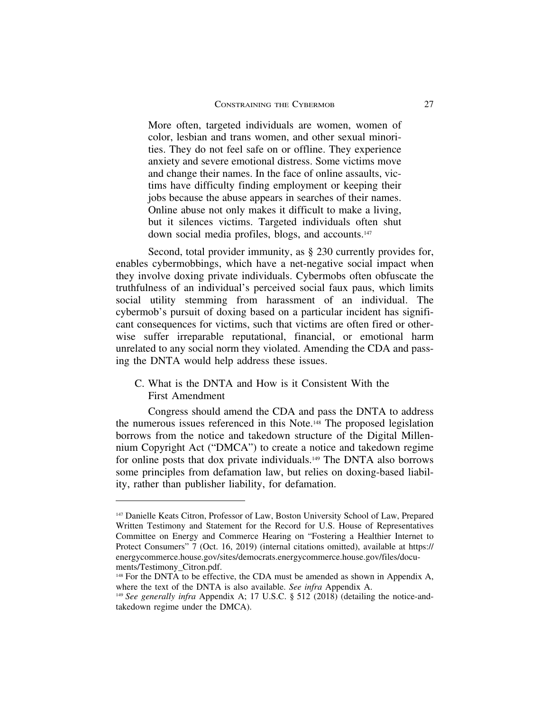More often, targeted individuals are women, women of color, lesbian and trans women, and other sexual minorities. They do not feel safe on or offline. They experience anxiety and severe emotional distress. Some victims move and change their names. In the face of online assaults, victims have difficulty finding employment or keeping their jobs because the abuse appears in searches of their names. Online abuse not only makes it difficult to make a living, but it silences victims. Targeted individuals often shut down social media profiles, blogs, and accounts.147

Second, total provider immunity, as  $\S 230$  currently provides for, enables cybermobbings, which have a net-negative social impact when they involve doxing private individuals. Cybermobs often obfuscate the truthfulness of an individual's perceived social faux paus, which limits social utility stemming from harassment of an individual. The cybermob's pursuit of doxing based on a particular incident has significant consequences for victims, such that victims are often fired or otherwise suffer irreparable reputational, financial, or emotional harm unrelated to any social norm they violated. Amending the CDA and passing the DNTA would help address these issues.

C. What is the DNTA and How is it Consistent With the First Amendment

Congress should amend the CDA and pass the DNTA to address the numerous issues referenced in this Note.148 The proposed legislation borrows from the notice and takedown structure of the Digital Millennium Copyright Act ("DMCA") to create a notice and takedown regime for online posts that dox private individuals.149 The DNTA also borrows some principles from defamation law, but relies on doxing-based liability, rather than publisher liability, for defamation.

<sup>147</sup> Danielle Keats Citron, Professor of Law, Boston University School of Law, Prepared Written Testimony and Statement for the Record for U.S. House of Representatives Committee on Energy and Commerce Hearing on "Fostering a Healthier Internet to Protect Consumers" 7 (Oct. 16, 2019) (internal citations omitted), available at https:// energycommerce.house.gov/sites/democrats.energycommerce.house.gov/files/documents/Testimony\_Citron.pdf.

<sup>&</sup>lt;sup>148</sup> For the DNTA to be effective, the CDA must be amended as shown in Appendix A, where the text of the DNTA is also available. *See infra* Appendix A.

<sup>149</sup> *See generally infra* Appendix A; 17 U.S.C. § 512 (2018) (detailing the notice-andtakedown regime under the DMCA).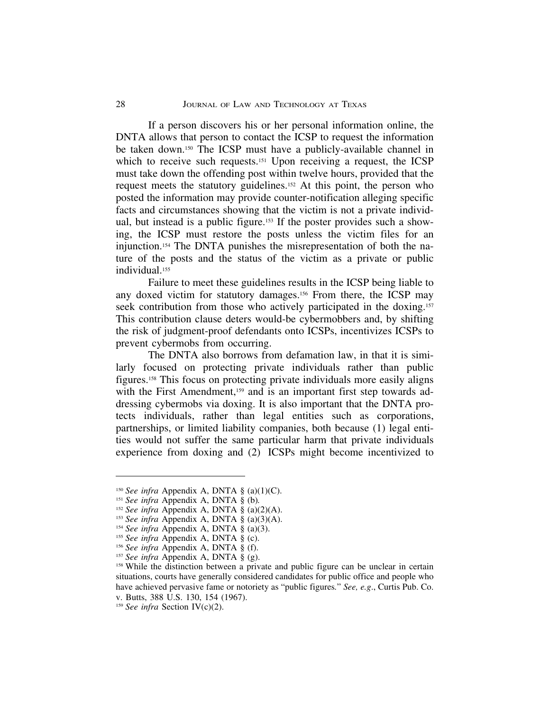If a person discovers his or her personal information online, the DNTA allows that person to contact the ICSP to request the information be taken down.150 The ICSP must have a publicly-available channel in which to receive such requests.<sup>151</sup> Upon receiving a request, the ICSP must take down the offending post within twelve hours, provided that the request meets the statutory guidelines.152 At this point, the person who posted the information may provide counter-notification alleging specific facts and circumstances showing that the victim is not a private individual, but instead is a public figure.153 If the poster provides such a showing, the ICSP must restore the posts unless the victim files for an injunction.154 The DNTA punishes the misrepresentation of both the nature of the posts and the status of the victim as a private or public individual.155

Failure to meet these guidelines results in the ICSP being liable to any doxed victim for statutory damages.156 From there, the ICSP may seek contribution from those who actively participated in the doxing.<sup>157</sup> This contribution clause deters would-be cybermobbers and, by shifting the risk of judgment-proof defendants onto ICSPs, incentivizes ICSPs to prevent cybermobs from occurring.

The DNTA also borrows from defamation law, in that it is similarly focused on protecting private individuals rather than public figures.158 This focus on protecting private individuals more easily aligns with the First Amendment,<sup>159</sup> and is an important first step towards addressing cybermobs via doxing. It is also important that the DNTA protects individuals, rather than legal entities such as corporations, partnerships, or limited liability companies, both because (1) legal entities would not suffer the same particular harm that private individuals experience from doxing and (2) ICSPs might become incentivized to

<sup>150</sup> *See infra* Appendix A, DNTA § (a)(1)(C).

<sup>151</sup> *See infra* Appendix A, DNTA § (b)*.*

<sup>152</sup> *See infra* Appendix A, DNTA § (a)(2)(A).

<sup>153</sup> *See infra* Appendix A, DNTA § (a)(3)(A).

<sup>154</sup> *See infra* Appendix A, DNTA § (a)(3).

<sup>155</sup> *See infra* Appendix A, DNTA § (c).

<sup>156</sup> *See infra* Appendix A, DNTA § (f).

<sup>157</sup> *See infra* Appendix A, DNTA § (g).

<sup>&</sup>lt;sup>158</sup> While the distinction between a private and public figure can be unclear in certain situations, courts have generally considered candidates for public office and people who have achieved pervasive fame or notoriety as "public figures*.*" *See, e.g*., Curtis Pub. Co.

v. Butts, 388 U.S. 130, 154 (1967).

<sup>159</sup> *See infra* Section IV(c)(2).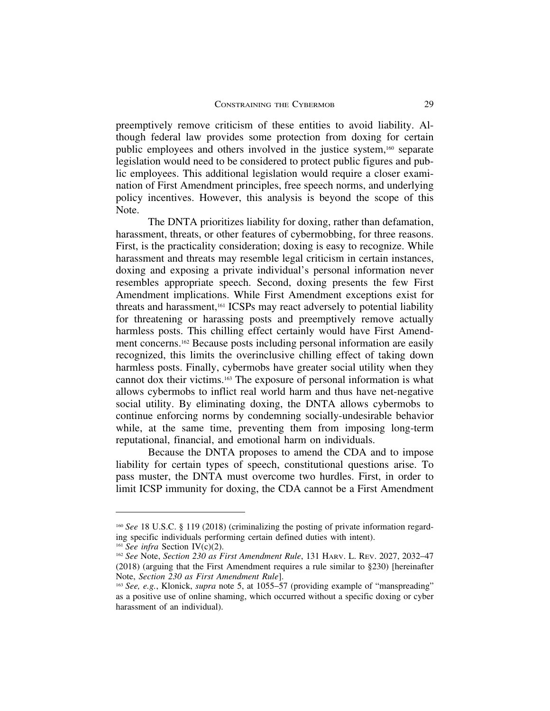preemptively remove criticism of these entities to avoid liability. Although federal law provides some protection from doxing for certain public employees and others involved in the justice system,160 separate legislation would need to be considered to protect public figures and public employees. This additional legislation would require a closer examination of First Amendment principles, free speech norms, and underlying policy incentives. However, this analysis is beyond the scope of this Note.

The DNTA prioritizes liability for doxing, rather than defamation, harassment, threats, or other features of cybermobbing, for three reasons. First, is the practicality consideration; doxing is easy to recognize. While harassment and threats may resemble legal criticism in certain instances, doxing and exposing a private individual's personal information never resembles appropriate speech. Second, doxing presents the few First Amendment implications. While First Amendment exceptions exist for threats and harassment,161 ICSPs may react adversely to potential liability for threatening or harassing posts and preemptively remove actually harmless posts. This chilling effect certainly would have First Amendment concerns.162 Because posts including personal information are easily recognized, this limits the overinclusive chilling effect of taking down harmless posts. Finally, cybermobs have greater social utility when they cannot dox their victims.163 The exposure of personal information is what allows cybermobs to inflict real world harm and thus have net-negative social utility. By eliminating doxing, the DNTA allows cybermobs to continue enforcing norms by condemning socially-undesirable behavior while, at the same time, preventing them from imposing long-term reputational, financial, and emotional harm on individuals.

Because the DNTA proposes to amend the CDA and to impose liability for certain types of speech, constitutional questions arise. To pass muster, the DNTA must overcome two hurdles. First, in order to limit ICSP immunity for doxing, the CDA cannot be a First Amendment

<sup>160</sup> *See* 18 U.S.C. § 119 (2018) (criminalizing the posting of private information regarding specific individuals performing certain defined duties with intent).

<sup>161</sup> *See infra* Section IV(c)(2).

<sup>162</sup> *See* Note, *Section 230 as First Amendment Rule*, 131 HARV. L. REV. 2027, 2032–47 (2018) (arguing that the First Amendment requires a rule similar to §230) [hereinafter Note, *Section 230 as First Amendment Rule*].

<sup>163</sup> *See, e.g.*, Klonick, *supra* note 5, at 1055–57 (providing example of "manspreading" as a positive use of online shaming, which occurred without a specific doxing or cyber harassment of an individual).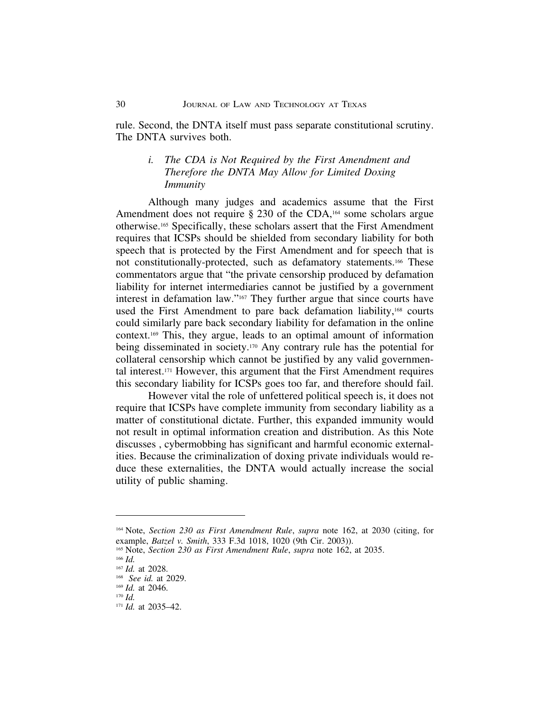rule. Second, the DNTA itself must pass separate constitutional scrutiny. The DNTA survives both.

# *i. The CDA is Not Required by the First Amendment and Therefore the DNTA May Allow for Limited Doxing Immunity*

Although many judges and academics assume that the First Amendment does not require  $\S 230$  of the CDA,<sup>164</sup> some scholars argue otherwise.165 Specifically, these scholars assert that the First Amendment requires that ICSPs should be shielded from secondary liability for both speech that is protected by the First Amendment and for speech that is not constitutionally-protected, such as defamatory statements.166 These commentators argue that "the private censorship produced by defamation liability for internet intermediaries cannot be justified by a government interest in defamation law."167 They further argue that since courts have used the First Amendment to pare back defamation liability,<sup>168</sup> courts could similarly pare back secondary liability for defamation in the online context.169 This, they argue, leads to an optimal amount of information being disseminated in society.170 Any contrary rule has the potential for collateral censorship which cannot be justified by any valid governmental interest.171 However, this argument that the First Amendment requires this secondary liability for ICSPs goes too far, and therefore should fail.

However vital the role of unfettered political speech is, it does not require that ICSPs have complete immunity from secondary liability as a matter of constitutional dictate. Further, this expanded immunity would not result in optimal information creation and distribution. As this Note discusses , cybermobbing has significant and harmful economic externalities. Because the criminalization of doxing private individuals would reduce these externalities, the DNTA would actually increase the social utility of public shaming.

<sup>166</sup> *Id.*

<sup>164</sup> Note, *Section 230 as First Amendment Rule*, *supra* note 162, at 2030 (citing, for example, *Batzel v. Smith*, 333 F.3d 1018, 1020 (9th Cir. 2003)).

<sup>165</sup> Note, *Section 230 as First Amendment Rule*, *supra* note 162, at 2035.

<sup>167</sup> *Id.* at 2028.

<sup>168</sup> *See id.* at 2029.

<sup>169</sup> *Id.* at 2046.

<sup>170</sup> *Id.*

<sup>171</sup> *Id.* at 2035–42.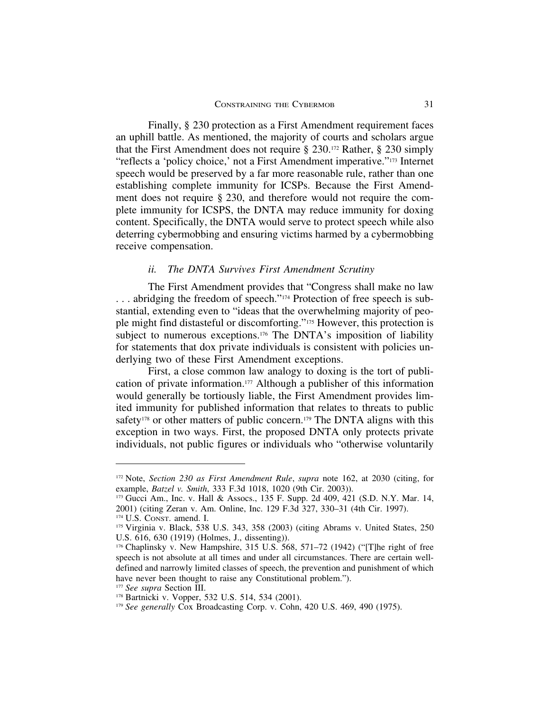Finally, § 230 protection as a First Amendment requirement faces an uphill battle. As mentioned, the majority of courts and scholars argue that the First Amendment does not require § 230.172 Rather, § 230 simply "reflects a 'policy choice,' not a First Amendment imperative."173 Internet speech would be preserved by a far more reasonable rule, rather than one establishing complete immunity for ICSPs. Because the First Amendment does not require § 230, and therefore would not require the complete immunity for ICSPS, the DNTA may reduce immunity for doxing content. Specifically, the DNTA would serve to protect speech while also deterring cybermobbing and ensuring victims harmed by a cybermobbing receive compensation.

#### *ii. The DNTA Survives First Amendment Scrutiny*

The First Amendment provides that "Congress shall make no law ... abridging the freedom of speech."<sup>174</sup> Protection of free speech is substantial, extending even to "ideas that the overwhelming majority of people might find distasteful or discomforting."175 However, this protection is subject to numerous exceptions.<sup>176</sup> The DNTA's imposition of liability for statements that dox private individuals is consistent with policies underlying two of these First Amendment exceptions.

First, a close common law analogy to doxing is the tort of publication of private information.177 Although a publisher of this information would generally be tortiously liable, the First Amendment provides limited immunity for published information that relates to threats to public safety<sup>178</sup> or other matters of public concern.<sup>179</sup> The DNTA aligns with this exception in two ways. First, the proposed DNTA only protects private individuals, not public figures or individuals who "otherwise voluntarily

<sup>172</sup> Note, *Section 230 as First Amendment Rule*, *supra* note 162, at 2030 (citing, for example, *Batzel v. Smith*, 333 F.3d 1018, 1020 (9th Cir. 2003)).

<sup>173</sup> Gucci Am., Inc. v. Hall & Assocs., 135 F. Supp. 2d 409, 421 (S.D. N.Y. Mar. 14, 2001) (citing Zeran v. Am. Online, Inc. 129 F.3d 327, 330–31 (4th Cir. 1997). <sup>174</sup> U.S. CONST. amend. I.

<sup>175</sup> Virginia v. Black, 538 U.S. 343, 358 (2003) (citing Abrams v. United States, 250 U.S. 616, 630 (1919) (Holmes, J., dissenting)).

<sup>176</sup> Chaplinsky v. New Hampshire, 315 U.S. 568, 571–72 (1942) ("[T]he right of free speech is not absolute at all times and under all circumstances. There are certain welldefined and narrowly limited classes of speech, the prevention and punishment of which have never been thought to raise any Constitutional problem.").

<sup>177</sup> *See supra* Section III.

<sup>178</sup> Bartnicki v. Vopper, 532 U.S. 514, 534 (2001).

<sup>179</sup> *See generally* Cox Broadcasting Corp. v. Cohn, 420 U.S. 469, 490 (1975).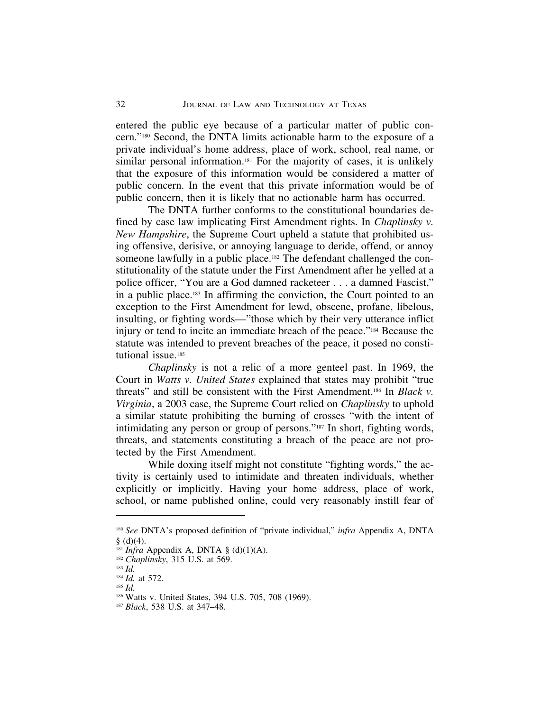entered the public eye because of a particular matter of public concern."180 Second, the DNTA limits actionable harm to the exposure of a private individual's home address, place of work, school, real name, or similar personal information.<sup>181</sup> For the majority of cases, it is unlikely that the exposure of this information would be considered a matter of public concern. In the event that this private information would be of public concern, then it is likely that no actionable harm has occurred.

The DNTA further conforms to the constitutional boundaries defined by case law implicating First Amendment rights. In *Chaplinsky v. New Hampshire*, the Supreme Court upheld a statute that prohibited using offensive, derisive, or annoying language to deride, offend, or annoy someone lawfully in a public place.<sup>182</sup> The defendant challenged the constitutionality of the statute under the First Amendment after he yelled at a police officer, "You are a God damned racketeer . . . a damned Fascist," in a public place.183 In affirming the conviction, the Court pointed to an exception to the First Amendment for lewd, obscene, profane, libelous, insulting, or fighting words—"those which by their very utterance inflict injury or tend to incite an immediate breach of the peace."184 Because the statute was intended to prevent breaches of the peace, it posed no constitutional issue.<sup>185</sup>

*Chaplinsky* is not a relic of a more genteel past. In 1969, the Court in *Watts v. United States* explained that states may prohibit "true threats" and still be consistent with the First Amendment.186 In *Black v. Virginia*, a 2003 case, the Supreme Court relied on *Chaplinsky* to uphold a similar statute prohibiting the burning of crosses "with the intent of intimidating any person or group of persons."187 In short, fighting words, threats, and statements constituting a breach of the peace are not protected by the First Amendment.

While doxing itself might not constitute "fighting words," the activity is certainly used to intimidate and threaten individuals, whether explicitly or implicitly. Having your home address, place of work, school, or name published online, could very reasonably instill fear of

<sup>180</sup> *See* DNTA's proposed definition of "private individual," *infra* Appendix A, DNTA  $§$  (d)(4).

<sup>&</sup>lt;sup>181</sup> *Infra* Appendix A, DNTA  $\S$  (d)(1)(A).

<sup>182</sup> *Chaplinsky*, 315 U.S. at 569.

<sup>183</sup> *Id.*

<sup>184</sup> *Id.* at 572.

<sup>185</sup> *Id.*

<sup>186</sup> Watts v. United States, 394 U.S. 705, 708 (1969).

<sup>187</sup> *Black*, 538 U.S. at 347–48.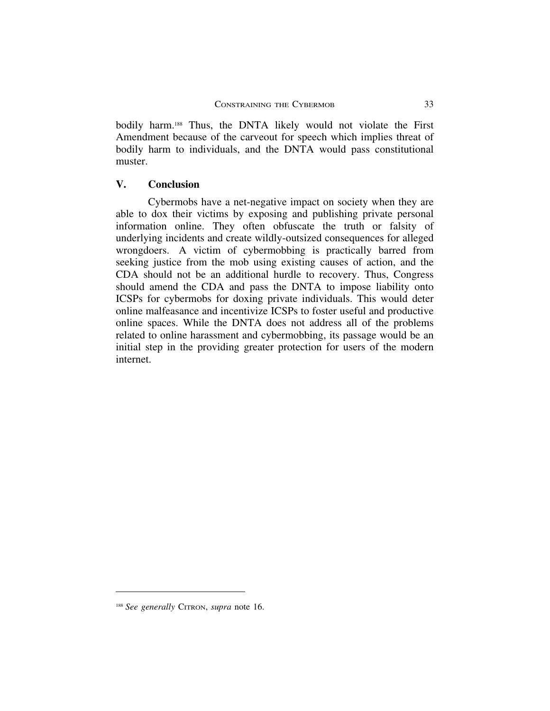bodily harm.<sup>188</sup> Thus, the DNTA likely would not violate the First Amendment because of the carveout for speech which implies threat of bodily harm to individuals, and the DNTA would pass constitutional muster.

## **V. Conclusion**

Cybermobs have a net-negative impact on society when they are able to dox their victims by exposing and publishing private personal information online. They often obfuscate the truth or falsity of underlying incidents and create wildly-outsized consequences for alleged wrongdoers. A victim of cybermobbing is practically barred from seeking justice from the mob using existing causes of action, and the CDA should not be an additional hurdle to recovery. Thus, Congress should amend the CDA and pass the DNTA to impose liability onto ICSPs for cybermobs for doxing private individuals. This would deter online malfeasance and incentivize ICSPs to foster useful and productive online spaces. While the DNTA does not address all of the problems related to online harassment and cybermobbing, its passage would be an initial step in the providing greater protection for users of the modern internet.

<sup>188</sup> *See generally* CITRON, *supra* note 16.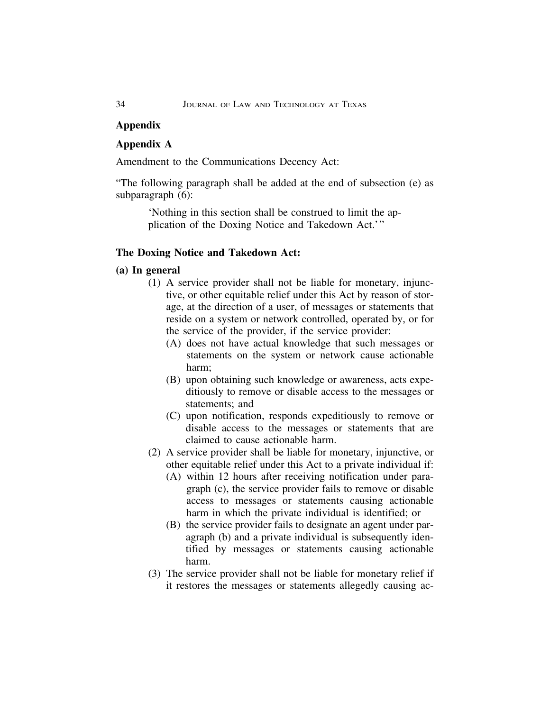## **Appendix**

## **Appendix A**

Amendment to the Communications Decency Act:

"The following paragraph shall be added at the end of subsection (e) as subparagraph (6):

> 'Nothing in this section shall be construed to limit the application of the Doxing Notice and Takedown Act.'"

## **The Doxing Notice and Takedown Act:**

## **(a) In general**

- (1) A service provider shall not be liable for monetary, injunctive, or other equitable relief under this Act by reason of storage, at the direction of a user, of messages or statements that reside on a system or network controlled, operated by, or for the service of the provider, if the service provider:
	- (A) does not have actual knowledge that such messages or statements on the system or network cause actionable harm;
	- (B) upon obtaining such knowledge or awareness, acts expeditiously to remove or disable access to the messages or statements; and
	- (C) upon notification, responds expeditiously to remove or disable access to the messages or statements that are claimed to cause actionable harm.
- (2) A service provider shall be liable for monetary, injunctive, or other equitable relief under this Act to a private individual if:
	- (A) within 12 hours after receiving notification under paragraph (c), the service provider fails to remove or disable access to messages or statements causing actionable harm in which the private individual is identified; or
	- (B) the service provider fails to designate an agent under paragraph (b) and a private individual is subsequently identified by messages or statements causing actionable harm.
- (3) The service provider shall not be liable for monetary relief if it restores the messages or statements allegedly causing ac-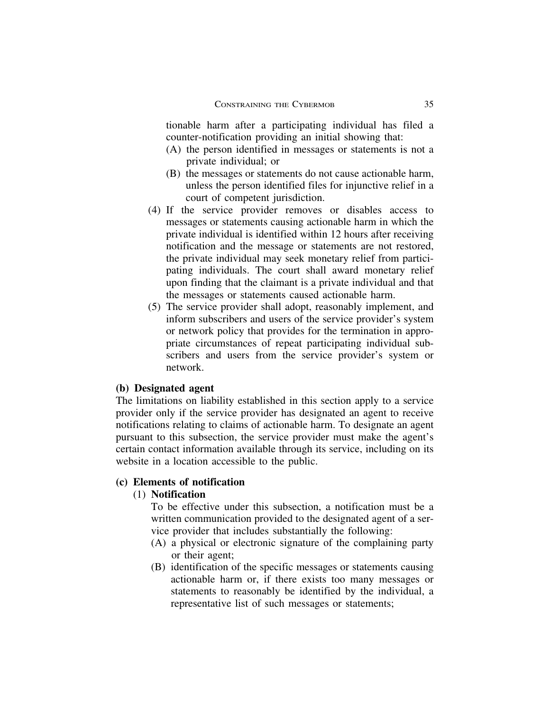tionable harm after a participating individual has filed a counter-notification providing an initial showing that:

- (A) the person identified in messages or statements is not a private individual; or
- (B) the messages or statements do not cause actionable harm, unless the person identified files for injunctive relief in a court of competent jurisdiction.
- (4) If the service provider removes or disables access to messages or statements causing actionable harm in which the private individual is identified within 12 hours after receiving notification and the message or statements are not restored, the private individual may seek monetary relief from participating individuals. The court shall award monetary relief upon finding that the claimant is a private individual and that the messages or statements caused actionable harm.
- (5) The service provider shall adopt, reasonably implement, and inform subscribers and users of the service provider's system or network policy that provides for the termination in appropriate circumstances of repeat participating individual subscribers and users from the service provider's system or network.

## **(b) Designated agent**

The limitations on liability established in this section apply to a service provider only if the service provider has designated an agent to receive notifications relating to claims of actionable harm. To designate an agent pursuant to this subsection, the service provider must make the agent's certain contact information available through its service, including on its website in a location accessible to the public.

## **(c) Elements of notification**

## (1) **Notification**

To be effective under this subsection, a notification must be a written communication provided to the designated agent of a service provider that includes substantially the following:

- (A) a physical or electronic signature of the complaining party or their agent;
- (B) identification of the specific messages or statements causing actionable harm or, if there exists too many messages or statements to reasonably be identified by the individual, a representative list of such messages or statements;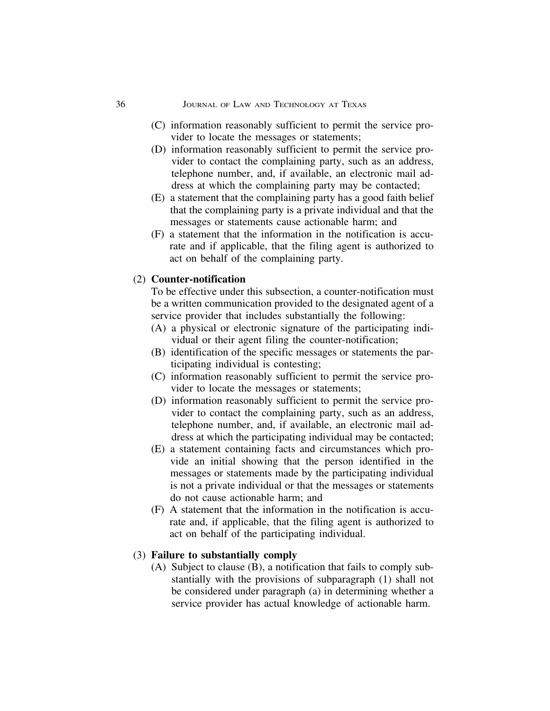#### 36 JOURNAL OF LAW AND TECHNOLOGY AT TEXAS

- (C) information reasonably sufficient to permit the service provider to locate the messages or statements;
- (D) information reasonably sufficient to permit the service provider to contact the complaining party, such as an address, telephone number, and, if available, an electronic mail address at which the complaining party may be contacted;
- (E) a statement that the complaining party has a good faith belief that the complaining party is a private individual and that the messages or statements cause actionable harm; and
- (F) a statement that the information in the notification is accurate and if applicable, that the filing agent is authorized to act on behalf of the complaining party.

## (2) **Counter-notification**

To be effective under this subsection, a counter-notification must be a written communication provided to the designated agent of a service provider that includes substantially the following:

- (A) a physical or electronic signature of the participating individual or their agent filing the counter-notification;
- (B) identification of the specific messages or statements the participating individual is contesting;
- (C) information reasonably sufficient to permit the service provider to locate the messages or statements;
- (D) information reasonably sufficient to permit the service provider to contact the complaining party, such as an address, telephone number, and, if available, an electronic mail address at which the participating individual may be contacted;
- (E) a statement containing facts and circumstances which provide an initial showing that the person identified in the messages or statements made by the participating individual is not a private individual or that the messages or statements do not cause actionable harm; and
- (F) A statement that the information in the notification is accurate and, if applicable, that the filing agent is authorized to act on behalf of the participating individual.

## (3) **Failure to substantially comply**

(A) Subject to clause (B), a notification that fails to comply substantially with the provisions of subparagraph (1) shall not be considered under paragraph (a) in determining whether a service provider has actual knowledge of actionable harm.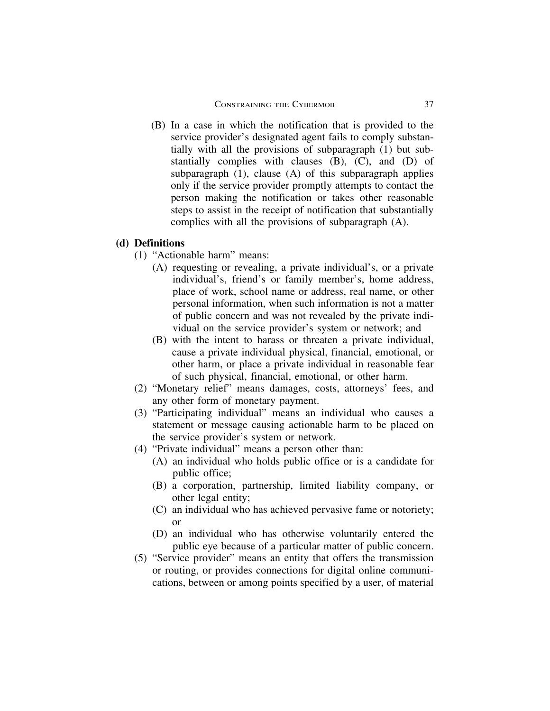(B) In a case in which the notification that is provided to the service provider's designated agent fails to comply substantially with all the provisions of subparagraph (1) but substantially complies with clauses (B), (C), and (D) of subparagraph (1), clause (A) of this subparagraph applies only if the service provider promptly attempts to contact the person making the notification or takes other reasonable steps to assist in the receipt of notification that substantially complies with all the provisions of subparagraph (A).

## **(d) Definitions**

- (1) "Actionable harm" means:
	- (A) requesting or revealing, a private individual's, or a private individual's, friend's or family member's, home address, place of work, school name or address, real name, or other personal information, when such information is not a matter of public concern and was not revealed by the private individual on the service provider's system or network; and
	- (B) with the intent to harass or threaten a private individual, cause a private individual physical, financial, emotional, or other harm, or place a private individual in reasonable fear of such physical, financial, emotional, or other harm.
- (2) "Monetary relief" means damages, costs, attorneys' fees, and any other form of monetary payment.
- (3) "Participating individual" means an individual who causes a statement or message causing actionable harm to be placed on the service provider's system or network.
- (4) "Private individual" means a person other than:
	- (A) an individual who holds public office or is a candidate for public office;
	- (B) a corporation, partnership, limited liability company, or other legal entity;
	- (C) an individual who has achieved pervasive fame or notoriety; or
	- (D) an individual who has otherwise voluntarily entered the public eye because of a particular matter of public concern.
- (5) "Service provider" means an entity that offers the transmission or routing, or provides connections for digital online communications, between or among points specified by a user, of material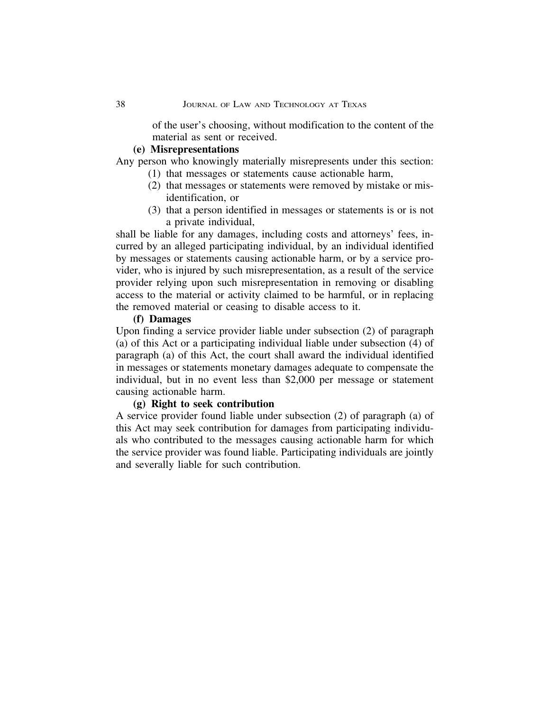of the user's choosing, without modification to the content of the material as sent or received.

## **(e) Misrepresentations**

Any person who knowingly materially misrepresents under this section:

- (1) that messages or statements cause actionable harm,
- (2) that messages or statements were removed by mistake or misidentification, or
- (3) that a person identified in messages or statements is or is not a private individual,

shall be liable for any damages, including costs and attorneys' fees, incurred by an alleged participating individual, by an individual identified by messages or statements causing actionable harm, or by a service provider, who is injured by such misrepresentation, as a result of the service provider relying upon such misrepresentation in removing or disabling access to the material or activity claimed to be harmful, or in replacing the removed material or ceasing to disable access to it.

## **(f) Damages**

Upon finding a service provider liable under subsection (2) of paragraph (a) of this Act or a participating individual liable under subsection (4) of paragraph (a) of this Act, the court shall award the individual identified in messages or statements monetary damages adequate to compensate the individual, but in no event less than \$2,000 per message or statement causing actionable harm.

## **(g) Right to seek contribution**

A service provider found liable under subsection (2) of paragraph (a) of this Act may seek contribution for damages from participating individuals who contributed to the messages causing actionable harm for which the service provider was found liable. Participating individuals are jointly and severally liable for such contribution.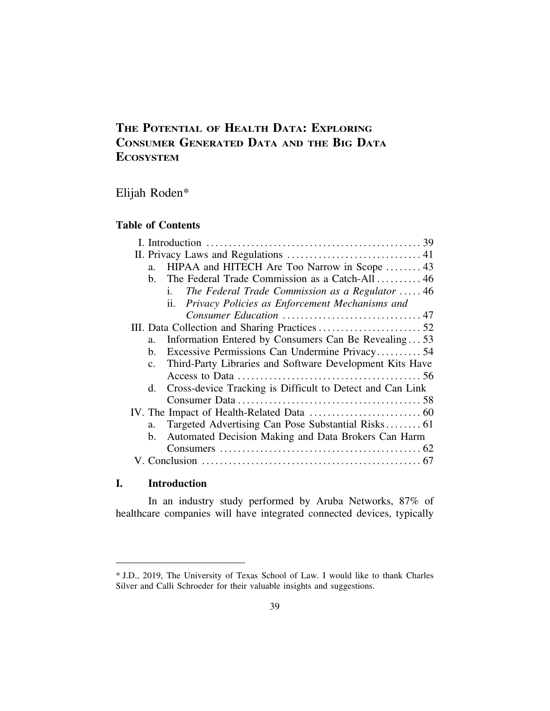# **THE POTENTIAL OF HEALTH DATA: EXPLORING CONSUMER GENERATED DATA AND THE BIG DATA ECOSYSTEM**

Elijah Roden\*

## **Table of Contents**

| HIPAA and HITECH Are Too Narrow in Scope  43<br>a.                         |
|----------------------------------------------------------------------------|
| b. The Federal Trade Commission as a Catch-All  46                         |
| The Federal Trade Commission as a Regulator  46<br>$\mathbf{i}$ .          |
| Privacy Policies as Enforcement Mechanisms and<br>$\mathbf{ii}$ .          |
|                                                                            |
|                                                                            |
| Information Entered by Consumers Can Be Revealing53<br>$a_{-}$             |
| Excessive Permissions Can Undermine Privacy54<br>b.                        |
| Third-Party Libraries and Software Development Kits Have<br>$\mathbf{c}$ . |
|                                                                            |
| Cross-device Tracking is Difficult to Detect and Can Link<br>d.            |
|                                                                            |
|                                                                            |
| Targeted Advertising Can Pose Substantial Risks 61<br>$a_{-}$              |
| Automated Decision Making and Data Brokers Can Harm<br>$\mathbf{b}$ .      |
|                                                                            |
|                                                                            |

## **I. Introduction**

In an industry study performed by Aruba Networks, 87% of healthcare companies will have integrated connected devices, typically

<sup>\*</sup> J.D., 2019, The University of Texas School of Law. I would like to thank Charles Silver and Calli Schroeder for their valuable insights and suggestions.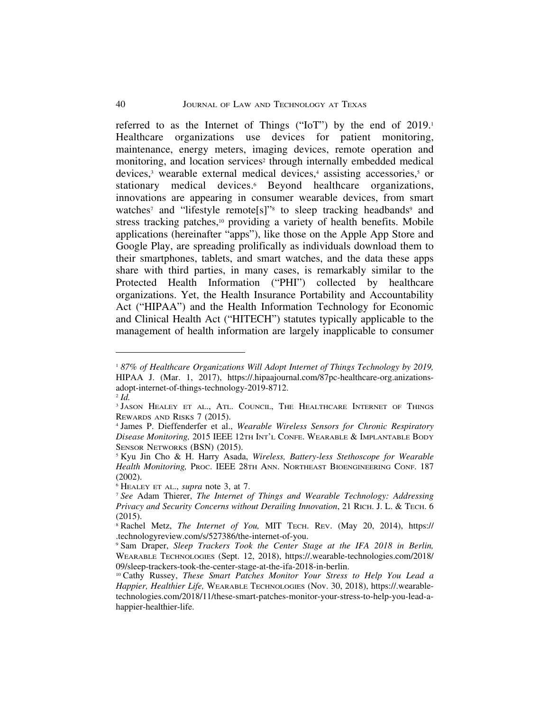referred to as the Internet of Things ("IoT") by the end of 2019. Healthcare organizations use devices for patient monitoring, maintenance, energy meters, imaging devices, remote operation and monitoring, and location services<sup>2</sup> through internally embedded medical devices,3 wearable external medical devices,4 assisting accessories,5 or stationary medical devices.<sup>6</sup> Beyond healthcare organizations, innovations are appearing in consumer wearable devices, from smart watches<sup>7</sup> and "lifestyle remote<sup>[s]"s</sup> to sleep tracking headbands<sup>9</sup> and stress tracking patches,<sup>10</sup> providing a variety of health benefits. Mobile applications (hereinafter "apps"), like those on the Apple App Store and Google Play, are spreading prolifically as individuals download them to their smartphones, tablets, and smart watches, and the data these apps share with third parties, in many cases, is remarkably similar to the Protected Health Information ("PHI") collected by healthcare organizations. Yet, the Health Insurance Portability and Accountability Act ("HIPAA") and the Health Information Technology for Economic and Clinical Health Act ("HITECH") statutes typically applicable to the management of health information are largely inapplicable to consumer

<sup>1</sup> *87% of Healthcare Organizations Will Adopt Internet of Things Technology by 2019,* HIPAA J. (Mar. 1, 2017), https://.hipaajournal.com/87pc-healthcare-org.anizationsadopt-internet-of-things-technology-2019-8712.

<sup>2</sup> *Id.*

<sup>&</sup>lt;sup>3</sup> JASON HEALEY ET AL., ATL. COUNCIL, THE HEALTHCARE INTERNET OF THINGS REWARDS AND RISKS 7 (2015).

<sup>4</sup> James P. Dieffenderfer et al., *Wearable Wireless Sensors for Chronic Respiratory Disease Monitoring,* 2015 IEEE 12TH INT'L CONFE. WEARABLE & IMPLANTABLE BODY SENSOR NETWORKS (BSN) (2015).

<sup>5</sup> Kyu Jin Cho & H. Harry Asada, *Wireless, Battery-less Stethoscope for Wearable Health Monitoring,* PROC. IEEE 28TH ANN. NORTHEAST BIOENGINEERING CONF. 187 (2002).

<sup>6</sup> HEALEY ET AL., *supra* note 3, at 7.

<sup>7</sup> *See* Adam Thierer, *The Internet of Things and Wearable Technology: Addressing Privacy and Security Concerns without Derailing Innovation*, 21 RICH. J. L. & TECH. 6 (2015).

<sup>8</sup> Rachel Metz, *The Internet of You,* MIT TECH. REV. (May 20, 2014), https:// .technologyreview.com/s/527386/the-internet-of-you.

<sup>9</sup> Sam Draper, *Sleep Trackers Took the Center Stage at the IFA 2018 in Berlin,* WEARABLE TECHNOLOGIES (Sept. 12, 2018), https://.wearable-technologies.com/2018/ 09/sleep-trackers-took-the-center-stage-at-the-ifa-2018-in-berlin.

<sup>10</sup> Cathy Russey, *These Smart Patches Monitor Your Stress to Help You Lead a Happier, Healthier Life,* WEARABLE TECHNOLOGIES (Nov. 30, 2018), https://.wearabletechnologies.com/2018/11/these-smart-patches-monitor-your-stress-to-help-you-lead-ahappier-healthier-life.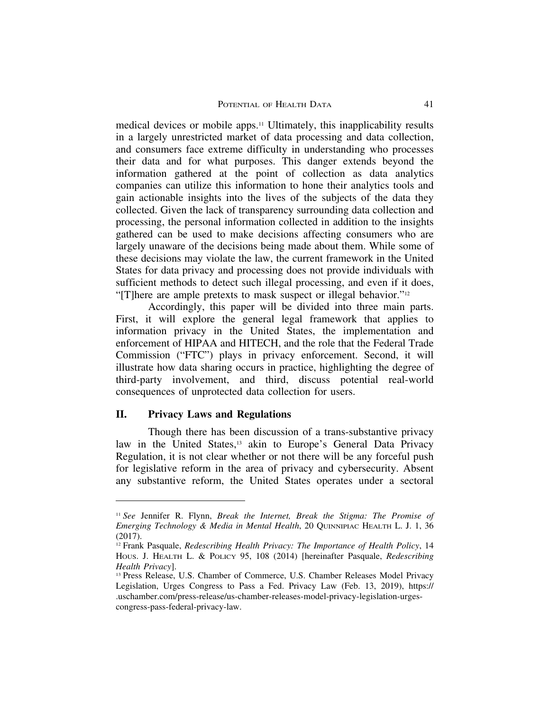medical devices or mobile apps.11 Ultimately, this inapplicability results in a largely unrestricted market of data processing and data collection, and consumers face extreme difficulty in understanding who processes their data and for what purposes. This danger extends beyond the information gathered at the point of collection as data analytics companies can utilize this information to hone their analytics tools and gain actionable insights into the lives of the subjects of the data they collected. Given the lack of transparency surrounding data collection and processing, the personal information collected in addition to the insights gathered can be used to make decisions affecting consumers who are largely unaware of the decisions being made about them. While some of these decisions may violate the law, the current framework in the United States for data privacy and processing does not provide individuals with sufficient methods to detect such illegal processing, and even if it does, "[T]here are ample pretexts to mask suspect or illegal behavior."<sup>12</sup>

Accordingly, this paper will be divided into three main parts. First, it will explore the general legal framework that applies to information privacy in the United States, the implementation and enforcement of HIPAA and HITECH, and the role that the Federal Trade Commission ("FTC") plays in privacy enforcement. Second, it will illustrate how data sharing occurs in practice, highlighting the degree of third-party involvement, and third, discuss potential real-world consequences of unprotected data collection for users.

## **II. Privacy Laws and Regulations**

Though there has been discussion of a trans-substantive privacy law in the United States,<sup>13</sup> akin to Europe's General Data Privacy Regulation, it is not clear whether or not there will be any forceful push for legislative reform in the area of privacy and cybersecurity. Absent any substantive reform, the United States operates under a sectoral

<sup>11</sup> *See* Jennifer R. Flynn, *Break the Internet, Break the Stigma: The Promise of Emerging Technology & Media in Mental Health*, 20 QUINNIPIAC HEALTH L. J. 1, 36 (2017).

<sup>12</sup> Frank Pasquale, *Redescribing Health Privacy: The Importance of Health Policy*, 14 HOUS. J. HEALTH L. & POLICY 95, 108 (2014) [hereinafter Pasquale, *Redescribing Health Privacy*].

<sup>13</sup> Press Release, U.S. Chamber of Commerce, U.S. Chamber Releases Model Privacy Legislation, Urges Congress to Pass a Fed. Privacy Law (Feb. 13, 2019), https:// .uschamber.com/press-release/us-chamber-releases-model-privacy-legislation-urgescongress-pass-federal-privacy-law.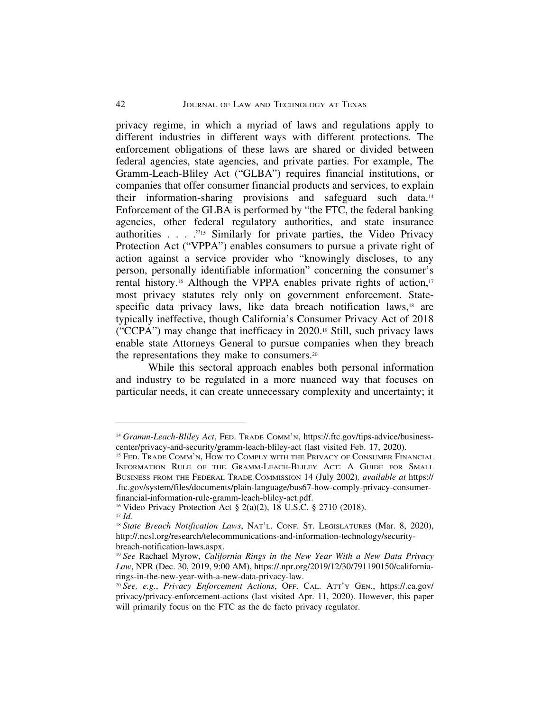privacy regime, in which a myriad of laws and regulations apply to different industries in different ways with different protections. The enforcement obligations of these laws are shared or divided between federal agencies, state agencies, and private parties. For example, The Gramm-Leach-Bliley Act ("GLBA") requires financial institutions, or companies that offer consumer financial products and services, to explain their information-sharing provisions and safeguard such data.14 Enforcement of the GLBA is performed by "the FTC, the federal banking agencies, other federal regulatory authorities, and state insurance authorities . . . ."15 Similarly for private parties, the Video Privacy Protection Act ("VPPA") enables consumers to pursue a private right of action against a service provider who "knowingly discloses, to any person, personally identifiable information" concerning the consumer's rental history.<sup>16</sup> Although the VPPA enables private rights of action,<sup>17</sup> most privacy statutes rely only on government enforcement. Statespecific data privacy laws, like data breach notification laws,<sup>18</sup> are typically ineffective, though California's Consumer Privacy Act of 2018 ("CCPA") may change that inefficacy in 2020.19 Still, such privacy laws enable state Attorneys General to pursue companies when they breach the representations they make to consumers.20

While this sectoral approach enables both personal information and industry to be regulated in a more nuanced way that focuses on particular needs, it can create unnecessary complexity and uncertainty; it

<sup>14</sup> *Gramm-Leach-Bliley Act*, FED. TRADE COMM'N, https://.ftc.gov/tips-advice/businesscenter/privacy-and-security/gramm-leach-bliley-act (last visited Feb. 17, 2020).

<sup>15</sup> FED. TRADE COMM'N, HOW TO COMPLY WITH THE PRIVACY OF CONSUMER FINANCIAL INFORMATION RULE OF THE GRAMM-LEACH-BLILEY ACT: A GUIDE FOR SMALL BUSINESS FROM THE FEDERAL TRADE COMMISSION 14 (July 2002)*, available at* https:// .ftc.gov/system/files/documents/plain-language/bus67-how-comply-privacy-consumerfinancial-information-rule-gramm-leach-bliley-act.pdf.

<sup>16</sup> Video Privacy Protection Act § 2(a)(2), 18 U.S.C. § 2710 (2018).

<sup>17</sup> *Id.*

<sup>&</sup>lt;sup>18</sup> State Breach Notification Laws, NAT'L. CONF. ST. LEGISLATURES (Mar. 8, 2020), http://.ncsl.org/research/telecommunications-and-information-technology/securitybreach-notification-laws.aspx.

<sup>19</sup> *See* Rachael Myrow, *California Rings in the New Year With a New Data Privacy Law*, NPR (Dec. 30, 2019, 9:00 AM), https://.npr.org/2019/12/30/791190150/californiarings-in-the-new-year-with-a-new-data-privacy-law.

<sup>20</sup> *See, e.g.*, *Privacy Enforcement Actions*, OFF. CAL. ATT'Y GEN., https://.ca.gov/ privacy/privacy-enforcement-actions (last visited Apr. 11, 2020). However, this paper will primarily focus on the FTC as the de facto privacy regulator.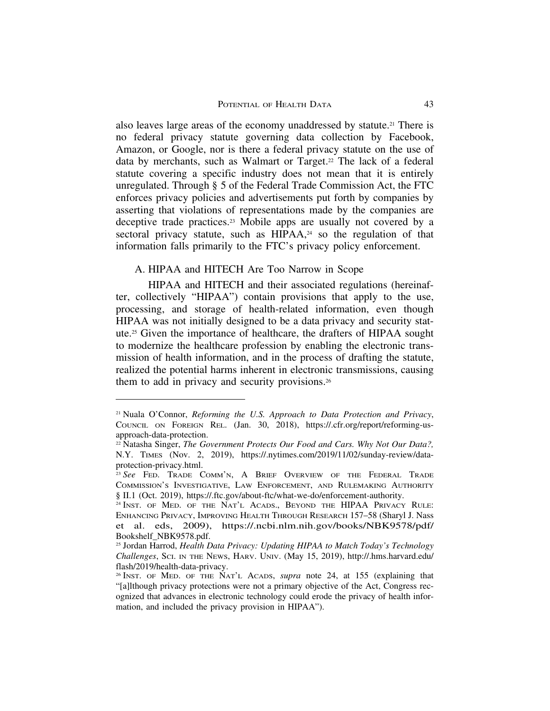also leaves large areas of the economy unaddressed by statute.21 There is no federal privacy statute governing data collection by Facebook, Amazon, or Google, nor is there a federal privacy statute on the use of data by merchants, such as Walmart or Target.<sup>22</sup> The lack of a federal statute covering a specific industry does not mean that it is entirely unregulated. Through § 5 of the Federal Trade Commission Act, the FTC enforces privacy policies and advertisements put forth by companies by asserting that violations of representations made by the companies are deceptive trade practices.<sup>23</sup> Mobile apps are usually not covered by a sectoral privacy statute, such as HIPAA,<sup>24</sup> so the regulation of that information falls primarily to the FTC's privacy policy enforcement.

## A. HIPAA and HITECH Are Too Narrow in Scope

HIPAA and HITECH and their associated regulations (hereinafter, collectively "HIPAA") contain provisions that apply to the use, processing, and storage of health-related information, even though HIPAA was not initially designed to be a data privacy and security statute.25 Given the importance of healthcare, the drafters of HIPAA sought to modernize the healthcare profession by enabling the electronic transmission of health information, and in the process of drafting the statute, realized the potential harms inherent in electronic transmissions, causing them to add in privacy and security provisions.26

<sup>21</sup> Nuala O'Connor, *Reforming the U.S. Approach to Data Protection and Privacy*, COUNCIL ON FOREIGN REL. (Jan. 30, 2018), https://.cfr.org/report/reforming-usapproach-data-protection.

<sup>&</sup>lt;sup>22</sup> Natasha Singer, *The Government Protects Our Food and Cars. Why Not Our Data?*, N.Y. TIMES (Nov. 2, 2019), https://.nytimes.com/2019/11/02/sunday-review/dataprotection-privacy.html.

<sup>&</sup>lt;sup>23</sup> See FED. TRADE COMM'N, A BRIEF OVERVIEW OF THE FEDERAL TRADE COMMISSION'S INVESTIGATIVE, LAW ENFORCEMENT, AND RULEMAKING AUTHORITY § II.1 (Oct. 2019), https://.ftc.gov/about-ftc/what-we-do/enforcement-authority.

<sup>&</sup>lt;sup>24</sup> INST. OF MED. OF THE NAT'L ACADS., BEYOND THE HIPAA PRIVACY RULE: ENHANCING PRIVACY, IMPROVING HEALTH THROUGH RESEARCH 157–58 (Sharyl J. Nass et al. eds, 2009), https://.ncbi.nlm.nih.gov/books/NBK9578/pdf/ Bookshelf\_NBK9578.pdf.

<sup>25</sup> Jordan Harrod, *Health Data Privacy: Updating HIPAA to Match Today's Technology Challenges*, SCI. IN THE NEWS, HARV. UNIV. (May 15, 2019), http://.hms.harvard.edu/ flash/2019/health-data-privacy.

<sup>26</sup> INST. OF MED. OF THE NAT'L ACADS, *supra* note 24, at 155 (explaining that "[a]lthough privacy protections were not a primary objective of the Act, Congress recognized that advances in electronic technology could erode the privacy of health information, and included the privacy provision in HIPAA").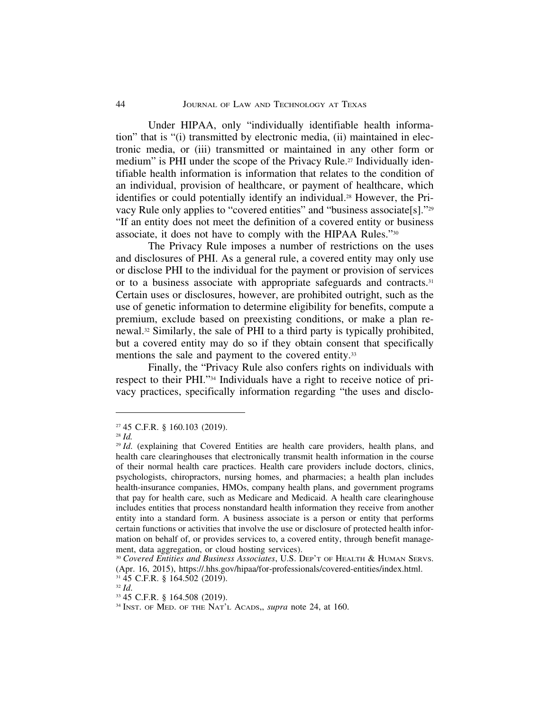Under HIPAA, only "individually identifiable health information" that is "(i) transmitted by electronic media, (ii) maintained in electronic media, or (iii) transmitted or maintained in any other form or medium" is PHI under the scope of the Privacy Rule.<sup>27</sup> Individually identifiable health information is information that relates to the condition of an individual, provision of healthcare, or payment of healthcare, which identifies or could potentially identify an individual.28 However, the Privacy Rule only applies to "covered entities" and "business associate[s]."29 "If an entity does not meet the definition of a covered entity or business associate, it does not have to comply with the HIPAA Rules."30

The Privacy Rule imposes a number of restrictions on the uses and disclosures of PHI. As a general rule, a covered entity may only use or disclose PHI to the individual for the payment or provision of services or to a business associate with appropriate safeguards and contracts.31 Certain uses or disclosures, however, are prohibited outright, such as the use of genetic information to determine eligibility for benefits, compute a premium, exclude based on preexisting conditions, or make a plan renewal.32 Similarly, the sale of PHI to a third party is typically prohibited, but a covered entity may do so if they obtain consent that specifically mentions the sale and payment to the covered entity.<sup>33</sup>

Finally, the "Privacy Rule also confers rights on individuals with respect to their PHI."34 Individuals have a right to receive notice of privacy practices, specifically information regarding "the uses and disclo-

<sup>27</sup> 45 C.F.R. § 160.103 (2019).

<sup>28</sup> *Id.*

<sup>&</sup>lt;sup>29</sup> *Id.* (explaining that Covered Entities are health care providers, health plans, and health care clearinghouses that electronically transmit health information in the course of their normal health care practices. Health care providers include doctors, clinics, psychologists, chiropractors, nursing homes, and pharmacies; a health plan includes health-insurance companies, HMOs, company health plans, and government programs that pay for health care, such as Medicare and Medicaid. A health care clearinghouse includes entities that process nonstandard health information they receive from another entity into a standard form. A business associate is a person or entity that performs certain functions or activities that involve the use or disclosure of protected health information on behalf of, or provides services to, a covered entity, through benefit management, data aggregation, or cloud hosting services).

<sup>30</sup> *Covered Entities and Business Associates*, U.S. DEP'T OF HEALTH & HUMAN SERVS. (Apr. 16, 2015), https://.hhs.gov/hipaa/for-professionals/covered-entities/index.html. <sup>31</sup> 45 C.F.R. § 164.502 (2019).

<sup>32</sup> *Id*.

<sup>33</sup> 45 C.F.R. § 164.508 (2019).

<sup>34</sup> INST. OF MED. OF THE NAT'L ACADS,, *supra* note 24, at 160.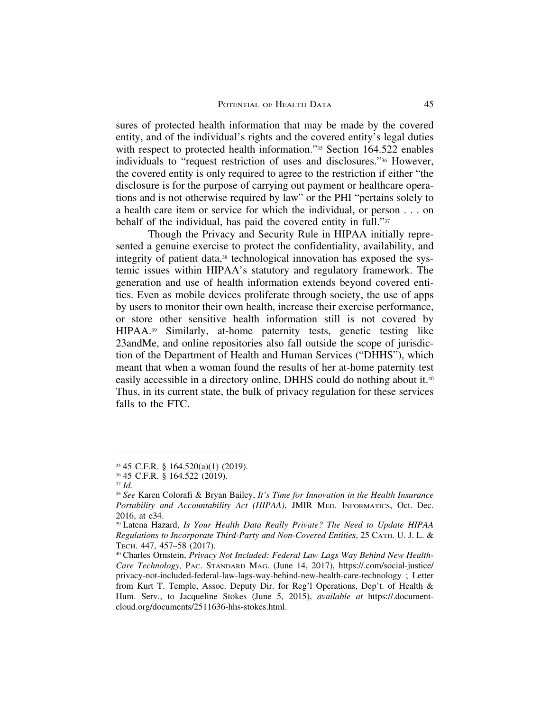sures of protected health information that may be made by the covered entity, and of the individual's rights and the covered entity's legal duties with respect to protected health information."<sup>35</sup> Section 164.522 enables individuals to "request restriction of uses and disclosures."36 However, the covered entity is only required to agree to the restriction if either "the disclosure is for the purpose of carrying out payment or healthcare operations and is not otherwise required by law" or the PHI "pertains solely to a health care item or service for which the individual, or person . . . on behalf of the individual, has paid the covered entity in full."37

Though the Privacy and Security Rule in HIPAA initially represented a genuine exercise to protect the confidentiality, availability, and integrity of patient data,<sup>38</sup> technological innovation has exposed the systemic issues within HIPAA's statutory and regulatory framework. The generation and use of health information extends beyond covered entities. Even as mobile devices proliferate through society, the use of apps by users to monitor their own health, increase their exercise performance, or store other sensitive health information still is not covered by HIPAA.39 Similarly, at-home paternity tests, genetic testing like 23andMe, and online repositories also fall outside the scope of jurisdiction of the Department of Health and Human Services ("DHHS"), which meant that when a woman found the results of her at-home paternity test easily accessible in a directory online, DHHS could do nothing about it.<sup>40</sup> Thus, in its current state, the bulk of privacy regulation for these services falls to the FTC.

<sup>35</sup> 45 C.F.R. § 164.520(a)(1) (2019).

<sup>36</sup> 45 C.F.R. § 164.522 (2019).

<sup>37</sup> *Id.*

<sup>38</sup> *See* Karen Colorafi & Bryan Bailey, *It's Time for Innovation in the Health Insurance Portability and Accountability Act (HIPAA)*, JMIR MED. INFORMATICS, Oct.–Dec. 2016, at e34.

<sup>39</sup> Latena Hazard, *Is Your Health Data Really Private? The Need to Update HIPAA Regulations to Incorporate Third-Party and Non-Covered Entities*, 25 CATH. U. J. L. & TECH. 447, 457–58 (2017).

<sup>40</sup> Charles Ornstein, *Privacy Not Included: Federal Law Lags Way Behind New Health-Care Technology,* PAC. STANDARD MAG. (June 14, 2017), https://.com/social-justice/ privacy-not-included-federal-law-lags-way-behind-new-health-care-technology ; Letter from Kurt T. Temple, Assoc. Deputy Dir. for Reg'l Operations, Dep't. of Health & Hum. Serv., to Jacqueline Stokes (June 5, 2015), *available at* https://.documentcloud.org/documents/2511636-hhs-stokes.html.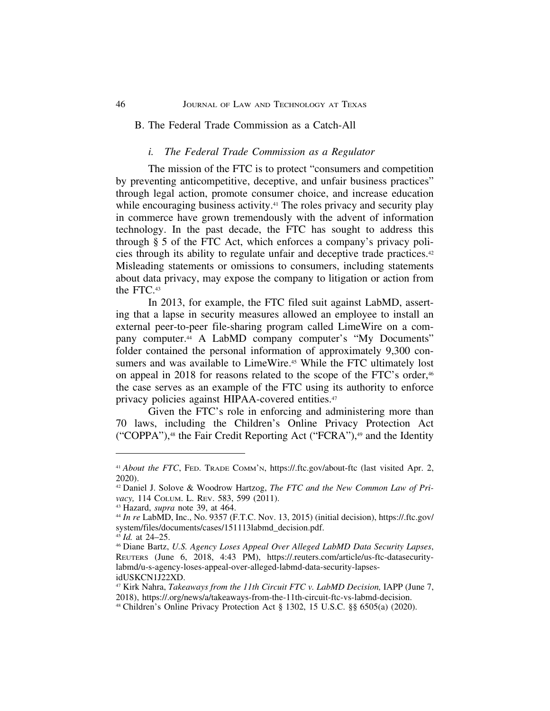#### 46 JOURNAL OF LAW AND TECHNOLOGY AT TEXAS

## B. The Federal Trade Commission as a Catch-All

#### *i. The Federal Trade Commission as a Regulator*

The mission of the FTC is to protect "consumers and competition by preventing anticompetitive, deceptive, and unfair business practices" through legal action, promote consumer choice, and increase education while encouraging business activity.<sup>41</sup> The roles privacy and security play in commerce have grown tremendously with the advent of information technology. In the past decade, the FTC has sought to address this through § 5 of the FTC Act, which enforces a company's privacy policies through its ability to regulate unfair and deceptive trade practices.42 Misleading statements or omissions to consumers, including statements about data privacy, may expose the company to litigation or action from the FTC.43

In 2013, for example, the FTC filed suit against LabMD, asserting that a lapse in security measures allowed an employee to install an external peer-to-peer file-sharing program called LimeWire on a company computer.44 A LabMD company computer's "My Documents" folder contained the personal information of approximately 9,300 consumers and was available to LimeWire.<sup>45</sup> While the FTC ultimately lost on appeal in 2018 for reasons related to the scope of the FTC's order,<sup>46</sup> the case serves as an example of the FTC using its authority to enforce privacy policies against HIPAA-covered entities.<sup>47</sup>

Given the FTC's role in enforcing and administering more than 70 laws, including the Children's Online Privacy Protection Act ("COPPA"),48 the Fair Credit Reporting Act ("FCRA"),49 and the Identity

<sup>&</sup>lt;sup>41</sup> *About the FTC*, FED. TRADE COMM'N, https://.ftc.gov/about-ftc (last visited Apr. 2, 2020).

<sup>42</sup> Daniel J. Solove & Woodrow Hartzog, *The FTC and the New Common Law of Privacy,* 114 COLUM. L. REV. 583, 599 (2011).

<sup>43</sup> Hazard, *supra* note 39, at 464.

<sup>44</sup> *In re* LabMD, Inc., No. 9357 (F.T.C. Nov. 13, 2015) (initial decision), https://.ftc.gov/ system/files/documents/cases/151113labmd\_decision.pdf.

<sup>45</sup> *Id.* at 24–25.

<sup>46</sup> Diane Bartz, *U.S. Agency Loses Appeal Over Alleged LabMD Data Security Lapses*, REUTERS (June 6, 2018, 4:43 PM), https://.reuters.com/article/us-ftc-datasecuritylabmd/u-s-agency-loses-appeal-over-alleged-labmd-data-security-lapsesidUSKCN1J22XD.

<sup>47</sup> Kirk Nahra, *Takeaways from the 11th Circuit FTC v. LabMD Decision,* IAPP (June 7, 2018), https://.org/news/a/takeaways-from-the-11th-circuit-ftc-vs-labmd-decision.

<sup>48</sup> Children's Online Privacy Protection Act § 1302, 15 U.S.C. §§ 6505(a) (2020).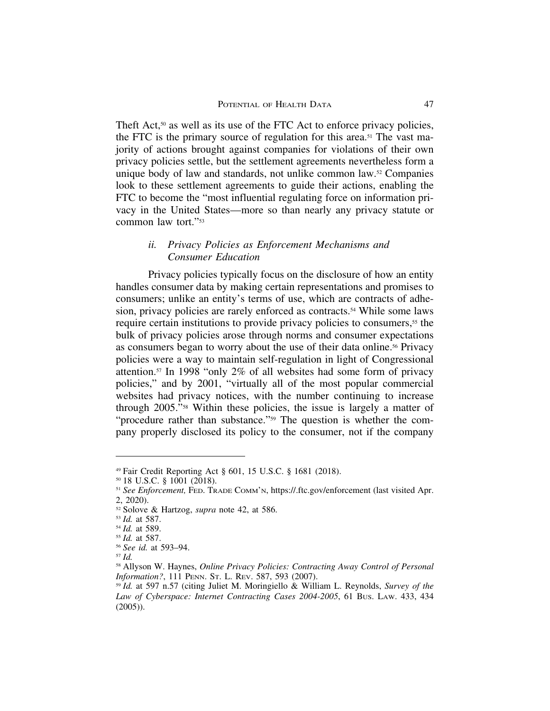Theft Act,<sup>50</sup> as well as its use of the FTC Act to enforce privacy policies, the FTC is the primary source of regulation for this area.<sup>51</sup> The vast majority of actions brought against companies for violations of their own privacy policies settle, but the settlement agreements nevertheless form a unique body of law and standards, not unlike common law.52 Companies look to these settlement agreements to guide their actions, enabling the FTC to become the "most influential regulating force on information privacy in the United States—more so than nearly any privacy statute or common law tort."53

## *ii. Privacy Policies as Enforcement Mechanisms and Consumer Education*

Privacy policies typically focus on the disclosure of how an entity handles consumer data by making certain representations and promises to consumers; unlike an entity's terms of use, which are contracts of adhesion, privacy policies are rarely enforced as contracts.<sup>54</sup> While some laws require certain institutions to provide privacy policies to consumers,<sup>55</sup> the bulk of privacy policies arose through norms and consumer expectations as consumers began to worry about the use of their data online.<sup>56</sup> Privacy policies were a way to maintain self-regulation in light of Congressional attention.57 In 1998 "only 2% of all websites had some form of privacy policies," and by 2001, "virtually all of the most popular commercial websites had privacy notices, with the number continuing to increase through 2005."58 Within these policies, the issue is largely a matter of "procedure rather than substance."59 The question is whether the company properly disclosed its policy to the consumer, not if the company

<sup>49</sup> Fair Credit Reporting Act § 601, 15 U.S.C. § 1681 (2018).

<sup>50</sup> 18 U.S.C. § 1001 (2018).

<sup>&</sup>lt;sup>51</sup> *See Enforcement*, FED. TRADE COMM'N, https://.ftc.gov/enforcement (last visited Apr. 2, 2020).

<sup>52</sup> Solove & Hartzog, *supra* note 42, at 586.

<sup>53</sup> *Id.* at 587.

<sup>54</sup> *Id.* at 589.

<sup>55</sup> *Id.* at 587.

<sup>56</sup> *See id.* at 593–94.

<sup>57</sup> *Id.*

<sup>58</sup> Allyson W. Haynes, *Online Privacy Policies: Contracting Away Control of Personal Information?*, 111 PENN. ST. L. REV. 587, 593 (2007).

<sup>59</sup> *Id.* at 597 n.57 (citing Juliet M. Moringiello & William L. Reynolds, *Survey of the Law of Cyberspace: Internet Contracting Cases 2004-2005*, 61 BUS. LAW. 433, 434 (2005)).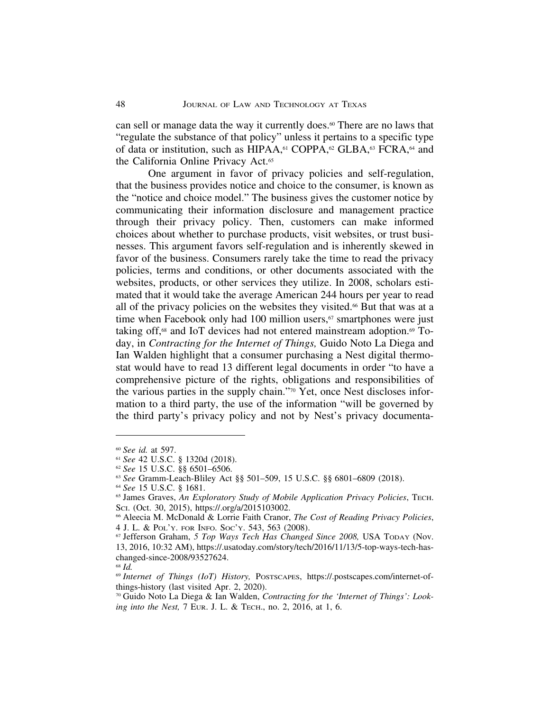can sell or manage data the way it currently does.<sup>60</sup> There are no laws that "regulate the substance of that policy" unless it pertains to a specific type of data or institution, such as HIPAA,<sup>61</sup> COPPA,<sup>62</sup> GLBA,<sup>63</sup> FCRA,<sup>64</sup> and the California Online Privacy Act.<sup>65</sup>

One argument in favor of privacy policies and self-regulation, that the business provides notice and choice to the consumer, is known as the "notice and choice model." The business gives the customer notice by communicating their information disclosure and management practice through their privacy policy. Then, customers can make informed choices about whether to purchase products, visit websites, or trust businesses. This argument favors self-regulation and is inherently skewed in favor of the business. Consumers rarely take the time to read the privacy policies, terms and conditions, or other documents associated with the websites, products, or other services they utilize. In 2008, scholars estimated that it would take the average American 244 hours per year to read all of the privacy policies on the websites they visited.<sup>66</sup> But that was at a time when Facebook only had 100 million users,<sup>67</sup> smartphones were just taking off, $68$  and IoT devices had not entered mainstream adoption. $69$  Today, in *Contracting for the Internet of Things,* Guido Noto La Diega and Ian Walden highlight that a consumer purchasing a Nest digital thermostat would have to read 13 different legal documents in order "to have a comprehensive picture of the rights, obligations and responsibilities of the various parties in the supply chain."70 Yet, once Nest discloses information to a third party, the use of the information "will be governed by the third party's privacy policy and not by Nest's privacy documenta-

<sup>60</sup> *See id.* at 597.

<sup>61</sup> *See* 42 U.S.C. § 1320d (2018).

<sup>62</sup> *See* 15 U.S.C. §§ 6501–6506.

<sup>63</sup> *See* Gramm-Leach-Bliley Act §§ 501–509, 15 U.S.C. §§ 6801–6809 (2018).

<sup>64</sup> *See* 15 U.S.C. § 1681.

<sup>65</sup> James Graves, *An Exploratory Study of Mobile Application Privacy Policies*, TECH. SCI. (Oct. 30, 2015), https://.org/a/2015103002.

<sup>66</sup> Aleecia M. McDonald & Lorrie Faith Cranor, *The Cost of Reading Privacy Policies*, 4 J. L. & POL'Y. FOR INFO. SOC'Y. 543, 563 (2008).

<sup>67</sup> Jefferson Graham, *5 Top Ways Tech Has Changed Since 2008,* USA TODAY (Nov. 13, 2016, 10:32 AM), https://.usatoday.com/story/tech/2016/11/13/5-top-ways-tech-haschanged-since-2008/93527624.

<sup>68</sup> *Id.*

<sup>69</sup> *Internet of Things (IoT) History,* POSTSCAPES, https://.postscapes.com/internet-ofthings-history (last visited Apr. 2, 2020).

<sup>70</sup> Guido Noto La Diega & Ian Walden, *Contracting for the 'Internet of Things': Looking into the Nest,* 7 EUR. J. L. & TECH., no. 2, 2016, at 1, 6.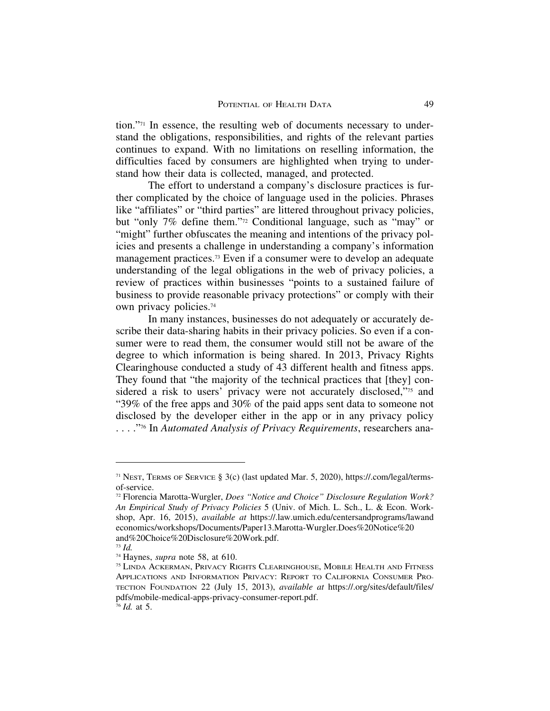tion."71 In essence, the resulting web of documents necessary to understand the obligations, responsibilities, and rights of the relevant parties continues to expand. With no limitations on reselling information, the difficulties faced by consumers are highlighted when trying to understand how their data is collected, managed, and protected.

The effort to understand a company's disclosure practices is further complicated by the choice of language used in the policies. Phrases like "affiliates" or "third parties" are littered throughout privacy policies, but "only 7% define them."72 Conditional language, such as "may" or "might" further obfuscates the meaning and intentions of the privacy policies and presents a challenge in understanding a company's information management practices.73 Even if a consumer were to develop an adequate understanding of the legal obligations in the web of privacy policies, a review of practices within businesses "points to a sustained failure of business to provide reasonable privacy protections" or comply with their own privacy policies.74

In many instances, businesses do not adequately or accurately describe their data-sharing habits in their privacy policies. So even if a consumer were to read them, the consumer would still not be aware of the degree to which information is being shared. In 2013, Privacy Rights Clearinghouse conducted a study of 43 different health and fitness apps. They found that "the majority of the technical practices that [they] considered a risk to users' privacy were not accurately disclosed,"75 and "39% of the free apps and 30% of the paid apps sent data to someone not disclosed by the developer either in the app or in any privacy policy . . . ."76 In *Automated Analysis of Privacy Requirements*, researchers ana-

<sup>71</sup> NEST, TERMS OF SERVICE § 3(c) (last updated Mar. 5, 2020), https://.com/legal/termsof-service.

<sup>72</sup> Florencia Marotta-Wurgler, *Does "Notice and Choice" Disclosure Regulation Work? An Empirical Study of Privacy Policies* 5 (Univ. of Mich. L. Sch., L. & Econ. Workshop, Apr. 16, 2015), *available at* https://.law.umich.edu/centersandprograms/lawand economics/workshops/Documents/Paper13.Marotta-Wurgler.Does%20Notice%20 and%20Choice%20Disclosure%20Work.pdf.

<sup>73</sup> *Id.*

<sup>74</sup> Haynes, *supra* note 58, at 610.

<sup>75</sup> LINDA ACKERMAN, PRIVACY RIGHTS CLEARINGHOUSE, MOBILE HEALTH AND FITNESS APPLICATIONS AND INFORMATION PRIVACY: REPORT TO CALIFORNIA CONSUMER PRO-TECTION FOUNDATION 22 (July 15, 2013), *available at* https://.org/sites/default/files/ pdfs/mobile-medical-apps-privacy-consumer-report.pdf.

<sup>76</sup> *Id.* at 5.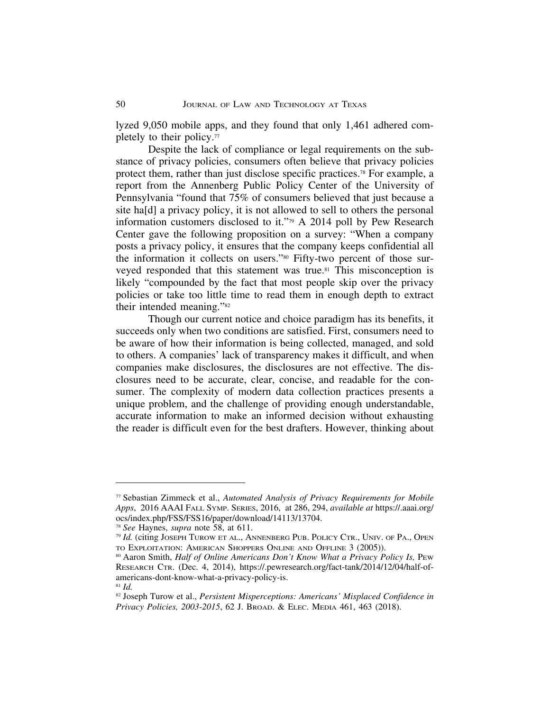lyzed 9,050 mobile apps, and they found that only 1,461 adhered completely to their policy.77

Despite the lack of compliance or legal requirements on the substance of privacy policies, consumers often believe that privacy policies protect them, rather than just disclose specific practices.78 For example, a report from the Annenberg Public Policy Center of the University of Pennsylvania "found that 75% of consumers believed that just because a site ha[d] a privacy policy, it is not allowed to sell to others the personal information customers disclosed to it."79 A 2014 poll by Pew Research Center gave the following proposition on a survey: "When a company posts a privacy policy, it ensures that the company keeps confidential all the information it collects on users."80 Fifty-two percent of those surveyed responded that this statement was true.<sup>81</sup> This misconception is likely "compounded by the fact that most people skip over the privacy policies or take too little time to read them in enough depth to extract their intended meaning."82

Though our current notice and choice paradigm has its benefits, it succeeds only when two conditions are satisfied. First, consumers need to be aware of how their information is being collected, managed, and sold to others. A companies' lack of transparency makes it difficult, and when companies make disclosures, the disclosures are not effective. The disclosures need to be accurate, clear, concise, and readable for the consumer. The complexity of modern data collection practices presents a unique problem, and the challenge of providing enough understandable, accurate information to make an informed decision without exhausting the reader is difficult even for the best drafters. However, thinking about

<sup>77</sup> Sebastian Zimmeck et al., *Automated Analysis of Privacy Requirements for Mobile Apps*, 2016 AAAI FALL SYMP. SERIES, 2016, at 286, 294, *available at* https://.aaai.org/ ocs/index.php/FSS/FSS16/paper/download/14113/13704.

<sup>78</sup> *See* Haynes, *supra* note 58, at 611.

<sup>79</sup> *Id.* (citing JOSEPH TUROW ET AL., ANNENBERG PUB. POLICY CTR., UNIV. OF PA., OPEN TO EXPLOITATION: AMERICAN SHOPPERS ONLINE AND OFFLINE 3 (2005)).

<sup>&</sup>lt;sup>80</sup> Aaron Smith, *Half of Online Americans Don't Know What a Privacy Policy Is*, PEw RESEARCH CTR. (Dec. 4, 2014), https://.pewresearch.org/fact-tank/2014/12/04/half-ofamericans-dont-know-what-a-privacy-policy-is. <sup>81</sup> *Id.*

<sup>82</sup> Joseph Turow et al., *Persistent Misperceptions: Americans' Misplaced Confidence in Privacy Policies, 2003-2015*, 62 J. BROAD. & ELEC. MEDIA 461, 463 (2018).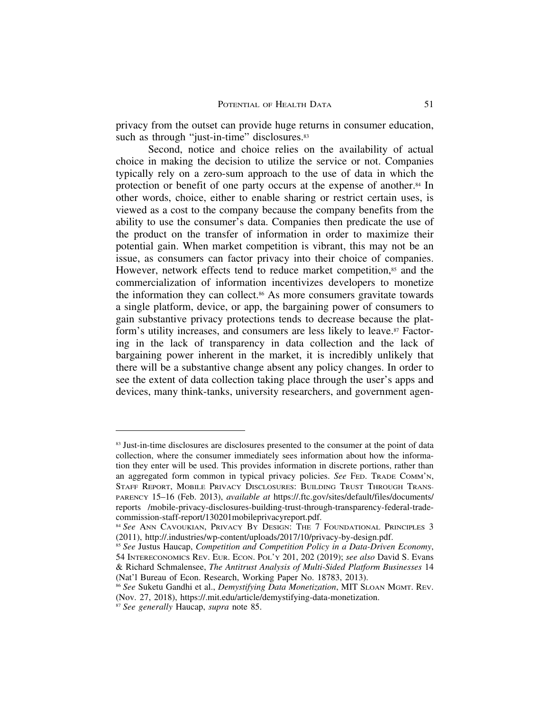privacy from the outset can provide huge returns in consumer education, such as through "just-in-time" disclosures.<sup>83</sup>

Second, notice and choice relies on the availability of actual choice in making the decision to utilize the service or not. Companies typically rely on a zero-sum approach to the use of data in which the protection or benefit of one party occurs at the expense of another.84 In other words, choice, either to enable sharing or restrict certain uses, is viewed as a cost to the company because the company benefits from the ability to use the consumer's data. Companies then predicate the use of the product on the transfer of information in order to maximize their potential gain. When market competition is vibrant, this may not be an issue, as consumers can factor privacy into their choice of companies. However, network effects tend to reduce market competition,<sup>85</sup> and the commercialization of information incentivizes developers to monetize the information they can collect.<sup>86</sup> As more consumers gravitate towards a single platform, device, or app, the bargaining power of consumers to gain substantive privacy protections tends to decrease because the platform's utility increases, and consumers are less likely to leave.87 Factoring in the lack of transparency in data collection and the lack of bargaining power inherent in the market, it is incredibly unlikely that there will be a substantive change absent any policy changes. In order to see the extent of data collection taking place through the user's apps and devices, many think-tanks, university researchers, and government agen-

<sup>&</sup>lt;sup>83</sup> Just-in-time disclosures are disclosures presented to the consumer at the point of data collection, where the consumer immediately sees information about how the information they enter will be used. This provides information in discrete portions, rather than an aggregated form common in typical privacy policies. *See* FED. TRADE COMM'N, STAFF REPORT, MOBILE PRIVACY DISCLOSURES: BUILDING TRUST THROUGH TRANS-PARENCY 15–16 (Feb. 2013), *available at* https://.ftc.gov/sites/default/files/documents/ reports /mobile-privacy-disclosures-building-trust-through-transparency-federal-tradecommission-staff-report/130201mobileprivacyreport.pdf.

<sup>84</sup> *See* ANN CAVOUKIAN, PRIVACY BY DESIGN: THE 7 FOUNDATIONAL PRINCIPLES 3 (2011), http://.industries/wp-content/uploads/2017/10/privacy-by-design.pdf.

<sup>85</sup> *See* Justus Haucap, *Competition and Competition Policy in a Data-Driven Economy*, 54 INTERECONOMICS REV. EUR. ECON. POL'Y 201, 202 (2019); *see also* David S. Evans & Richard Schmalensee, *The Antitrust Analysis of Multi-Sided Platform Businesses* 14 (Nat'l Bureau of Econ. Research, Working Paper No. 18783, 2013).

<sup>86</sup> *See* Suketu Gandhi et al., *Demystifying Data Monetization*, MIT SLOAN MGMT. REV. (Nov. 27, 2018), https://.mit.edu/article/demystifying-data-monetization.

<sup>87</sup> *See generally* Haucap, *supra* note 85.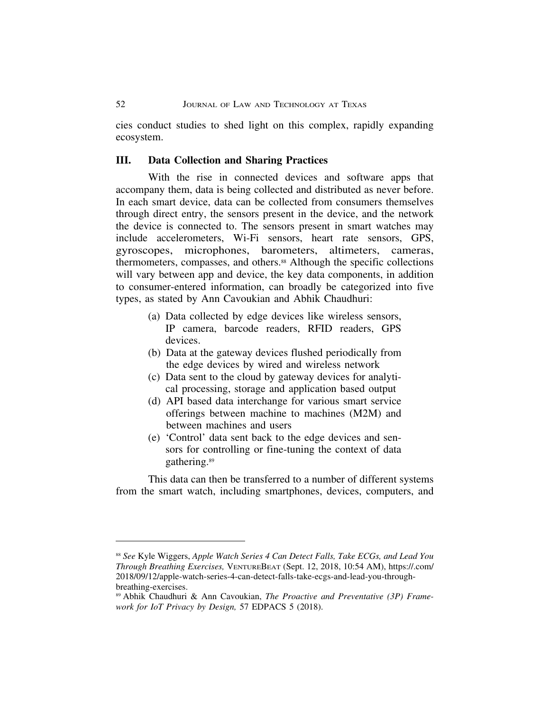cies conduct studies to shed light on this complex, rapidly expanding ecosystem.

## **III. Data Collection and Sharing Practices**

With the rise in connected devices and software apps that accompany them, data is being collected and distributed as never before. In each smart device, data can be collected from consumers themselves through direct entry, the sensors present in the device, and the network the device is connected to. The sensors present in smart watches may include accelerometers, Wi-Fi sensors, heart rate sensors, GPS, gyroscopes, microphones, barometers, altimeters, cameras, thermometers, compasses, and others.88 Although the specific collections will vary between app and device, the key data components, in addition to consumer-entered information, can broadly be categorized into five types, as stated by Ann Cavoukian and Abhik Chaudhuri:

- (a) Data collected by edge devices like wireless sensors, IP camera, barcode readers, RFID readers, GPS devices.
- (b) Data at the gateway devices flushed periodically from the edge devices by wired and wireless network
- (c) Data sent to the cloud by gateway devices for analytical processing, storage and application based output
- (d) API based data interchange for various smart service offerings between machine to machines (M2M) and between machines and users
- (e) 'Control' data sent back to the edge devices and sensors for controlling or fine-tuning the context of data gathering.89

This data can then be transferred to a number of different systems from the smart watch, including smartphones, devices, computers, and

<sup>88</sup> *See* Kyle Wiggers, *Apple Watch Series 4 Can Detect Falls, Take ECGs, and Lead You Through Breathing Exercises,* VENTUREBEAT (Sept. 12, 2018, 10:54 AM), https://.com/ 2018/09/12/apple-watch-series-4-can-detect-falls-take-ecgs-and-lead-you-throughbreathing-exercises.

<sup>89</sup> Abhik Chaudhuri & Ann Cavoukian, *The Proactive and Preventative (3P) Framework for IoT Privacy by Design,* 57 EDPACS 5 (2018).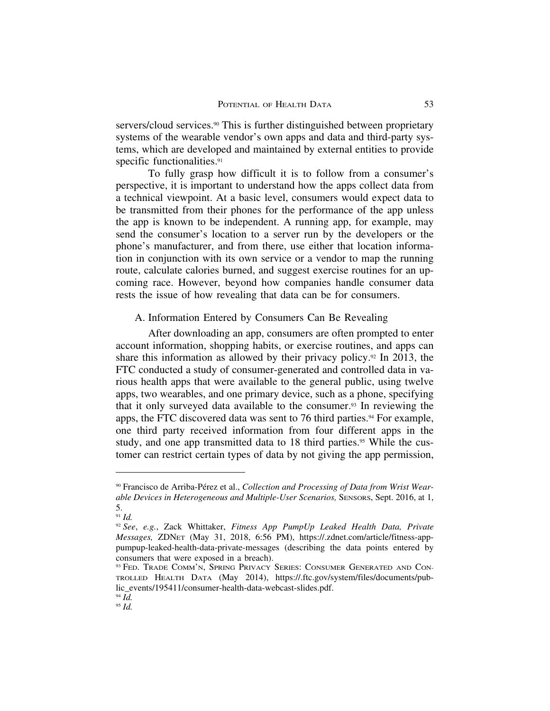servers/cloud services.<sup>90</sup> This is further distinguished between proprietary systems of the wearable vendor's own apps and data and third-party systems, which are developed and maintained by external entities to provide specific functionalities.<sup>91</sup>

To fully grasp how difficult it is to follow from a consumer's perspective, it is important to understand how the apps collect data from a technical viewpoint. At a basic level, consumers would expect data to be transmitted from their phones for the performance of the app unless the app is known to be independent. A running app, for example, may send the consumer's location to a server run by the developers or the phone's manufacturer, and from there, use either that location information in conjunction with its own service or a vendor to map the running route, calculate calories burned, and suggest exercise routines for an upcoming race. However, beyond how companies handle consumer data rests the issue of how revealing that data can be for consumers.

#### A. Information Entered by Consumers Can Be Revealing

After downloading an app, consumers are often prompted to enter account information, shopping habits, or exercise routines, and apps can share this information as allowed by their privacy policy.<sup>92</sup> In 2013, the FTC conducted a study of consumer-generated and controlled data in various health apps that were available to the general public, using twelve apps, two wearables, and one primary device, such as a phone, specifying that it only surveyed data available to the consumer.93 In reviewing the apps, the FTC discovered data was sent to 76 third parties.<sup>94</sup> For example, one third party received information from four different apps in the study, and one app transmitted data to 18 third parties.<sup>95</sup> While the customer can restrict certain types of data by not giving the app permission,

<sup>&</sup>lt;sup>90</sup> Francisco de Arriba-Pérez et al., *Collection and Processing of Data from Wrist Wearable Devices in Heterogeneous and Multiple-User Scenarios,* SENSORS, Sept. 2016, at 1, 5.

<sup>91</sup> *Id.*

<sup>92</sup> *See*, *e.g.*, Zack Whittaker, *Fitness App PumpUp Leaked Health Data, Private Messages,* ZDNET (May 31, 2018, 6:56 PM), https://.zdnet.com/article/fitness-apppumpup-leaked-health-data-private-messages (describing the data points entered by consumers that were exposed in a breach).

<sup>93</sup> FED. TRADE COMM'N, SPRING PRIVACY SERIES: CONSUMER GENERATED AND CON-TROLLED HEALTH DATA (May 2014), https://.ftc.gov/system/files/documents/public\_events/195411/consumer-health-data-webcast-slides.pdf.

<sup>94</sup> *Id.*

<sup>95</sup> *Id.*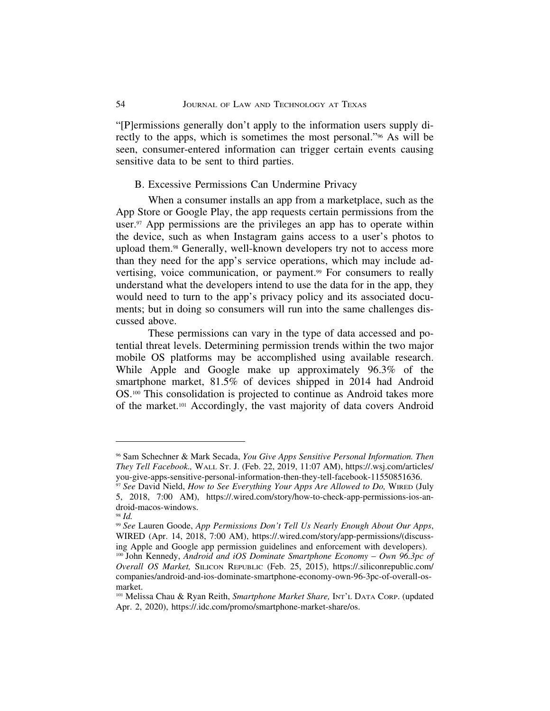"[P]ermissions generally don't apply to the information users supply directly to the apps, which is sometimes the most personal."96 As will be seen, consumer-entered information can trigger certain events causing sensitive data to be sent to third parties.

#### B. Excessive Permissions Can Undermine Privacy

When a consumer installs an app from a marketplace, such as the App Store or Google Play, the app requests certain permissions from the user.<sup>97</sup> App permissions are the privileges an app has to operate within the device, such as when Instagram gains access to a user's photos to upload them.98 Generally, well-known developers try not to access more than they need for the app's service operations, which may include advertising, voice communication, or payment.<sup>99</sup> For consumers to really understand what the developers intend to use the data for in the app, they would need to turn to the app's privacy policy and its associated documents; but in doing so consumers will run into the same challenges discussed above.

These permissions can vary in the type of data accessed and potential threat levels. Determining permission trends within the two major mobile OS platforms may be accomplished using available research. While Apple and Google make up approximately 96.3% of the smartphone market, 81.5% of devices shipped in 2014 had Android OS.100 This consolidation is projected to continue as Android takes more of the market.101 Accordingly, the vast majority of data covers Android

<sup>96</sup> Sam Schechner & Mark Secada, *You Give Apps Sensitive Personal Information. Then They Tell Facebook.,* WALL ST. J. (Feb. 22, 2019, 11:07 AM), https://.wsj.com/articles/ you-give-apps-sensitive-personal-information-then-they-tell-facebook-11550851636.

<sup>97</sup> *See* David Nield, *How to See Everything Your Apps Are Allowed to Do,* WIRED (July 5, 2018, 7:00 AM), https://.wired.com/story/how-to-check-app-permissions-ios-android-macos-windows.

<sup>98</sup> *Id.*

<sup>99</sup> *See* Lauren Goode, *App Permissions Don't Tell Us Nearly Enough About Our Apps*, WIRED (Apr. 14, 2018, 7:00 AM), https://.wired.com/story/app-permissions/(discussing Apple and Google app permission guidelines and enforcement with developers). <sup>100</sup> John Kennedy, *Android and iOS Dominate Smartphone Economy – Own 96.3pc of Overall OS Market,* SILICON REPUBLIC (Feb. 25, 2015), https://.siliconrepublic.com/ companies/android-and-ios-dominate-smartphone-economy-own-96-3pc-of-overall-osmarket.

<sup>101</sup> Melissa Chau & Ryan Reith, *Smartphone Market Share,* INT'L DATA CORP. (updated Apr. 2, 2020), https://.idc.com/promo/smartphone-market-share/os.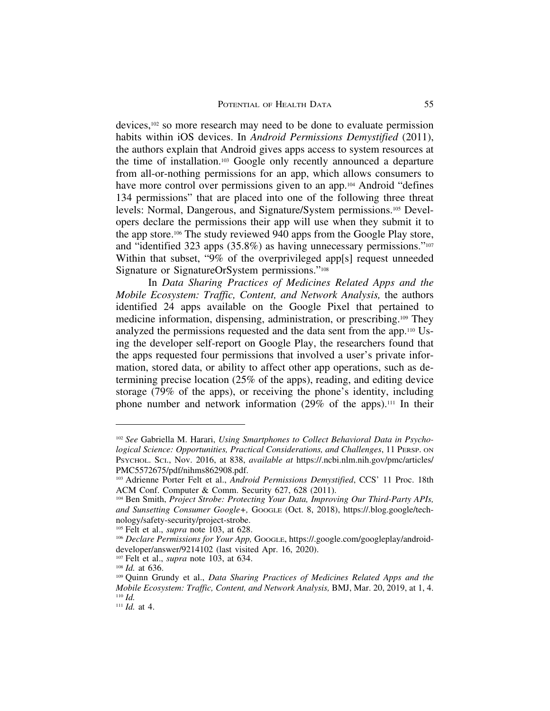devices,102 so more research may need to be done to evaluate permission habits within iOS devices. In *Android Permissions Demystified* (2011), the authors explain that Android gives apps access to system resources at the time of installation.103 Google only recently announced a departure from all-or-nothing permissions for an app, which allows consumers to have more control over permissions given to an app.<sup>104</sup> Android "defines" 134 permissions" that are placed into one of the following three threat levels: Normal, Dangerous, and Signature/System permissions.105 Developers declare the permissions their app will use when they submit it to the app store.106 The study reviewed 940 apps from the Google Play store, and "identified 323 apps (35.8%) as having unnecessary permissions."107 Within that subset, "9% of the overprivileged app[s] request unneeded Signature or SignatureOrSystem permissions."108

In *Data Sharing Practices of Medicines Related Apps and the Mobile Ecosystem: Traffic, Content, and Network Analysis,* the authors identified 24 apps available on the Google Pixel that pertained to medicine information, dispensing, administration, or prescribing.109 They analyzed the permissions requested and the data sent from the app.110 Using the developer self-report on Google Play, the researchers found that the apps requested four permissions that involved a user's private information, stored data, or ability to affect other app operations, such as determining precise location (25% of the apps), reading, and editing device storage (79% of the apps), or receiving the phone's identity, including phone number and network information (29% of the apps).111 In their

<sup>&</sup>lt;sup>102</sup> See Gabriella M. Harari, *Using Smartphones to Collect Behavioral Data in Psychological Science: Opportunities, Practical Considerations, and Challenges*, 11 PERSP. ON PSYCHOL. SCI., Nov. 2016, at 838, *available at* https://.ncbi.nlm.nih.gov/pmc/articles/ PMC5572675/pdf/nihms862908.pdf.

<sup>103</sup> Adrienne Porter Felt et al., *Android Permissions Demystified*, CCS' 11 Proc. 18th ACM Conf. Computer & Comm. Security 627, 628 (2011).

<sup>104</sup> Ben Smith, *Project Strobe: Protecting Your Data, Improving Our Third-Party APIs, and Sunsetting Consumer Google+,* GOOGLE (Oct. 8, 2018), https://.blog.google/technology/safety-security/project-strobe.

<sup>105</sup> Felt et al., *supra* note 103, at 628.

<sup>&</sup>lt;sup>106</sup> *Declare Permissions for Your App, Google, https://.google.com/googleplay/android*developer/answer/9214102 (last visited Apr. 16, 2020).

<sup>107</sup> Felt et al., *supra* note 103, at 634.

<sup>108</sup> *Id.* at 636.

<sup>109</sup> Quinn Grundy et al., *Data Sharing Practices of Medicines Related Apps and the Mobile Ecosystem: Traffic, Content, and Network Analysis,* BMJ, Mar. 20, 2019, at 1, 4. <sup>110</sup> *Id.*

<sup>111</sup> *Id.* at 4.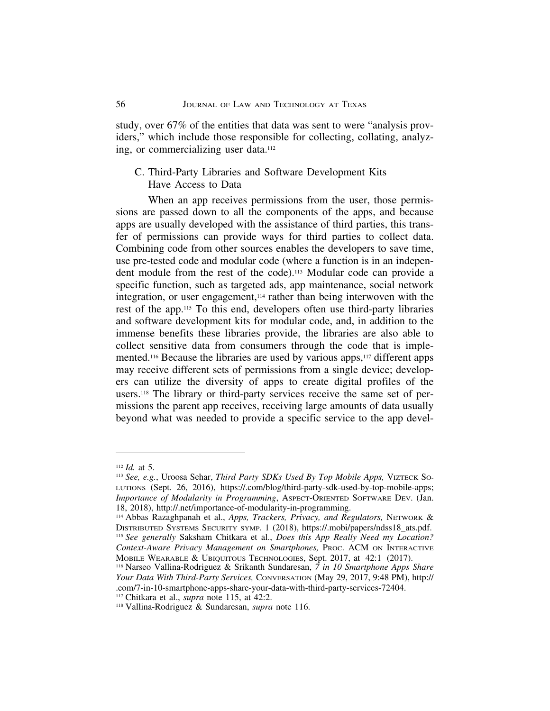study, over 67% of the entities that data was sent to were "analysis providers," which include those responsible for collecting, collating, analyzing, or commercializing user data.112

## C. Third-Party Libraries and Software Development Kits Have Access to Data

When an app receives permissions from the user, those permissions are passed down to all the components of the apps, and because apps are usually developed with the assistance of third parties, this transfer of permissions can provide ways for third parties to collect data. Combining code from other sources enables the developers to save time, use pre-tested code and modular code (where a function is in an independent module from the rest of the code).113 Modular code can provide a specific function, such as targeted ads, app maintenance, social network integration, or user engagement,114 rather than being interwoven with the rest of the app.115 To this end, developers often use third-party libraries and software development kits for modular code, and, in addition to the immense benefits these libraries provide, the libraries are also able to collect sensitive data from consumers through the code that is implemented.116 Because the libraries are used by various apps,117 different apps may receive different sets of permissions from a single device; developers can utilize the diversity of apps to create digital profiles of the users.118 The library or third-party services receive the same set of permissions the parent app receives, receiving large amounts of data usually beyond what was needed to provide a specific service to the app devel-

<sup>112</sup> *Id.* at 5.

<sup>113</sup> *See, e.g.*, Uroosa Sehar, *Third Party SDKs Used By Top Mobile Apps,* VIZTECK SO-LUTIONS (Sept. 26, 2016), https://.com/blog/third-party-sdk-used-by-top-mobile-apps; *Importance of Modularity in Programming*, ASPECT-ORIENTED SOFTWARE DEV. (Jan. 18, 2018), http://.net/importance-of-modularity-in-programming.

<sup>114</sup> Abbas Razaghpanah et al., *Apps, Trackers, Privacy, and Regulators,* NETWORK & DISTRIBUTED SYSTEMS SECURITY SYMP. 1 (2018), https://.mobi/papers/ndss18\_ats.pdf. <sup>115</sup> *See generally* Saksham Chitkara et al., *Does this App Really Need my Location? Context-Aware Privacy Management on Smartphones,* PROC. ACM ON INTERACTIVE MOBILE WEARABLE & UBIQUITOUS TECHNOLOGIES, Sept. 2017, at 42:1 (2017).

<sup>116</sup> Narseo Vallina-Rodriguez & Srikanth Sundaresan, *7 in 10 Smartphone Apps Share Your Data With Third-Party Services,* CONVERSATION (May 29, 2017, 9:48 PM), http:// .com/7-in-10-smartphone-apps-share-your-data-with-third-party-services-72404.

<sup>117</sup> Chitkara et al., *supra* note 115, at 42:2.

<sup>118</sup> Vallina-Rodriguez & Sundaresan, *supra* note 116.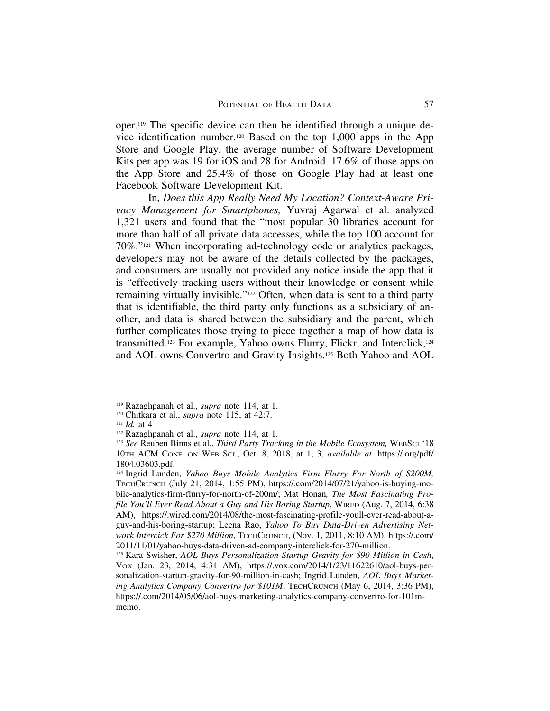oper.119 The specific device can then be identified through a unique device identification number.120 Based on the top 1,000 apps in the App Store and Google Play, the average number of Software Development Kits per app was 19 for iOS and 28 for Android. 17.6% of those apps on the App Store and 25.4% of those on Google Play had at least one Facebook Software Development Kit.

In, *Does this App Really Need My Location? Context-Aware Privacy Management for Smartphones,* Yuvraj Agarwal et al. analyzed 1,321 users and found that the "most popular 30 libraries account for more than half of all private data accesses, while the top 100 account for 70%."121 When incorporating ad-technology code or analytics packages, developers may not be aware of the details collected by the packages, and consumers are usually not provided any notice inside the app that it is "effectively tracking users without their knowledge or consent while remaining virtually invisible."<sup>122</sup> Often, when data is sent to a third party that is identifiable, the third party only functions as a subsidiary of another, and data is shared between the subsidiary and the parent, which further complicates those trying to piece together a map of how data is transmitted.123 For example, Yahoo owns Flurry, Flickr, and Interclick,124 and AOL owns Convertro and Gravity Insights.125 Both Yahoo and AOL

<sup>119</sup> Razaghpanah et al., *supra* note 114, at 1.

<sup>120</sup> Chitkara et al., *supra* note 115, at 42:7.

 $121$  *Id.* at 4

<sup>122</sup> Razaghpanah et al., *supra* note 114, at 1.

<sup>123</sup> *See* Reuben Binns et al., *Third Party Tracking in the Mobile Ecosystem,* WEBSCI '18 10TH ACM CONF. ON WEB SCI., Oct. 8, 2018, at 1, 3, *available at* https://.org/pdf/ 1804.03603.pdf.

<sup>124</sup> Ingrid Lunden, *Yahoo Buys Mobile Analytics Firm Flurry For North of \$200M,* TECHCRUNCH (July 21, 2014, 1:55 PM), https://.com/2014/07/21/yahoo-is-buying-mobile-analytics-firm-flurry-for-north-of-200m/; Mat Honan*, The Most Fascinating Profile You'll Ever Read About a Guy and His Boring Startup*, WIRED (Aug. 7, 2014, 6:38 AM), https://.wired.com/2014/08/the-most-fascinating-profile-youll-ever-read-about-aguy-and-his-boring-startup; Leena Rao, *Yahoo To Buy Data-Driven Advertising Network Intercick For \$270 Million*, TECHCRUNCH, (Nov. 1, 2011, 8:10 AM), https://.com/ 2011/11/01/yahoo-buys-data-driven-ad-company-interclick-for-270-million.

<sup>125</sup> Kara Swisher, *AOL Buys Personalization Startup Gravity for \$90 Million in Cash*, VOX (Jan. 23, 2014, 4:31 AM), https://.vox.com/2014/1/23/11622610/aol-buys-personalization-startup-gravity-for-90-million-in-cash; Ingrid Lunden, *AOL Buys Marketing Analytics Company Convertro for \$101M*, TECHCRUNCH (May 6, 2014, 3:36 PM), https://.com/2014/05/06/aol-buys-marketing-analytics-company-convertro-for-101mmemo.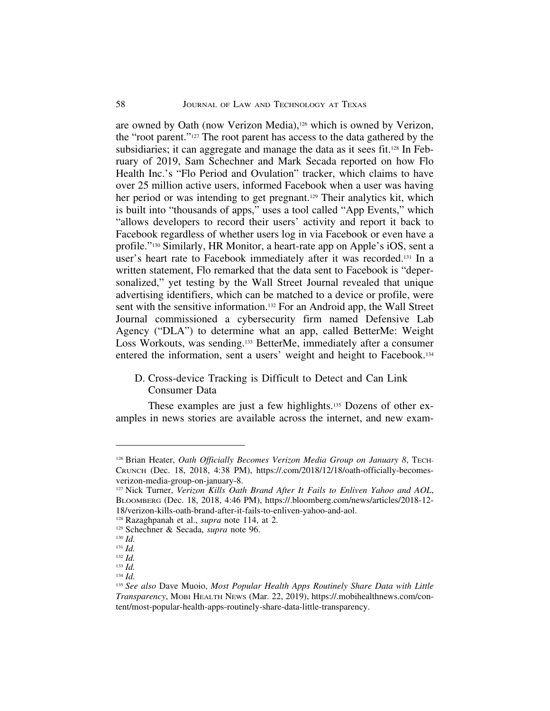are owned by Oath (now Verizon Media),126 which is owned by Verizon, the "root parent."127 The root parent has access to the data gathered by the subsidiaries; it can aggregate and manage the data as it sees fit.128 In February of 2019, Sam Schechner and Mark Secada reported on how Flo Health Inc.'s "Flo Period and Ovulation" tracker, which claims to have over 25 million active users, informed Facebook when a user was having her period or was intending to get pregnant.<sup>129</sup> Their analytics kit, which is built into "thousands of apps," uses a tool called "App Events," which "allows developers to record their users' activity and report it back to Facebook regardless of whether users log in via Facebook or even have a profile."130 Similarly, HR Monitor, a heart-rate app on Apple's iOS, sent a user's heart rate to Facebook immediately after it was recorded.131 In a written statement, Flo remarked that the data sent to Facebook is "depersonalized," yet testing by the Wall Street Journal revealed that unique advertising identifiers, which can be matched to a device or profile, were sent with the sensitive information.132 For an Android app, the Wall Street Journal commissioned a cybersecurity firm named Defensive Lab Agency ("DLA") to determine what an app, called BetterMe: Weight Loss Workouts, was sending.133 BetterMe, immediately after a consumer entered the information, sent a users' weight and height to Facebook.134

## D. Cross-device Tracking is Difficult to Detect and Can Link Consumer Data

These examples are just a few highlights.135 Dozens of other examples in news stories are available across the internet, and new exam-

<sup>&</sup>lt;sup>126</sup> Brian Heater, *Oath Officially Becomes Verizon Media Group on January 8*, Tech-CRUNCH (Dec. 18, 2018, 4:38 PM), https://.com/2018/12/18/oath-officially-becomesverizon-media-group-on-january-8.

<sup>127</sup> Nick Turner, *Verizon Kills Oath Brand After It Fails to Enliven Yahoo and AOL*, BLOOMBERG (Dec. 18, 2018, 4:46 PM), https://.bloomberg.com/news/articles/2018-12- 18/verizon-kills-oath-brand-after-it-fails-to-enliven-yahoo-and-aol.

<sup>128</sup> Razaghpanah et al., *supra* note 114, at 2.

<sup>129</sup> Schechner & Secada, *supra* note 96.

<sup>130</sup> *Id.*

<sup>131</sup> *Id.*

<sup>132</sup> *Id.* <sup>133</sup> *Id.*

<sup>134</sup> *Id.*

<sup>135</sup> *See also* Dave Muoio, *Most Popular Health Apps Routinely Share Data with Little Transparency*, MOBI HEALTH NEWS (Mar. 22, 2019), https://.mobihealthnews.com/content/most-popular-health-apps-routinely-share-data-little-transparency.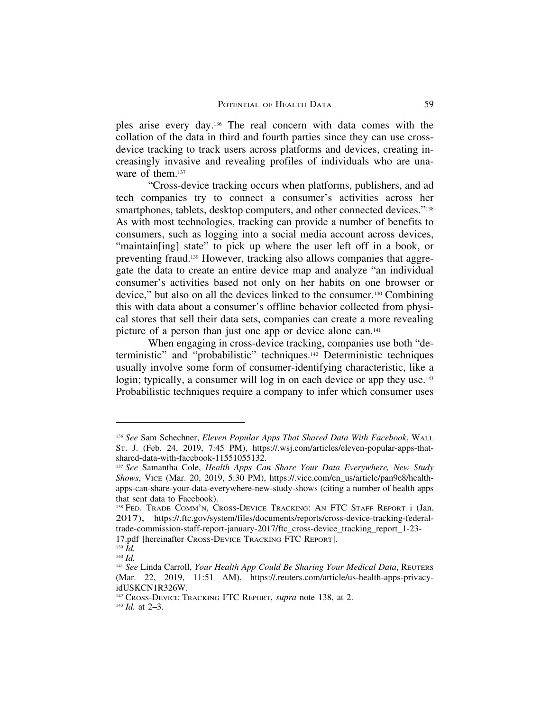ples arise every day.136 The real concern with data comes with the collation of the data in third and fourth parties since they can use crossdevice tracking to track users across platforms and devices, creating increasingly invasive and revealing profiles of individuals who are unaware of them.<sup>137</sup>

"Cross-device tracking occurs when platforms, publishers, and ad tech companies try to connect a consumer's activities across her smartphones, tablets, desktop computers, and other connected devices."<sup>138</sup> As with most technologies, tracking can provide a number of benefits to consumers, such as logging into a social media account across devices, "maintain[ing] state" to pick up where the user left off in a book, or preventing fraud.139 However, tracking also allows companies that aggregate the data to create an entire device map and analyze "an individual consumer's activities based not only on her habits on one browser or device," but also on all the devices linked to the consumer.140 Combining this with data about a consumer's offline behavior collected from physical stores that sell their data sets, companies can create a more revealing picture of a person than just one app or device alone can.141

When engaging in cross-device tracking, companies use both "deterministic" and "probabilistic" techniques.142 Deterministic techniques usually involve some form of consumer-identifying characteristic, like a login; typically, a consumer will log in on each device or app they use.<sup>143</sup> Probabilistic techniques require a company to infer which consumer uses

<sup>136</sup> *See* Sam Schechner, *Eleven Popular Apps That Shared Data With Facebook*, WALL ST. J. (Feb. 24, 2019, 7:45 PM), https://.wsj.com/articles/eleven-popular-apps-thatshared-data-with-facebook-11551055132.

<sup>137</sup> *See* Samantha Cole, *Health Apps Can Share Your Data Everywhere, New Study Shows*, VICE (Mar. 20, 2019, 5:30 PM), https://.vice.com/en\_us/article/pan9e8/healthapps-can-share-your-data-everywhere-new-study-shows (citing a number of health apps that sent data to Facebook).

<sup>138</sup> FED. TRADE COMM'N, CROSS-DEVICE TRACKING: AN FTC STAFF REPORT i (Jan. 2017), https://.ftc.gov/system/files/documents/reports/cross-device-tracking-federaltrade-commission-staff-report-january-2017/ftc\_cross-device\_tracking\_report\_1-23-

<sup>17.</sup>pdf [hereinafter CROSS-DEVICE TRACKING FTC REPORT].

<sup>139</sup> *Id.* <sup>140</sup> *Id.*

<sup>141</sup> *See* Linda Carroll, *Your Health App Could Be Sharing Your Medical Data*, REUTERS (Mar. 22, 2019, 11:51 AM), https://.reuters.com/article/us-health-apps-privacyidUSKCN1R326W.

<sup>142</sup> CROSS-DEVICE TRACKING FTC REPORT, *supra* note 138, at 2.

<sup>143</sup> *Id.* at 2–3.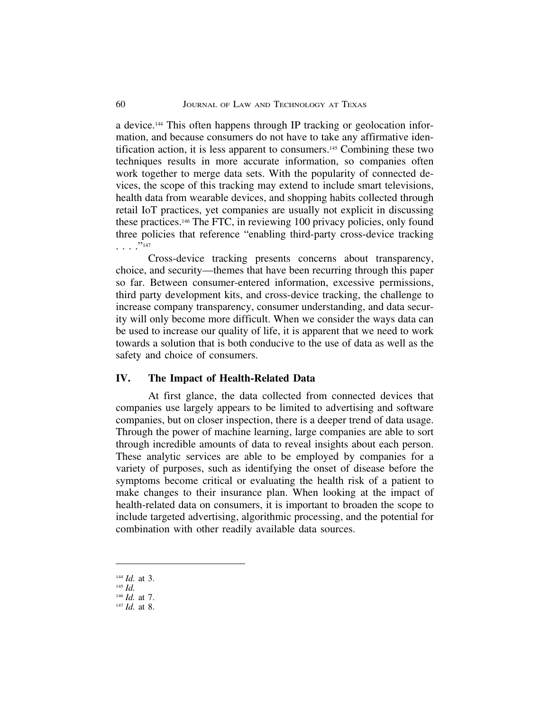a device.144 This often happens through IP tracking or geolocation information, and because consumers do not have to take any affirmative identification action, it is less apparent to consumers.145 Combining these two techniques results in more accurate information, so companies often work together to merge data sets. With the popularity of connected devices, the scope of this tracking may extend to include smart televisions, health data from wearable devices, and shopping habits collected through retail IoT practices, yet companies are usually not explicit in discussing these practices.146 The FTC, in reviewing 100 privacy policies, only found three policies that reference "enabling third-party cross-device tracking . . . ."147

Cross-device tracking presents concerns about transparency, choice, and security—themes that have been recurring through this paper so far. Between consumer-entered information, excessive permissions, third party development kits, and cross-device tracking, the challenge to increase company transparency, consumer understanding, and data security will only become more difficult. When we consider the ways data can be used to increase our quality of life, it is apparent that we need to work towards a solution that is both conducive to the use of data as well as the safety and choice of consumers.

## **IV. The Impact of Health-Related Data**

At first glance, the data collected from connected devices that companies use largely appears to be limited to advertising and software companies, but on closer inspection, there is a deeper trend of data usage. Through the power of machine learning, large companies are able to sort through incredible amounts of data to reveal insights about each person. These analytic services are able to be employed by companies for a variety of purposes, such as identifying the onset of disease before the symptoms become critical or evaluating the health risk of a patient to make changes to their insurance plan. When looking at the impact of health-related data on consumers, it is important to broaden the scope to include targeted advertising, algorithmic processing, and the potential for combination with other readily available data sources.

<sup>144</sup> *Id.* at 3.

<sup>145</sup> *Id.*

<sup>146</sup> *Id.* at 7. <sup>147</sup> *Id.* at 8.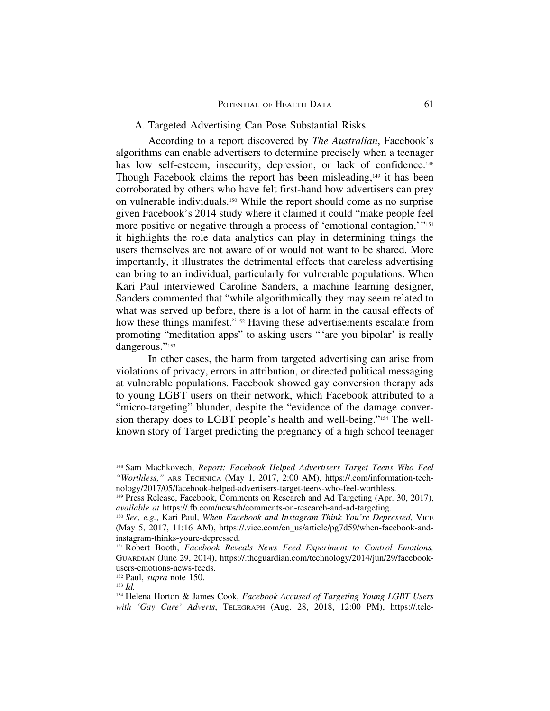## A. Targeted Advertising Can Pose Substantial Risks

According to a report discovered by *The Australian*, Facebook's algorithms can enable advertisers to determine precisely when a teenager has low self-esteem, insecurity, depression, or lack of confidence.<sup>148</sup> Though Facebook claims the report has been misleading,<sup>149</sup> it has been corroborated by others who have felt first-hand how advertisers can prey on vulnerable individuals.150 While the report should come as no surprise given Facebook's 2014 study where it claimed it could "make people feel more positive or negative through a process of 'emotional contagion,'"<sup>151</sup> it highlights the role data analytics can play in determining things the users themselves are not aware of or would not want to be shared. More importantly, it illustrates the detrimental effects that careless advertising can bring to an individual, particularly for vulnerable populations. When Kari Paul interviewed Caroline Sanders, a machine learning designer, Sanders commented that "while algorithmically they may seem related to what was served up before, there is a lot of harm in the causal effects of how these things manifest."<sup>152</sup> Having these advertisements escalate from promoting "meditation apps" to asking users "'are you bipolar' is really dangerous."<sup>153</sup>

In other cases, the harm from targeted advertising can arise from violations of privacy, errors in attribution, or directed political messaging at vulnerable populations. Facebook showed gay conversion therapy ads to young LGBT users on their network, which Facebook attributed to a "micro-targeting" blunder, despite the "evidence of the damage conversion therapy does to LGBT people's health and well-being."154 The wellknown story of Target predicting the pregnancy of a high school teenager

<sup>148</sup> Sam Machkovech, *Report: Facebook Helped Advertisers Target Teens Who Feel "Worthless,"* ARS TECHNICA (May 1, 2017, 2:00 AM), https://.com/information-technology/2017/05/facebook-helped-advertisers-target-teens-who-feel-worthless.

<sup>&</sup>lt;sup>149</sup> Press Release, Facebook, Comments on Research and Ad Targeting (Apr. 30, 2017), *available at* https://.fb.com/news/h/comments-on-research-and-ad-targeting.

<sup>150</sup> *See, e.g.*, Kari Paul, *When Facebook and Instagram Think You're Depressed,* VICE (May 5, 2017, 11:16 AM), https://.vice.com/en\_us/article/pg7d59/when-facebook-andinstagram-thinks-youre-depressed.

<sup>151</sup> Robert Booth, *Facebook Reveals News Feed Experiment to Control Emotions,* GUARDIAN (June 29, 2014), https://.theguardian.com/technology/2014/jun/29/facebookusers-emotions-news-feeds.

<sup>152</sup> Paul, *supra* note 150.

<sup>153</sup> *Id.*

<sup>154</sup> Helena Horton & James Cook, *Facebook Accused of Targeting Young LGBT Users with 'Gay Cure' Adverts*, TELEGRAPH (Aug. 28, 2018, 12:00 PM), https://.tele-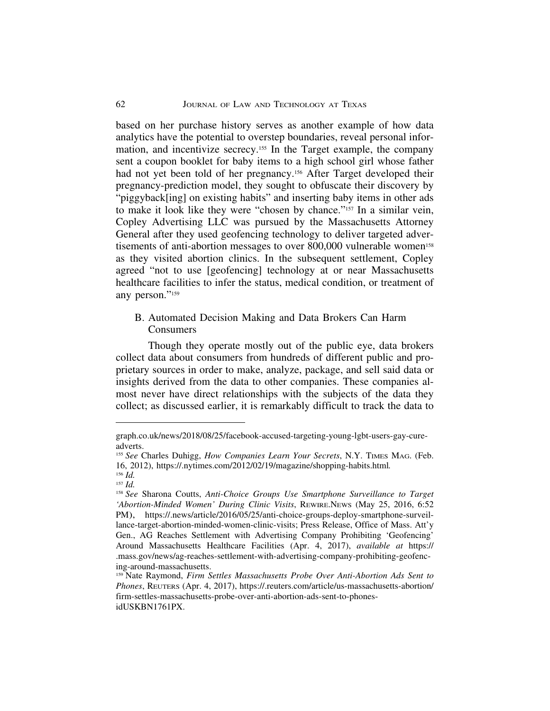based on her purchase history serves as another example of how data analytics have the potential to overstep boundaries, reveal personal information, and incentivize secrecy.155 In the Target example, the company sent a coupon booklet for baby items to a high school girl whose father had not yet been told of her pregnancy.<sup>156</sup> After Target developed their pregnancy-prediction model, they sought to obfuscate their discovery by "piggyback[ing] on existing habits" and inserting baby items in other ads to make it look like they were "chosen by chance."157 In a similar vein, Copley Advertising LLC was pursued by the Massachusetts Attorney General after they used geofencing technology to deliver targeted advertisements of anti-abortion messages to over 800,000 vulnerable women<sup>158</sup> as they visited abortion clinics. In the subsequent settlement, Copley agreed "not to use [geofencing] technology at or near Massachusetts healthcare facilities to infer the status, medical condition, or treatment of any person."159

## B. Automated Decision Making and Data Brokers Can Harm Consumers

Though they operate mostly out of the public eye, data brokers collect data about consumers from hundreds of different public and proprietary sources in order to make, analyze, package, and sell said data or insights derived from the data to other companies. These companies almost never have direct relationships with the subjects of the data they collect; as discussed earlier, it is remarkably difficult to track the data to

graph.co.uk/news/2018/08/25/facebook-accused-targeting-young-lgbt-users-gay-cureadverts.

<sup>155</sup> *See* Charles Duhigg, *How Companies Learn Your Secrets*, N.Y. TIMES MAG. (Feb. 16, 2012), https://.nytimes.com/2012/02/19/magazine/shopping-habits.html*.*

<sup>156</sup> *Id.* <sup>157</sup> *Id.*

<sup>158</sup> *See* Sharona Coutts, *Anti-Choice Groups Use Smartphone Surveillance to Target 'Abortion-Minded Women' During Clinic Visits*, REWIRE.NEWS (May 25, 2016, 6:52 PM), https://.news/article/2016/05/25/anti-choice-groups-deploy-smartphone-surveillance-target-abortion-minded-women-clinic-visits; Press Release, Office of Mass. Att'y Gen., AG Reaches Settlement with Advertising Company Prohibiting 'Geofencing' Around Massachusetts Healthcare Facilities (Apr. 4, 2017), *available at* https:// .mass.gov/news/ag-reaches-settlement-with-advertising-company-prohibiting-geofencing-around-massachusetts.

<sup>159</sup> Nate Raymond, *Firm Settles Massachusetts Probe Over Anti-Abortion Ads Sent to Phones*, REUTERS (Apr. 4, 2017), https://.reuters.com/article/us-massachusetts-abortion/ firm-settles-massachusetts-probe-over-anti-abortion-ads-sent-to-phonesidUSKBN1761PX.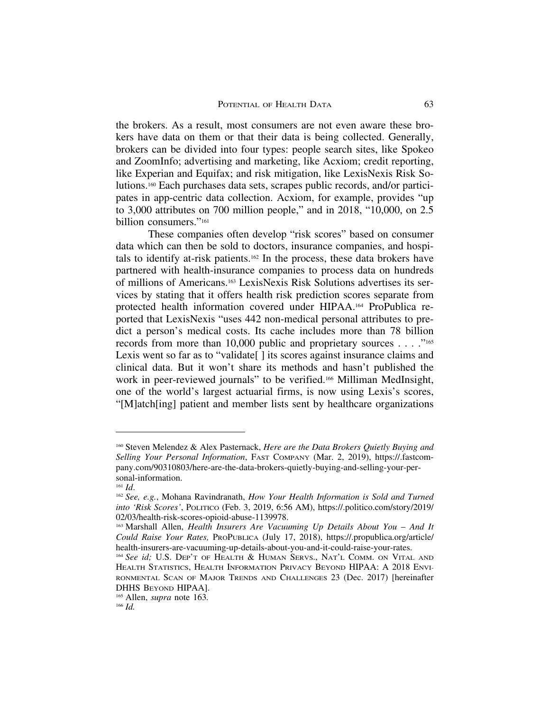the brokers. As a result, most consumers are not even aware these brokers have data on them or that their data is being collected. Generally, brokers can be divided into four types: people search sites, like Spokeo and ZoomInfo; advertising and marketing, like Acxiom; credit reporting, like Experian and Equifax; and risk mitigation, like LexisNexis Risk Solutions.160 Each purchases data sets, scrapes public records, and/or participates in app-centric data collection. Acxiom, for example, provides "up to 3,000 attributes on 700 million people," and in 2018, "10,000, on 2.5 billion consumers."161

These companies often develop "risk scores" based on consumer data which can then be sold to doctors, insurance companies, and hospitals to identify at-risk patients.162 In the process, these data brokers have partnered with health-insurance companies to process data on hundreds of millions of Americans.163 LexisNexis Risk Solutions advertises its services by stating that it offers health risk prediction scores separate from protected health information covered under HIPAA.164 ProPublica reported that LexisNexis "uses 442 non-medical personal attributes to predict a person's medical costs. Its cache includes more than 78 billion records from more than 10,000 public and proprietary sources . . . ."165 Lexis went so far as to "validate[] its scores against insurance claims and clinical data. But it won't share its methods and hasn't published the work in peer-reviewed journals" to be verified.<sup>166</sup> Milliman MedInsight, one of the world's largest actuarial firms, is now using Lexis's scores, "[M]atch[ing] patient and member lists sent by healthcare organizations

<sup>160</sup> Steven Melendez & Alex Pasternack, *Here are the Data Brokers Quietly Buying and Selling Your Personal Information*, FAST COMPANY (Mar. 2, 2019), https://.fastcompany.com/90310803/here-are-the-data-brokers-quietly-buying-and-selling-your-personal-information.

<sup>161</sup> *Id*.

<sup>162</sup> *See, e.g.*, Mohana Ravindranath, *How Your Health Information is Sold and Turned into 'Risk Scores'*, POLITICO (Feb. 3, 2019, 6:56 AM), https://.politico.com/story/2019/ 02/03/health-risk-scores-opioid-abuse-1139978.

<sup>&</sup>lt;sup>163</sup> Marshall Allen, *Health Insurers Are Vacuuming Up Details About You – And It Could Raise Your Rates,* PROPUBLICA (July 17, 2018), https://.propublica.org/article/ health-insurers-are-vacuuming-up-details-about-you-and-it-could-raise-your-rates.

<sup>164</sup> *See id;* U.S. DEP'T OF HEALTH & HUMAN SERVS., NAT'L COMM. ON VITAL AND HEALTH STATISTICS, HEALTH INFORMATION PRIVACY BEYOND HIPAA: A 2018 ENVI-RONMENTAL SCAN OF MAJOR TRENDS AND CHALLENGES 23 (Dec. 2017) [hereinafter DHHS BEYOND HIPAA].

<sup>165</sup> Allen, *supra* note 163*.*

<sup>166</sup> *Id.*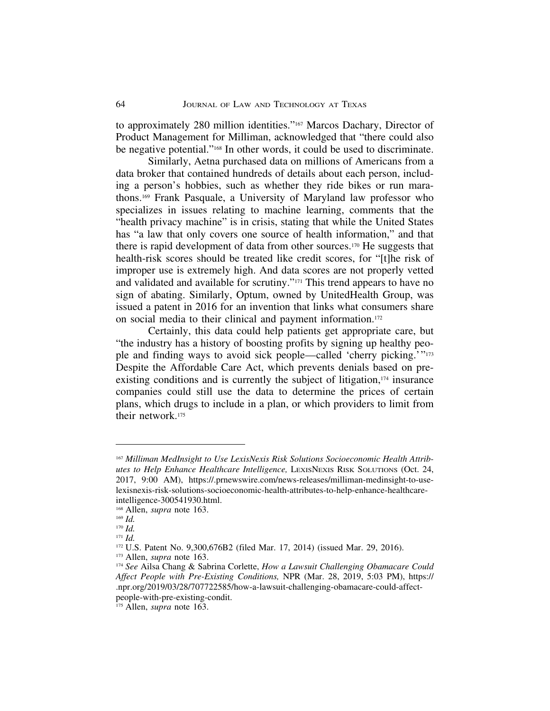to approximately 280 million identities."167 Marcos Dachary, Director of Product Management for Milliman, acknowledged that "there could also be negative potential."168 In other words, it could be used to discriminate.

Similarly, Aetna purchased data on millions of Americans from a data broker that contained hundreds of details about each person, including a person's hobbies, such as whether they ride bikes or run marathons.169 Frank Pasquale, a University of Maryland law professor who specializes in issues relating to machine learning, comments that the "health privacy machine" is in crisis, stating that while the United States has "a law that only covers one source of health information," and that there is rapid development of data from other sources.170 He suggests that health-risk scores should be treated like credit scores, for "[t]he risk of improper use is extremely high. And data scores are not properly vetted and validated and available for scrutiny."171 This trend appears to have no sign of abating. Similarly, Optum, owned by UnitedHealth Group, was issued a patent in 2016 for an invention that links what consumers share on social media to their clinical and payment information.172

Certainly, this data could help patients get appropriate care, but "the industry has a history of boosting profits by signing up healthy people and finding ways to avoid sick people—called 'cherry picking.'"173 Despite the Affordable Care Act, which prevents denials based on preexisting conditions and is currently the subject of litigation,<sup>174</sup> insurance companies could still use the data to determine the prices of certain plans, which drugs to include in a plan, or which providers to limit from their network.175

<sup>167</sup> *Milliman MedInsight to Use LexisNexis Risk Solutions Socioeconomic Health Attributes to Help Enhance Healthcare Intelligence,* LEXISNEXIS RISK SOLUTIONS (Oct. 24, 2017, 9:00 AM), https://.prnewswire.com/news-releases/milliman-medinsight-to-uselexisnexis-risk-solutions-socioeconomic-health-attributes-to-help-enhance-healthcareintelligence-300541930.html.

<sup>168</sup> Allen, *supra* note 163.

<sup>169</sup> *Id.*

<sup>170</sup> *Id.*

<sup>171</sup> *Id.*

<sup>172</sup> U.S. Patent No. 9,300,676B2 (filed Mar. 17, 2014) (issued Mar. 29, 2016).

<sup>173</sup> Allen, *supra* note 163.

<sup>174</sup> *See* Ailsa Chang & Sabrina Corlette, *How a Lawsuit Challenging Obamacare Could Affect People with Pre-Existing Conditions,* NPR (Mar. 28, 2019, 5:03 PM), https:// .npr.org/2019/03/28/707722585/how-a-lawsuit-challenging-obamacare-could-affectpeople-with-pre-existing-condit.

<sup>175</sup> Allen, *supra* note 163.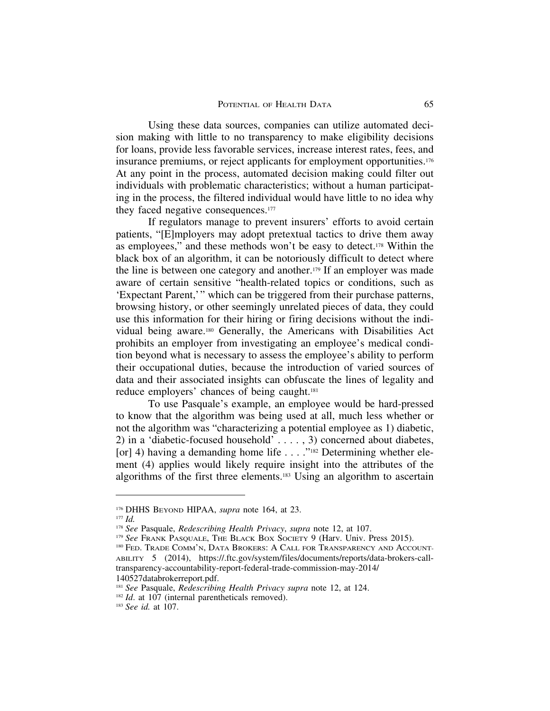Using these data sources, companies can utilize automated decision making with little to no transparency to make eligibility decisions for loans, provide less favorable services, increase interest rates, fees, and insurance premiums, or reject applicants for employment opportunities.176 At any point in the process, automated decision making could filter out individuals with problematic characteristics; without a human participating in the process, the filtered individual would have little to no idea why they faced negative consequences.<sup>177</sup>

If regulators manage to prevent insurers' efforts to avoid certain patients, "[E]mployers may adopt pretextual tactics to drive them away as employees," and these methods won't be easy to detect.178 Within the black box of an algorithm, it can be notoriously difficult to detect where the line is between one category and another.179 If an employer was made aware of certain sensitive "health-related topics or conditions, such as 'Expectant Parent,'" which can be triggered from their purchase patterns, browsing history, or other seemingly unrelated pieces of data, they could use this information for their hiring or firing decisions without the individual being aware.180 Generally, the Americans with Disabilities Act prohibits an employer from investigating an employee's medical condition beyond what is necessary to assess the employee's ability to perform their occupational duties, because the introduction of varied sources of data and their associated insights can obfuscate the lines of legality and reduce employers' chances of being caught.181

To use Pasquale's example, an employee would be hard-pressed to know that the algorithm was being used at all, much less whether or not the algorithm was "characterizing a potential employee as 1) diabetic, 2) in a 'diabetic-focused household' . . . . , 3) concerned about diabetes, [or] 4) having a demanding home life  $\dots$  ."<sup>182</sup> Determining whether element (4) applies would likely require insight into the attributes of the algorithms of the first three elements.183 Using an algorithm to ascertain

<sup>181</sup> *See* Pasquale, *Redescribing Health Privacy supra* note 12, at 124.

<sup>176</sup> DHHS BEYOND HIPAA, *supra* note 164, at 23.

<sup>177</sup> *Id.*

<sup>178</sup> *See* Pasquale, *Redescribing Health Privacy*, *supra* note 12, at 107.

<sup>&</sup>lt;sup>179</sup> See FRANK PASQUALE, THE BLACK BOX SOCIETY 9 (Harv. Univ. Press 2015).

<sup>&</sup>lt;sup>180</sup> FED. TRADE COMM'N, DATA BROKERS: A CALL FOR TRANSPARENCY AND ACCOUNT-ABILITY 5 (2014), https://.ftc.gov/system/files/documents/reports/data-brokers-calltransparency-accountability-report-federal-trade-commission-may-2014/ 140527databrokerreport.pdf.

<sup>&</sup>lt;sup>182</sup> *Id.* at 107 (internal parentheticals removed).

<sup>183</sup> *See id.* at 107.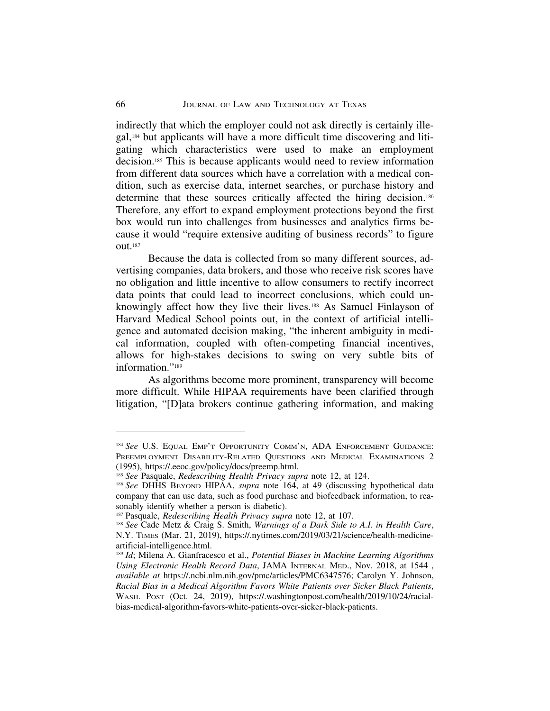indirectly that which the employer could not ask directly is certainly illegal,184 but applicants will have a more difficult time discovering and litigating which characteristics were used to make an employment decision.185 This is because applicants would need to review information from different data sources which have a correlation with a medical condition, such as exercise data, internet searches, or purchase history and determine that these sources critically affected the hiring decision.186 Therefore, any effort to expand employment protections beyond the first box would run into challenges from businesses and analytics firms because it would "require extensive auditing of business records" to figure out.187

Because the data is collected from so many different sources, advertising companies, data brokers, and those who receive risk scores have no obligation and little incentive to allow consumers to rectify incorrect data points that could lead to incorrect conclusions, which could unknowingly affect how they live their lives.188 As Samuel Finlayson of Harvard Medical School points out, in the context of artificial intelligence and automated decision making, "the inherent ambiguity in medical information, coupled with often-competing financial incentives, allows for high-stakes decisions to swing on very subtle bits of information."<sup>189</sup>

As algorithms become more prominent, transparency will become more difficult. While HIPAA requirements have been clarified through litigation, "[D]ata brokers continue gathering information, and making

<sup>184</sup> *See* U.S. EQUAL EMP'T OPPORTUNITY COMM'N, ADA ENFORCEMENT GUIDANCE: PREEMPLOYMENT DISABILITY-RELATED QUESTIONS AND MEDICAL EXAMINATIONS 2 (1995), https://.eeoc.gov/policy/docs/preemp.html.

<sup>185</sup> *See* Pasquale, *Redescribing Health Privacy supra* note 12, at 124.

<sup>186</sup> *See* DHHS BEYOND HIPAA, *supra* note 164, at 49 (discussing hypothetical data company that can use data, such as food purchase and biofeedback information, to reasonably identify whether a person is diabetic).

<sup>187</sup> Pasquale, *Redescribing Health Privacy supra* note 12, at 107*.*

<sup>188</sup> *See* Cade Metz & Craig S. Smith, *Warnings of a Dark Side to A.I. in Health Care*, N.Y. TIMES (Mar. 21, 2019), https://.nytimes.com/2019/03/21/science/health-medicineartificial-intelligence.html.

<sup>189</sup> *Id*; Milena A. Gianfracesco et al., *Potential Biases in Machine Learning Algorithms Using Electronic Health Record Data*, JAMA INTERNAL MED., Nov. 2018, at 1544 , *available at* https://.ncbi.nlm.nih.gov/pmc/articles/PMC6347576; Carolyn Y. Johnson, *Racial Bias in a Medical Algorithm Favors White Patients over Sicker Black Patients*, WASH. POST (Oct. 24, 2019), https://.washingtonpost.com/health/2019/10/24/racialbias-medical-algorithm-favors-white-patients-over-sicker-black-patients.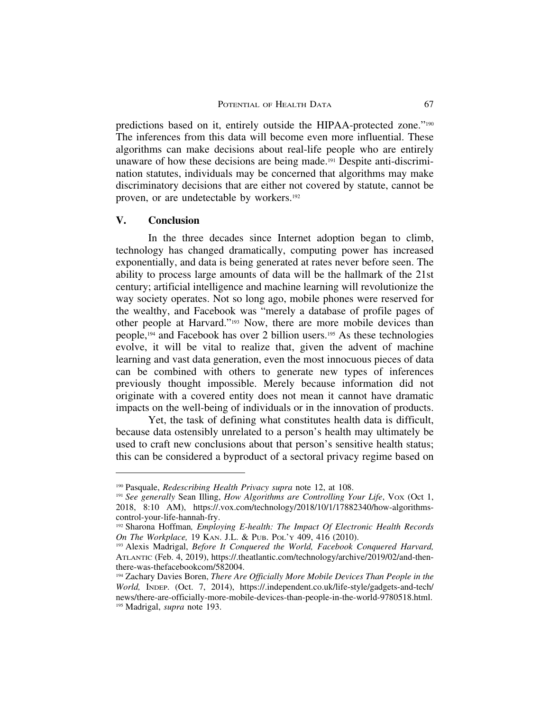predictions based on it, entirely outside the HIPAA-protected zone."190 The inferences from this data will become even more influential. These algorithms can make decisions about real-life people who are entirely unaware of how these decisions are being made.191 Despite anti-discrimination statutes, individuals may be concerned that algorithms may make discriminatory decisions that are either not covered by statute, cannot be proven, or are undetectable by workers.192

#### **V. Conclusion**

In the three decades since Internet adoption began to climb, technology has changed dramatically, computing power has increased exponentially, and data is being generated at rates never before seen. The ability to process large amounts of data will be the hallmark of the 21st century; artificial intelligence and machine learning will revolutionize the way society operates. Not so long ago, mobile phones were reserved for the wealthy, and Facebook was "merely a database of profile pages of other people at Harvard."193 Now, there are more mobile devices than people,194 and Facebook has over 2 billion users.195 As these technologies evolve, it will be vital to realize that, given the advent of machine learning and vast data generation, even the most innocuous pieces of data can be combined with others to generate new types of inferences previously thought impossible. Merely because information did not originate with a covered entity does not mean it cannot have dramatic impacts on the well-being of individuals or in the innovation of products.

Yet, the task of defining what constitutes health data is difficult, because data ostensibly unrelated to a person's health may ultimately be used to craft new conclusions about that person's sensitive health status; this can be considered a byproduct of a sectoral privacy regime based on

<sup>190</sup> Pasquale, *Redescribing Health Privacy supra* note 12, at 108.

<sup>&</sup>lt;sup>191</sup> See generally Sean Illing, *How Algorithms are Controlling Your Life*, Vox (Oct 1, 2018, 8:10 AM), https://.vox.com/technology/2018/10/1/17882340/how-algorithmscontrol-your-life-hannah-fry.

<sup>192</sup> Sharona Hoffman*, Employing E-health: The Impact Of Electronic Health Records On The Workplace,* 19 KAN. J.L. & PUB. POL'Y 409, 416 (2010).

<sup>193</sup> Alexis Madrigal, *Before It Conquered the World, Facebook Conquered Harvard,* ATLANTIC (Feb. 4, 2019), https://.theatlantic.com/technology/archive/2019/02/and-thenthere-was-thefacebookcom/582004.

<sup>&</sup>lt;sup>194</sup> Zachary Davies Boren, *There Are Officially More Mobile Devices Than People in the World,* INDEP. (Oct. 7, 2014), https://.independent.co.uk/life-style/gadgets-and-tech/ news/there-are-officially-more-mobile-devices-than-people-in-the-world-9780518.html. <sup>195</sup> Madrigal, *supra* note 193.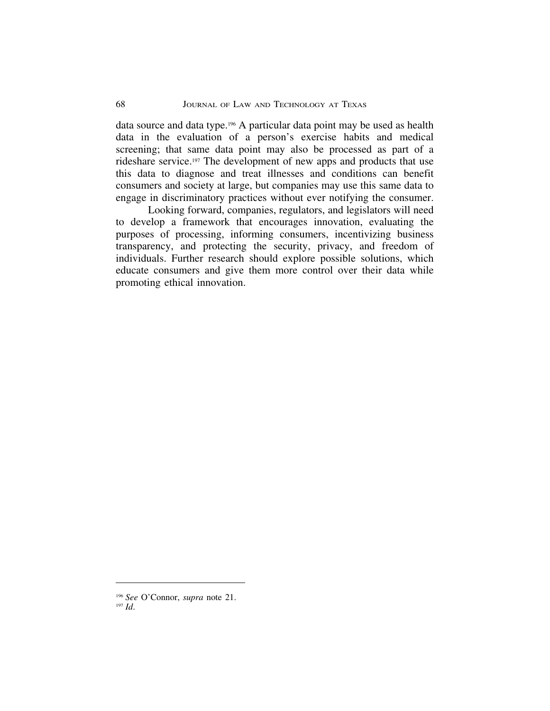data source and data type.196 A particular data point may be used as health data in the evaluation of a person's exercise habits and medical screening; that same data point may also be processed as part of a rideshare service.197 The development of new apps and products that use this data to diagnose and treat illnesses and conditions can benefit consumers and society at large, but companies may use this same data to engage in discriminatory practices without ever notifying the consumer.

Looking forward, companies, regulators, and legislators will need to develop a framework that encourages innovation, evaluating the purposes of processing, informing consumers, incentivizing business transparency, and protecting the security, privacy, and freedom of individuals. Further research should explore possible solutions, which educate consumers and give them more control over their data while promoting ethical innovation.

<sup>196</sup> *See* O'Connor, *supra* note 21. <sup>197</sup> *Id*.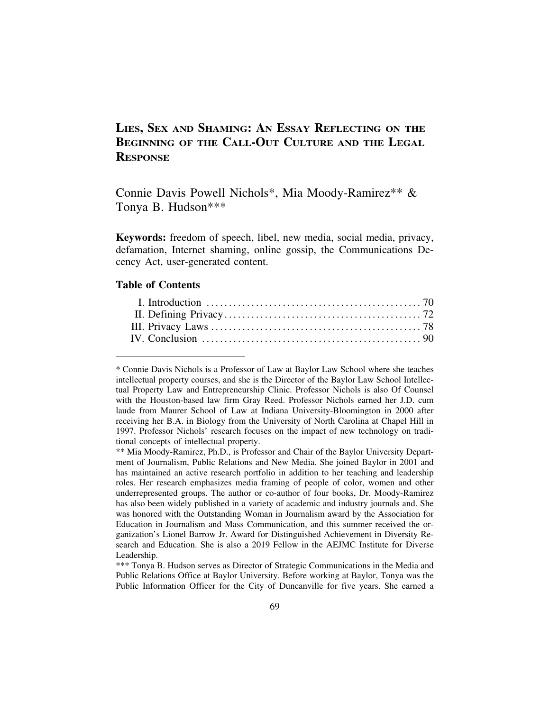# **LIES, SEX AND SHAMING: AN ESSAY REFLECTING ON THE BEGINNING OF THE CALL-OUT CULTURE AND THE LEGAL RESPONSE**

Connie Davis Powell Nichols\*, Mia Moody-Ramirez\*\* & Tonya B. Hudson\*\*\*

**Keywords:** freedom of speech, libel, new media, social media, privacy, defamation, Internet shaming, online gossip, the Communications Decency Act, user-generated content.

#### **Table of Contents**

<sup>\*</sup> Connie Davis Nichols is a Professor of Law at Baylor Law School where she teaches intellectual property courses, and she is the Director of the Baylor Law School Intellectual Property Law and Entrepreneurship Clinic. Professor Nichols is also Of Counsel with the Houston-based law firm Gray Reed. Professor Nichols earned her J.D. cum laude from Maurer School of Law at Indiana University-Bloomington in 2000 after receiving her B.A. in Biology from the University of North Carolina at Chapel Hill in 1997. Professor Nichols' research focuses on the impact of new technology on traditional concepts of intellectual property.

<sup>\*\*</sup> Mia Moody-Ramirez, Ph.D., is Professor and Chair of the Baylor University Department of Journalism, Public Relations and New Media. She joined Baylor in 2001 and has maintained an active research portfolio in addition to her teaching and leadership roles. Her research emphasizes media framing of people of color, women and other underrepresented groups. The author or co-author of four books, Dr. Moody-Ramirez has also been widely published in a variety of academic and industry journals and. She was honored with the Outstanding Woman in Journalism award by the Association for Education in Journalism and Mass Communication, and this summer received the organization's Lionel Barrow Jr. Award for Distinguished Achievement in Diversity Research and Education. She is also a 2019 Fellow in the AEJMC Institute for Diverse Leadership.

<sup>\*\*\*</sup> Tonya B. Hudson serves as Director of Strategic Communications in the Media and Public Relations Office at Baylor University. Before working at Baylor, Tonya was the Public Information Officer for the City of Duncanville for five years. She earned a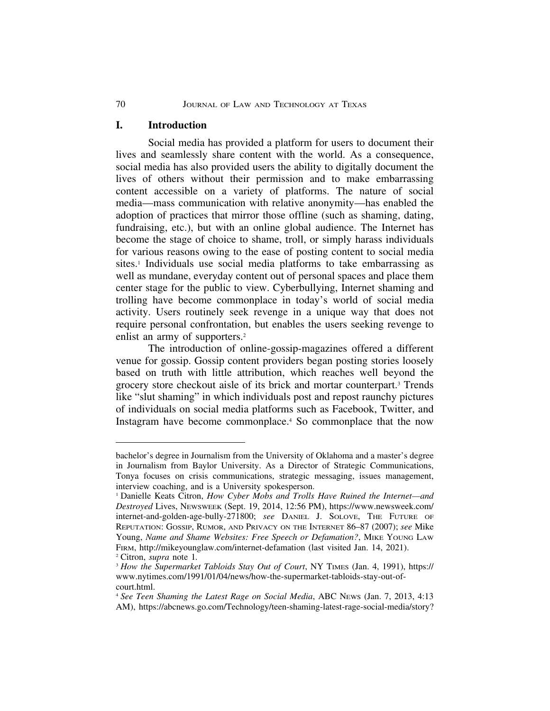### **I. Introduction**

Social media has provided a platform for users to document their lives and seamlessly share content with the world. As a consequence, social media has also provided users the ability to digitally document the lives of others without their permission and to make embarrassing content accessible on a variety of platforms. The nature of social media—mass communication with relative anonymity—has enabled the adoption of practices that mirror those offline (such as shaming, dating, fundraising, etc.), but with an online global audience. The Internet has become the stage of choice to shame, troll, or simply harass individuals for various reasons owing to the ease of posting content to social media sites.<sup>1</sup> Individuals use social media platforms to take embarrassing as well as mundane, everyday content out of personal spaces and place them center stage for the public to view. Cyberbullying, Internet shaming and trolling have become commonplace in today's world of social media activity. Users routinely seek revenge in a unique way that does not require personal confrontation, but enables the users seeking revenge to enlist an army of supporters.<sup>2</sup>

The introduction of online-gossip-magazines offered a different venue for gossip. Gossip content providers began posting stories loosely based on truth with little attribution, which reaches well beyond the grocery store checkout aisle of its brick and mortar counterpart.3 Trends like "slut shaming" in which individuals post and repost raunchy pictures of individuals on social media platforms such as Facebook, Twitter, and Instagram have become commonplace.4 So commonplace that the now

bachelor's degree in Journalism from the University of Oklahoma and a master's degree in Journalism from Baylor University. As a Director of Strategic Communications, Tonya focuses on crisis communications, strategic messaging, issues management, interview coaching, and is a University spokesperson.

<sup>1</sup> Danielle Keats Citron, *How Cyber Mobs and Trolls Have Ruined the Internet—and Destroyed* Lives, NEWSWEEK (Sept. 19, 2014, 12:56 PM), https://www.newsweek.com/ internet-and-golden-age-bully-271800; *see* DANIEL J. SOLOVE, THE FUTURE OF REPUTATION: GOSSIP, RUMOR, AND PRIVACY ON THE INTERNET 86–87 (2007); *see* Mike Young, *Name and Shame Websites: Free Speech or Defamation?*, MIKE YOUNG LAW FIRM, http://mikeyounglaw.com/internet-defamation (last visited Jan. 14, 2021). <sup>2</sup> Citron, *supra* note 1*.*

<sup>3</sup> *How the Supermarket Tabloids Stay Out of Court*, NY TIMES (Jan. 4, 1991), https:// www.nytimes.com/1991/01/04/news/how-the-supermarket-tabloids-stay-out-ofcourt.html.

<sup>4</sup> *See Teen Shaming the Latest Rage on Social Media*, ABC NEWS (Jan. 7, 2013, 4:13 AM), https://abcnews.go.com/Technology/teen-shaming-latest-rage-social-media/story?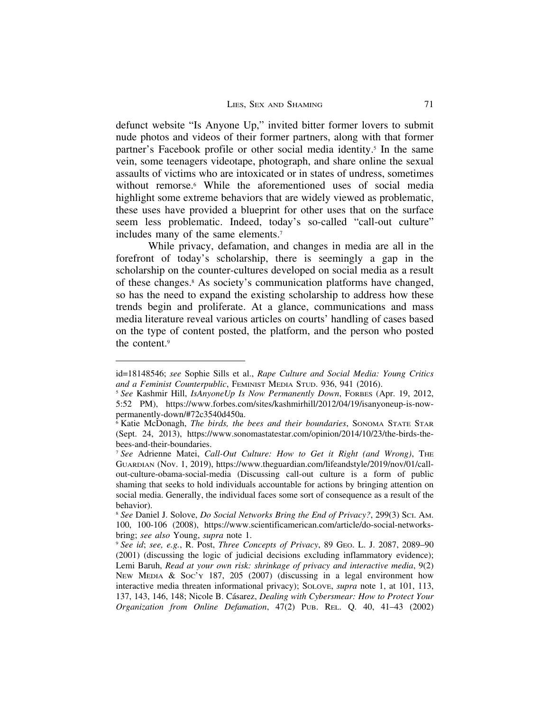defunct website "Is Anyone Up," invited bitter former lovers to submit nude photos and videos of their former partners, along with that former partner's Facebook profile or other social media identity.<sup>5</sup> In the same vein, some teenagers videotape, photograph, and share online the sexual assaults of victims who are intoxicated or in states of undress, sometimes without remorse.<sup>6</sup> While the aforementioned uses of social media highlight some extreme behaviors that are widely viewed as problematic, these uses have provided a blueprint for other uses that on the surface seem less problematic. Indeed, today's so-called "call-out culture" includes many of the same elements.7

While privacy, defamation, and changes in media are all in the forefront of today's scholarship, there is seemingly a gap in the scholarship on the counter-cultures developed on social media as a result of these changes.8 As society's communication platforms have changed, so has the need to expand the existing scholarship to address how these trends begin and proliferate. At a glance, communications and mass media literature reveal various articles on courts' handling of cases based on the type of content posted, the platform, and the person who posted the content.9

id=18148546; *see* Sophie Sills et al., *Rape Culture and Social Media: Young Critics and a Feminist Counterpublic*, FEMINIST MEDIA STUD. 936, 941 (2016).

<sup>5</sup> *See* Kashmir Hill, *IsAnyoneUp Is Now Permanently Down*, FORBES (Apr. 19, 2012, 5:52 PM), https://www.forbes.com/sites/kashmirhill/2012/04/19/isanyoneup-is-nowpermanently-down/#72c3540d450a.

<sup>6</sup> Katie McDonagh, *The birds, the bees and their boundaries*, SONOMA STATE STAR (Sept. 24, 2013), https://www.sonomastatestar.com/opinion/2014/10/23/the-birds-thebees-and-their-boundaries.

<sup>&</sup>lt;sup>7</sup> See Adrienne Matei, Call-Out Culture: How to Get it Right (and Wrong), THE GUARDIAN (Nov. 1, 2019), https://www.theguardian.com/lifeandstyle/2019/nov/01/callout-culture-obama-social-media (Discussing call-out culture is a form of public shaming that seeks to hold individuals accountable for actions by bringing attention on social media. Generally, the individual faces some sort of consequence as a result of the behavior).

<sup>8</sup> *See* Daniel J. Solove, *Do Social Networks Bring the End of Privacy?*, 299(3) SCI. AM. 100, 100-106 (2008), https://www.scientificamerican.com/article/do-social-networksbring; *see also* Young, *supra* note 1.

<sup>9</sup> *See id*; *see, e.g.*, R. Post, *Three Concepts of Privacy*, 89 GEO. L. J. 2087, 2089–90 (2001) (discussing the logic of judicial decisions excluding inflammatory evidence); Lemi Baruh, *Read at your own risk: shrinkage of privacy and interactive media*, 9(2) NEW MEDIA & SOC'Y 187, 205 (2007) (discussing in a legal environment how interactive media threaten informational privacy); SOLOVE, *supra* note 1, at 101, 113, 137, 143, 146, 148; Nicole B. C´asarez, *Dealing with Cybersmear: How to Protect Your Organization from Online Defamation*, 47(2) PUB. REL. Q. 40, 41–43 (2002)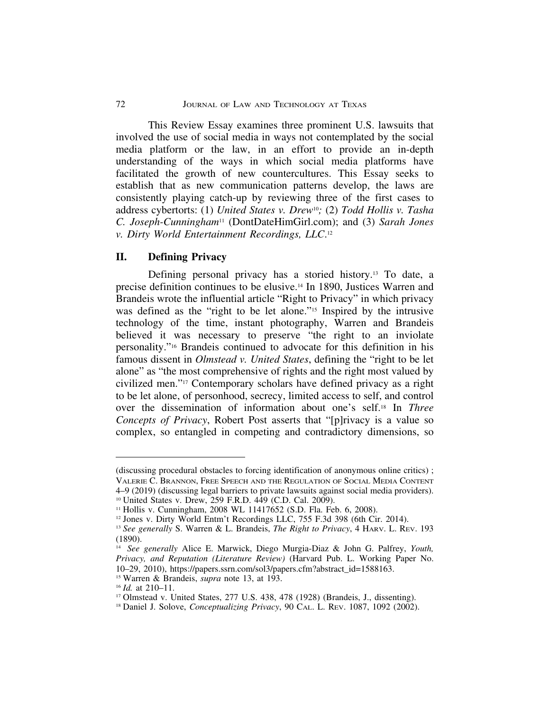This Review Essay examines three prominent U.S. lawsuits that involved the use of social media in ways not contemplated by the social media platform or the law, in an effort to provide an in-depth understanding of the ways in which social media platforms have facilitated the growth of new countercultures. This Essay seeks to establish that as new communication patterns develop, the laws are consistently playing catch-up by reviewing three of the first cases to address cybertorts: (1) *United States v. Drew*10*;* (2) *Todd Hollis v. Tasha C. Joseph-Cunningham*11 (DontDateHimGirl.com); and (3) *Sarah Jones v. Dirty World Entertainment Recordings, LLC*. 12

#### **II. Defining Privacy**

Defining personal privacy has a storied history.13 To date, a precise definition continues to be elusive.14 In 1890, Justices Warren and Brandeis wrote the influential article "Right to Privacy" in which privacy was defined as the "right to be let alone."<sup>15</sup> Inspired by the intrusive technology of the time, instant photography, Warren and Brandeis believed it was necessary to preserve "the right to an inviolate personality."16 Brandeis continued to advocate for this definition in his famous dissent in *Olmstead v. United States*, defining the "right to be let alone" as "the most comprehensive of rights and the right most valued by civilized men."17 Contemporary scholars have defined privacy as a right to be let alone, of personhood, secrecy, limited access to self, and control over the dissemination of information about one's self.18 In *Three Concepts of Privacy*, Robert Post asserts that "[p]rivacy is a value so complex, so entangled in competing and contradictory dimensions, so

<sup>(</sup>discussing procedural obstacles to forcing identification of anonymous online critics) ; VALERIE C. BRANNON, FREE SPEECH AND THE REGULATION OF SOCIAL MEDIA CONTENT 4–9 (2019) (discussing legal barriers to private lawsuits against social media providers).

<sup>10</sup> United States v. Drew, 259 F.R.D. 449 (C.D. Cal. 2009).

<sup>&</sup>lt;sup>11</sup> Hollis v. Cunningham, 2008 WL 11417652 (S.D. Fla. Feb. 6, 2008).

<sup>12</sup> Jones v. Dirty World Entm't Recordings LLC, 755 F.3d 398 (6th Cir. 2014).

<sup>13</sup> *See generally* S. Warren & L. Brandeis, *The Right to Privacy*, 4 HARV. L. REV. 193 (1890).

<sup>14</sup> *See generally* Alice E. Marwick, Diego Murgia-Diaz & John G. Palfrey, *Youth, Privacy, and Reputation (Literature Review)* (Harvard Pub. L. Working Paper No. 10–29, 2010), https://papers.ssrn.com/sol3/papers.cfm?abstract\_id=1588163.

<sup>15</sup> Warren & Brandeis, *supra* note 13, at 193.

<sup>16</sup> *Id.* at 210–11.

<sup>17</sup> Olmstead v. United States, 277 U.S. 438, 478 (1928) (Brandeis, J., dissenting).

<sup>18</sup> Daniel J. Solove, *Conceptualizing Privacy*, 90 CAL. L. REV. 1087, 1092 (2002).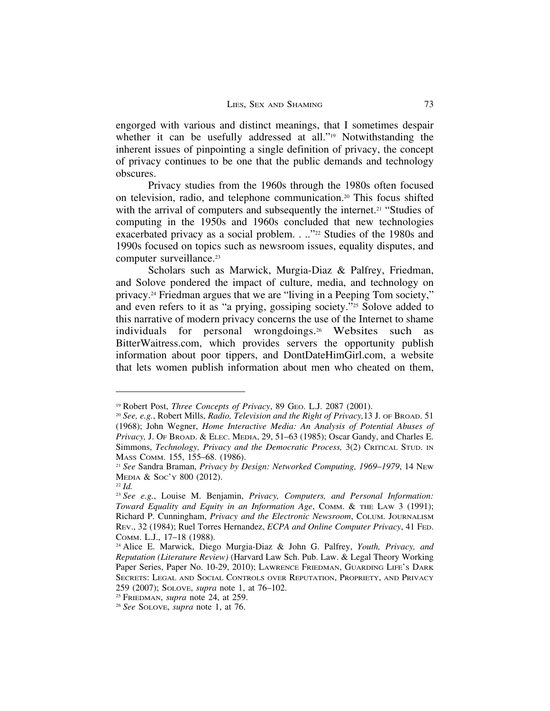engorged with various and distinct meanings, that I sometimes despair whether it can be usefully addressed at all."<sup>19</sup> Notwithstanding the inherent issues of pinpointing a single definition of privacy, the concept of privacy continues to be one that the public demands and technology obscures.

Privacy studies from the 1960s through the 1980s often focused on television, radio, and telephone communication.20 This focus shifted with the arrival of computers and subsequently the internet.<sup>21</sup> "Studies of computing in the 1950s and 1960s concluded that new technologies exacerbated privacy as a social problem. . .."<sup>22</sup> Studies of the 1980s and 1990s focused on topics such as newsroom issues, equality disputes, and computer surveillance.<sup>23</sup>

Scholars such as Marwick, Murgia-Diaz & Palfrey, Friedman, and Solove pondered the impact of culture, media, and technology on privacy.24 Friedman argues that we are "living in a Peeping Tom society," and even refers to it as "a prying, gossiping society."<sup>25</sup> Solove added to this narrative of modern privacy concerns the use of the Internet to shame individuals for personal wrongdoings.26 Websites such as BitterWaitress.com, which provides servers the opportunity publish information about poor tippers, and DontDateHimGirl.com, a website that lets women publish information about men who cheated on them,

<sup>19</sup> Robert Post, *Three Concepts of Privacy*, 89 GEO. L.J. 2087 (2001).

<sup>20</sup> *See, e.g.*, Robert Mills, *Radio, Television and the Right of Privacy,*13 J. OF BROAD. 51 (1968); John Wegner, *Home Interactive Media: An Analysis of Potential Abuses of Privacy,* J. OF BROAD. & ELEC. MEDIA, 29, 51–63 (1985); Oscar Gandy, and Charles E. Simmons, *Technology, Privacy and the Democratic Process,* 3(2) CRITICAL STUD. IN MASS COMM. 155, 155–68. (1986).

<sup>21</sup> *See* Sandra Braman, *Privacy by Design: Networked Computing, 1969*–*1979*, 14 NEW MEDIA & SOC'Y 800 (2012).

<sup>22</sup> *Id.*

<sup>23</sup> *See e.g.*, Louise M. Benjamin, *Privacy, Computers, and Personal Information: Toward Equality and Equity in an Information Age*, COMM. & THE LAW 3 (1991); Richard P. Cunningham, *Privacy and the Electronic Newsroom*, COLUM. JOURNALISM REV., 32 (1984); Ruel Torres Hernandez, *ECPA and Online Computer Privacy*, 41 FED. COMM. L.J., 17–18 (1988).

<sup>24</sup> Alice E. Marwick, Diego Murgia-Diaz & John G. Palfrey, *Youth, Privacy, and Reputation (Literature Review)* (Harvard Law Sch. Pub. Law. & Legal Theory Working Paper Series, Paper No. 10-29, 2010); LAWRENCE FRIEDMAN, GUARDING LIFE'S DARK SECRETS: LEGAL AND SOCIAL CONTROLS OVER REPUTATION, PROPRIETY, AND PRIVACY 259 (2007); SOLOVE, *supra* note 1, at 76–102.

<sup>25</sup> FRIEDMAN, *supra* note 24, at 259.

<sup>26</sup> *See* SOLOVE, *supra* note 1, at 76.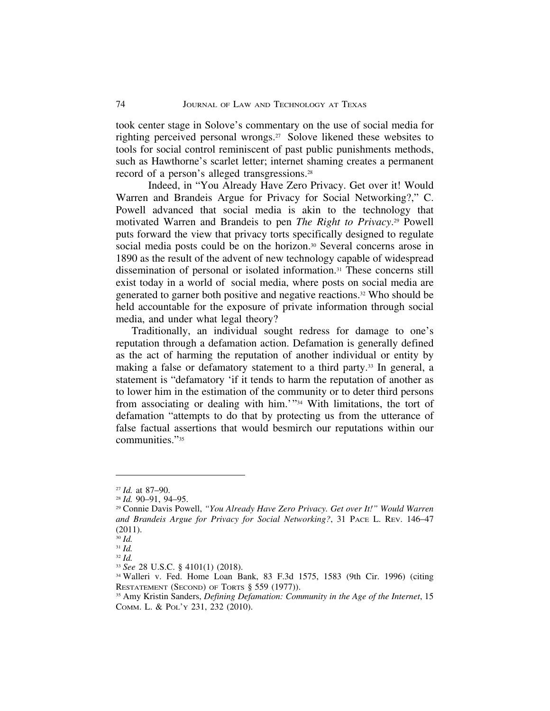took center stage in Solove's commentary on the use of social media for righting perceived personal wrongs.27 Solove likened these websites to tools for social control reminiscent of past public punishments methods, such as Hawthorne's scarlet letter; internet shaming creates a permanent record of a person's alleged transgressions.28

Indeed, in "You Already Have Zero Privacy. Get over it! Would Warren and Brandeis Argue for Privacy for Social Networking?," C. Powell advanced that social media is akin to the technology that motivated Warren and Brandeis to pen *The Right to Privacy*.29 Powell puts forward the view that privacy torts specifically designed to regulate social media posts could be on the horizon.<sup>30</sup> Several concerns arose in 1890 as the result of the advent of new technology capable of widespread dissemination of personal or isolated information.31 These concerns still exist today in a world of social media, where posts on social media are generated to garner both positive and negative reactions.32 Who should be held accountable for the exposure of private information through social media, and under what legal theory?

 Traditionally, an individual sought redress for damage to one's reputation through a defamation action. Defamation is generally defined as the act of harming the reputation of another individual or entity by making a false or defamatory statement to a third party.<sup>33</sup> In general, a statement is "defamatory 'if it tends to harm the reputation of another as to lower him in the estimation of the community or to deter third persons from associating or dealing with him.'"34 With limitations, the tort of defamation "attempts to do that by protecting us from the utterance of false factual assertions that would besmirch our reputations within our communities."35

<sup>27</sup> *Id.* at 87–90.

<sup>28</sup> *Id.* 90–91, 94–95.

<sup>29</sup> Connie Davis Powell, *"You Already Have Zero Privacy. Get over It!" Would Warren and Brandeis Argue for Privacy for Social Networking?*, 31 PACE L. REV. 146–47 (2011).

<sup>30</sup> *Id.* <sup>31</sup> *Id.*

<sup>32</sup> *Id.*

<sup>33</sup> *See* 28 U.S.C. § 4101(1) (2018).

<sup>34</sup> Walleri v. Fed. Home Loan Bank, 83 F.3d 1575, 1583 (9th Cir. 1996) (citing RESTATEMENT (SECOND) OF TORTS § 559 (1977)).

<sup>35</sup> Amy Kristin Sanders, *Defining Defamation: Community in the Age of the Internet*, 15 COMM. L. & POL'Y 231, 232 (2010).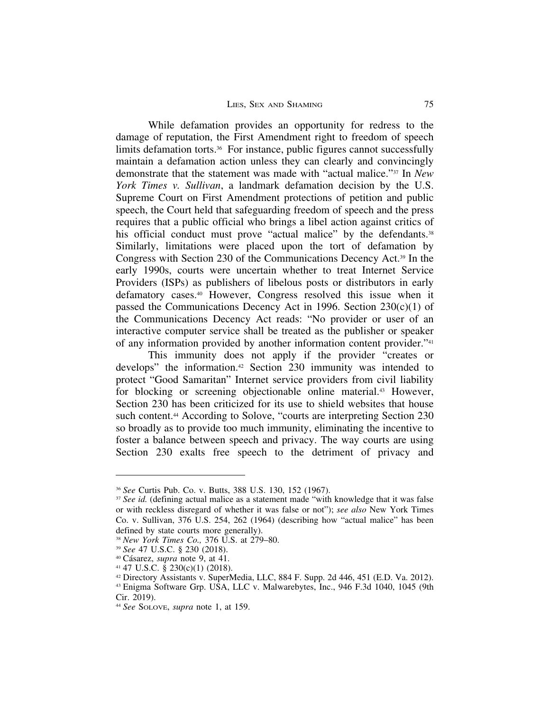While defamation provides an opportunity for redress to the damage of reputation, the First Amendment right to freedom of speech limits defamation torts.<sup>36</sup> For instance, public figures cannot successfully maintain a defamation action unless they can clearly and convincingly demonstrate that the statement was made with "actual malice."37 In *New York Times v. Sullivan*, a landmark defamation decision by the U.S. Supreme Court on First Amendment protections of petition and public speech, the Court held that safeguarding freedom of speech and the press requires that a public official who brings a libel action against critics of his official conduct must prove "actual malice" by the defendants.<sup>38</sup> Similarly, limitations were placed upon the tort of defamation by Congress with Section 230 of the Communications Decency Act.39 In the early 1990s, courts were uncertain whether to treat Internet Service Providers (ISPs) as publishers of libelous posts or distributors in early defamatory cases.40 However, Congress resolved this issue when it passed the Communications Decency Act in 1996. Section  $230(c)(1)$  of the Communications Decency Act reads: "No provider or user of an interactive computer service shall be treated as the publisher or speaker of any information provided by another information content provider."41

This immunity does not apply if the provider "creates or develops" the information.42 Section 230 immunity was intended to protect "Good Samaritan" Internet service providers from civil liability for blocking or screening objectionable online material.<sup>43</sup> However, Section 230 has been criticized for its use to shield websites that house such content.<sup>44</sup> According to Solove, "courts are interpreting Section 230 so broadly as to provide too much immunity, eliminating the incentive to foster a balance between speech and privacy. The way courts are using Section 230 exalts free speech to the detriment of privacy and

<sup>36</sup> *See* Curtis Pub. Co. v. Butts, 388 U.S. 130, 152 (1967).

<sup>&</sup>lt;sup>37</sup> *See id.* (defining actual malice as a statement made "with knowledge that it was false or with reckless disregard of whether it was false or not"); *see also* New York Times Co. v. Sullivan, 376 U.S. 254, 262 (1964) (describing how "actual malice" has been defined by state courts more generally).

<sup>38</sup> *New York Times Co.,* 376 U.S. at 279–80.

<sup>39</sup> *See* 47 U.S.C. § 230 (2018).

<sup>&</sup>lt;sup>40</sup> Cásarez, *supra* note 9, at 41.

 $41$  47 U.S.C.  $\hat{\S}$  230(c)(1) (2018).

<sup>42</sup> Directory Assistants v. SuperMedia, LLC, 884 F. Supp. 2d 446, 451 (E.D. Va. 2012). <sup>43</sup> Enigma Software Grp. USA, LLC v. Malwarebytes, Inc., 946 F.3d 1040, 1045 (9th Cir. 2019).

<sup>44</sup> *See* SOLOVE, *supra* note 1, at 159.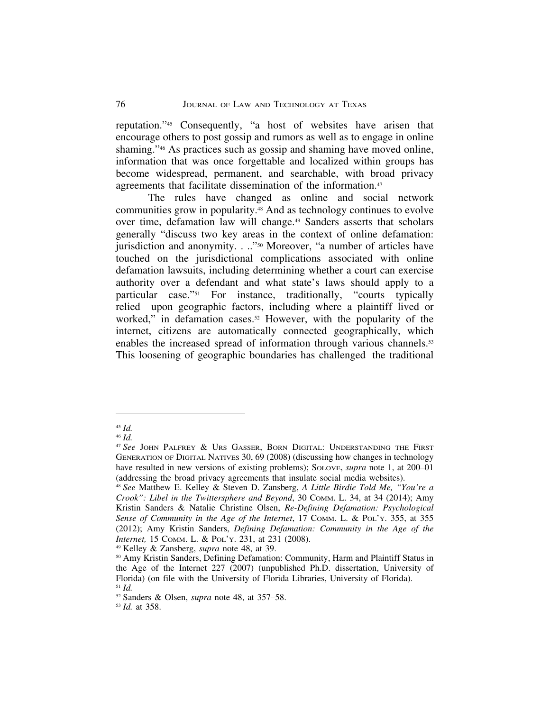reputation."45 Consequently, "a host of websites have arisen that encourage others to post gossip and rumors as well as to engage in online shaming."46 As practices such as gossip and shaming have moved online, information that was once forgettable and localized within groups has become widespread, permanent, and searchable, with broad privacy agreements that facilitate dissemination of the information.47

The rules have changed as online and social network communities grow in popularity.48 And as technology continues to evolve over time, defamation law will change.49 Sanders asserts that scholars generally "discuss two key areas in the context of online defamation: jurisdiction and anonymity. . .."<sup>50</sup> Moreover, "a number of articles have touched on the jurisdictional complications associated with online defamation lawsuits, including determining whether a court can exercise authority over a defendant and what state's laws should apply to a particular case."51 For instance, traditionally, "courts typically relied upon geographic factors, including where a plaintiff lived or worked," in defamation cases.<sup>52</sup> However, with the popularity of the internet, citizens are automatically connected geographically, which enables the increased spread of information through various channels.53 This loosening of geographic boundaries has challenged the traditional

<sup>49</sup> Kelley & Zansberg, *supra* note 48, at 39.

<sup>45</sup> *Id.*

<sup>46</sup> *Id.*

<sup>47</sup> *See* JOHN PALFREY & URS GASSER, BORN DIGITAL: UNDERSTANDING THE FIRST GENERATION OF DIGITAL NATIVES 30, 69 (2008) (discussing how changes in technology have resulted in new versions of existing problems); SOLOVE, *supra* note 1, at 200–01 (addressing the broad privacy agreements that insulate social media websites).

<sup>48</sup> *See* Matthew E. Kelley & Steven D. Zansberg, *A Little Birdie Told Me, "You're a Crook": Libel in the Twittersphere and Beyond*, 30 COMM. L. 34, at 34 (2014); Amy Kristin Sanders & Natalie Christine Olsen, *Re-Defining Defamation: Psychological Sense of Community in the Age of the Internet*, 17 COMM. L. & POL'Y. 355, at 355 (2012); Amy Kristin Sanders, *Defining Defamation: Community in the Age of the Internet,* 15 COMM. L. & POL'Y. 231, at 231 (2008).

<sup>&</sup>lt;sup>50</sup> Amy Kristin Sanders, Defining Defamation: Community, Harm and Plaintiff Status in the Age of the Internet 227 (2007) (unpublished Ph.D. dissertation, University of Florida) (on file with the University of Florida Libraries, University of Florida). <sup>51</sup> *Id.*

<sup>52</sup> Sanders & Olsen, *supra* note 48, at 357–58.

<sup>53</sup> *Id.* at 358.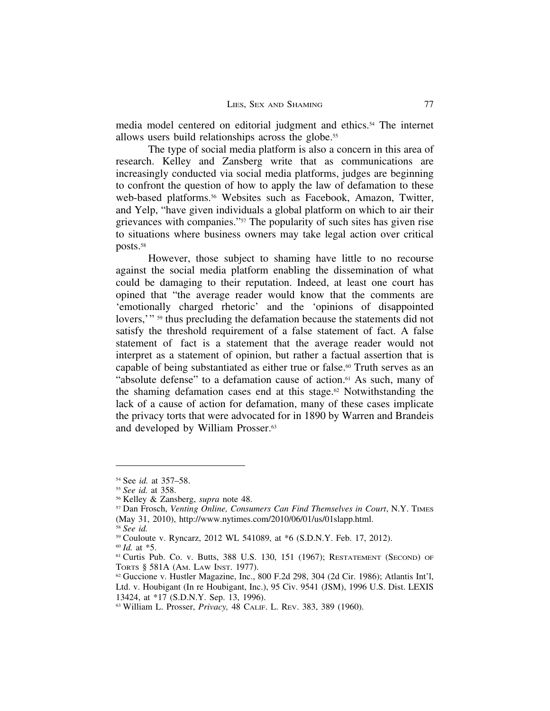media model centered on editorial judgment and ethics.54 The internet allows users build relationships across the globe.55

The type of social media platform is also a concern in this area of research. Kelley and Zansberg write that as communications are increasingly conducted via social media platforms, judges are beginning to confront the question of how to apply the law of defamation to these web-based platforms.<sup>56</sup> Websites such as Facebook, Amazon, Twitter, and Yelp, "have given individuals a global platform on which to air their grievances with companies."57 The popularity of such sites has given rise to situations where business owners may take legal action over critical posts.58

However, those subject to shaming have little to no recourse against the social media platform enabling the dissemination of what could be damaging to their reputation. Indeed, at least one court has opined that "the average reader would know that the comments are 'emotionally charged rhetoric' and the 'opinions of disappointed lovers,"<sup>39</sup> thus precluding the defamation because the statements did not satisfy the threshold requirement of a false statement of fact. A false statement of fact is a statement that the average reader would not interpret as a statement of opinion, but rather a factual assertion that is capable of being substantiated as either true or false.<sup>60</sup> Truth serves as an "absolute defense" to a defamation cause of action.61 As such, many of the shaming defamation cases end at this stage.<sup>62</sup> Notwithstanding the lack of a cause of action for defamation, many of these cases implicate the privacy torts that were advocated for in 1890 by Warren and Brandeis and developed by William Prosser.63

<sup>54</sup> See *id.* at 357–58.

<sup>55</sup> *See id.* at 358.

<sup>56</sup> Kelley & Zansberg, *supra* note 48.

<sup>57</sup> Dan Frosch, *Venting Online, Consumers Can Find Themselves in Court*, N.Y. TIMES (May 31, 2010), http://www.nytimes.com/2010/06/01/us/01slapp.html.

<sup>58</sup> *See id.*

<sup>59</sup> Couloute v. Ryncarz, 2012 WL 541089, at \*6 (S.D.N.Y. Feb. 17, 2012).

<sup>60</sup> *Id.* at \*5.

<sup>61</sup> Curtis Pub. Co. v. Butts, 388 U.S. 130, 151 (1967); RESTATEMENT (SECOND) OF TORTS § 581A (AM. LAW INST. 1977).

 $62$  Guccione v. Hustler Magazine, Inc., 800 F.2d 298, 304 (2d Cir. 1986); Atlantis Int'l, Ltd. v. Houbigant (In re Houbigant, Inc.), 95 Civ. 9541 (JSM), 1996 U.S. Dist. LEXIS 13424, at \*17 (S.D.N.Y. Sep. 13, 1996).

<sup>63</sup> William L. Prosser, *Privacy,* 48 CALIF. L. REV. 383, 389 (1960).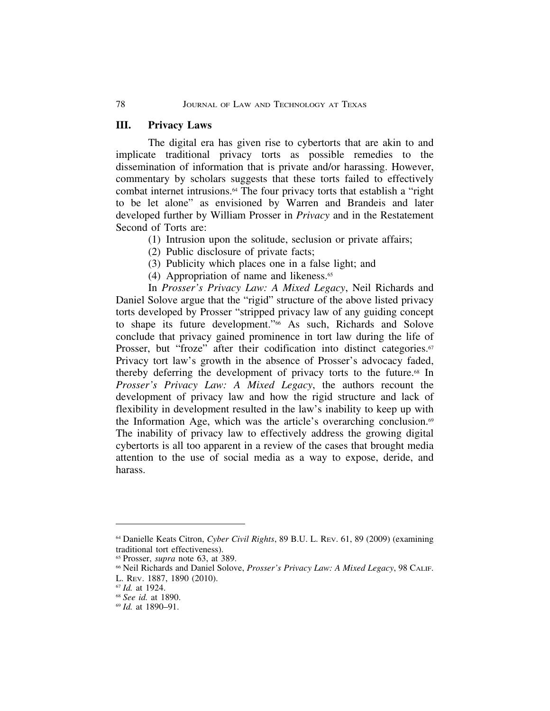### **III. Privacy Laws**

The digital era has given rise to cybertorts that are akin to and implicate traditional privacy torts as possible remedies to the dissemination of information that is private and/or harassing. However, commentary by scholars suggests that these torts failed to effectively combat internet intrusions.<sup>64</sup> The four privacy torts that establish a "right to be let alone" as envisioned by Warren and Brandeis and later developed further by William Prosser in *Privacy* and in the Restatement Second of Torts are:

- (1) Intrusion upon the solitude, seclusion or private affairs;
- (2) Public disclosure of private facts;
- (3) Publicity which places one in a false light; and
- (4) Appropriation of name and likeness. $65$

In *Prosser's Privacy Law: A Mixed Legacy*, Neil Richards and Daniel Solove argue that the "rigid" structure of the above listed privacy torts developed by Prosser "stripped privacy law of any guiding concept to shape its future development."66 As such, Richards and Solove conclude that privacy gained prominence in tort law during the life of Prosser, but "froze" after their codification into distinct categories.<sup>67</sup> Privacy tort law's growth in the absence of Prosser's advocacy faded, thereby deferring the development of privacy torts to the future.<sup>68</sup> In *Prosser's Privacy Law: A Mixed Legacy*, the authors recount the development of privacy law and how the rigid structure and lack of flexibility in development resulted in the law's inability to keep up with the Information Age, which was the article's overarching conclusion.<sup>69</sup> The inability of privacy law to effectively address the growing digital cybertorts is all too apparent in a review of the cases that brought media attention to the use of social media as a way to expose, deride, and harass.

<sup>64</sup> Danielle Keats Citron, *Cyber Civil Rights*, 89 B.U. L. REV. 61, 89 (2009) (examining traditional tort effectiveness).

<sup>65</sup> Prosser, *supra* note 63, at 389.

<sup>66</sup> Neil Richards and Daniel Solove, *Prosser's Privacy Law: A Mixed Legacy*, 98 CALIF. L. REV. 1887, 1890 (2010).

<sup>67</sup> *Id.* at 1924.

<sup>68</sup> *See id.* at 1890.

<sup>69</sup> *Id.* at 1890–91.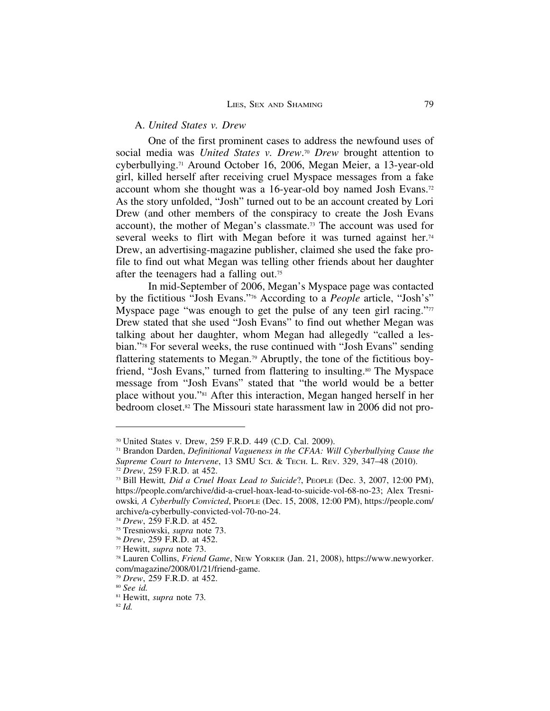### A. *United States v. Drew*

One of the first prominent cases to address the newfound uses of social media was *United States v. Drew*.70 *Drew* brought attention to cyberbullying.71 Around October 16, 2006, Megan Meier, a 13-year-old girl, killed herself after receiving cruel Myspace messages from a fake account whom she thought was a 16-year-old boy named Josh Evans.72 As the story unfolded, "Josh" turned out to be an account created by Lori Drew (and other members of the conspiracy to create the Josh Evans account), the mother of Megan's classmate.73 The account was used for several weeks to flirt with Megan before it was turned against her.<sup>74</sup> Drew, an advertising-magazine publisher, claimed she used the fake profile to find out what Megan was telling other friends about her daughter after the teenagers had a falling out.75

In mid-September of 2006, Megan's Myspace page was contacted by the fictitious "Josh Evans."76 According to a *People* article, "Josh's" Myspace page "was enough to get the pulse of any teen girl racing."<sup>77</sup> Drew stated that she used "Josh Evans" to find out whether Megan was talking about her daughter, whom Megan had allegedly "called a lesbian."78 For several weeks, the ruse continued with "Josh Evans" sending flattering statements to Megan.79 Abruptly, the tone of the fictitious boyfriend, "Josh Evans," turned from flattering to insulting.80 The Myspace message from "Josh Evans" stated that "the world would be a better place without you."81 After this interaction, Megan hanged herself in her bedroom closet.82 The Missouri state harassment law in 2006 did not pro-

<sup>70</sup> United States v. Drew, 259 F.R.D. 449 (C.D. Cal. 2009).

<sup>71</sup> Brandon Darden, *Definitional Vagueness in the CFAA: Will Cyberbullying Cause the Supreme Court to Intervene*, 13 SMU SCI. & TECH. L. REV. 329, 347–48 (2010).

<sup>72</sup> *Drew*, 259 F.R.D. at 452.

<sup>73</sup> Bill Hewitt*, Did a Cruel Hoax Lead to Suicide*?, PEOPLE (Dec. 3, 2007, 12:00 PM), https://people.com/archive/did-a-cruel-hoax-lead-to-suicide-vol-68-no-23; Alex Tresniowski*, A Cyberbully Convicted*, PEOPLE (Dec. 15, 2008, 12:00 PM), https://people.com/ archive/a-cyberbully-convicted-vol-70-no-24.

<sup>74</sup> *Drew*, 259 F.R.D. at 452*.*

<sup>75</sup> Tresniowski, *supra* note 73.

<sup>76</sup> *Drew*, 259 F.R.D. at 452.

<sup>77</sup> Hewitt, *supra* note 73.

<sup>78</sup> Lauren Collins, *Friend Game*, NEW YORKER (Jan. 21, 2008), https://www.newyorker. com/magazine/2008/01/21/friend-game.

<sup>79</sup> *Drew*, 259 F.R.D. at 452.

<sup>80</sup> *See id.*

<sup>81</sup> Hewitt, *supra* note 73*.*

<sup>82</sup> *Id.*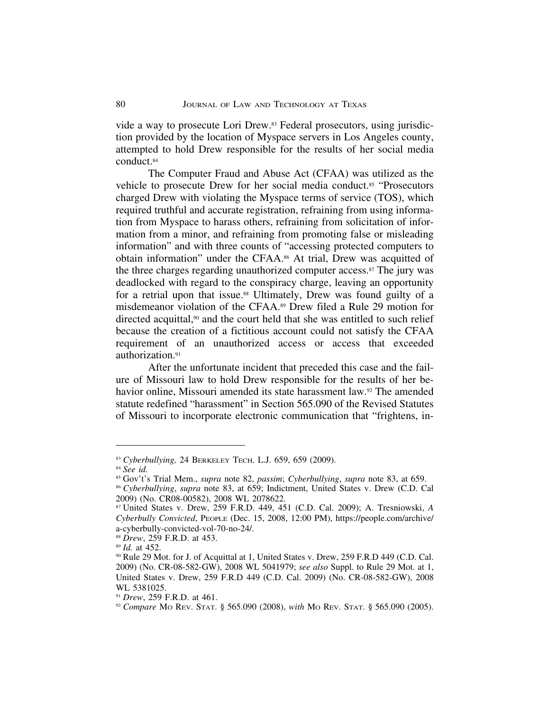vide a way to prosecute Lori Drew.83 Federal prosecutors, using jurisdiction provided by the location of Myspace servers in Los Angeles county, attempted to hold Drew responsible for the results of her social media conduct.84

The Computer Fraud and Abuse Act (CFAA) was utilized as the vehicle to prosecute Drew for her social media conduct.<sup>85</sup> "Prosecutors" charged Drew with violating the Myspace terms of service (TOS), which required truthful and accurate registration, refraining from using information from Myspace to harass others, refraining from solicitation of information from a minor, and refraining from promoting false or misleading information" and with three counts of "accessing protected computers to obtain information" under the CFAA.86 At trial, Drew was acquitted of the three charges regarding unauthorized computer access.87 The jury was deadlocked with regard to the conspiracy charge, leaving an opportunity for a retrial upon that issue.<sup>88</sup> Ultimately, Drew was found guilty of a misdemeanor violation of the CFAA.89 Drew filed a Rule 29 motion for directed acquittal,<sup>90</sup> and the court held that she was entitled to such relief because the creation of a fictitious account could not satisfy the CFAA requirement of an unauthorized access or access that exceeded authorization.<sup>91</sup>

After the unfortunate incident that preceded this case and the failure of Missouri law to hold Drew responsible for the results of her behavior online, Missouri amended its state harassment law.92 The amended statute redefined "harassment" in Section 565.090 of the Revised Statutes of Missouri to incorporate electronic communication that "frightens, in-

<sup>83</sup> *Cyberbullying,* 24 BERKELEY TECH. L.J. 659, 659 (2009).

<sup>84</sup> *See id.*

<sup>85</sup> Gov't's Trial Mem., *supra* note 82, *passim*; *Cyberbullying*, *supra* note 83, at 659.

<sup>86</sup> *Cyberbullying*, *supra* note 83, at 659; Indictment, United States v. Drew (C.D. Cal 2009) (No. CR08-00582), 2008 WL 2078622.

<sup>87</sup> United States v. Drew, 259 F.R.D. 449, 451 (C.D. Cal. 2009); A. Tresniowski, *A Cyberbully Convicted*, PEOPLE (Dec. 15, 2008, 12:00 PM), https://people.com/archive/ a-cyberbully-convicted-vol-70-no-24/.

<sup>88</sup> *Drew*, 259 F.R.D. at 453.

<sup>89</sup> *Id.* at 452.

<sup>90</sup> Rule 29 Mot. for J. of Acquittal at 1, United States v. Drew, 259 F.R.D 449 (C.D. Cal. 2009) (No. CR-08-582-GW), 2008 WL 5041979; *see also* Suppl. to Rule 29 Mot. at 1, United States v. Drew, 259 F.R.D 449 (C.D. Cal. 2009) (No. CR-08-582-GW), 2008 WL 5381025.

<sup>91</sup> *Drew*, 259 F.R.D. at 461.

<sup>92</sup> *Compare* MO REV. STAT. § 565.090 (2008), *with* MO REV. STAT. § 565.090 (2005).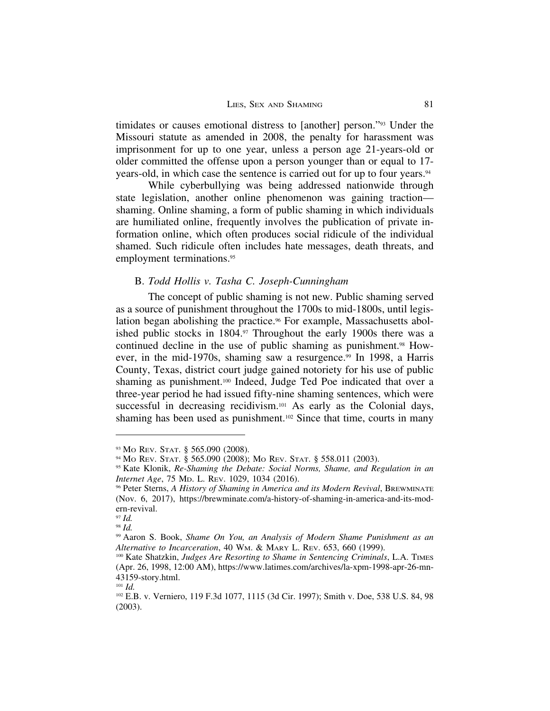timidates or causes emotional distress to [another] person."93 Under the Missouri statute as amended in 2008, the penalty for harassment was imprisonment for up to one year, unless a person age 21-years-old or older committed the offense upon a person younger than or equal to 17 years-old, in which case the sentence is carried out for up to four years.94

While cyberbullying was being addressed nationwide through state legislation, another online phenomenon was gaining traction shaming. Online shaming, a form of public shaming in which individuals are humiliated online, frequently involves the publication of private information online, which often produces social ridicule of the individual shamed. Such ridicule often includes hate messages, death threats, and employment terminations.<sup>95</sup>

### B. *Todd Hollis v. Tasha C. Joseph-Cunningham*

The concept of public shaming is not new. Public shaming served as a source of punishment throughout the 1700s to mid-1800s, until legislation began abolishing the practice.<sup>96</sup> For example, Massachusetts abolished public stocks in 1804.97 Throughout the early 1900s there was a continued decline in the use of public shaming as punishment.<sup>98</sup> However, in the mid-1970s, shaming saw a resurgence.<sup>99</sup> In 1998, a Harris County, Texas, district court judge gained notoriety for his use of public shaming as punishment.<sup>100</sup> Indeed, Judge Ted Poe indicated that over a three-year period he had issued fifty-nine shaming sentences, which were successful in decreasing recidivism.<sup>101</sup> As early as the Colonial days, shaming has been used as punishment.102 Since that time, courts in many

<sup>93</sup> Mo REV. STAT. § 565.090 (2008).

<sup>94</sup> MO REV. STAT. § 565.090 (2008); MO REV. STAT. § 558.011 (2003).

<sup>95</sup> Kate Klonik, *Re-Shaming the Debate: Social Norms, Shame, and Regulation in an Internet Age*, 75 MD. L. REV. 1029, 1034 (2016).

<sup>96</sup> Peter Sterns, *A History of Shaming in America and its Modern Revival*, BREWMINATE (Nov. 6, 2017), https://brewminate.com/a-history-of-shaming-in-america-and-its-modern-revival.

<sup>97</sup> *Id.* <sup>98</sup> *Id.*

<sup>99</sup> Aaron S. Book, *Shame On You, an Analysis of Modern Shame Punishment as an Alternative to Incarceration*, 40 WM. & MARY L. REV. 653, 660 (1999).

<sup>100</sup> Kate Shatzkin, *Judges Are Resorting to Shame in Sentencing Criminals*, L.A. TIMES (Apr. 26, 1998, 12:00 AM), https://www.latimes.com/archives/la-xpm-1998-apr-26-mn-43159-story.html.

<sup>101</sup> *Id.*

<sup>102</sup> E.B. v. Verniero, 119 F.3d 1077, 1115 (3d Cir. 1997); Smith v. Doe, 538 U.S. 84, 98 (2003).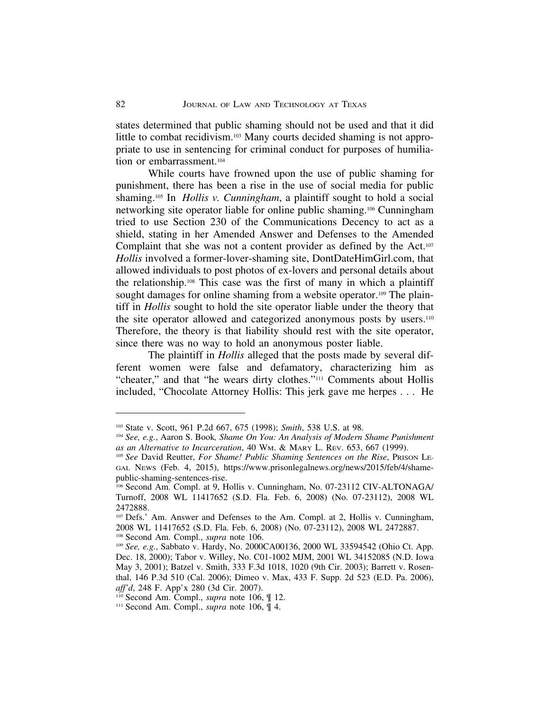states determined that public shaming should not be used and that it did little to combat recidivism.103 Many courts decided shaming is not appropriate to use in sentencing for criminal conduct for purposes of humiliation or embarrassment.<sup>104</sup>

While courts have frowned upon the use of public shaming for punishment, there has been a rise in the use of social media for public shaming.105 In *Hollis v. Cunningham*, a plaintiff sought to hold a social networking site operator liable for online public shaming.106 Cunningham tried to use Section 230 of the Communications Decency to act as a shield, stating in her Amended Answer and Defenses to the Amended Complaint that she was not a content provider as defined by the Act.107 *Hollis* involved a former-lover-shaming site, DontDateHimGirl.com, that allowed individuals to post photos of ex-lovers and personal details about the relationship.108 This case was the first of many in which a plaintiff sought damages for online shaming from a website operator.<sup>109</sup> The plaintiff in *Hollis* sought to hold the site operator liable under the theory that the site operator allowed and categorized anonymous posts by users.<sup>110</sup> Therefore, the theory is that liability should rest with the site operator, since there was no way to hold an anonymous poster liable.

The plaintiff in *Hollis* alleged that the posts made by several different women were false and defamatory, characterizing him as "cheater," and that "he wears dirty clothes."111 Comments about Hollis included, "Chocolate Attorney Hollis: This jerk gave me herpes . . . He

<sup>103</sup> State v. Scott, 961 P.2d 667, 675 (1998); *Smith*, 538 U.S. at 98.

<sup>104</sup> *See, e.g.*, Aaron S. Book*, Shame On You: An Analysis of Modern Shame Punishment as an Alternative to Incarceration*, 40 WM. & MARY L. REV. 653, 667 (1999).

<sup>105</sup> *See* David Reutter, *For Shame! Public Shaming Sentences on the Rise*, PRISON LE-GAL NEWS (Feb. 4, 2015), https://www.prisonlegalnews.org/news/2015/feb/4/shamepublic-shaming-sentences-rise.

<sup>106</sup> Second Am. Compl. at 9, Hollis v. Cunningham, No. 07-23112 CIV-ALTONAGA/ Turnoff, 2008 WL 11417652 (S.D. Fla. Feb. 6, 2008) (No. 07-23112), 2008 WL 2472888.

<sup>107</sup> Defs.' Am. Answer and Defenses to the Am. Compl. at 2, Hollis v. Cunningham, 2008 WL 11417652 (S.D. Fla. Feb. 6, 2008) (No. 07-23112), 2008 WL 2472887.

<sup>108</sup> Second Am. Compl., *supra* note 106.

<sup>109</sup> *See, e.g.*, Sabbato v. Hardy, No. 2000CA00136, 2000 WL 33594542 (Ohio Ct. App. Dec. 18, 2000); Tabor v. Willey, No. C01-1002 MJM, 2001 WL 34152085 (N.D. Iowa May 3, 2001); Batzel v. Smith, 333 F.3d 1018, 1020 (9th Cir. 2003); Barrett v. Rosenthal, 146 P.3d 510 (Cal. 2006); Dimeo v. Max, 433 F. Supp. 2d 523 (E.D. Pa. 2006), *aff'd*, 248 F. App'x 280 (3d Cir. 2007).

<sup>110</sup> Second Am. Compl., *supra* note 106, ¶ 12.

<sup>111</sup> Second Am. Compl., *supra* note 106, ¶ 4.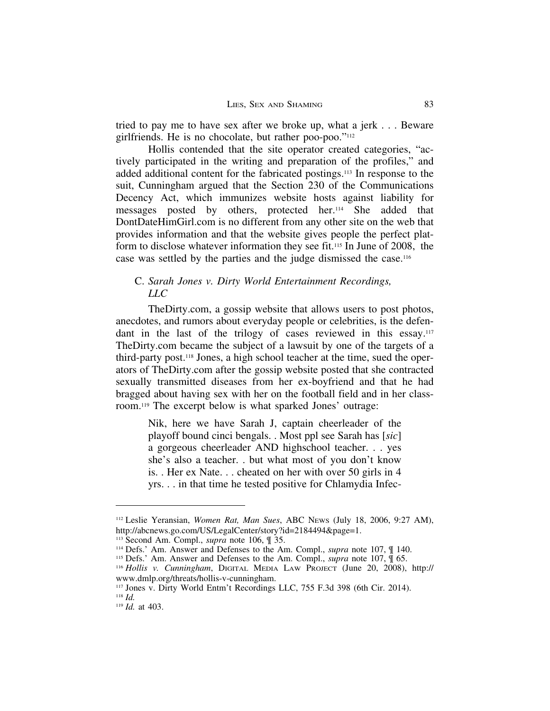tried to pay me to have sex after we broke up, what a jerk . . . Beware girlfriends. He is no chocolate, but rather poo-poo."112

Hollis contended that the site operator created categories, "actively participated in the writing and preparation of the profiles," and added additional content for the fabricated postings.113 In response to the suit, Cunningham argued that the Section 230 of the Communications Decency Act, which immunizes website hosts against liability for messages posted by others, protected her.114 She added that DontDateHimGirl.com is no different from any other site on the web that provides information and that the website gives people the perfect platform to disclose whatever information they see fit.115 In June of 2008, the case was settled by the parties and the judge dismissed the case.116

### C. *Sarah Jones v. Dirty World Entertainment Recordings, LLC*

TheDirty.com, a gossip website that allows users to post photos, anecdotes, and rumors about everyday people or celebrities, is the defendant in the last of the trilogy of cases reviewed in this essay.<sup>117</sup> TheDirty.com became the subject of a lawsuit by one of the targets of a third-party post.118 Jones, a high school teacher at the time, sued the operators of TheDirty.com after the gossip website posted that she contracted sexually transmitted diseases from her ex-boyfriend and that he had bragged about having sex with her on the football field and in her classroom.119 The excerpt below is what sparked Jones' outrage:

Nik, here we have Sarah J, captain cheerleader of the playoff bound cinci bengals. . Most ppl see Sarah has [*sic*] a gorgeous cheerleader AND highschool teacher. . . yes she's also a teacher. . but what most of you don't know is. . Her ex Nate. . . cheated on her with over 50 girls in 4 yrs. . . in that time he tested positive for Chlamydia Infec-

<sup>112</sup> Leslie Yeransian, *Women Rat, Man Sues*, ABC NEWS (July 18, 2006, 9:27 AM), http://abcnews.go.com/US/LegalCenter/story?id=2184494&page=1.

<sup>113</sup> Second Am. Compl., *supra* note 106, ¶ 35.

<sup>114</sup> Defs.' Am. Answer and Defenses to the Am. Compl., *supra* note 107, ¶ 140.

<sup>115</sup> Defs.' Am. Answer and Defenses to the Am. Compl., *supra* note 107, ¶ 65.

<sup>116</sup> *Hollis v. Cunningham*, DIGITAL MEDIA LAW PROJECT (June 20, 2008), http:// www.dmlp.org/threats/hollis-v-cunningham.

<sup>117</sup> Jones v. Dirty World Entm't Recordings LLC, 755 F.3d 398 (6th Cir. 2014). <sup>118</sup> *Id.*

<sup>119</sup> *Id.* at 403.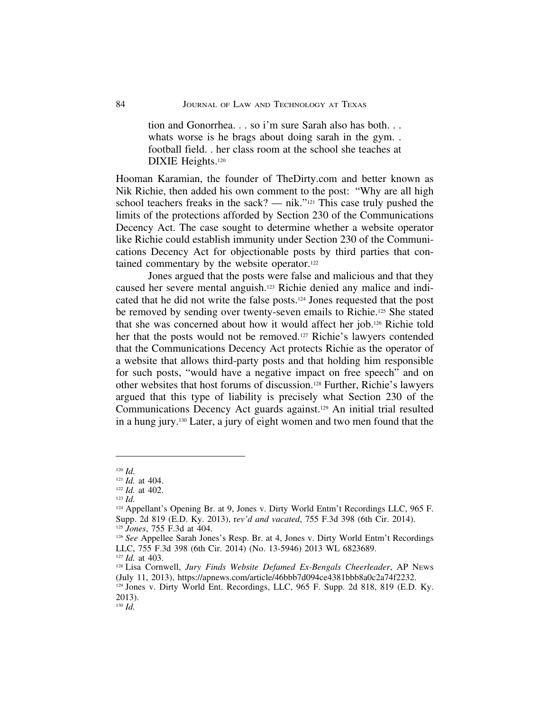tion and Gonorrhea. . . so i'm sure Sarah also has both. . . whats worse is he brags about doing sarah in the gym... football field. . her class room at the school she teaches at DIXIE Heights.<sup>120</sup>

Hooman Karamian, the founder of TheDirty.com and better known as Nik Richie, then added his own comment to the post: "Why are all high school teachers freaks in the sack? — nik."<sup>121</sup> This case truly pushed the limits of the protections afforded by Section 230 of the Communications Decency Act. The case sought to determine whether a website operator like Richie could establish immunity under Section 230 of the Communications Decency Act for objectionable posts by third parties that contained commentary by the website operator.122

Jones argued that the posts were false and malicious and that they caused her severe mental anguish.123 Richie denied any malice and indicated that he did not write the false posts.124 Jones requested that the post be removed by sending over twenty-seven emails to Richie.125 She stated that she was concerned about how it would affect her job.126 Richie told her that the posts would not be removed.<sup>127</sup> Richie's lawyers contended that the Communications Decency Act protects Richie as the operator of a website that allows third-party posts and that holding him responsible for such posts, "would have a negative impact on free speech" and on other websites that host forums of discussion.128 Further, Richie's lawyers argued that this type of liability is precisely what Section 230 of the Communications Decency Act guards against.129 An initial trial resulted in a hung jury.130 Later, a jury of eight women and two men found that the

<sup>120</sup> *Id.*

<sup>121</sup> *Id.* at 404.

<sup>122</sup> *Id.* at 402.

<sup>123</sup> *Id.*

<sup>124</sup> Appellant's Opening Br. at 9, Jones v. Dirty World Entm't Recordings LLC, 965 F. Supp. 2d 819 (E.D. Ky. 2013), r*ev'd and vacated*, 755 F.3d 398 (6th Cir. 2014). <sup>125</sup> *Jones*, 755 F.3d at 404.

<sup>&</sup>lt;sup>126</sup> See Appellee Sarah Jones's Resp. Br. at 4, Jones v. Dirty World Entm't Recordings LLC, 755 F.3d 398 (6th Cir. 2014) (No. 13-5946) 2013 WL 6823689.

<sup>127</sup> *Id.* at 403.

<sup>128</sup> Lisa Cornwell, *Jury Finds Website Defamed Ex-Bengals Cheerleader*, AP NEWS (July 11, 2013), https://apnews.com/article/46bbb7d094ce4381bbb8a0c2a74f2232.

<sup>&</sup>lt;sup>129</sup> Jones v. Dirty World Ent. Recordings, LLC, 965 F. Supp. 2d 818, 819 (E.D. Ky. 2013).

<sup>130</sup> *Id.*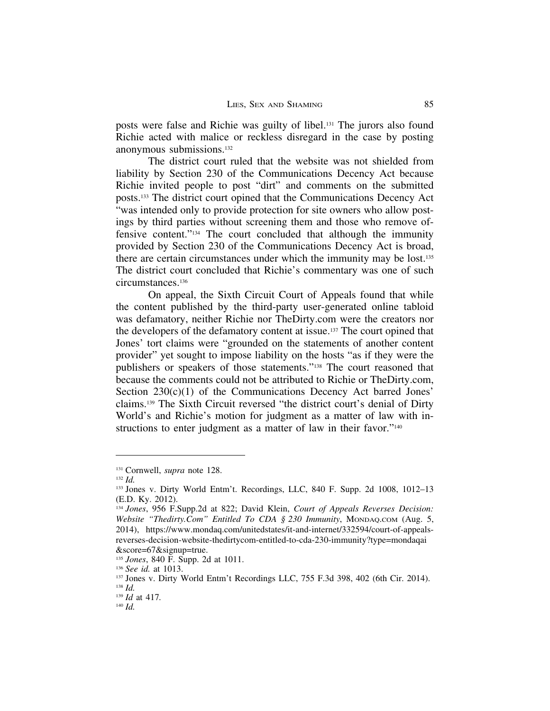posts were false and Richie was guilty of libel.131 The jurors also found Richie acted with malice or reckless disregard in the case by posting anonymous submissions.132

The district court ruled that the website was not shielded from liability by Section 230 of the Communications Decency Act because Richie invited people to post "dirt" and comments on the submitted posts.133 The district court opined that the Communications Decency Act "was intended only to provide protection for site owners who allow postings by third parties without screening them and those who remove offensive content."134 The court concluded that although the immunity provided by Section 230 of the Communications Decency Act is broad, there are certain circumstances under which the immunity may be lost.135 The district court concluded that Richie's commentary was one of such circumstances.136

On appeal, the Sixth Circuit Court of Appeals found that while the content published by the third-party user-generated online tabloid was defamatory, neither Richie nor TheDirty.com were the creators nor the developers of the defamatory content at issue.137 The court opined that Jones' tort claims were "grounded on the statements of another content provider" yet sought to impose liability on the hosts "as if they were the publishers or speakers of those statements."138 The court reasoned that because the comments could not be attributed to Richie or TheDirty.com, Section 230(c)(1) of the Communications Decency Act barred Jones' claims.139 The Sixth Circuit reversed "the district court's denial of Dirty World's and Richie's motion for judgment as a matter of law with instructions to enter judgment as a matter of law in their favor."<sup>140</sup>

<sup>131</sup> Cornwell, *supra* note 128.

<sup>132</sup> *Id.*

<sup>133</sup> Jones v. Dirty World Entm't. Recordings, LLC, 840 F. Supp. 2d 1008, 1012–13 (E.D. Ky. 2012).

<sup>134</sup> *Jones*, 956 F.Supp.2d at 822; David Klein, *Court of Appeals Reverses Decision: Website "Thedirty.Com" Entitled To CDA § 230 Immunity*, MONDAQ.COM (Aug. 5, 2014), https://www.mondaq.com/unitedstates/it-and-internet/332594/court-of-appealsreverses-decision-website-thedirtycom-entitled-to-cda-230-immunity?type=mondaqai &score=67&signup=true.

<sup>135</sup> *Jones*, 840 F. Supp. 2d at 1011.

<sup>136</sup> *See id.* at 1013.

<sup>137</sup> Jones v. Dirty World Entm't Recordings LLC, 755 F.3d 398, 402 (6th Cir. 2014). <sup>138</sup> *Id.*

<sup>139</sup> *Id* at 417*.*

<sup>140</sup> *Id.*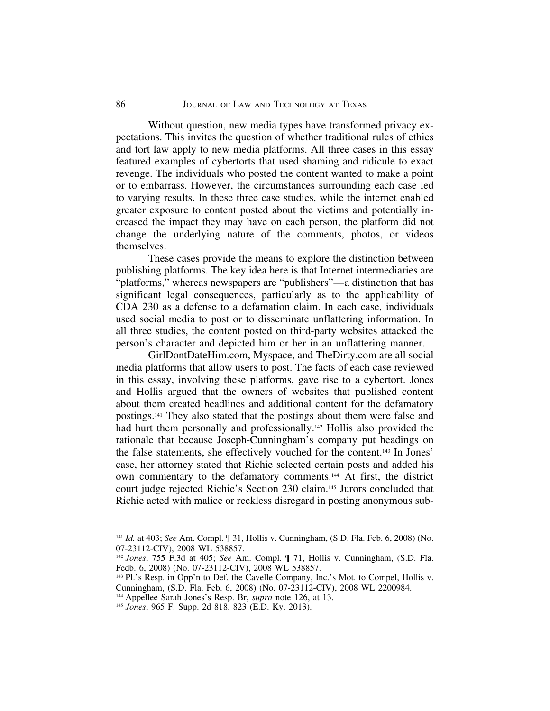Without question, new media types have transformed privacy expectations. This invites the question of whether traditional rules of ethics and tort law apply to new media platforms. All three cases in this essay featured examples of cybertorts that used shaming and ridicule to exact revenge. The individuals who posted the content wanted to make a point or to embarrass. However, the circumstances surrounding each case led to varying results. In these three case studies, while the internet enabled greater exposure to content posted about the victims and potentially increased the impact they may have on each person, the platform did not change the underlying nature of the comments, photos, or videos themselves.

These cases provide the means to explore the distinction between publishing platforms. The key idea here is that Internet intermediaries are "platforms," whereas newspapers are "publishers"—a distinction that has significant legal consequences, particularly as to the applicability of CDA 230 as a defense to a defamation claim. In each case, individuals used social media to post or to disseminate unflattering information. In all three studies, the content posted on third-party websites attacked the person's character and depicted him or her in an unflattering manner.

GirlDontDateHim.com, Myspace, and TheDirty.com are all social media platforms that allow users to post. The facts of each case reviewed in this essay, involving these platforms, gave rise to a cybertort. Jones and Hollis argued that the owners of websites that published content about them created headlines and additional content for the defamatory postings.141 They also stated that the postings about them were false and had hurt them personally and professionally.<sup>142</sup> Hollis also provided the rationale that because Joseph-Cunningham's company put headings on the false statements, she effectively vouched for the content.143 In Jones' case, her attorney stated that Richie selected certain posts and added his own commentary to the defamatory comments.144 At first, the district court judge rejected Richie's Section 230 claim.145 Jurors concluded that Richie acted with malice or reckless disregard in posting anonymous sub-

<sup>141</sup> *Id.* at 403; *See* Am. Compl. ¶ 31, Hollis v. Cunningham, (S.D. Fla. Feb. 6, 2008) (No. 07-23112-CIV), 2008 WL 538857.

<sup>142</sup> *Jones*, 755 F.3d at 405; *See* Am. Compl. ¶ 71, Hollis v. Cunningham, (S.D. Fla. Fedb. 6, 2008) (No. 07-23112-CIV), 2008 WL 538857.

<sup>143</sup> Pl.'s Resp. in Opp'n to Def. the Cavelle Company, Inc.'s Mot. to Compel, Hollis v. Cunningham, (S.D. Fla. Feb. 6, 2008) (No. 07-23112-CIV), 2008 WL 2200984.

<sup>144</sup> Appellee Sarah Jones's Resp. Br, *supra* note 126, at 13.

<sup>145</sup> *Jones*, 965 F. Supp. 2d 818, 823 (E.D. Ky. 2013).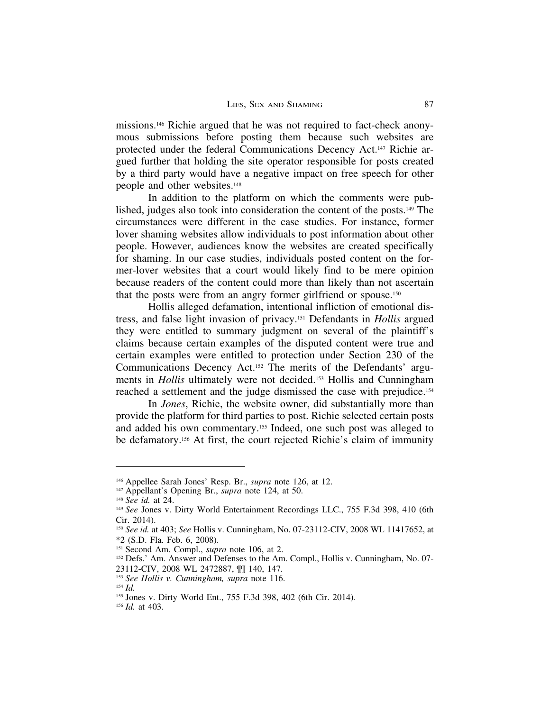missions.146 Richie argued that he was not required to fact-check anonymous submissions before posting them because such websites are protected under the federal Communications Decency Act.147 Richie argued further that holding the site operator responsible for posts created by a third party would have a negative impact on free speech for other people and other websites.148

In addition to the platform on which the comments were published, judges also took into consideration the content of the posts.149 The circumstances were different in the case studies. For instance, former lover shaming websites allow individuals to post information about other people. However, audiences know the websites are created specifically for shaming. In our case studies, individuals posted content on the former-lover websites that a court would likely find to be mere opinion because readers of the content could more than likely than not ascertain that the posts were from an angry former girlfriend or spouse.150

Hollis alleged defamation, intentional infliction of emotional distress, and false light invasion of privacy.151 Defendants in *Hollis* argued they were entitled to summary judgment on several of the plaintiff's claims because certain examples of the disputed content were true and certain examples were entitled to protection under Section 230 of the Communications Decency Act.152 The merits of the Defendants' arguments in *Hollis* ultimately were not decided.153 Hollis and Cunningham reached a settlement and the judge dismissed the case with prejudice.154

In *Jones*, Richie, the website owner, did substantially more than provide the platform for third parties to post. Richie selected certain posts and added his own commentary.155 Indeed, one such post was alleged to be defamatory.156 At first, the court rejected Richie's claim of immunity

<sup>146</sup> Appellee Sarah Jones' Resp. Br., *supra* note 126, at 12.

<sup>147</sup> Appellant's Opening Br., *supra* note 124, at 50.

<sup>148</sup> *See id.* at 24.

<sup>149</sup> *See* Jones v. Dirty World Entertainment Recordings LLC., 755 F.3d 398, 410 (6th Cir. 2014).

<sup>150</sup> *See id.* at 403; *See* Hollis v. Cunningham, No. 07-23112-CIV, 2008 WL 11417652, at \*2 (S.D. Fla. Feb. 6, 2008).

<sup>151</sup> Second Am. Compl., *supra* note 106, at 2.

<sup>&</sup>lt;sup>152</sup> Defs.' Am. Answer and Defenses to the Am. Compl., Hollis v. Cunningham, No. 07-

<sup>23112-</sup>CIV, 2008 WL 2472887, ¶¶ 140, 147*.*

<sup>153</sup> *See Hollis v. Cunningham, supra* note 116.

<sup>154</sup> *Id.*

<sup>155</sup> Jones v. Dirty World Ent., 755 F.3d 398, 402 (6th Cir. 2014).

<sup>156</sup> *Id.* at 403.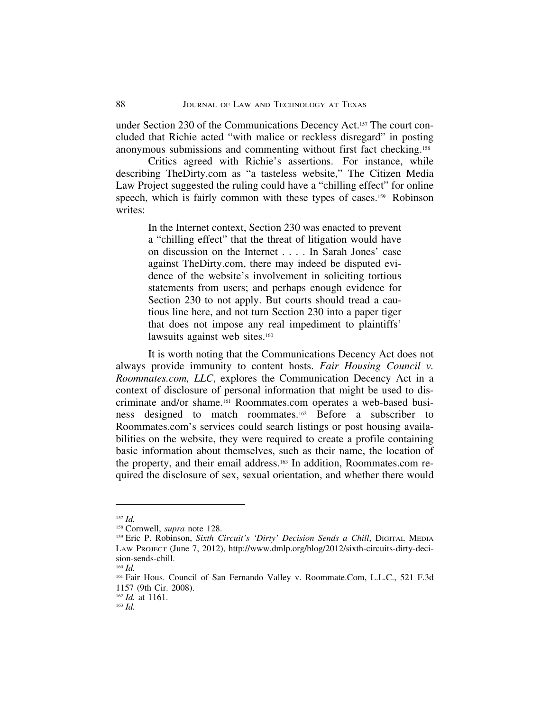under Section 230 of the Communications Decency Act.157 The court concluded that Richie acted "with malice or reckless disregard" in posting anonymous submissions and commenting without first fact checking.158

Critics agreed with Richie's assertions. For instance, while describing TheDirty.com as "a tasteless website," The Citizen Media Law Project suggested the ruling could have a "chilling effect" for online speech, which is fairly common with these types of cases.<sup>159</sup> Robinson writes:

> In the Internet context, Section 230 was enacted to prevent a "chilling effect" that the threat of litigation would have on discussion on the Internet . . . . In Sarah Jones' case against TheDirty.com, there may indeed be disputed evidence of the website's involvement in soliciting tortious statements from users; and perhaps enough evidence for Section 230 to not apply. But courts should tread a cautious line here, and not turn Section 230 into a paper tiger that does not impose any real impediment to plaintiffs' lawsuits against web sites.<sup>160</sup>

It is worth noting that the Communications Decency Act does not always provide immunity to content hosts. *Fair Housing Council v. Roommates.com, LLC*, explores the Communication Decency Act in a context of disclosure of personal information that might be used to discriminate and/or shame.161 Roommates.com operates a web-based business designed to match roommates.162 Before a subscriber to Roommates.com's services could search listings or post housing availabilities on the website, they were required to create a profile containing basic information about themselves, such as their name, the location of the property, and their email address.163 In addition, Roommates.com required the disclosure of sex, sexual orientation, and whether there would

<sup>157</sup> *Id.*

<sup>158</sup> Cornwell, *supra* note 128.

<sup>159</sup> Eric P. Robinson, *Sixth Circuit's 'Dirty' Decision Sends a Chill*, DIGITAL MEDIA LAW PROJECT (June 7, 2012), http://www.dmlp.org/blog/2012/sixth-circuits-dirty-decision-sends-chill.

<sup>160</sup> *Id.*

<sup>161</sup> Fair Hous. Council of San Fernando Valley v. Roommate.Com, L.L.C., 521 F.3d 1157 (9th Cir. 2008).

<sup>162</sup> *Id.* at 1161.

<sup>163</sup> *Id.*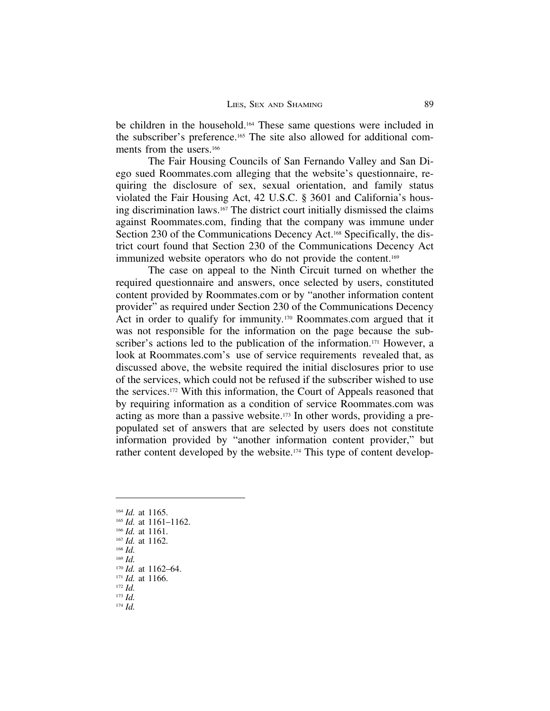be children in the household.164 These same questions were included in the subscriber's preference.165 The site also allowed for additional comments from the users.<sup>166</sup>

The Fair Housing Councils of San Fernando Valley and San Diego sued Roommates.com alleging that the website's questionnaire, requiring the disclosure of sex, sexual orientation, and family status violated the Fair Housing Act, 42 U.S.C. § 3601 and California's housing discrimination laws.167 The district court initially dismissed the claims against Roommates.com, finding that the company was immune under Section 230 of the Communications Decency Act.<sup>168</sup> Specifically, the district court found that Section 230 of the Communications Decency Act immunized website operators who do not provide the content.169

The case on appeal to the Ninth Circuit turned on whether the required questionnaire and answers, once selected by users, constituted content provided by Roommates.com or by "another information content provider" as required under Section 230 of the Communications Decency Act in order to qualify for immunity*.*170 Roommates.com argued that it was not responsible for the information on the page because the subscriber's actions led to the publication of the information.<sup>171</sup> However, a look at Roommates.com's use of service requirements revealed that, as discussed above, the website required the initial disclosures prior to use of the services, which could not be refused if the subscriber wished to use the services.172 With this information, the Court of Appeals reasoned that by requiring information as a condition of service Roommates.com was acting as more than a passive website.173 In other words, providing a prepopulated set of answers that are selected by users does not constitute information provided by "another information content provider," but rather content developed by the website.174 This type of content develop-

- <sup>164</sup> *Id.* at 1165.
- <sup>165</sup> *Id.* at 1161–1162.
- <sup>166</sup> *Id.* at 1161.
- <sup>167</sup> *Id.* at 1162.
- <sup>168</sup> *Id.*
- <sup>169</sup> *Id.*

- <sup>171</sup> *Id.* at 1166.
- <sup>172</sup> *Id.* <sup>173</sup> *Id.*
- <sup>174</sup> *Id.*

<sup>170</sup> *Id.* at 1162–64.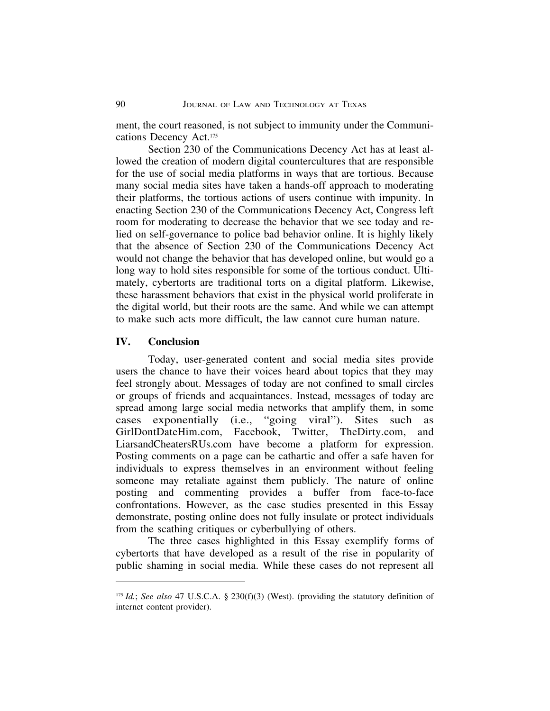ment, the court reasoned, is not subject to immunity under the Communications Decency Act.175

Section 230 of the Communications Decency Act has at least allowed the creation of modern digital countercultures that are responsible for the use of social media platforms in ways that are tortious. Because many social media sites have taken a hands-off approach to moderating their platforms, the tortious actions of users continue with impunity. In enacting Section 230 of the Communications Decency Act, Congress left room for moderating to decrease the behavior that we see today and relied on self-governance to police bad behavior online. It is highly likely that the absence of Section 230 of the Communications Decency Act would not change the behavior that has developed online, but would go a long way to hold sites responsible for some of the tortious conduct. Ultimately, cybertorts are traditional torts on a digital platform. Likewise, these harassment behaviors that exist in the physical world proliferate in the digital world, but their roots are the same. And while we can attempt to make such acts more difficult, the law cannot cure human nature.

#### **IV. Conclusion**

Today, user-generated content and social media sites provide users the chance to have their voices heard about topics that they may feel strongly about. Messages of today are not confined to small circles or groups of friends and acquaintances. Instead, messages of today are spread among large social media networks that amplify them, in some cases exponentially (i.e., "going viral"). Sites such as GirlDontDateHim.com, Facebook, Twitter, TheDirty.com, and LiarsandCheatersRUs.com have become a platform for expression. Posting comments on a page can be cathartic and offer a safe haven for individuals to express themselves in an environment without feeling someone may retaliate against them publicly. The nature of online posting and commenting provides a buffer from face-to-face confrontations. However, as the case studies presented in this Essay demonstrate, posting online does not fully insulate or protect individuals from the scathing critiques or cyberbullying of others.

The three cases highlighted in this Essay exemplify forms of cybertorts that have developed as a result of the rise in popularity of public shaming in social media. While these cases do not represent all

<sup>175</sup> *Id.*; *See also* 47 U.S.C.A. § 230(f)(3) (West). (providing the statutory definition of internet content provider).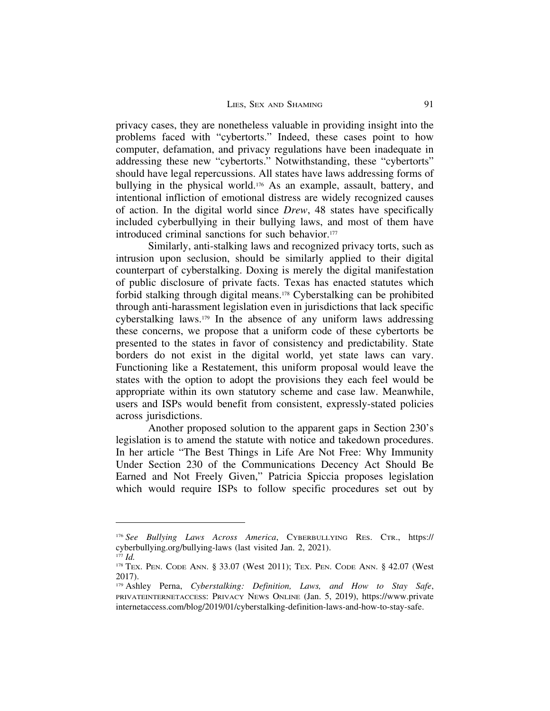privacy cases, they are nonetheless valuable in providing insight into the problems faced with "cybertorts." Indeed, these cases point to how computer, defamation, and privacy regulations have been inadequate in addressing these new "cybertorts." Notwithstanding, these "cybertorts" should have legal repercussions. All states have laws addressing forms of bullying in the physical world.<sup>176</sup> As an example, assault, battery, and intentional infliction of emotional distress are widely recognized causes of action. In the digital world since *Drew*, 48 states have specifically included cyberbullying in their bullying laws, and most of them have introduced criminal sanctions for such behavior.<sup>177</sup>

Similarly, anti-stalking laws and recognized privacy torts, such as intrusion upon seclusion, should be similarly applied to their digital counterpart of cyberstalking. Doxing is merely the digital manifestation of public disclosure of private facts. Texas has enacted statutes which forbid stalking through digital means.178 Cyberstalking can be prohibited through anti-harassment legislation even in jurisdictions that lack specific cyberstalking laws.179 In the absence of any uniform laws addressing these concerns, we propose that a uniform code of these cybertorts be presented to the states in favor of consistency and predictability. State borders do not exist in the digital world, yet state laws can vary. Functioning like a Restatement, this uniform proposal would leave the states with the option to adopt the provisions they each feel would be appropriate within its own statutory scheme and case law. Meanwhile, users and ISPs would benefit from consistent, expressly-stated policies across jurisdictions.

Another proposed solution to the apparent gaps in Section 230's legislation is to amend the statute with notice and takedown procedures. In her article "The Best Things in Life Are Not Free: Why Immunity Under Section 230 of the Communications Decency Act Should Be Earned and Not Freely Given," Patricia Spiccia proposes legislation which would require ISPs to follow specific procedures set out by

<sup>176</sup> *See Bullying Laws Across America*, CYBERBULLYING RES. CTR., https:// cyberbullying.org/bullying-laws (last visited Jan. 2, 2021).

<sup>177</sup> *Id.*

<sup>178</sup> TEX. PEN. CODE ANN. § 33.07 (West 2011); TEX. PEN. CODE ANN. § 42.07 (West 2017).

<sup>179</sup> Ashley Perna, *Cyberstalking: Definition, Laws, and How to Stay Safe*, PRIVATEINTERNETACCESS: PRIVACY NEWS ONLINE (Jan. 5, 2019), https://www.private internetaccess.com/blog/2019/01/cyberstalking-definition-laws-and-how-to-stay-safe.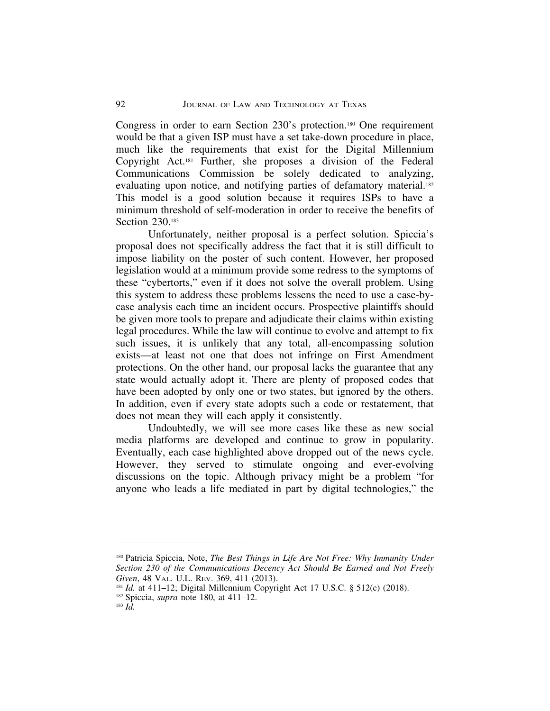Congress in order to earn Section 230's protection.180 One requirement would be that a given ISP must have a set take-down procedure in place, much like the requirements that exist for the Digital Millennium Copyright Act.181 Further, she proposes a division of the Federal Communications Commission be solely dedicated to analyzing, evaluating upon notice, and notifying parties of defamatory material.<sup>182</sup> This model is a good solution because it requires ISPs to have a minimum threshold of self-moderation in order to receive the benefits of Section 230.183

Unfortunately, neither proposal is a perfect solution. Spiccia's proposal does not specifically address the fact that it is still difficult to impose liability on the poster of such content. However, her proposed legislation would at a minimum provide some redress to the symptoms of these "cybertorts," even if it does not solve the overall problem. Using this system to address these problems lessens the need to use a case-bycase analysis each time an incident occurs. Prospective plaintiffs should be given more tools to prepare and adjudicate their claims within existing legal procedures. While the law will continue to evolve and attempt to fix such issues, it is unlikely that any total, all-encompassing solution exists—at least not one that does not infringe on First Amendment protections. On the other hand, our proposal lacks the guarantee that any state would actually adopt it. There are plenty of proposed codes that have been adopted by only one or two states, but ignored by the others. In addition, even if every state adopts such a code or restatement, that does not mean they will each apply it consistently.

Undoubtedly, we will see more cases like these as new social media platforms are developed and continue to grow in popularity. Eventually, each case highlighted above dropped out of the news cycle. However, they served to stimulate ongoing and ever-evolving discussions on the topic. Although privacy might be a problem "for anyone who leads a life mediated in part by digital technologies," the

<sup>180</sup> Patricia Spiccia, Note, *The Best Things in Life Are Not Free: Why Immunity Under Section 230 of the Communications Decency Act Should Be Earned and Not Freely Given*, 48 VAL. U.L. REV. 369, 411 (2013).

<sup>181</sup> *Id.* at 411-12; Digital Millennium Copyright Act 17 U.S.C. § 512(c) (2018).

<sup>182</sup> Spiccia, *supra* note 180, at 411–12.

<sup>183</sup> *Id.*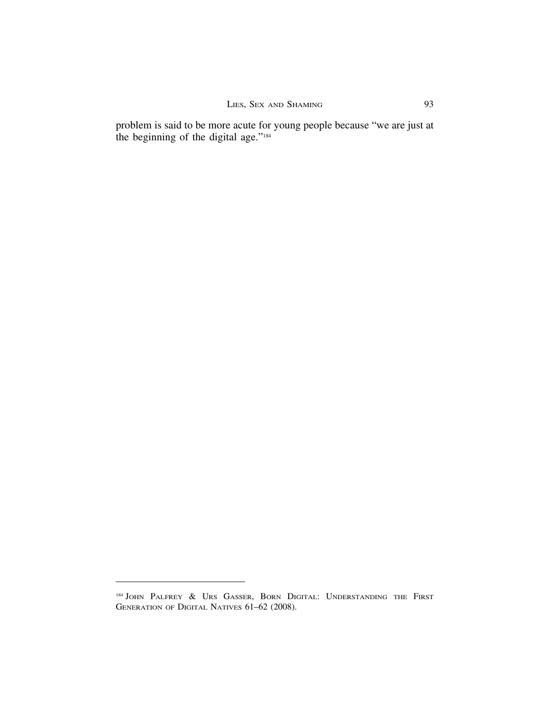problem is said to be more acute for young people because "we are just at the beginning of the digital age."184

<sup>184</sup> JOHN PALFREY & URS GASSER, BORN DIGITAL: UNDERSTANDING THE FIRST GENERATION OF DIGITAL NATIVES 61–62 (2008).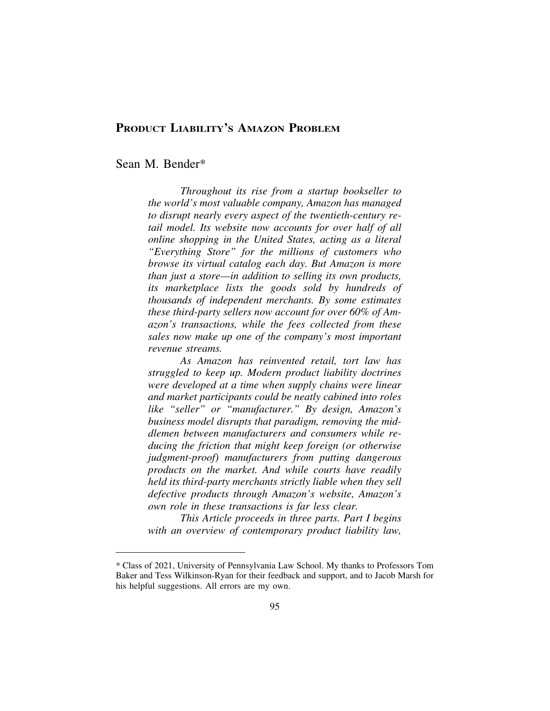## **PRODUCT LIABILITY'S AMAZON PROBLEM**

Sean M. Bender\*

*Throughout its rise from a startup bookseller to the world's most valuable company, Amazon has managed to disrupt nearly every aspect of the twentieth-century retail model. Its website now accounts for over half of all online shopping in the United States, acting as a literal "Everything Store" for the millions of customers who browse its virtual catalog each day. But Amazon is more than just a store—in addition to selling its own products, its marketplace lists the goods sold by hundreds of thousands of independent merchants. By some estimates these third-party sellers now account for over 60% of Amazon's transactions, while the fees collected from these sales now make up one of the company's most important revenue streams.*

*As Amazon has reinvented retail, tort law has struggled to keep up. Modern product liability doctrines were developed at a time when supply chains were linear and market participants could be neatly cabined into roles like "seller" or "manufacturer." By design, Amazon's business model disrupts that paradigm, removing the middlemen between manufacturers and consumers while reducing the friction that might keep foreign (or otherwise judgment-proof) manufacturers from putting dangerous products on the market. And while courts have readily held its third-party merchants strictly liable when they sell defective products through Amazon's website, Amazon's own role in these transactions is far less clear.*

*This Article proceeds in three parts. Part I begins with an overview of contemporary product liability law,*

<sup>\*</sup> Class of 2021, University of Pennsylvania Law School. My thanks to Professors Tom Baker and Tess Wilkinson-Ryan for their feedback and support, and to Jacob Marsh for his helpful suggestions. All errors are my own.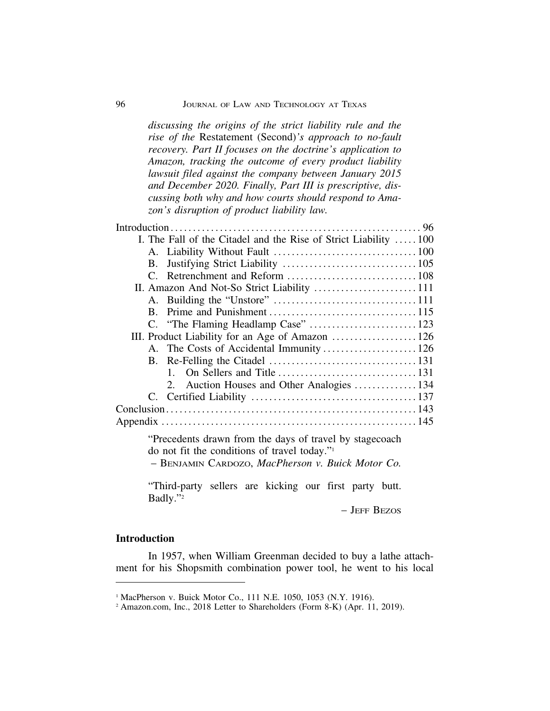*discussing the origins of the strict liability rule and the*

| rise of the Restatement (Second)'s approach to no-fault<br>recovery. Part II focuses on the doctrine's application to<br>Amazon, tracking the outcome of every product liability<br>lawsuit filed against the company between January 2015<br>and December 2020. Finally, Part III is prescriptive, dis-<br>cussing both why and how courts should respond to Ama-<br>zon's disruption of product liability law. |  |
|------------------------------------------------------------------------------------------------------------------------------------------------------------------------------------------------------------------------------------------------------------------------------------------------------------------------------------------------------------------------------------------------------------------|--|
| Introduction                                                                                                                                                                                                                                                                                                                                                                                                     |  |
| I. The Fall of the Citadel and the Rise of Strict Liability  100                                                                                                                                                                                                                                                                                                                                                 |  |
|                                                                                                                                                                                                                                                                                                                                                                                                                  |  |
| <b>B.</b>                                                                                                                                                                                                                                                                                                                                                                                                        |  |
|                                                                                                                                                                                                                                                                                                                                                                                                                  |  |
| II. Amazon And Not-So Strict Liability 111                                                                                                                                                                                                                                                                                                                                                                       |  |
|                                                                                                                                                                                                                                                                                                                                                                                                                  |  |
|                                                                                                                                                                                                                                                                                                                                                                                                                  |  |
|                                                                                                                                                                                                                                                                                                                                                                                                                  |  |
| III. Product Liability for an Age of Amazon  126                                                                                                                                                                                                                                                                                                                                                                 |  |
| A. The Costs of Accidental Immunity  126                                                                                                                                                                                                                                                                                                                                                                         |  |
| $B_{\cdot}$                                                                                                                                                                                                                                                                                                                                                                                                      |  |
| 1.                                                                                                                                                                                                                                                                                                                                                                                                               |  |
| Auction Houses and Other Analogies 134<br>2.                                                                                                                                                                                                                                                                                                                                                                     |  |
|                                                                                                                                                                                                                                                                                                                                                                                                                  |  |
|                                                                                                                                                                                                                                                                                                                                                                                                                  |  |
|                                                                                                                                                                                                                                                                                                                                                                                                                  |  |
|                                                                                                                                                                                                                                                                                                                                                                                                                  |  |

"Precedents drawn from the days of travel by stagecoach do not fit the conditions of travel today."1 – BENJAMIN CARDOZO, *MacPherson v. Buick Motor Co.*

"Third-party sellers are kicking our first party butt. Badly."2

– JEFF BEZOS

### **Introduction**

In 1957, when William Greenman decided to buy a lathe attachment for his Shopsmith combination power tool, he went to his local

<sup>&</sup>lt;sup>1</sup> MacPherson v. Buick Motor Co., 111 N.E. 1050, 1053 (N.Y. 1916).

<sup>2</sup> Amazon.com, Inc., 2018 Letter to Shareholders (Form 8-K) (Apr. 11, 2019).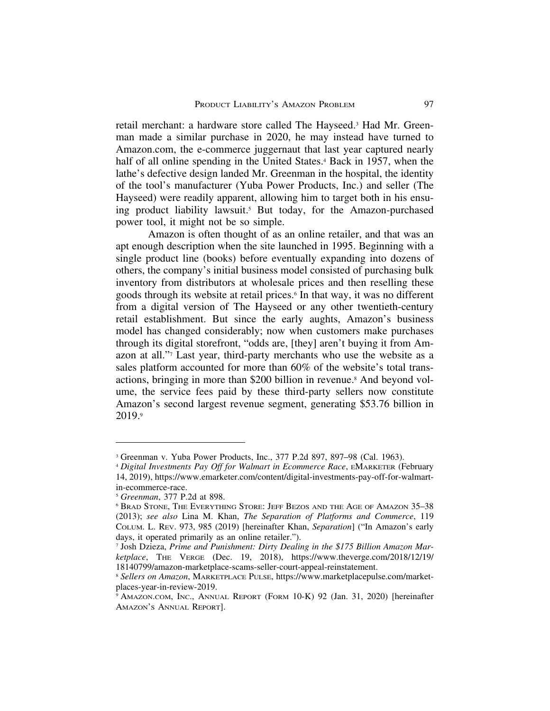retail merchant: a hardware store called The Hayseed.3 Had Mr. Greenman made a similar purchase in 2020, he may instead have turned to Amazon.com, the e-commerce juggernaut that last year captured nearly half of all online spending in the United States.<sup>4</sup> Back in 1957, when the lathe's defective design landed Mr. Greenman in the hospital, the identity of the tool's manufacturer (Yuba Power Products, Inc.) and seller (The Hayseed) were readily apparent, allowing him to target both in his ensuing product liability lawsuit.5 But today, for the Amazon-purchased power tool, it might not be so simple.

Amazon is often thought of as an online retailer, and that was an apt enough description when the site launched in 1995. Beginning with a single product line (books) before eventually expanding into dozens of others, the company's initial business model consisted of purchasing bulk inventory from distributors at wholesale prices and then reselling these goods through its website at retail prices.6 In that way, it was no different from a digital version of The Hayseed or any other twentieth-century retail establishment. But since the early aughts, Amazon's business model has changed considerably; now when customers make purchases through its digital storefront, "odds are, [they] aren't buying it from Amazon at all."7 Last year, third-party merchants who use the website as a sales platform accounted for more than 60% of the website's total transactions, bringing in more than \$200 billion in revenue.8 And beyond volume, the service fees paid by these third-party sellers now constitute Amazon's second largest revenue segment, generating \$53.76 billion in 2019.9

<sup>3</sup> Greenman v. Yuba Power Products, Inc., 377 P.2d 897, 897–98 (Cal. 1963).

<sup>4</sup> *Digital Investments Pay Off for Walmart in Ecommerce Race*, EMARKETER (February 14, 2019), https://www.emarketer.com/content/digital-investments-pay-off-for-walmartin-ecommerce-race.

<sup>5</sup> *Greenman*, 377 P.2d at 898.

<sup>6</sup> BRAD STONE, THE EVERYTHING STORE: JEFF BEZOS AND THE AGE OF AMAZON 35–38 (2013); *see also* Lina M. Khan, *The Separation of Platforms and Commerce*, 119 COLUM. L. REV. 973, 985 (2019) [hereinafter Khan, *Separation*] ("In Amazon's early days, it operated primarily as an online retailer.").

<sup>7</sup> Josh Dzieza, *Prime and Punishment: Dirty Dealing in the \$175 Billion Amazon Marketplace*, THE VERGE (Dec. 19, 2018), https://www.theverge.com/2018/12/19/ 18140799/amazon-marketplace-scams-seller-court-appeal-reinstatement.

<sup>8</sup> *Sellers on Amazon*, MARKETPLACE PULSE, https://www.marketplacepulse.com/marketplaces-year-in-review-2019.

<sup>9</sup> AMAZON.COM, INC., ANNUAL REPORT (FORM 10-K) 92 (Jan. 31, 2020) [hereinafter AMAZON'S ANNUAL REPORT].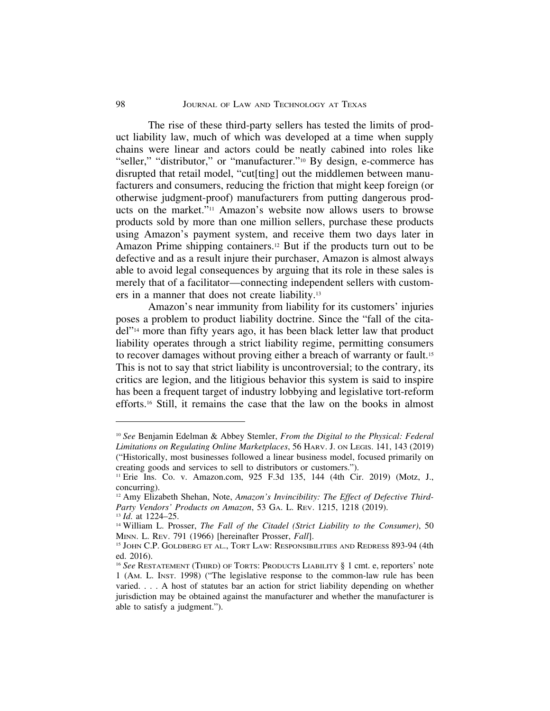The rise of these third-party sellers has tested the limits of product liability law, much of which was developed at a time when supply chains were linear and actors could be neatly cabined into roles like "seller," "distributor," or "manufacturer."<sup>10</sup> By design, e-commerce has disrupted that retail model, "cut[ting] out the middlemen between manufacturers and consumers, reducing the friction that might keep foreign (or otherwise judgment-proof) manufacturers from putting dangerous products on the market."11 Amazon's website now allows users to browse products sold by more than one million sellers, purchase these products using Amazon's payment system, and receive them two days later in Amazon Prime shipping containers.12 But if the products turn out to be defective and as a result injure their purchaser, Amazon is almost always able to avoid legal consequences by arguing that its role in these sales is merely that of a facilitator—connecting independent sellers with customers in a manner that does not create liability.13

Amazon's near immunity from liability for its customers' injuries poses a problem to product liability doctrine. Since the "fall of the citadel"14 more than fifty years ago, it has been black letter law that product liability operates through a strict liability regime, permitting consumers to recover damages without proving either a breach of warranty or fault.<sup>15</sup> This is not to say that strict liability is uncontroversial; to the contrary, its critics are legion, and the litigious behavior this system is said to inspire has been a frequent target of industry lobbying and legislative tort-reform efforts.16 Still, it remains the case that the law on the books in almost

<sup>10</sup> *See* Benjamin Edelman & Abbey Stemler, *From the Digital to the Physical: Federal Limitations on Regulating Online Marketplaces*, 56 HARV. J. ON LEGIS. 141, 143 (2019) ("Historically, most businesses followed a linear business model, focused primarily on creating goods and services to sell to distributors or customers.").

<sup>11</sup> Erie Ins. Co. v. Amazon.com, 925 F.3d 135, 144 (4th Cir. 2019) (Motz, J., concurring).

<sup>&</sup>lt;sup>12</sup> Amy Elizabeth Shehan, Note, *Amazon's Invincibility: The Effect of Defective Third-Party Vendors' Products on Amazon*, 53 GA. L. REV. 1215, 1218 (2019). <sup>13</sup> *Id*. at 1224–25.

<sup>14</sup> William L. Prosser, *The Fall of the Citadel (Strict Liability to the Consumer)*, 50 MINN. L. REV. 791 (1966) [hereinafter Prosser, *Fall*].

<sup>15</sup> JOHN C.P. GOLDBERG ET AL., TORT LAW: RESPONSIBILITIES AND REDRESS 893-94 (4th ed. 2016).

<sup>&</sup>lt;sup>16</sup> See RESTATEMENT (THIRD) OF TORTS: PRODUCTS LIABILITY § 1 cmt. e, reporters' note 1 (AM. L. INST. 1998) ("The legislative response to the common-law rule has been varied. . . . A host of statutes bar an action for strict liability depending on whether jurisdiction may be obtained against the manufacturer and whether the manufacturer is able to satisfy a judgment.").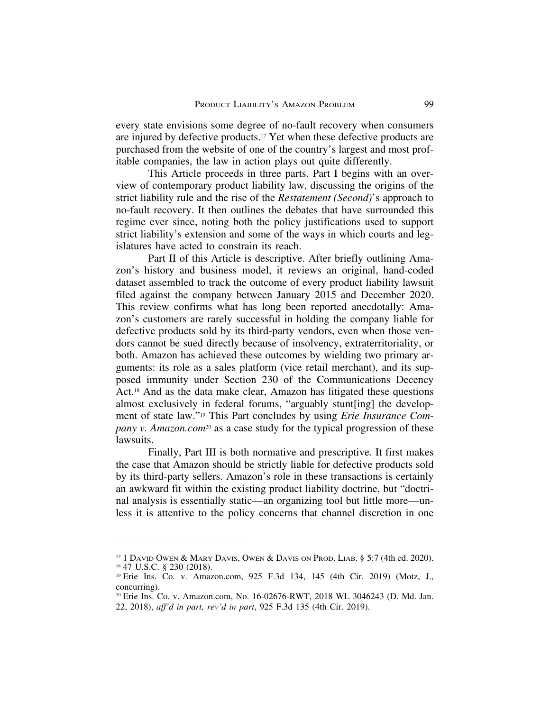every state envisions some degree of no-fault recovery when consumers are injured by defective products.17 Yet when these defective products are purchased from the website of one of the country's largest and most profitable companies, the law in action plays out quite differently.

This Article proceeds in three parts. Part I begins with an overview of contemporary product liability law, discussing the origins of the strict liability rule and the rise of the *Restatement (Second)*'s approach to no-fault recovery. It then outlines the debates that have surrounded this regime ever since, noting both the policy justifications used to support strict liability's extension and some of the ways in which courts and legislatures have acted to constrain its reach.

Part II of this Article is descriptive. After briefly outlining Amazon's history and business model, it reviews an original, hand-coded dataset assembled to track the outcome of every product liability lawsuit filed against the company between January 2015 and December 2020. This review confirms what has long been reported anecdotally: Amazon's customers are rarely successful in holding the company liable for defective products sold by its third-party vendors, even when those vendors cannot be sued directly because of insolvency, extraterritoriality, or both. Amazon has achieved these outcomes by wielding two primary arguments: its role as a sales platform (vice retail merchant), and its supposed immunity under Section 230 of the Communications Decency Act.18 And as the data make clear, Amazon has litigated these questions almost exclusively in federal forums, "arguably stunt[ing] the development of state law."19 This Part concludes by using *Erie Insurance Company v. Amazon.com*<sup>20</sup> as a case study for the typical progression of these lawsuits.

Finally, Part III is both normative and prescriptive. It first makes the case that Amazon should be strictly liable for defective products sold by its third-party sellers. Amazon's role in these transactions is certainly an awkward fit within the existing product liability doctrine, but "doctrinal analysis is essentially static—an organizing tool but little more—unless it is attentive to the policy concerns that channel discretion in one

<sup>&</sup>lt;sup>17</sup> 1 DAVID OWEN & MARY DAVIS, OWEN & DAVIS ON PROD. LIAB. § 5:7 (4th ed. 2020). <sup>18</sup> 47 U.S.C. § 230 (2018).

<sup>19</sup> Erie Ins. Co. v. Amazon.com, 925 F.3d 134, 145 (4th Cir. 2019) (Motz, J., concurring).

<sup>20</sup> Erie Ins. Co. v. Amazon.com, No. 16-02676-RWT, 2018 WL 3046243 (D. Md. Jan. 22, 2018), *aff'd in part, rev'd in part*, 925 F.3d 135 (4th Cir. 2019).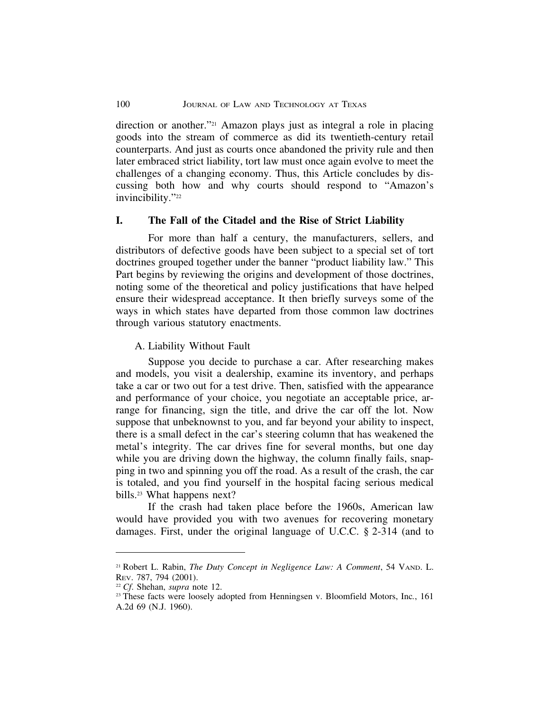direction or another."21 Amazon plays just as integral a role in placing goods into the stream of commerce as did its twentieth-century retail counterparts. And just as courts once abandoned the privity rule and then later embraced strict liability, tort law must once again evolve to meet the challenges of a changing economy. Thus, this Article concludes by discussing both how and why courts should respond to "Amazon's invincibility."<sup>22</sup>

#### **I. The Fall of the Citadel and the Rise of Strict Liability**

For more than half a century, the manufacturers, sellers, and distributors of defective goods have been subject to a special set of tort doctrines grouped together under the banner "product liability law." This Part begins by reviewing the origins and development of those doctrines, noting some of the theoretical and policy justifications that have helped ensure their widespread acceptance. It then briefly surveys some of the ways in which states have departed from those common law doctrines through various statutory enactments.

A. Liability Without Fault

Suppose you decide to purchase a car. After researching makes and models, you visit a dealership, examine its inventory, and perhaps take a car or two out for a test drive. Then, satisfied with the appearance and performance of your choice, you negotiate an acceptable price, arrange for financing, sign the title, and drive the car off the lot. Now suppose that unbeknownst to you, and far beyond your ability to inspect, there is a small defect in the car's steering column that has weakened the metal's integrity. The car drives fine for several months, but one day while you are driving down the highway, the column finally fails, snapping in two and spinning you off the road. As a result of the crash, the car is totaled, and you find yourself in the hospital facing serious medical bills.23 What happens next?

If the crash had taken place before the 1960s, American law would have provided you with two avenues for recovering monetary damages. First, under the original language of U.C.C. § 2-314 (and to

<sup>21</sup> Robert L. Rabin, *The Duty Concept in Negligence Law: A Comment*, 54 VAND. L. REV. 787, 794 (2001).

<sup>22</sup> *Cf*. Shehan, *supra* note 12.

<sup>23</sup> These facts were loosely adopted from Henningsen v. Bloomfield Motors, Inc*.*, 161 A.2d 69 (N.J. 1960).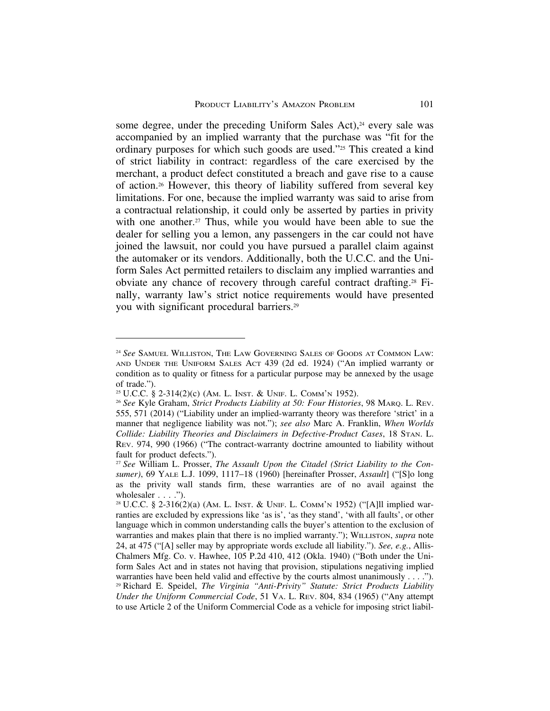some degree, under the preceding Uniform Sales Act), $24$  every sale was accompanied by an implied warranty that the purchase was "fit for the ordinary purposes for which such goods are used."25 This created a kind of strict liability in contract: regardless of the care exercised by the merchant, a product defect constituted a breach and gave rise to a cause of action.26 However, this theory of liability suffered from several key limitations. For one, because the implied warranty was said to arise from a contractual relationship, it could only be asserted by parties in privity with one another.<sup>27</sup> Thus, while you would have been able to sue the dealer for selling you a lemon, any passengers in the car could not have joined the lawsuit, nor could you have pursued a parallel claim against the automaker or its vendors. Additionally, both the U.C.C. and the Uniform Sales Act permitted retailers to disclaim any implied warranties and obviate any chance of recovery through careful contract drafting.28 Finally, warranty law's strict notice requirements would have presented you with significant procedural barriers.29

<sup>24</sup> *See* SAMUEL WILLISTON, THE LAW GOVERNING SALES OF GOODS AT COMMON LAW: AND UNDER THE UNIFORM SALES ACT 439 (2d ed. 1924) ("An implied warranty or condition as to quality or fitness for a particular purpose may be annexed by the usage of trade.").

<sup>25</sup> U.C.C. § 2-314(2)(c) (AM. L. INST. & UNIF. L. COMM'N 1952).

<sup>26</sup> *See* Kyle Graham, *Strict Products Liability at 50: Four Histories*, 98 MARQ. L. REV. 555, 571 (2014) ("Liability under an implied-warranty theory was therefore 'strict' in a manner that negligence liability was not."); *see also* Marc A. Franklin, *When Worlds Collide: Liability Theories and Disclaimers in Defective-Product Cases*, 18 STAN. L. REV. 974, 990 (1966) ("The contract-warranty doctrine amounted to liability without fault for product defects.").

<sup>27</sup> *See* William L. Prosser, *The Assault Upon the Citadel (Strict Liability to the Consumer)*, 69 YALE L.J. 1099, 1117–18 (1960) [hereinafter Prosser, *Assault*] ("[S]o long as the privity wall stands firm, these warranties are of no avail against the wholesaler  $\ldots$  .").

<sup>28</sup> U.C.C. § 2-316(2)(a) (AM. L. INST. & UNIF. L. COMM'N 1952) ("[A]ll implied warranties are excluded by expressions like 'as is', 'as they stand', 'with all faults', or other language which in common understanding calls the buyer's attention to the exclusion of warranties and makes plain that there is no implied warranty."); WILLISTON, *supra* note 24, at 475 ("[A] seller may by appropriate words exclude all liability."). *See, e.g.*, Allis-Chalmers Mfg. Co. v. Hawhee, 105 P.2d 410, 412 (Okla. 1940) ("Both under the Uniform Sales Act and in states not having that provision, stipulations negativing implied warranties have been held valid and effective by the courts almost unanimously . . . ."). <sup>29</sup> Richard E. Speidel, *The Virginia "Anti-Privity" Statute: Strict Products Liability Under the Uniform Commercial Code*, 51 VA. L. REV. 804, 834 (1965) ("Any attempt to use Article 2 of the Uniform Commercial Code as a vehicle for imposing strict liabil-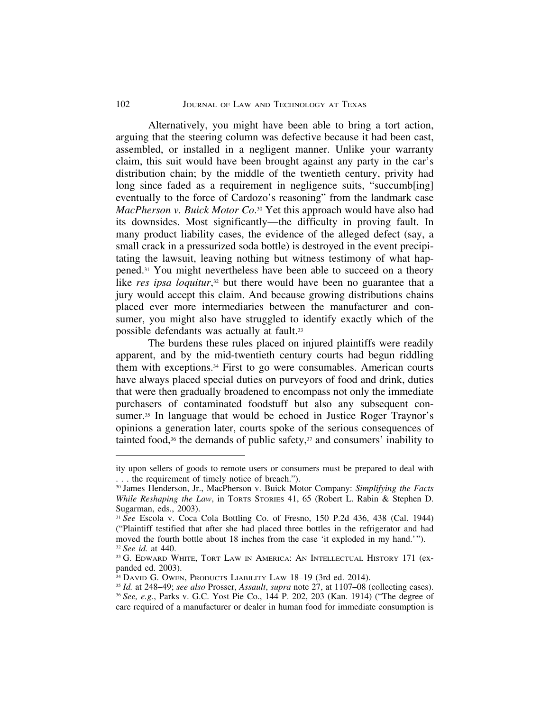Alternatively, you might have been able to bring a tort action, arguing that the steering column was defective because it had been cast, assembled, or installed in a negligent manner. Unlike your warranty claim, this suit would have been brought against any party in the car's distribution chain; by the middle of the twentieth century, privity had long since faded as a requirement in negligence suits, "succumb[ing] eventually to the force of Cardozo's reasoning" from the landmark case *MacPherson v. Buick Motor Co*.30 Yet this approach would have also had its downsides. Most significantly—the difficulty in proving fault. In many product liability cases, the evidence of the alleged defect (say, a small crack in a pressurized soda bottle) is destroyed in the event precipitating the lawsuit, leaving nothing but witness testimony of what happened.31 You might nevertheless have been able to succeed on a theory like *res ipsa loquitur*,<sup>32</sup> but there would have been no guarantee that a jury would accept this claim. And because growing distributions chains placed ever more intermediaries between the manufacturer and consumer, you might also have struggled to identify exactly which of the possible defendants was actually at fault.33

The burdens these rules placed on injured plaintiffs were readily apparent, and by the mid-twentieth century courts had begun riddling them with exceptions.34 First to go were consumables. American courts have always placed special duties on purveyors of food and drink, duties that were then gradually broadened to encompass not only the immediate purchasers of contaminated foodstuff but also any subsequent consumer.<sup>35</sup> In language that would be echoed in Justice Roger Traynor's opinions a generation later, courts spoke of the serious consequences of tainted food, $36$  the demands of public safety, $37$  and consumers' inability to

ity upon sellers of goods to remote users or consumers must be prepared to deal with . . . the requirement of timely notice of breach.").

<sup>30</sup> James Henderson, Jr., MacPherson v. Buick Motor Company: *Simplifying the Facts While Reshaping the Law*, in TORTS STORIES 41, 65 (Robert L. Rabin & Stephen D. Sugarman, eds., 2003).

<sup>31</sup> *See* Escola v. Coca Cola Bottling Co. of Fresno, 150 P.2d 436, 438 (Cal. 1944) ("Plaintiff testified that after she had placed three bottles in the refrigerator and had moved the fourth bottle about 18 inches from the case 'it exploded in my hand.'"). <sup>32</sup> *See id.* at 440.

<sup>&</sup>lt;sup>33</sup> G. EDWARD WHITE, TORT LAW IN AMERICA: AN INTELLECTUAL HISTORY 171 (expanded ed. 2003).

<sup>&</sup>lt;sup>34</sup> DAVID G. OWEN, PRODUCTS LIABILITY LAW 18-19 (3rd ed. 2014).

<sup>35</sup> *Id.* at 248–49; *see also* Prosser, *Assault*, *supra* note 27, at 1107–08 (collecting cases). <sup>36</sup> *See, e.g.*, Parks v. G.C. Yost Pie Co., 144 P. 202, 203 (Kan. 1914) ("The degree of care required of a manufacturer or dealer in human food for immediate consumption is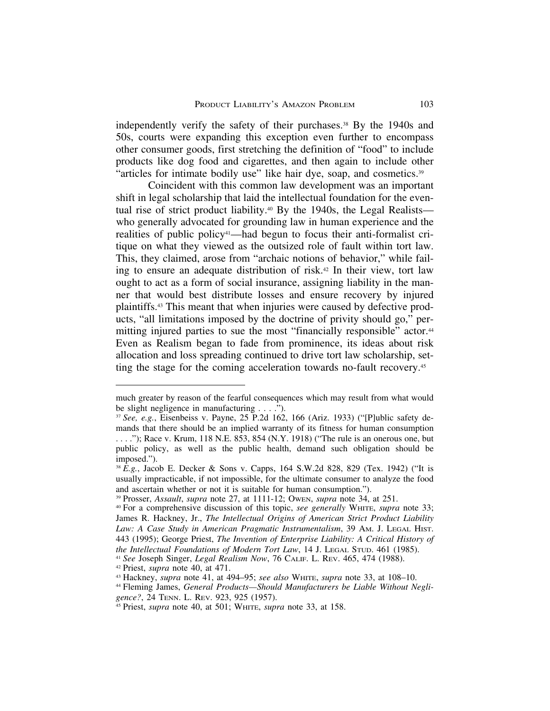independently verify the safety of their purchases.38 By the 1940s and 50s, courts were expanding this exception even further to encompass other consumer goods, first stretching the definition of "food" to include products like dog food and cigarettes, and then again to include other "articles for intimate bodily use" like hair dye, soap, and cosmetics.39

Coincident with this common law development was an important shift in legal scholarship that laid the intellectual foundation for the eventual rise of strict product liability.<sup>40</sup> By the 1940s, the Legal Realists who generally advocated for grounding law in human experience and the realities of public policy41—had begun to focus their anti-formalist critique on what they viewed as the outsized role of fault within tort law. This, they claimed, arose from "archaic notions of behavior," while failing to ensure an adequate distribution of risk.<sup>42</sup> In their view, tort law ought to act as a form of social insurance, assigning liability in the manner that would best distribute losses and ensure recovery by injured plaintiffs.43 This meant that when injuries were caused by defective products, "all limitations imposed by the doctrine of privity should go," permitting injured parties to sue the most "financially responsible" actor.<sup>44</sup> Even as Realism began to fade from prominence, its ideas about risk allocation and loss spreading continued to drive tort law scholarship, setting the stage for the coming acceleration towards no-fault recovery.45

much greater by reason of the fearful consequences which may result from what would be slight negligence in manufacturing . . . .").

<sup>37</sup> *See, e.g.*, Eisenbeiss v. Payne, 25 P.2d 162, 166 (Ariz. 1933) ("[P]ublic safety demands that there should be an implied warranty of its fitness for human consumption . . . ."); Race v. Krum, 118 N.E. 853, 854 (N.Y. 1918) ("The rule is an onerous one, but public policy, as well as the public health, demand such obligation should be imposed.").

<sup>38</sup> *E.g.*, Jacob E. Decker & Sons v. Capps, 164 S.W.2d 828, 829 (Tex. 1942) ("It is usually impracticable, if not impossible, for the ultimate consumer to analyze the food and ascertain whether or not it is suitable for human consumption.").

<sup>39</sup> Prosser, *Assault*, *supra* note 27, at 1111-12; OWEN, *supra* note 34, at 251.

<sup>40</sup> For a comprehensive discussion of this topic, *see generally* WHITE, *supra* note 33; James R. Hackney, Jr., *The Intellectual Origins of American Strict Product Liability Law: A Case Study in American Pragmatic Instrumentalism*, 39 AM. J. LEGAL HIST. 443 (1995); George Priest, *The Invention of Enterprise Liability: A Critical History of the Intellectual Foundations of Modern Tort Law*, 14 J. LEGAL STUD. 461 (1985). <sup>41</sup> *See* Joseph Singer, *Legal Realism Now*, 76 CALIF. L. REV. 465, 474 (1988).

<sup>42</sup> Priest, *supra* note 40, at 471.

<sup>43</sup> Hackney, *supra* note 41, at 494–95; *see also* WHITE, *supra* note 33, at 108–10.

<sup>44</sup> Fleming James, *General Products—Should Manufacturers be Liable Without Negligence?*, 24 TENN. L. REV. 923, 925 (1957).

<sup>45</sup> Priest, *supra* note 40, at 501; WHITE, *supra* note 33, at 158.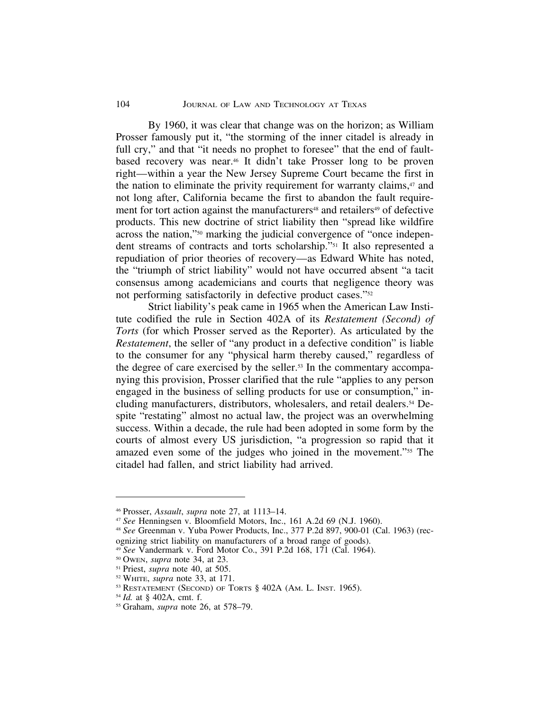#### 104 **JOURNAL OF LAW AND TECHNOLOGY AT TEXAS**

By 1960, it was clear that change was on the horizon; as William Prosser famously put it, "the storming of the inner citadel is already in full cry," and that "it needs no prophet to foresee" that the end of faultbased recovery was near.46 It didn't take Prosser long to be proven right—within a year the New Jersey Supreme Court became the first in the nation to eliminate the privity requirement for warranty claims,<sup>47</sup> and not long after, California became the first to abandon the fault requirement for tort action against the manufacturers<sup>48</sup> and retailers<sup>49</sup> of defective products. This new doctrine of strict liability then "spread like wildfire across the nation,"50 marking the judicial convergence of "once independent streams of contracts and torts scholarship."51 It also represented a repudiation of prior theories of recovery—as Edward White has noted, the "triumph of strict liability" would not have occurred absent "a tacit consensus among academicians and courts that negligence theory was not performing satisfactorily in defective product cases."52

Strict liability's peak came in 1965 when the American Law Institute codified the rule in Section 402A of its *Restatement (Second) of Torts* (for which Prosser served as the Reporter). As articulated by the *Restatement*, the seller of "any product in a defective condition" is liable to the consumer for any "physical harm thereby caused," regardless of the degree of care exercised by the seller.53 In the commentary accompanying this provision, Prosser clarified that the rule "applies to any person engaged in the business of selling products for use or consumption," including manufacturers, distributors, wholesalers, and retail dealers.<sup>54</sup> Despite "restating" almost no actual law, the project was an overwhelming success. Within a decade, the rule had been adopted in some form by the courts of almost every US jurisdiction, "a progression so rapid that it amazed even some of the judges who joined in the movement."55 The citadel had fallen, and strict liability had arrived.

<sup>46</sup> Prosser, *Assault*, *supra* note 27, at 1113–14.

<sup>47</sup> *See* Henningsen v. Bloomfield Motors, Inc., 161 A.2d 69 (N.J. 1960).

<sup>48</sup> *See* Greenman v. Yuba Power Products, Inc., 377 P.2d 897, 900-01 (Cal. 1963) (recognizing strict liability on manufacturers of a broad range of goods).

<sup>49</sup> *See* Vandermark v. Ford Motor Co., 391 P.2d 168, 171 (Cal. 1964).

<sup>50</sup> OWEN, *supra* note 34, at 23.

<sup>51</sup> Priest, *supra* note 40, at 505.

<sup>52</sup> WHITE, *supra* note 33, at 171.

<sup>&</sup>lt;sup>53</sup> RESTATEMENT (SECOND) OF TORTS § 402A (AM. L. INST. 1965).

<sup>54</sup> *Id.* at § 402A, cmt. f.

<sup>55</sup> Graham, *supra* note 26, at 578–79.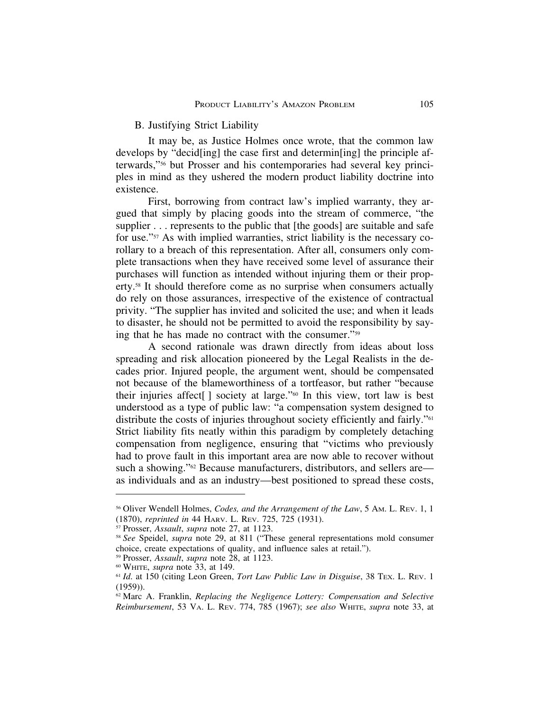### B. Justifying Strict Liability

It may be, as Justice Holmes once wrote, that the common law develops by "decid[ing] the case first and determin[ing] the principle afterwards,"56 but Prosser and his contemporaries had several key principles in mind as they ushered the modern product liability doctrine into existence.

First, borrowing from contract law's implied warranty, they argued that simply by placing goods into the stream of commerce, "the supplier . . . represents to the public that [the goods] are suitable and safe for use."57 As with implied warranties, strict liability is the necessary corollary to a breach of this representation. After all, consumers only complete transactions when they have received some level of assurance their purchases will function as intended without injuring them or their property.58 It should therefore come as no surprise when consumers actually do rely on those assurances, irrespective of the existence of contractual privity. "The supplier has invited and solicited the use; and when it leads to disaster, he should not be permitted to avoid the responsibility by saying that he has made no contract with the consumer."59

A second rationale was drawn directly from ideas about loss spreading and risk allocation pioneered by the Legal Realists in the decades prior. Injured people, the argument went, should be compensated not because of the blameworthiness of a tortfeasor, but rather "because their injuries affect[ ] society at large."60 In this view, tort law is best understood as a type of public law: "a compensation system designed to distribute the costs of injuries throughout society efficiently and fairly."61 Strict liability fits neatly within this paradigm by completely detaching compensation from negligence, ensuring that "victims who previously had to prove fault in this important area are now able to recover without such a showing."<sup>62</sup> Because manufacturers, distributors, and sellers are as individuals and as an industry—best positioned to spread these costs,

<sup>56</sup> Oliver Wendell Holmes, *Codes, and the Arrangement of the Law*, 5 AM. L. REV. 1, 1 (1870), *reprinted in* 44 HARV. L. REV. 725, 725 (1931).

<sup>57</sup> Prosser, *Assault*, *supra* note 27, at 1123.

<sup>58</sup> *See* Speidel, *supra* note 29, at 811 ("These general representations mold consumer choice, create expectations of quality, and influence sales at retail.").

<sup>59</sup> Prosser, *Assault*, *supra* note 28, at 1123.

<sup>60</sup> WHITE, *supra* note 33, at 149.

<sup>61</sup> *Id*. at 150 (citing Leon Green, *Tort Law Public Law in Disguise*, 38 TEX. L. REV. 1 (1959)).

<sup>62</sup> Marc A. Franklin, *Replacing the Negligence Lottery: Compensation and Selective Reimbursement*, 53 VA. L. REV. 774, 785 (1967); *see also* WHITE, *supra* note 33, at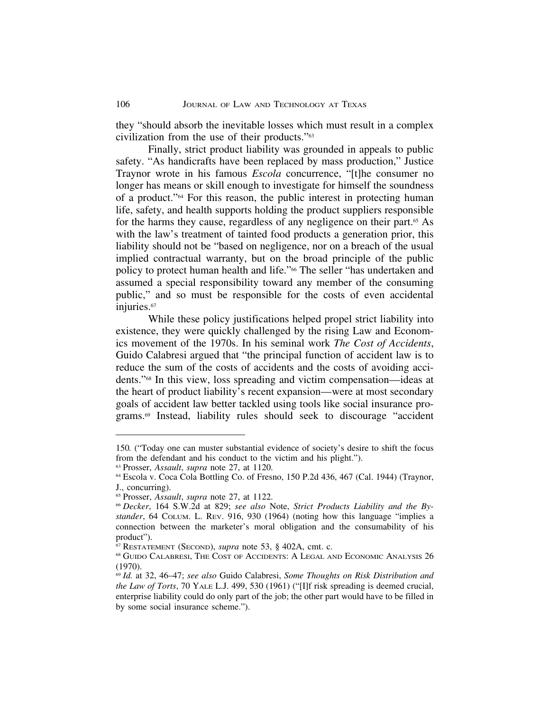they "should absorb the inevitable losses which must result in a complex civilization from the use of their products."63

Finally, strict product liability was grounded in appeals to public safety. "As handicrafts have been replaced by mass production," Justice Traynor wrote in his famous *Escola* concurrence, "[t]he consumer no longer has means or skill enough to investigate for himself the soundness of a product."64 For this reason, the public interest in protecting human life, safety, and health supports holding the product suppliers responsible for the harms they cause, regardless of any negligence on their part. $65$  As with the law's treatment of tainted food products a generation prior, this liability should not be "based on negligence, nor on a breach of the usual implied contractual warranty, but on the broad principle of the public policy to protect human health and life."<sup>66</sup> The seller "has undertaken and assumed a special responsibility toward any member of the consuming public," and so must be responsible for the costs of even accidental injuries.<sup>67</sup>

While these policy justifications helped propel strict liability into existence, they were quickly challenged by the rising Law and Economics movement of the 1970s. In his seminal work *The Cost of Accidents*, Guido Calabresi argued that "the principal function of accident law is to reduce the sum of the costs of accidents and the costs of avoiding accidents."68 In this view, loss spreading and victim compensation—ideas at the heart of product liability's recent expansion—were at most secondary goals of accident law better tackled using tools like social insurance programs.69 Instead, liability rules should seek to discourage "accident

<sup>150</sup>*.* ("Today one can muster substantial evidence of society's desire to shift the focus from the defendant and his conduct to the victim and his plight.").

<sup>63</sup> Prosser, *Assault*, *supra* note 27, at 1120.

<sup>64</sup> Escola v. Coca Cola Bottling Co. of Fresno, 150 P.2d 436, 467 (Cal. 1944) (Traynor, J., concurring).

<sup>65</sup> Prosser, *Assault*, *supra* note 27, at 1122.

<sup>66</sup> *Decker*, 164 S.W.2d at 829; *see also* Note, *Strict Products Liability and the Bystander*, 64 COLUM. L. REV. 916, 930 (1964) (noting how this language "implies a connection between the marketer's moral obligation and the consumability of his product").

<sup>67</sup> RESTATEMENT (SECOND), *supra* note 53, § 402A, cmt. c.

<sup>68</sup> GUIDO CALABRESI, THE COST OF ACCIDENTS: A LEGAL AND ECONOMIC ANALYSIS 26 (1970).

<sup>69</sup> *Id.* at 32, 46–47; *see also* Guido Calabresi, *Some Thoughts on Risk Distribution and the Law of Torts*, 70 YALE L.J. 499, 530 (1961) ("[I]f risk spreading is deemed crucial, enterprise liability could do only part of the job; the other part would have to be filled in by some social insurance scheme.").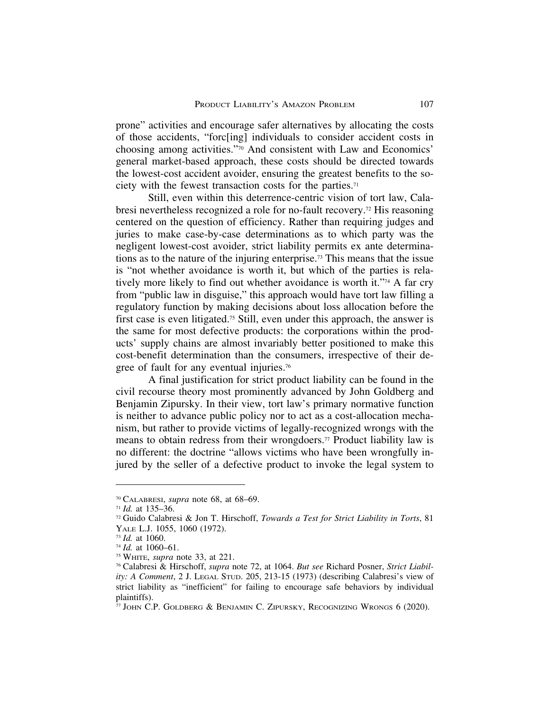prone" activities and encourage safer alternatives by allocating the costs of those accidents, "forc[ing] individuals to consider accident costs in choosing among activities."70 And consistent with Law and Economics' general market-based approach, these costs should be directed towards the lowest-cost accident avoider, ensuring the greatest benefits to the society with the fewest transaction costs for the parties.71

Still, even within this deterrence-centric vision of tort law, Calabresi nevertheless recognized a role for no-fault recovery.72 His reasoning centered on the question of efficiency. Rather than requiring judges and juries to make case-by-case determinations as to which party was the negligent lowest-cost avoider, strict liability permits ex ante determinations as to the nature of the injuring enterprise.73 This means that the issue is "not whether avoidance is worth it, but which of the parties is relatively more likely to find out whether avoidance is worth it."74 A far cry from "public law in disguise," this approach would have tort law filling a regulatory function by making decisions about loss allocation before the first case is even litigated.75 Still, even under this approach, the answer is the same for most defective products: the corporations within the products' supply chains are almost invariably better positioned to make this cost-benefit determination than the consumers, irrespective of their degree of fault for any eventual injuries.76

A final justification for strict product liability can be found in the civil recourse theory most prominently advanced by John Goldberg and Benjamin Zipursky. In their view, tort law's primary normative function is neither to advance public policy nor to act as a cost-allocation mechanism, but rather to provide victims of legally-recognized wrongs with the means to obtain redress from their wrongdoers.77 Product liability law is no different: the doctrine "allows victims who have been wrongfully injured by the seller of a defective product to invoke the legal system to

<sup>70</sup> CALABRESI, *supra* note 68, at 68–69.

<sup>71</sup> *Id.* at 135–36.

<sup>72</sup> Guido Calabresi & Jon T. Hirschoff, *Towards a Test for Strict Liability in Torts*, 81 YALE L.J. 1055, 1060 (1972).

<sup>73</sup> *Id.* at 1060.

<sup>74</sup> *Id.* at 1060–61.

<sup>75</sup> WHITE, *supra* note 33, at 221.

<sup>76</sup> Calabresi & Hirschoff, *supra* note 72, at 1064. *But see* Richard Posner, *Strict Liability: A Comment*, 2 J. LEGAL STUD. 205, 213-15 (1973) (describing Calabresi's view of strict liability as "inefficient" for failing to encourage safe behaviors by individual plaintiffs).

 $\frac{7}{7}$  John C.P. Goldberg & Benjamin C. Zipursky, Recognizing Wrongs 6 (2020).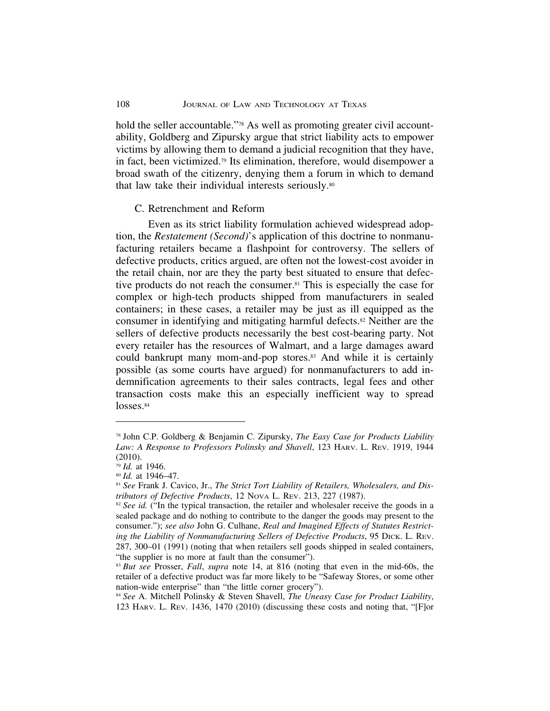hold the seller accountable."<sup>78</sup> As well as promoting greater civil accountability, Goldberg and Zipursky argue that strict liability acts to empower victims by allowing them to demand a judicial recognition that they have, in fact, been victimized.79 Its elimination, therefore, would disempower a broad swath of the citizenry, denying them a forum in which to demand that law take their individual interests seriously.80

## C. Retrenchment and Reform

Even as its strict liability formulation achieved widespread adoption, the *Restatement (Second)*'s application of this doctrine to nonmanufacturing retailers became a flashpoint for controversy. The sellers of defective products, critics argued, are often not the lowest-cost avoider in the retail chain, nor are they the party best situated to ensure that defective products do not reach the consumer.81 This is especially the case for complex or high-tech products shipped from manufacturers in sealed containers; in these cases, a retailer may be just as ill equipped as the consumer in identifying and mitigating harmful defects.82 Neither are the sellers of defective products necessarily the best cost-bearing party. Not every retailer has the resources of Walmart, and a large damages award could bankrupt many mom-and-pop stores.<sup>83</sup> And while it is certainly possible (as some courts have argued) for nonmanufacturers to add indemnification agreements to their sales contracts, legal fees and other transaction costs make this an especially inefficient way to spread losses.<sup>84</sup>

<sup>78</sup> John C.P. Goldberg & Benjamin C. Zipursky, *The Easy Case for Products Liability* Law: A Response to Professors Polinsky and Shavell, 123 HARV. L. REV. 1919, 1944 (2010).

<sup>79</sup> *Id.* at 1946.

<sup>80</sup> *Id.* at 1946–47.

<sup>81</sup> *See* Frank J. Cavico, Jr., *The Strict Tort Liability of Retailers, Wholesalers, and Distributors of Defective Products*, 12 NOVA L. REV. 213, 227 (1987).

<sup>&</sup>lt;sup>82</sup> *See id.* ("In the typical transaction, the retailer and wholesaler receive the goods in a sealed package and do nothing to contribute to the danger the goods may present to the consumer."); *see also* John G. Culhane, *Real and Imagined Effects of Statutes Restricting the Liability of Nonmanufacturing Sellers of Defective Products*, 95 DICK. L. REV. 287, 300–01 (1991) (noting that when retailers sell goods shipped in sealed containers, "the supplier is no more at fault than the consumer").

<sup>83</sup> *But see* Prosser, *Fall*, *supra* note 14, at 816 (noting that even in the mid-60s, the retailer of a defective product was far more likely to be "Safeway Stores, or some other nation-wide enterprise" than "the little corner grocery").

<sup>84</sup> *See* A. Mitchell Polinsky & Steven Shavell, *The Uneasy Case for Product Liability*, 123 HARV. L. REV. 1436, 1470 (2010) (discussing these costs and noting that, "[F]or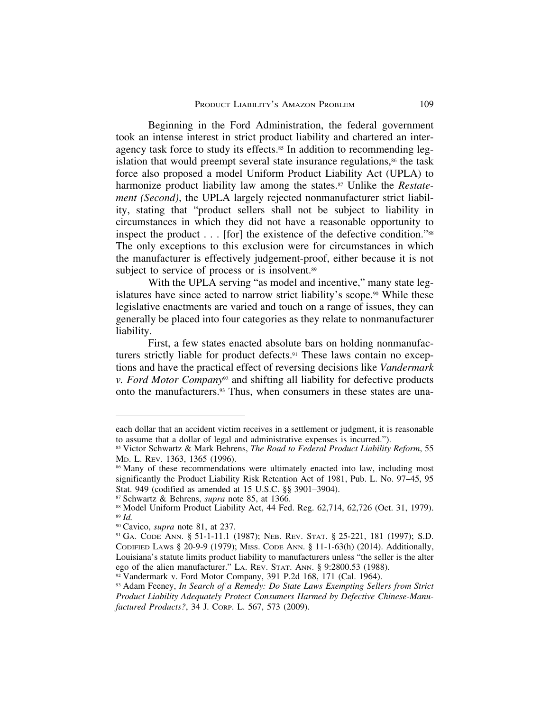Beginning in the Ford Administration, the federal government took an intense interest in strict product liability and chartered an interagency task force to study its effects.<sup>85</sup> In addition to recommending legislation that would preempt several state insurance regulations,<sup>86</sup> the task force also proposed a model Uniform Product Liability Act (UPLA) to harmonize product liability law among the states.<sup>87</sup> Unlike the *Restatement (Second)*, the UPLA largely rejected nonmanufacturer strict liability, stating that "product sellers shall not be subject to liability in circumstances in which they did not have a reasonable opportunity to inspect the product . . . [for] the existence of the defective condition."88 The only exceptions to this exclusion were for circumstances in which the manufacturer is effectively judgement-proof, either because it is not subject to service of process or is insolvent.<sup>89</sup>

With the UPLA serving "as model and incentive," many state legislatures have since acted to narrow strict liability's scope.<sup>90</sup> While these legislative enactments are varied and touch on a range of issues, they can generally be placed into four categories as they relate to nonmanufacturer liability.

First, a few states enacted absolute bars on holding nonmanufacturers strictly liable for product defects.<sup>91</sup> These laws contain no exceptions and have the practical effect of reversing decisions like *Vandermark v. Ford Motor Company*92 and shifting all liability for defective products onto the manufacturers.93 Thus, when consumers in these states are una-

each dollar that an accident victim receives in a settlement or judgment, it is reasonable to assume that a dollar of legal and administrative expenses is incurred.").

<sup>85</sup> Victor Schwartz & Mark Behrens, *The Road to Federal Product Liability Reform*, 55 MD. L. REV. 1363, 1365 (1996).

<sup>&</sup>lt;sup>86</sup> Many of these recommendations were ultimately enacted into law, including most significantly the Product Liability Risk Retention Act of 1981, Pub. L. No. 97–45, 95 Stat. 949 (codified as amended at 15 U.S.C. §§ 3901–3904).

<sup>87</sup> Schwartz & Behrens, *supra* note 85, at 1366.

<sup>88</sup> Model Uniform Product Liability Act, 44 Fed. Reg. 62,714, 62,726 (Oct. 31, 1979). <sup>89</sup> *Id.*

<sup>90</sup> Cavico, *supra* note 81, at 237.

<sup>91</sup> GA. CODE ANN. § 51-1-11.1 (1987); NEB. REV. STAT. § 25-221, 181 (1997); S.D. CODIFIED LAWS § 20-9-9 (1979); MISS. CODE ANN. § 11-1-63(h) (2014). Additionally, Louisiana's statute limits product liability to manufacturers unless "the seller is the alter ego of the alien manufacturer." LA. REV. STAT. ANN. § 9:2800.53 (1988).

 $92$  Vandermark v. Ford Motor Company, 391 P.2d 168, 171 (Cal. 1964).

<sup>93</sup> Adam Feeney, *In Search of a Remedy: Do State Laws Exempting Sellers from Strict Product Liability Adequately Protect Consumers Harmed by Defective Chinese-Manufactured Products?*, 34 J. CORP. L. 567, 573 (2009).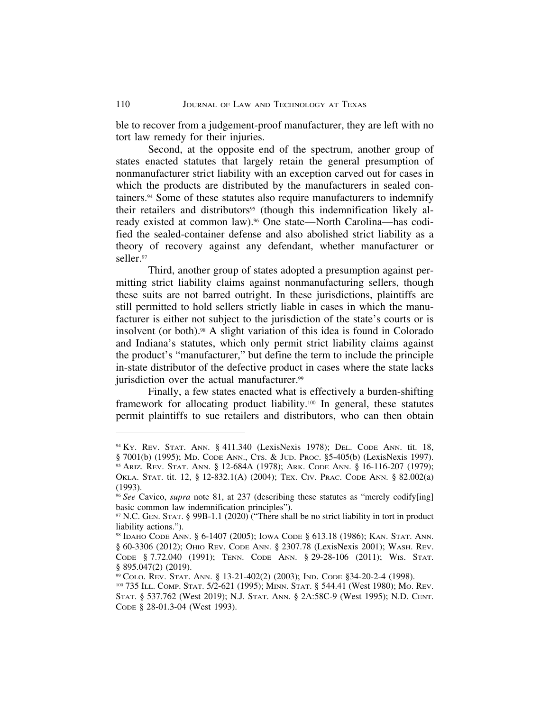ble to recover from a judgement-proof manufacturer, they are left with no tort law remedy for their injuries.

Second, at the opposite end of the spectrum, another group of states enacted statutes that largely retain the general presumption of nonmanufacturer strict liability with an exception carved out for cases in which the products are distributed by the manufacturers in sealed containers.94 Some of these statutes also require manufacturers to indemnify their retailers and distributors<sup>95</sup> (though this indemnification likely already existed at common law).<sup>96</sup> One state—North Carolina—has codified the sealed-container defense and also abolished strict liability as a theory of recovery against any defendant, whether manufacturer or seller.97

Third, another group of states adopted a presumption against permitting strict liability claims against nonmanufacturing sellers, though these suits are not barred outright. In these jurisdictions, plaintiffs are still permitted to hold sellers strictly liable in cases in which the manufacturer is either not subject to the jurisdiction of the state's courts or is insolvent (or both).98 A slight variation of this idea is found in Colorado and Indiana's statutes, which only permit strict liability claims against the product's "manufacturer," but define the term to include the principle in-state distributor of the defective product in cases where the state lacks jurisdiction over the actual manufacturer.<sup>99</sup>

Finally, a few states enacted what is effectively a burden-shifting framework for allocating product liability.100 In general, these statutes permit plaintiffs to sue retailers and distributors, who can then obtain

<sup>94</sup> KY. REV. STAT. ANN. § 411.340 (LexisNexis 1978); DEL. CODE ANN. tit. 18, § 7001(b) (1995); MD. CODE ANN., CTS. & JUD. PROC. §5-405(b) (LexisNexis 1997).

<sup>95</sup> ARIZ. REV. STAT. ANN. § 12-684A (1978); ARK. CODE ANN. § 16-116-207 (1979); OKLA. STAT. tit. 12, § 12-832.1(A) (2004); TEX. CIV. PRAC. CODE ANN. § 82.002(a) (1993).

<sup>96</sup> *See* Cavico, *supra* note 81, at 237 (describing these statutes as "merely codify[ing] basic common law indemnification principles").

<sup>97</sup> N.C. GEN. STAT. § 99B-1.1 (2020) ("There shall be no strict liability in tort in product liability actions.").

<sup>98</sup> IDAHO CODE ANN. § 6-1407 (2005); IOWA CODE § 613.18 (1986); KAN. STAT. ANN. § 60-3306 (2012); OHIO REV. CODE ANN. § 2307.78 (LexisNexis 2001); WASH. REV. CODE § 7.72.040 (1991); TENN. CODE ANN. § 29-28-106 (2011); WIS. STAT. § 895.047(2) (2019).

<sup>99</sup> COLO. REV. STAT. ANN. § 13-21-402(2) (2003); IND. CODE §34-20-2-4 (1998).

<sup>100</sup> 735 ILL. COMP. STAT. 5/2-621 (1995); MINN. STAT. § 544.41 (West 1980); MO. REV. STAT. § 537.762 (West 2019); N.J. STAT. ANN. § 2A:58C-9 (West 1995); N.D. CENT. CODE § 28-01.3-04 (West 1993).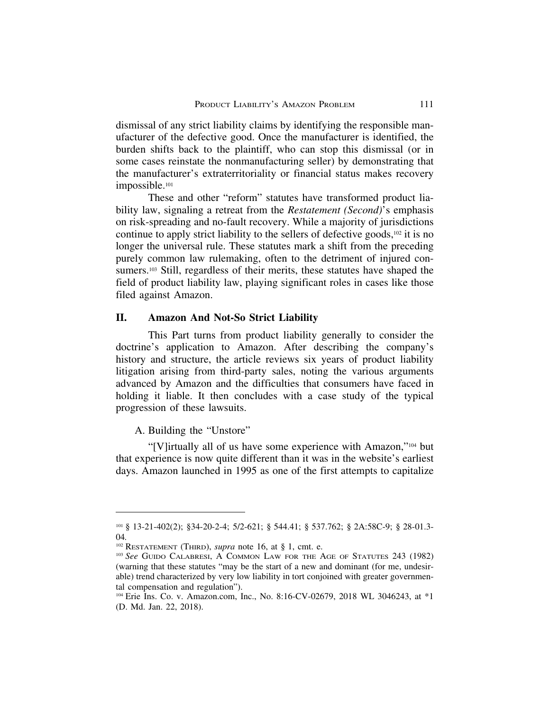dismissal of any strict liability claims by identifying the responsible manufacturer of the defective good. Once the manufacturer is identified, the burden shifts back to the plaintiff, who can stop this dismissal (or in some cases reinstate the nonmanufacturing seller) by demonstrating that the manufacturer's extraterritoriality or financial status makes recovery impossible.101

These and other "reform" statutes have transformed product liability law, signaling a retreat from the *Restatement (Second)*'s emphasis on risk-spreading and no-fault recovery. While a majority of jurisdictions continue to apply strict liability to the sellers of defective goods, $102$  it is no longer the universal rule. These statutes mark a shift from the preceding purely common law rulemaking, often to the detriment of injured consumers.<sup>103</sup> Still, regardless of their merits, these statutes have shaped the field of product liability law, playing significant roles in cases like those filed against Amazon.

# **II. Amazon And Not-So Strict Liability**

This Part turns from product liability generally to consider the doctrine's application to Amazon. After describing the company's history and structure, the article reviews six years of product liability litigation arising from third-party sales, noting the various arguments advanced by Amazon and the difficulties that consumers have faced in holding it liable. It then concludes with a case study of the typical progression of these lawsuits.

A. Building the "Unstore"

"[V]irtually all of us have some experience with Amazon,"104 but that experience is now quite different than it was in the website's earliest days. Amazon launched in 1995 as one of the first attempts to capitalize

<sup>101</sup> § 13-21-402(2); §34-20-2-4; 5/2-621; § 544.41; § 537.762; § 2A:58C-9; § 28-01.3- 04*.*

<sup>102</sup> RESTATEMENT (THIRD), *supra* note 16, at § 1, cmt. e.

<sup>103</sup> *See* GUIDO CALABRESI, A COMMON LAW FOR THE AGE OF STATUTES 243 (1982) (warning that these statutes "may be the start of a new and dominant (for me, undesirable) trend characterized by very low liability in tort conjoined with greater governmental compensation and regulation").

<sup>104</sup> Erie Ins. Co. v. Amazon.com, Inc., No. 8:16-CV-02679, 2018 WL 3046243, at \*1 (D. Md. Jan. 22, 2018).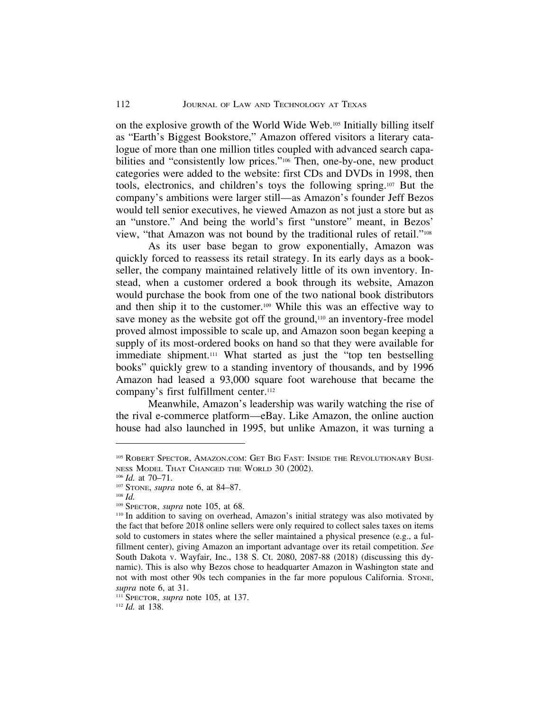on the explosive growth of the World Wide Web.105 Initially billing itself as "Earth's Biggest Bookstore," Amazon offered visitors a literary catalogue of more than one million titles coupled with advanced search capabilities and "consistently low prices."106 Then, one-by-one, new product categories were added to the website: first CDs and DVDs in 1998, then tools, electronics, and children's toys the following spring.107 But the company's ambitions were larger still—as Amazon's founder Jeff Bezos would tell senior executives, he viewed Amazon as not just a store but as an "unstore." And being the world's first "unstore" meant, in Bezos' view, "that Amazon was not bound by the traditional rules of retail."108

As its user base began to grow exponentially, Amazon was quickly forced to reassess its retail strategy. In its early days as a bookseller, the company maintained relatively little of its own inventory. Instead, when a customer ordered a book through its website, Amazon would purchase the book from one of the two national book distributors and then ship it to the customer.109 While this was an effective way to save money as the website got off the ground,<sup>110</sup> an inventory-free model proved almost impossible to scale up, and Amazon soon began keeping a supply of its most-ordered books on hand so that they were available for immediate shipment.<sup>111</sup> What started as just the "top ten bestselling books" quickly grew to a standing inventory of thousands, and by 1996 Amazon had leased a 93,000 square foot warehouse that became the company's first fulfillment center.<sup>112</sup>

Meanwhile, Amazon's leadership was warily watching the rise of the rival e-commerce platform—eBay. Like Amazon, the online auction house had also launched in 1995, but unlike Amazon, it was turning a

<sup>111</sup> SPECTOR, *supra* note 105, at 137.

<sup>112</sup> *Id.* at 138.

<sup>105</sup> ROBERT SPECTOR, AMAZON.COM: GET BIG FAST: INSIDE THE REVOLUTIONARY BUSI-NESS MODEL THAT CHANGED THE WORLD 30 (2002).

<sup>106</sup> *Id.* at 70–71.

<sup>107</sup> STONE, *supra* note 6, at 84–87.

<sup>108</sup> *Id.*

<sup>109</sup> SPECTOR, *supra* note 105, at 68.

<sup>110</sup> In addition to saving on overhead, Amazon's initial strategy was also motivated by the fact that before 2018 online sellers were only required to collect sales taxes on items sold to customers in states where the seller maintained a physical presence (e.g., a fulfillment center), giving Amazon an important advantage over its retail competition. *See* South Dakota v. Wayfair, Inc., 138 S. Ct. 2080, 2087-88 (2018) (discussing this dynamic). This is also why Bezos chose to headquarter Amazon in Washington state and not with most other 90s tech companies in the far more populous California. STONE, *supra* note 6, at 31.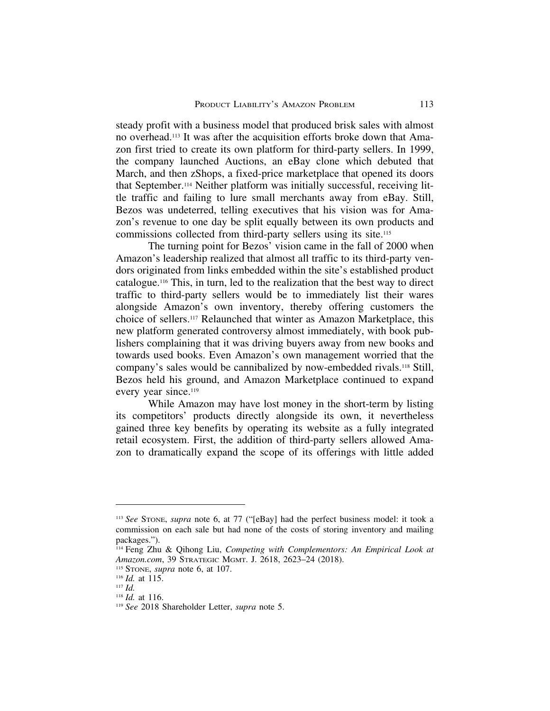steady profit with a business model that produced brisk sales with almost no overhead.113 It was after the acquisition efforts broke down that Amazon first tried to create its own platform for third-party sellers. In 1999, the company launched Auctions, an eBay clone which debuted that March, and then zShops, a fixed-price marketplace that opened its doors that September.114 Neither platform was initially successful, receiving little traffic and failing to lure small merchants away from eBay. Still, Bezos was undeterred, telling executives that his vision was for Amazon's revenue to one day be split equally between its own products and commissions collected from third-party sellers using its site.115

The turning point for Bezos' vision came in the fall of 2000 when Amazon's leadership realized that almost all traffic to its third-party vendors originated from links embedded within the site's established product catalogue.116 This, in turn, led to the realization that the best way to direct traffic to third-party sellers would be to immediately list their wares alongside Amazon's own inventory, thereby offering customers the choice of sellers.117 Relaunched that winter as Amazon Marketplace, this new platform generated controversy almost immediately, with book publishers complaining that it was driving buyers away from new books and towards used books. Even Amazon's own management worried that the company's sales would be cannibalized by now-embedded rivals.118 Still, Bezos held his ground, and Amazon Marketplace continued to expand every year since.119

While Amazon may have lost money in the short-term by listing its competitors' products directly alongside its own, it nevertheless gained three key benefits by operating its website as a fully integrated retail ecosystem. First, the addition of third-party sellers allowed Amazon to dramatically expand the scope of its offerings with little added

<sup>113</sup> *See* STONE, *supra* note 6, at 77 ("[eBay] had the perfect business model: it took a commission on each sale but had none of the costs of storing inventory and mailing packages.").

<sup>114</sup> Feng Zhu & Qihong Liu, *Competing with Complementors: An Empirical Look at Amazon.com*, 39 STRATEGIC MGMT. J. 2618, 2623–24 (2018).

<sup>115</sup> STONE, *supra* note 6, at 107.

<sup>116</sup> *Id.* at 115.

<sup>117</sup> *Id.*

<sup>118</sup> *Id.* at 116.

<sup>119</sup> *See* 2018 Shareholder Letter, *supra* note 5.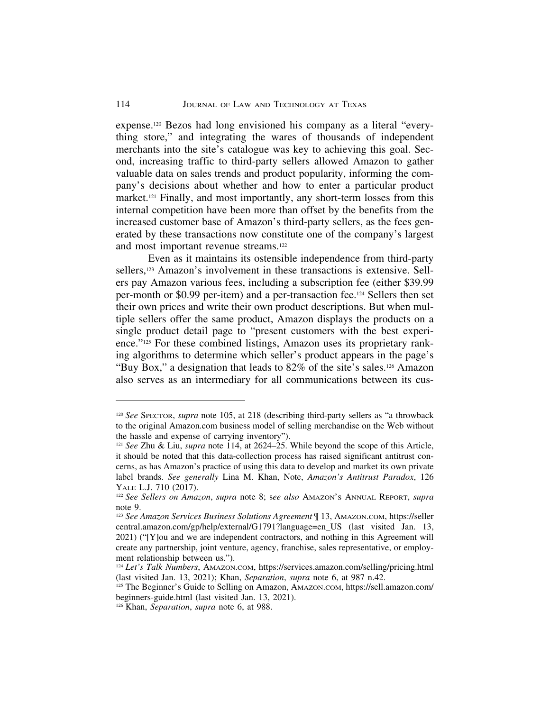expense.120 Bezos had long envisioned his company as a literal "everything store," and integrating the wares of thousands of independent merchants into the site's catalogue was key to achieving this goal. Second, increasing traffic to third-party sellers allowed Amazon to gather valuable data on sales trends and product popularity, informing the company's decisions about whether and how to enter a particular product market.121 Finally, and most importantly, any short-term losses from this internal competition have been more than offset by the benefits from the increased customer base of Amazon's third-party sellers, as the fees generated by these transactions now constitute one of the company's largest and most important revenue streams.122

Even as it maintains its ostensible independence from third-party sellers,<sup>123</sup> Amazon's involvement in these transactions is extensive. Sellers pay Amazon various fees, including a subscription fee (either \$39.99 per-month or \$0.99 per-item) and a per-transaction fee.124 Sellers then set their own prices and write their own product descriptions. But when multiple sellers offer the same product, Amazon displays the products on a single product detail page to "present customers with the best experience."125 For these combined listings, Amazon uses its proprietary ranking algorithms to determine which seller's product appears in the page's "Buy Box," a designation that leads to 82% of the site's sales.126 Amazon also serves as an intermediary for all communications between its cus-

<sup>120</sup> *See* SPECTOR, *supra* note 105, at 218 (describing third-party sellers as "a throwback to the original Amazon.com business model of selling merchandise on the Web without the hassle and expense of carrying inventory").

<sup>121</sup> *See* Zhu & Liu, *supra* note 114, at 2624–25. While beyond the scope of this Article, it should be noted that this data-collection process has raised significant antitrust concerns, as has Amazon's practice of using this data to develop and market its own private label brands. *See generally* Lina M. Khan, Note, *Amazon's Antitrust Paradox*, 126 YALE L.J. 710 (2017).

<sup>122</sup> *See Sellers on Amazon*, *supra* note 8; s*ee also* AMAZON'S ANNUAL REPORT, *supra* note 9.

<sup>123</sup> *See Amazon Services Business Solutions Agreement* ¶ 13, AMAZON.COM, https://seller central.amazon.com/gp/help/external/G1791?language=en\_US (last visited Jan. 13, 2021) ("[Y]ou and we are independent contractors, and nothing in this Agreement will create any partnership, joint venture, agency, franchise, sales representative, or employment relationship between us.").

<sup>124</sup> *Let's Talk Numbers*, AMAZON.COM, https://services.amazon.com/selling/pricing.html (last visited Jan. 13, 2021); Khan, *Separation*, *supra* note 6, at 987 n.42.

<sup>125</sup> The Beginner's Guide to Selling on Amazon, AMAZON.COM, https://sell.amazon.com/ beginners-guide.html (last visited Jan. 13, 2021).

<sup>126</sup> Khan, *Separation*, *supra* note 6, at 988.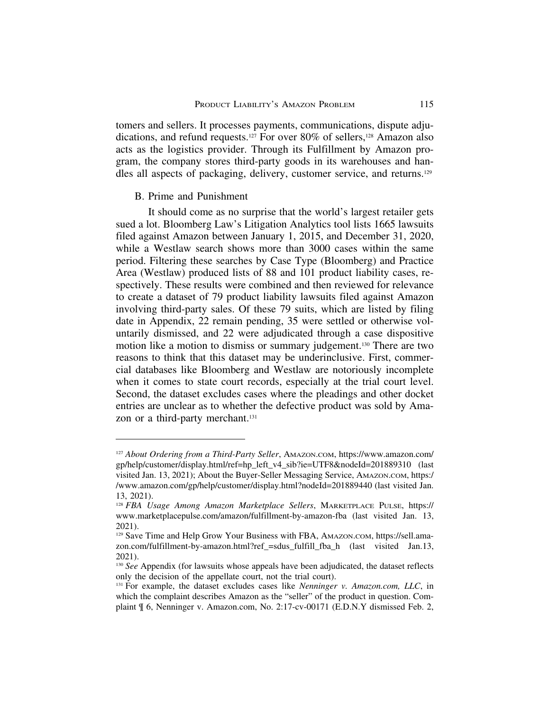tomers and sellers. It processes payments, communications, dispute adjudications, and refund requests.127 For over 80% of sellers,128 Amazon also acts as the logistics provider. Through its Fulfillment by Amazon program, the company stores third-party goods in its warehouses and handles all aspects of packaging, delivery, customer service, and returns.129

#### B. Prime and Punishment

It should come as no surprise that the world's largest retailer gets sued a lot. Bloomberg Law's Litigation Analytics tool lists 1665 lawsuits filed against Amazon between January 1, 2015, and December 31, 2020, while a Westlaw search shows more than 3000 cases within the same period. Filtering these searches by Case Type (Bloomberg) and Practice Area (Westlaw) produced lists of 88 and 101 product liability cases, respectively. These results were combined and then reviewed for relevance to create a dataset of 79 product liability lawsuits filed against Amazon involving third-party sales. Of these 79 suits, which are listed by filing date in Appendix, 22 remain pending, 35 were settled or otherwise voluntarily dismissed, and 22 were adjudicated through a case dispositive motion like a motion to dismiss or summary judgement.130 There are two reasons to think that this dataset may be underinclusive. First, commercial databases like Bloomberg and Westlaw are notoriously incomplete when it comes to state court records, especially at the trial court level. Second, the dataset excludes cases where the pleadings and other docket entries are unclear as to whether the defective product was sold by Amazon or a third-party merchant.131

<sup>127</sup> *About Ordering from a Third-Party Seller*, AMAZON.COM, https://www.amazon.com/ gp/help/customer/display.html/ref=hp\_left\_v4\_sib?ie=UTF8&nodeId=201889310 (last visited Jan. 13, 2021); About the Buyer-Seller Messaging Service, AMAZON.COM, https:/ /www.amazon.com/gp/help/customer/display.html?nodeId=201889440 (last visited Jan. 13, 2021).

<sup>128</sup> *FBA Usage Among Amazon Marketplace Sellers*, MARKETPLACE PULSE, https:// www.marketplacepulse.com/amazon/fulfillment-by-amazon-fba (last visited Jan. 13, 2021).

<sup>129</sup> Save Time and Help Grow Your Business with FBA, AMAZON.COM, https://sell.amazon.com/fulfillment-by-amazon.html?ref\_=sdus\_fulfill\_fba\_h (last visited Jan.13, 2021).

<sup>&</sup>lt;sup>130</sup> *See* Appendix (for lawsuits whose appeals have been adjudicated, the dataset reflects only the decision of the appellate court, not the trial court).

<sup>131</sup> For example, the dataset excludes cases like *Nenninger v. Amazon.com, LLC*, in which the complaint describes Amazon as the "seller" of the product in question. Complaint ¶ 6, Nenninger v. Amazon.com, No. 2:17-cv-00171 (E.D.N.Y dismissed Feb. 2,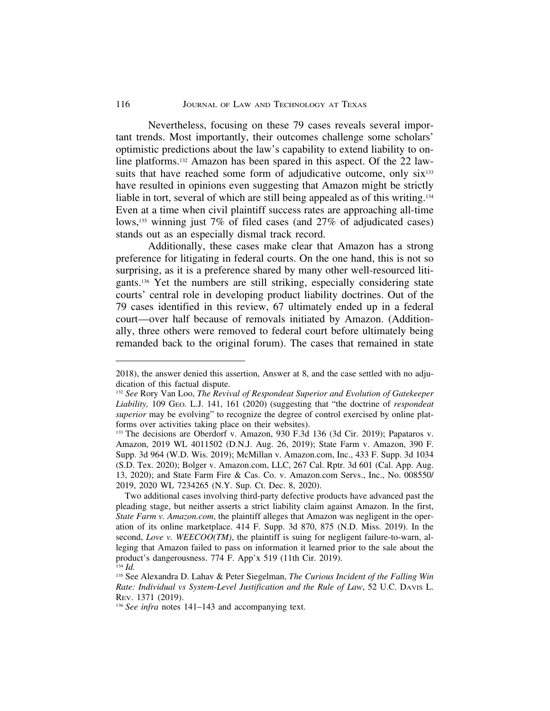Nevertheless, focusing on these 79 cases reveals several important trends. Most importantly, their outcomes challenge some scholars' optimistic predictions about the law's capability to extend liability to online platforms.132 Amazon has been spared in this aspect. Of the 22 lawsuits that have reached some form of adjudicative outcome, only  $\text{six}^{133}$ have resulted in opinions even suggesting that Amazon might be strictly liable in tort, several of which are still being appealed as of this writing.134 Even at a time when civil plaintiff success rates are approaching all-time lows,<sup>135</sup> winning just 7% of filed cases (and 27% of adjudicated cases) stands out as an especially dismal track record.

Additionally, these cases make clear that Amazon has a strong preference for litigating in federal courts. On the one hand, this is not so surprising, as it is a preference shared by many other well-resourced litigants.136 Yet the numbers are still striking, especially considering state courts' central role in developing product liability doctrines. Out of the 79 cases identified in this review, 67 ultimately ended up in a federal court—over half because of removals initiated by Amazon. (Additionally, three others were removed to federal court before ultimately being remanded back to the original forum). The cases that remained in state

<sup>2018),</sup> the answer denied this assertion, Answer at 8, and the case settled with no adjudication of this factual dispute.

<sup>132</sup> *See* Rory Van Loo, *The Revival of Respondeat Superior and Evolution of Gatekeeper Liability,* 109 GEO. L.J. 141, 161 (2020) (suggesting that "the doctrine of *respondeat superior* may be evolving" to recognize the degree of control exercised by online platforms over activities taking place on their websites).

<sup>133</sup> The decisions are Oberdorf v. Amazon, 930 F.3d 136 (3d Cir. 2019); Papataros v. Amazon, 2019 WL 4011502 (D.N.J. Aug. 26, 2019); State Farm v. Amazon, 390 F. Supp. 3d 964 (W.D. Wis. 2019); McMillan v. Amazon.com, Inc., 433 F. Supp. 3d 1034 (S.D. Tex. 2020); Bolger v. Amazon.com, LLC, 267 Cal. Rptr. 3d 601 (Cal. App. Aug. 13, 2020); and State Farm Fire & Cas. Co. v. Amazon.com Servs., Inc., No. 008550/ 2019, 2020 WL 7234265 (N.Y. Sup. Ct. Dec. 8, 2020).

Two additional cases involving third-party defective products have advanced past the pleading stage, but neither asserts a strict liability claim against Amazon. In the first, *State Farm v. Amazon.com*, the plaintiff alleges that Amazon was negligent in the operation of its online marketplace. 414 F. Supp. 3d 870, 875 (N.D. Miss. 2019). In the second, *Love v. WEECOO(TM)*, the plaintiff is suing for negligent failure-to-warn, alleging that Amazon failed to pass on information it learned prior to the sale about the product's dangerousness. 774 F. App'x 519 (11th Cir. 2019). <sup>134</sup> *Id.*

<sup>135</sup> See Alexandra D. Lahav & Peter Siegelman, *The Curious Incident of the Falling Win Rate: Individual vs System-Level Justification and the Rule of Law*, 52 U.C. DAVIS L. REV. 1371 (2019).

<sup>&</sup>lt;sup>136</sup> See infra notes 141-143 and accompanying text.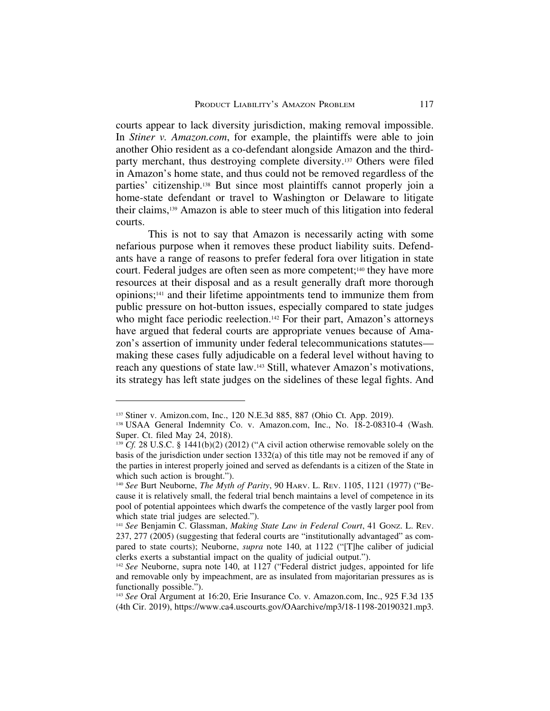courts appear to lack diversity jurisdiction, making removal impossible. In *Stiner v. Amazon.com*, for example, the plaintiffs were able to join another Ohio resident as a co-defendant alongside Amazon and the thirdparty merchant, thus destroying complete diversity.137 Others were filed in Amazon's home state, and thus could not be removed regardless of the parties' citizenship.138 But since most plaintiffs cannot properly join a home-state defendant or travel to Washington or Delaware to litigate their claims,139 Amazon is able to steer much of this litigation into federal courts.

This is not to say that Amazon is necessarily acting with some nefarious purpose when it removes these product liability suits. Defendants have a range of reasons to prefer federal fora over litigation in state court. Federal judges are often seen as more competent;140 they have more resources at their disposal and as a result generally draft more thorough opinions;141 and their lifetime appointments tend to immunize them from public pressure on hot-button issues, especially compared to state judges who might face periodic reelection.<sup>142</sup> For their part, Amazon's attorneys have argued that federal courts are appropriate venues because of Amazon's assertion of immunity under federal telecommunications statutes making these cases fully adjudicable on a federal level without having to reach any questions of state law.143 Still, whatever Amazon's motivations, its strategy has left state judges on the sidelines of these legal fights. And

<sup>137</sup> Stiner v. Amizon.com, Inc., 120 N.E.3d 885, 887 (Ohio Ct. App. 2019).

<sup>&</sup>lt;sup>138</sup> USAA General Indemnity Co. v. Amazon.com, Inc., No. 18-2-08310-4 (Wash. Super. Ct. filed May 24, 2018).

 $139$  Cf. 28 U.S.C. § 1441(b)(2) (2012) ("A civil action otherwise removable solely on the basis of the jurisdiction under section 1332(a) of this title may not be removed if any of the parties in interest properly joined and served as defendants is a citizen of the State in which such action is brought.").

<sup>140</sup> *See* Burt Neuborne, *The Myth of Parity*, 90 HARV. L. REV. 1105, 1121 (1977) ("Because it is relatively small, the federal trial bench maintains a level of competence in its pool of potential appointees which dwarfs the competence of the vastly larger pool from which state trial judges are selected.").

<sup>141</sup> *See* Benjamin C. Glassman, *Making State Law in Federal Court*, 41 GONZ. L. REV. 237, 277 (2005) (suggesting that federal courts are "institutionally advantaged" as compared to state courts); Neuborne, *supra* note 140, at 1122 ("[T]he caliber of judicial clerks exerts a substantial impact on the quality of judicial output.").

<sup>142</sup> *See* Neuborne, supra note 140, at 1127 ("Federal district judges, appointed for life and removable only by impeachment, are as insulated from majoritarian pressures as is functionally possible.").

<sup>143</sup> *See* Oral Argument at 16:20, Erie Insurance Co. v. Amazon.com, Inc., 925 F.3d 135 (4th Cir. 2019), https://www.ca4.uscourts.gov/OAarchive/mp3/18-1198-20190321.mp3.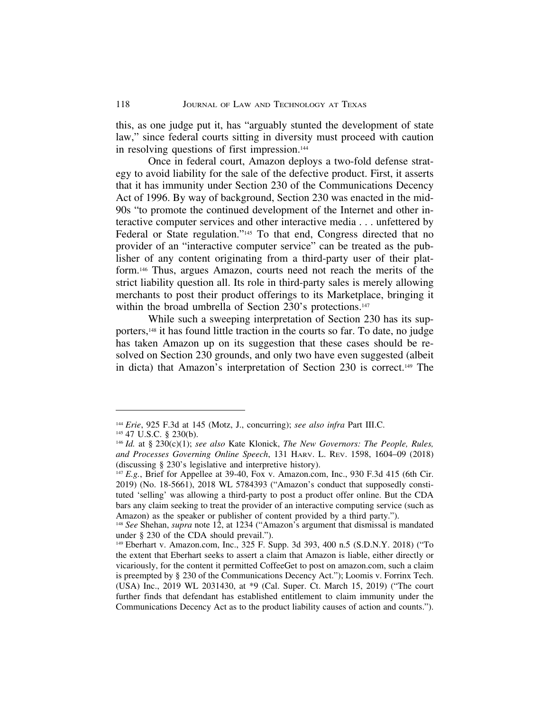this, as one judge put it, has "arguably stunted the development of state law," since federal courts sitting in diversity must proceed with caution in resolving questions of first impression.144

Once in federal court, Amazon deploys a two-fold defense strategy to avoid liability for the sale of the defective product. First, it asserts that it has immunity under Section 230 of the Communications Decency Act of 1996. By way of background, Section 230 was enacted in the mid-90s "to promote the continued development of the Internet and other interactive computer services and other interactive media . . . unfettered by Federal or State regulation."145 To that end, Congress directed that no provider of an "interactive computer service" can be treated as the publisher of any content originating from a third-party user of their platform.146 Thus, argues Amazon, courts need not reach the merits of the strict liability question all. Its role in third-party sales is merely allowing merchants to post their product offerings to its Marketplace, bringing it within the broad umbrella of Section 230's protections.<sup>147</sup>

While such a sweeping interpretation of Section 230 has its supporters,148 it has found little traction in the courts so far. To date, no judge has taken Amazon up on its suggestion that these cases should be resolved on Section 230 grounds, and only two have even suggested (albeit in dicta) that Amazon's interpretation of Section 230 is correct.149 The

<sup>144</sup> *Erie*, 925 F.3d at 145 (Motz, J., concurring); *see also infra* Part III.C.

<sup>145</sup> 47 U.S.C. § 230(b).

<sup>146</sup> *Id.* at § 230(c)(1); *see also* Kate Klonick, *The New Governors: The People, Rules, and Processes Governing Online Speech*, 131 HARV. L. REV. 1598, 1604–09 (2018) (discussing § 230's legislative and interpretive history).

<sup>&</sup>lt;sup>147</sup> *E.g.*, Brief for Appellee at 39-40, Fox v. Amazon.com, Inc., 930 F.3d 415 (6th Cir. 2019) (No. 18-5661), 2018 WL 5784393 ("Amazon's conduct that supposedly constituted 'selling' was allowing a third-party to post a product offer online. But the CDA bars any claim seeking to treat the provider of an interactive computing service (such as Amazon) as the speaker or publisher of content provided by a third party.").

<sup>&</sup>lt;sup>148</sup> *See* Shehan, *supra* note 12, at 1234 ("Amazon's argument that dismissal is mandated under § 230 of the CDA should prevail.").

<sup>149</sup> Eberhart v. Amazon.com, Inc., 325 F. Supp. 3d 393, 400 n.5 (S.D.N.Y. 2018) ("To the extent that Eberhart seeks to assert a claim that Amazon is liable, either directly or vicariously, for the content it permitted CoffeeGet to post on amazon.com, such a claim is preempted by § 230 of the Communications Decency Act."); Loomis v. Forrinx Tech. (USA) Inc., 2019 WL 2031430, at \*9 (Cal. Super. Ct. March 15, 2019) ("The court further finds that defendant has established entitlement to claim immunity under the Communications Decency Act as to the product liability causes of action and counts.").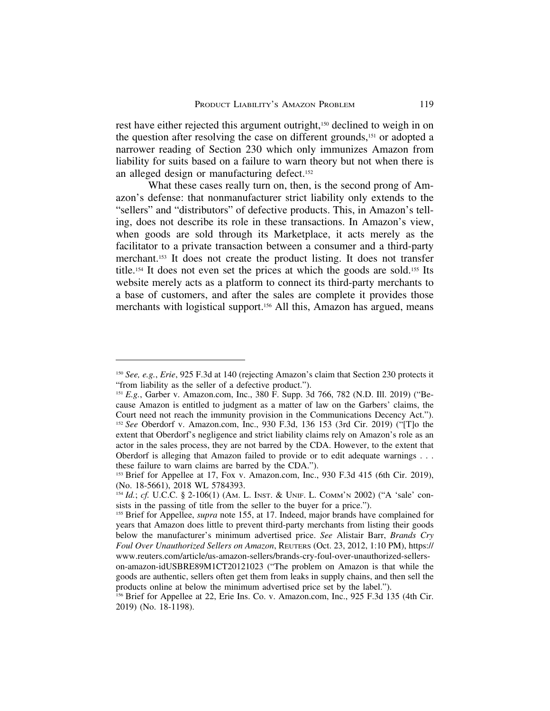rest have either rejected this argument outright,150 declined to weigh in on the question after resolving the case on different grounds,151 or adopted a narrower reading of Section 230 which only immunizes Amazon from liability for suits based on a failure to warn theory but not when there is an alleged design or manufacturing defect.152

What these cases really turn on, then, is the second prong of Amazon's defense: that nonmanufacturer strict liability only extends to the "sellers" and "distributors" of defective products. This, in Amazon's telling, does not describe its role in these transactions. In Amazon's view, when goods are sold through its Marketplace, it acts merely as the facilitator to a private transaction between a consumer and a third-party merchant.153 It does not create the product listing. It does not transfer title.154 It does not even set the prices at which the goods are sold.155 Its website merely acts as a platform to connect its third-party merchants to a base of customers, and after the sales are complete it provides those merchants with logistical support.<sup>156</sup> All this, Amazon has argued, means

<sup>150</sup> *See, e.g.*, *Erie*, 925 F.3d at 140 (rejecting Amazon's claim that Section 230 protects it "from liability as the seller of a defective product.").

<sup>&</sup>lt;sup>151</sup> *E.g.*, Garber v. Amazon.com, Inc., 380 F. Supp. 3d 766, 782 (N.D. Ill. 2019) ("Because Amazon is entitled to judgment as a matter of law on the Garbers' claims, the Court need not reach the immunity provision in the Communications Decency Act."). <sup>152</sup> *See* Oberdorf v. Amazon.com, Inc., 930 F.3d, 136 153 (3rd Cir. 2019) ("[T]o the extent that Oberdorf's negligence and strict liability claims rely on Amazon's role as an actor in the sales process, they are not barred by the CDA. However, to the extent that Oberdorf is alleging that Amazon failed to provide or to edit adequate warnings . . . these failure to warn claims are barred by the CDA.").

<sup>&</sup>lt;sup>153</sup> Brief for Appellee at 17, Fox v. Amazon.com, Inc., 930 F.3d 415 (6th Cir. 2019), (No. 18-5661), 2018 WL 5784393.

<sup>154</sup> *Id.*; *cf.* U.C.C. § 2-106(1) (AM. L. INST. & UNIF. L. COMM'N 2002) ("A 'sale' consists in the passing of title from the seller to the buyer for a price.").

<sup>155</sup> Brief for Appellee, *supra* note 155, at 17. Indeed, major brands have complained for years that Amazon does little to prevent third-party merchants from listing their goods below the manufacturer's minimum advertised price. *See* Alistair Barr, *Brands Cry Foul Over Unauthorized Sellers on Amazon*, REUTERS (Oct. 23, 2012, 1:10 PM), https:// www.reuters.com/article/us-amazon-sellers/brands-cry-foul-over-unauthorized-sellers-

on-amazon-idUSBRE89M1CT20121023 ("The problem on Amazon is that while the goods are authentic, sellers often get them from leaks in supply chains, and then sell the products online at below the minimum advertised price set by the label.").

<sup>156</sup> Brief for Appellee at 22, Erie Ins. Co. v. Amazon.com, Inc., 925 F.3d 135 (4th Cir. 2019) (No. 18-1198).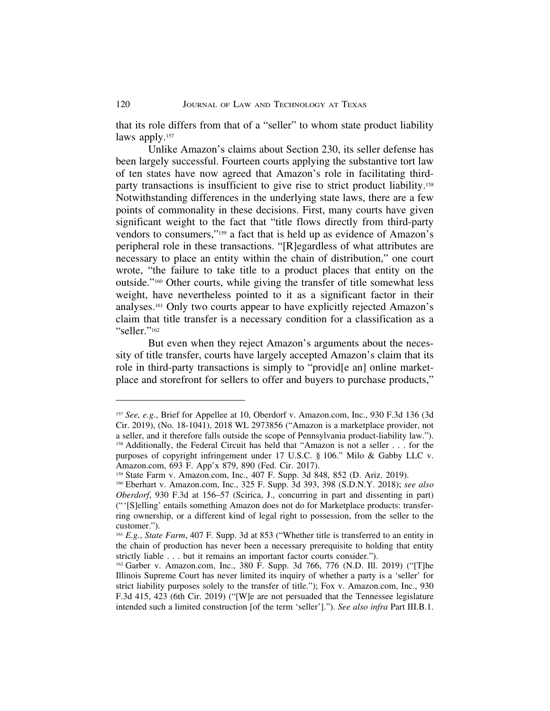that its role differs from that of a "seller" to whom state product liability laws apply.<sup>157</sup>

Unlike Amazon's claims about Section 230, its seller defense has been largely successful. Fourteen courts applying the substantive tort law of ten states have now agreed that Amazon's role in facilitating thirdparty transactions is insufficient to give rise to strict product liability.158 Notwithstanding differences in the underlying state laws, there are a few points of commonality in these decisions. First, many courts have given significant weight to the fact that "title flows directly from third-party vendors to consumers,"159 a fact that is held up as evidence of Amazon's peripheral role in these transactions. "[R]egardless of what attributes are necessary to place an entity within the chain of distribution," one court wrote, "the failure to take title to a product places that entity on the outside."160 Other courts, while giving the transfer of title somewhat less weight, have nevertheless pointed to it as a significant factor in their analyses.161 Only two courts appear to have explicitly rejected Amazon's claim that title transfer is a necessary condition for a classification as a "seller."162

But even when they reject Amazon's arguments about the necessity of title transfer, courts have largely accepted Amazon's claim that its role in third-party transactions is simply to "provide and online marketplace and storefront for sellers to offer and buyers to purchase products,"

<sup>157</sup> *See, e.g.*, Brief for Appellee at 10, Oberdorf v. Amazon.com, Inc., 930 F.3d 136 (3d Cir. 2019), (No. 18-1041), 2018 WL 2973856 ("Amazon is a marketplace provider, not a seller, and it therefore falls outside the scope of Pennsylvania product-liability law."). <sup>158</sup> Additionally, the Federal Circuit has held that "Amazon is not a seller . . . for the purposes of copyright infringement under 17 U.S.C. § 106." Milo & Gabby LLC v. Amazon.com, 693 F. App'x 879, 890 (Fed. Cir. 2017).

<sup>159</sup> State Farm v. Amazon.com, Inc., 407 F. Supp. 3d 848, 852 (D. Ariz. 2019).

<sup>160</sup> Eberhart v. Amazon.com, Inc., 325 F. Supp. 3d 393, 398 (S.D.N.Y. 2018); *see also Oberdorf*, 930 F.3d at 156–57 (Scirica, J., concurring in part and dissenting in part) ("'[S]elling' entails something Amazon does not do for Marketplace products: transferring ownership, or a different kind of legal right to possession, from the seller to the customer.").

<sup>161</sup> *E.g.*, *State Farm*, 407 F. Supp. 3d at 853 ("Whether title is transferred to an entity in the chain of production has never been a necessary prerequisite to holding that entity strictly liable . . . but it remains an important factor courts consider.").

<sup>162</sup> Garber v. Amazon.com, Inc., 380 F. Supp. 3d 766, 776 (N.D. Ill. 2019) ("[T]he Illinois Supreme Court has never limited its inquiry of whether a party is a 'seller' for strict liability purposes solely to the transfer of title."); Fox v. Amazon.com, Inc., 930 F.3d 415, 423 (6th Cir. 2019) ("[W]e are not persuaded that the Tennessee legislature intended such a limited construction [of the term 'seller']."). *See also infra* Part III.B.1.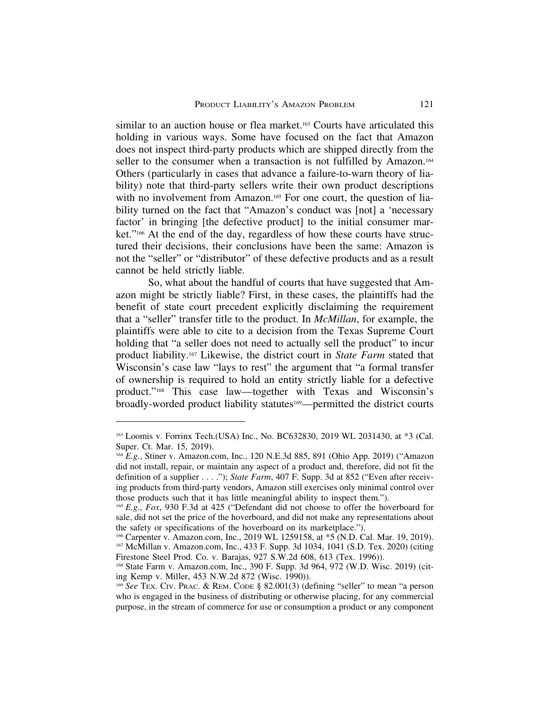similar to an auction house or flea market.163 Courts have articulated this holding in various ways. Some have focused on the fact that Amazon does not inspect third-party products which are shipped directly from the seller to the consumer when a transaction is not fulfilled by Amazon.<sup>164</sup> Others (particularly in cases that advance a failure-to-warn theory of liability) note that third-party sellers write their own product descriptions with no involvement from Amazon.<sup>165</sup> For one court, the question of liability turned on the fact that "Amazon's conduct was [not] a 'necessary factor' in bringing [the defective product] to the initial consumer market."166 At the end of the day, regardless of how these courts have structured their decisions, their conclusions have been the same: Amazon is not the "seller" or "distributor" of these defective products and as a result cannot be held strictly liable.

So, what about the handful of courts that have suggested that Amazon might be strictly liable? First, in these cases, the plaintiffs had the benefit of state court precedent explicitly disclaiming the requirement that a "seller" transfer title to the product. In *McMillan*, for example, the plaintiffs were able to cite to a decision from the Texas Supreme Court holding that "a seller does not need to actually sell the product" to incur product liability.167 Likewise, the district court in *State Farm* stated that Wisconsin's case law "lays to rest" the argument that "a formal transfer of ownership is required to hold an entity strictly liable for a defective product."168 This case law—together with Texas and Wisconsin's broadly-worded product liability statutes<sup>169</sup>—permitted the district courts

<sup>163</sup> Loomis v. Forrinx Tech.(USA) Inc., No. BC632830, 2019 WL 2031430, at \*3 (Cal. Super. Ct. Mar. 15, 2019).

<sup>164</sup> *E.g.*, Stiner v. Amazon.com, Inc., 120 N.E.3d 885, 891 (Ohio App. 2019) ("Amazon did not install, repair, or maintain any aspect of a product and, therefore, did not fit the definition of a supplier . . . ."); *State Farm*, 407 F. Supp. 3d at 852 ("Even after receiving products from third-party vendors, Amazon still exercises only minimal control over those products such that it has little meaningful ability to inspect them.").

<sup>165</sup> *E.g.*, *Fox*, 930 F.3d at 425 ("Defendant did not choose to offer the hoverboard for sale, did not set the price of the hoverboard, and did not make any representations about the safety or specifications of the hoverboard on its marketplace.").

<sup>&</sup>lt;sup>166</sup> Carpenter v. Amazon.com, Inc., 2019 WL 1259158, at \*5 (N.D. Cal. Mar. 19, 2019). <sup>167</sup> McMillan v. Amazon.com, Inc., 433 F. Supp. 3d 1034, 1041 (S.D. Tex. 2020) (citing Firestone Steel Prod. Co. v. Barajas, 927 S.W.2d 608, 613 (Tex. 1996)).

<sup>168</sup> State Farm v. Amazon.com, Inc., 390 F. Supp. 3d 964, 972 (W.D. Wisc. 2019) (citing Kemp v. Miller, 453 N.W.2d 872 (Wisc. 1990)).

<sup>169</sup> *See* TEX. CIV. PRAC. & REM. CODE § 82.001(3) (defining "seller" to mean "a person who is engaged in the business of distributing or otherwise placing, for any commercial purpose, in the stream of commerce for use or consumption a product or any component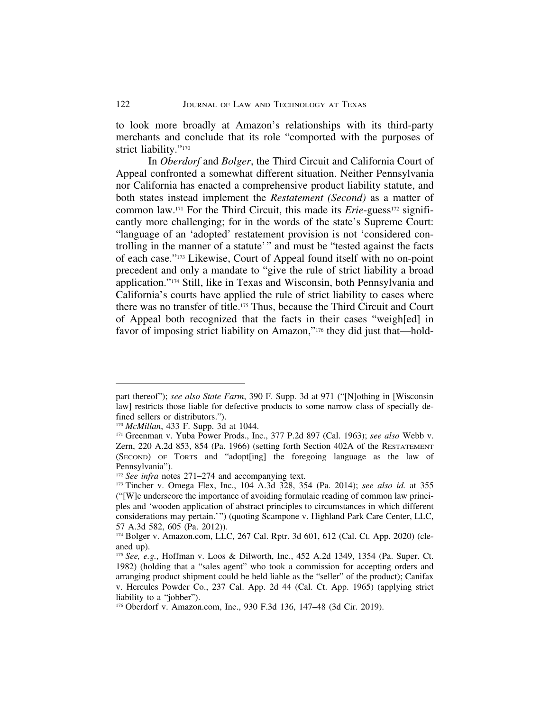to look more broadly at Amazon's relationships with its third-party merchants and conclude that its role "comported with the purposes of strict liability."<sup>170</sup>

In *Oberdorf* and *Bolger*, the Third Circuit and California Court of Appeal confronted a somewhat different situation. Neither Pennsylvania nor California has enacted a comprehensive product liability statute, and both states instead implement the *Restatement (Second)* as a matter of common law.<sup>171</sup> For the Third Circuit, this made its *Erie*-guess<sup>172</sup> significantly more challenging; for in the words of the state's Supreme Court: "language of an 'adopted' restatement provision is not 'considered controlling in the manner of a statute'" and must be "tested against the facts of each case."173 Likewise, Court of Appeal found itself with no on-point precedent and only a mandate to "give the rule of strict liability a broad application."174 Still, like in Texas and Wisconsin, both Pennsylvania and California's courts have applied the rule of strict liability to cases where there was no transfer of title.175 Thus, because the Third Circuit and Court of Appeal both recognized that the facts in their cases "weigh[ed] in favor of imposing strict liability on Amazon,"176 they did just that—hold-

part thereof"); *see also State Farm*, 390 F. Supp. 3d at 971 ("[N]othing in [Wisconsin law] restricts those liable for defective products to some narrow class of specially defined sellers or distributors.").

<sup>170</sup> *McMillan*, 433 F. Supp. 3d at 1044.

<sup>171</sup> Greenman v. Yuba Power Prods., Inc., 377 P.2d 897 (Cal. 1963); *see also* Webb v. Zern, 220 A.2d 853, 854 (Pa. 1966) (setting forth Section 402A of the RESTATEMENT (SECOND) OF TORTS and "adopt[ing] the foregoing language as the law of Pennsylvania").

<sup>&</sup>lt;sup>172</sup> *See infra* notes 271–274 and accompanying text.

<sup>173</sup> Tincher v. Omega Flex, Inc., 104 A.3d 328, 354 (Pa. 2014); *see also id.* at 355 ("[W]e underscore the importance of avoiding formulaic reading of common law principles and 'wooden application of abstract principles to circumstances in which different considerations may pertain.'") (quoting Scampone v. Highland Park Care Center, LLC, 57 A.3d 582, 605 (Pa. 2012)).

<sup>174</sup> Bolger v. Amazon.com, LLC, 267 Cal. Rptr. 3d 601, 612 (Cal. Ct. App. 2020) (cleaned up).

<sup>175</sup> *See, e.g.*, Hoffman v. Loos & Dilworth, Inc., 452 A.2d 1349, 1354 (Pa. Super. Ct. 1982) (holding that a "sales agent" who took a commission for accepting orders and arranging product shipment could be held liable as the "seller" of the product); Canifax v. Hercules Powder Co., 237 Cal. App. 2d 44 (Cal. Ct. App. 1965) (applying strict liability to a "jobber").

<sup>176</sup> Oberdorf v. Amazon.com, Inc., 930 F.3d 136, 147–48 (3d Cir. 2019).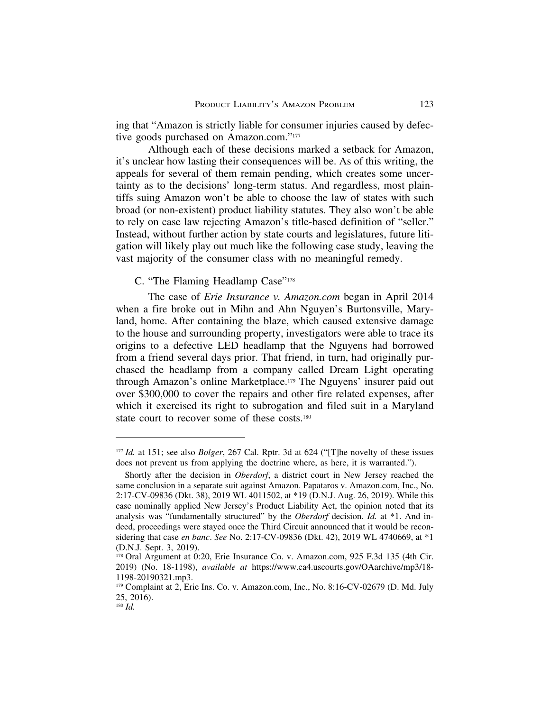ing that "Amazon is strictly liable for consumer injuries caused by defective goods purchased on Amazon.com."177

Although each of these decisions marked a setback for Amazon, it's unclear how lasting their consequences will be. As of this writing, the appeals for several of them remain pending, which creates some uncertainty as to the decisions' long-term status. And regardless, most plaintiffs suing Amazon won't be able to choose the law of states with such broad (or non-existent) product liability statutes. They also won't be able to rely on case law rejecting Amazon's title-based definition of "seller." Instead, without further action by state courts and legislatures, future litigation will likely play out much like the following case study, leaving the vast majority of the consumer class with no meaningful remedy.

## C. "The Flaming Headlamp Case"178

The case of *Erie Insurance v. Amazon.com* began in April 2014 when a fire broke out in Mihn and Ahn Nguyen's Burtonsville, Maryland, home. After containing the blaze, which caused extensive damage to the house and surrounding property, investigators were able to trace its origins to a defective LED headlamp that the Nguyens had borrowed from a friend several days prior. That friend, in turn, had originally purchased the headlamp from a company called Dream Light operating through Amazon's online Marketplace.179 The Nguyens' insurer paid out over \$300,000 to cover the repairs and other fire related expenses, after which it exercised its right to subrogation and filed suit in a Maryland state court to recover some of these costs.180

<sup>177</sup> *Id.* at 151; see also *Bolger*, 267 Cal. Rptr. 3d at 624 ("[T]he novelty of these issues does not prevent us from applying the doctrine where, as here, it is warranted.").

Shortly after the decision in *Oberdorf*, a district court in New Jersey reached the same conclusion in a separate suit against Amazon. Papataros v. Amazon.com, Inc., No. 2:17-CV-09836 (Dkt. 38), 2019 WL 4011502, at \*19 (D.N.J. Aug. 26, 2019). While this case nominally applied New Jersey's Product Liability Act, the opinion noted that its analysis was "fundamentally structured" by the *Oberdorf* decision. *Id.* at \*1. And indeed, proceedings were stayed once the Third Circuit announced that it would be reconsidering that case *en banc*. *See* No. 2:17-CV-09836 (Dkt. 42), 2019 WL 4740669, at \*1 (D.N.J. Sept. 3, 2019).

<sup>178</sup> Oral Argument at 0:20, Erie Insurance Co. v. Amazon.com, 925 F.3d 135 (4th Cir. 2019) (No. 18-1198), *available at* https://www.ca4.uscourts.gov/OAarchive/mp3/18- 1198-20190321.mp3.

<sup>179</sup> Complaint at 2, Erie Ins. Co. v. Amazon.com, Inc., No. 8:16-CV-02679 (D. Md. July 25, 2016).

<sup>180</sup> *Id.*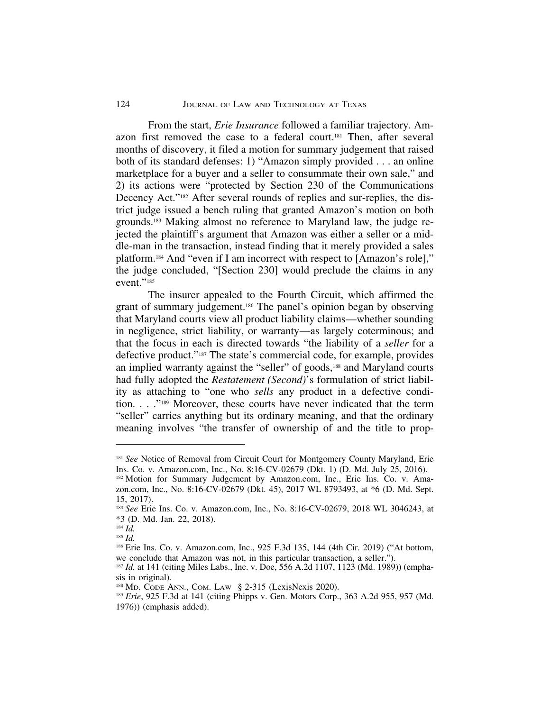From the start, *Erie Insurance* followed a familiar trajectory. Amazon first removed the case to a federal court.181 Then, after several months of discovery, it filed a motion for summary judgement that raised both of its standard defenses: 1) "Amazon simply provided . . . an online marketplace for a buyer and a seller to consummate their own sale," and 2) its actions were "protected by Section 230 of the Communications Decency Act."182 After several rounds of replies and sur-replies, the district judge issued a bench ruling that granted Amazon's motion on both grounds.183 Making almost no reference to Maryland law, the judge rejected the plaintiff's argument that Amazon was either a seller or a middle-man in the transaction, instead finding that it merely provided a sales platform.184 And "even if I am incorrect with respect to [Amazon's role]," the judge concluded, "[Section 230] would preclude the claims in any event."<sup>185</sup>

The insurer appealed to the Fourth Circuit, which affirmed the grant of summary judgement.186 The panel's opinion began by observing that Maryland courts view all product liability claims—whether sounding in negligence, strict liability, or warranty—as largely coterminous; and that the focus in each is directed towards "the liability of a *seller* for a defective product."187 The state's commercial code, for example, provides an implied warranty against the "seller" of goods,<sup>188</sup> and Maryland courts had fully adopted the *Restatement (Second)*'s formulation of strict liability as attaching to "one who *sells* any product in a defective condition. . . ."189 Moreover, these courts have never indicated that the term "seller" carries anything but its ordinary meaning, and that the ordinary meaning involves "the transfer of ownership of and the title to prop-

<sup>&</sup>lt;sup>181</sup> See Notice of Removal from Circuit Court for Montgomery County Maryland, Erie Ins. Co. v. Amazon.com, Inc., No. 8:16-CV-02679 (Dkt. 1) (D. Md. July 25, 2016). 182 Motion for Summary Judgement by Amazon.com, Inc., Erie Ins. Co. v. Amazon.com, Inc., No. 8:16-CV-02679 (Dkt. 45), 2017 WL 8793493, at \*6 (D. Md. Sept. 15, 2017).

<sup>183</sup> *See* Erie Ins. Co. v. Amazon.com, Inc., No. 8:16-CV-02679, 2018 WL 3046243, at \*3 (D. Md. Jan. 22, 2018).

<sup>184</sup> *Id.*

<sup>185</sup> *Id.*

<sup>186</sup> Erie Ins. Co. v. Amazon.com, Inc., 925 F.3d 135, 144 (4th Cir. 2019) ("At bottom, we conclude that Amazon was not, in this particular transaction, a seller.").

<sup>&</sup>lt;sup>187</sup> *Id.* at 141 (citing Miles Labs., Inc. v. Doe, 556 A.2d 1107, 1123 (Md. 1989)) (emphasis in original).

<sup>188</sup> MD. CODE ANN., COM. LAW § 2-315 (LexisNexis 2020).

<sup>189</sup> *Erie*, 925 F.3d at 141 (citing Phipps v. Gen. Motors Corp., 363 A.2d 955, 957 (Md. 1976)) (emphasis added).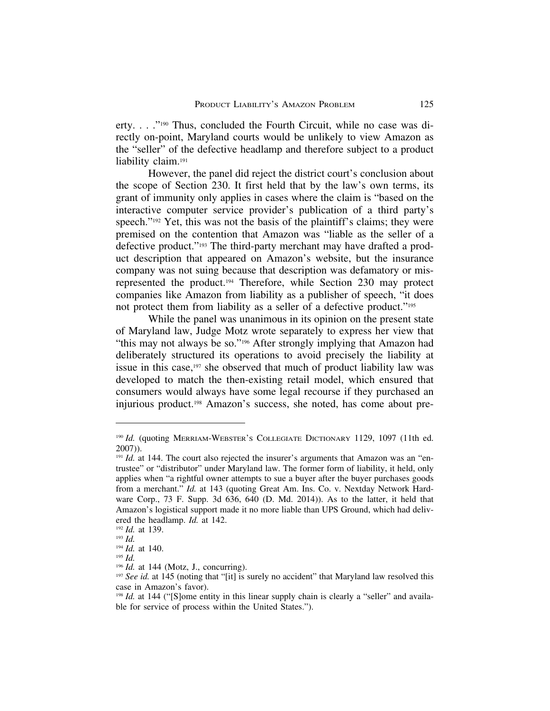erty. . . ."190 Thus, concluded the Fourth Circuit, while no case was directly on-point, Maryland courts would be unlikely to view Amazon as the "seller" of the defective headlamp and therefore subject to a product liability claim.<sup>191</sup>

However, the panel did reject the district court's conclusion about the scope of Section 230. It first held that by the law's own terms, its grant of immunity only applies in cases where the claim is "based on the interactive computer service provider's publication of a third party's speech."<sup>192</sup> Yet, this was not the basis of the plaintiff's claims; they were premised on the contention that Amazon was "liable as the seller of a defective product."193 The third-party merchant may have drafted a product description that appeared on Amazon's website, but the insurance company was not suing because that description was defamatory or misrepresented the product.194 Therefore, while Section 230 may protect companies like Amazon from liability as a publisher of speech, "it does not protect them from liability as a seller of a defective product."<sup>195</sup>

While the panel was unanimous in its opinion on the present state of Maryland law, Judge Motz wrote separately to express her view that "this may not always be so."196 After strongly implying that Amazon had deliberately structured its operations to avoid precisely the liability at issue in this case,197 she observed that much of product liability law was developed to match the then-existing retail model, which ensured that consumers would always have some legal recourse if they purchased an injurious product.198 Amazon's success, she noted, has come about pre-

<sup>190</sup> *Id.* (quoting MERRIAM-WEBSTER'S COLLEGIATE DICTIONARY 1129, 1097 (11th ed. 2007)).

 $191$  *Id.* at 144. The court also rejected the insurer's arguments that Amazon was an "entrustee" or "distributor" under Maryland law. The former form of liability, it held, only applies when "a rightful owner attempts to sue a buyer after the buyer purchases goods from a merchant." *Id.* at 143 (quoting Great Am. Ins. Co. v. Nextday Network Hardware Corp., 73 F. Supp. 3d 636, 640 (D. Md. 2014)). As to the latter, it held that Amazon's logistical support made it no more liable than UPS Ground, which had delivered the headlamp. *Id.* at 142.

<sup>192</sup> *Id.* at 139.

<sup>193</sup> *Id.*

<sup>194</sup> *Id.* at 140.

<sup>195</sup> *Id.*

<sup>&</sup>lt;sup>196</sup> *Id.* at 144 (Motz, J., concurring).

<sup>&</sup>lt;sup>197</sup> See id. at 145 (noting that "[it] is surely no accident" that Maryland law resolved this case in Amazon's favor).

<sup>&</sup>lt;sup>198</sup> *Id.* at 144 ("[S]ome entity in this linear supply chain is clearly a "seller" and available for service of process within the United States.").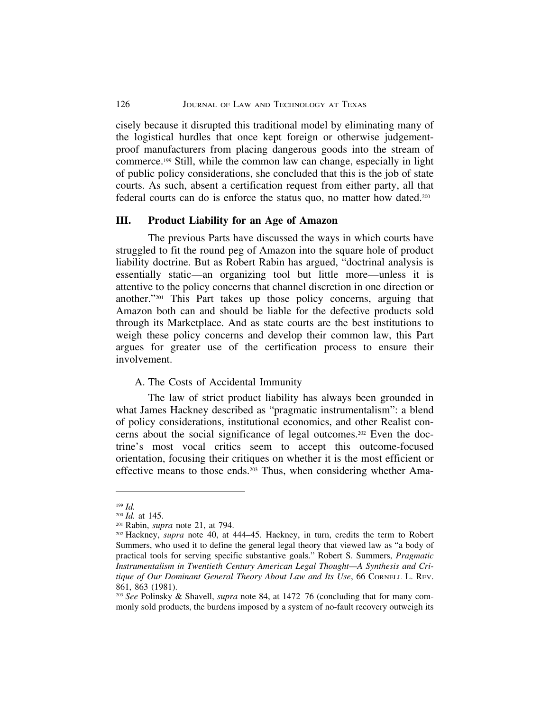cisely because it disrupted this traditional model by eliminating many of the logistical hurdles that once kept foreign or otherwise judgementproof manufacturers from placing dangerous goods into the stream of commerce.199 Still, while the common law can change, especially in light of public policy considerations, she concluded that this is the job of state courts. As such, absent a certification request from either party, all that federal courts can do is enforce the status quo, no matter how dated.200

### **III. Product Liability for an Age of Amazon**

The previous Parts have discussed the ways in which courts have struggled to fit the round peg of Amazon into the square hole of product liability doctrine. But as Robert Rabin has argued, "doctrinal analysis is essentially static—an organizing tool but little more—unless it is attentive to the policy concerns that channel discretion in one direction or another."201 This Part takes up those policy concerns, arguing that Amazon both can and should be liable for the defective products sold through its Marketplace. And as state courts are the best institutions to weigh these policy concerns and develop their common law, this Part argues for greater use of the certification process to ensure their involvement.

## A. The Costs of Accidental Immunity

The law of strict product liability has always been grounded in what James Hackney described as "pragmatic instrumentalism": a blend of policy considerations, institutional economics, and other Realist concerns about the social significance of legal outcomes.202 Even the doctrine's most vocal critics seem to accept this outcome-focused orientation, focusing their critiques on whether it is the most efficient or effective means to those ends.203 Thus, when considering whether Ama-

<sup>199</sup> *Id.*

<sup>200</sup> *Id.* at 145.

<sup>201</sup> Rabin, *supra* note 21, at 794.

<sup>202</sup> Hackney, *supra* note 40, at 444–45. Hackney, in turn, credits the term to Robert Summers, who used it to define the general legal theory that viewed law as "a body of practical tools for serving specific substantive goals." Robert S. Summers, *Pragmatic Instrumentalism in Twentieth Century American Legal Thought—A Synthesis and Critique of Our Dominant General Theory About Law and Its Use*, 66 CORNELL L. REV. 861, 863 (1981).

<sup>203</sup> *See* Polinsky & Shavell, *supra* note 84, at 1472–76 (concluding that for many commonly sold products, the burdens imposed by a system of no-fault recovery outweigh its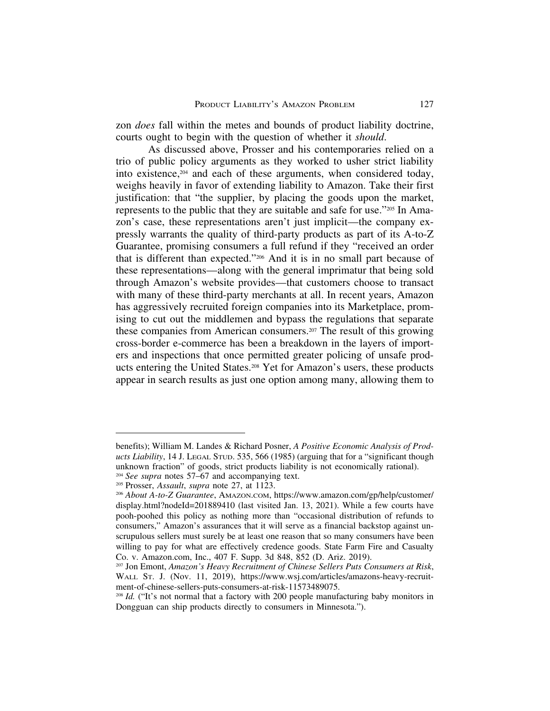zon *does* fall within the metes and bounds of product liability doctrine, courts ought to begin with the question of whether it *should*.

As discussed above, Prosser and his contemporaries relied on a trio of public policy arguments as they worked to usher strict liability into existence,204 and each of these arguments, when considered today, weighs heavily in favor of extending liability to Amazon. Take their first justification: that "the supplier, by placing the goods upon the market, represents to the public that they are suitable and safe for use."205 In Amazon's case, these representations aren't just implicit—the company expressly warrants the quality of third-party products as part of its A-to-Z Guarantee, promising consumers a full refund if they "received an order that is different than expected."206 And it is in no small part because of these representations—along with the general imprimatur that being sold through Amazon's website provides—that customers choose to transact with many of these third-party merchants at all. In recent years, Amazon has aggressively recruited foreign companies into its Marketplace, promising to cut out the middlemen and bypass the regulations that separate these companies from American consumers.207 The result of this growing cross-border e-commerce has been a breakdown in the layers of importers and inspections that once permitted greater policing of unsafe products entering the United States.208 Yet for Amazon's users, these products appear in search results as just one option among many, allowing them to

benefits); William M. Landes & Richard Posner, *A Positive Economic Analysis of Products Liability*, 14 J. LEGAL STUD. 535, 566 (1985) (arguing that for a "significant though unknown fraction" of goods, strict products liability is not economically rational). <sup>204</sup> *See supra* notes 57–67 and accompanying text.

<sup>205</sup> Prosser, *Assault*, *supra* note 27, at 1123.

<sup>206</sup> *About A-to-Z Guarantee*, AMAZON.COM, https://www.amazon.com/gp/help/customer/ display.html?nodeId=201889410 (last visited Jan. 13, 2021). While a few courts have pooh-poohed this policy as nothing more than "occasional distribution of refunds to consumers," Amazon's assurances that it will serve as a financial backstop against unscrupulous sellers must surely be at least one reason that so many consumers have been willing to pay for what are effectively credence goods. State Farm Fire and Casualty Co. v. Amazon.com, Inc., 407 F. Supp. 3d 848, 852 (D. Ariz. 2019).

<sup>207</sup> Jon Emont, *Amazon's Heavy Recruitment of Chinese Sellers Puts Consumers at Risk*, WALL ST. J. (Nov. 11, 2019), https://www.wsj.com/articles/amazons-heavy-recruitment-of-chinese-sellers-puts-consumers-at-risk-11573489075.

<sup>&</sup>lt;sup>208</sup> *Id.* ("It's not normal that a factory with 200 people manufacturing baby monitors in Dongguan can ship products directly to consumers in Minnesota.").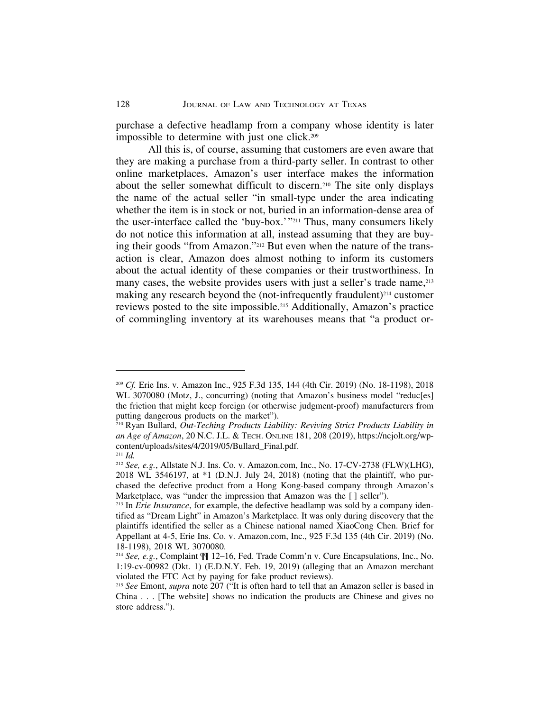purchase a defective headlamp from a company whose identity is later impossible to determine with just one click.209

All this is, of course, assuming that customers are even aware that they are making a purchase from a third-party seller. In contrast to other online marketplaces, Amazon's user interface makes the information about the seller somewhat difficult to discern.210 The site only displays the name of the actual seller "in small-type under the area indicating whether the item is in stock or not, buried in an information-dense area of the user-interface called the 'buy-box.'"211 Thus, many consumers likely do not notice this information at all, instead assuming that they are buying their goods "from Amazon."212 But even when the nature of the transaction is clear, Amazon does almost nothing to inform its customers about the actual identity of these companies or their trustworthiness. In many cases, the website provides users with just a seller's trade name, <sup>213</sup> making any research beyond the (not-infrequently fraudulent)<sup>214</sup> customer reviews posted to the site impossible.215 Additionally, Amazon's practice of commingling inventory at its warehouses means that "a product or-

<sup>209</sup> *Cf.* Erie Ins. v. Amazon Inc., 925 F.3d 135, 144 (4th Cir. 2019) (No. 18-1198), 2018 WL 3070080 (Motz, J., concurring) (noting that Amazon's business model "reduc[es] the friction that might keep foreign (or otherwise judgment-proof) manufacturers from putting dangerous products on the market").

<sup>210</sup> Ryan Bullard, *Out-Teching Products Liability: Reviving Strict Products Liability in an Age of Amazon*, 20 N.C. J.L. & TECH. ONLINE 181, 208 (2019), https://ncjolt.org/wpcontent/uploads/sites/4/2019/05/Bullard\_Final.pdf.

<sup>211</sup> *Id.*

<sup>212</sup> *See, e.g.*, Allstate N.J. Ins. Co. v. Amazon.com, Inc., No. 17-CV-2738 (FLW)(LHG), 2018 WL 3546197, at \*1 (D.N.J. July 24, 2018) (noting that the plaintiff, who purchased the defective product from a Hong Kong-based company through Amazon's Marketplace, was "under the impression that Amazon was the [ ] seller").

<sup>&</sup>lt;sup>213</sup> In *Erie Insurance*, for example, the defective headlamp was sold by a company identified as "Dream Light" in Amazon's Marketplace. It was only during discovery that the plaintiffs identified the seller as a Chinese national named XiaoCong Chen. Brief for Appellant at 4-5, Erie Ins. Co. v. Amazon.com, Inc., 925 F.3d 135 (4th Cir. 2019) (No. 18-1198), 2018 WL 3070080.

<sup>214</sup> *See, e.g.*, Complaint ¶¶ 12–16, Fed. Trade Comm'n v. Cure Encapsulations, Inc., No. 1:19-cv-00982 (Dkt. 1) (E.D.N.Y. Feb. 19, 2019) (alleging that an Amazon merchant violated the FTC Act by paying for fake product reviews).

<sup>215</sup> *See* Emont, *supra* note 207 ("It is often hard to tell that an Amazon seller is based in China . . . [The website] shows no indication the products are Chinese and gives no store address.").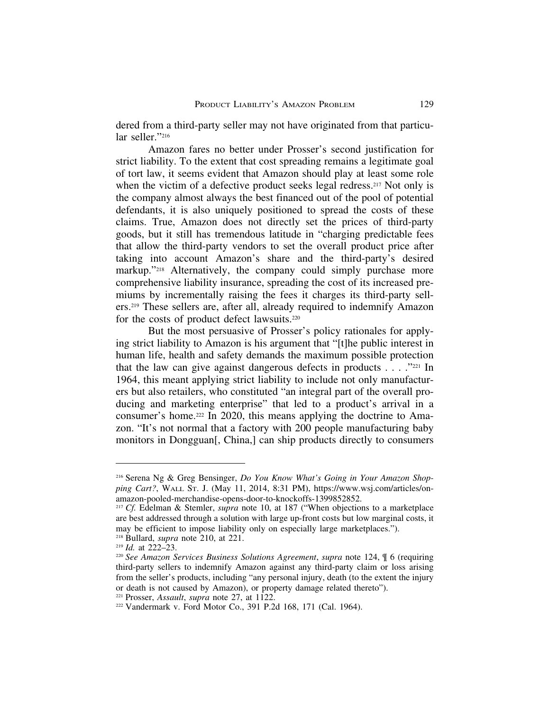dered from a third-party seller may not have originated from that particular seller."216

Amazon fares no better under Prosser's second justification for strict liability. To the extent that cost spreading remains a legitimate goal of tort law, it seems evident that Amazon should play at least some role when the victim of a defective product seeks legal redress.<sup>217</sup> Not only is the company almost always the best financed out of the pool of potential defendants, it is also uniquely positioned to spread the costs of these claims. True, Amazon does not directly set the prices of third-party goods, but it still has tremendous latitude in "charging predictable fees that allow the third-party vendors to set the overall product price after taking into account Amazon's share and the third-party's desired markup."<sup>218</sup> Alternatively, the company could simply purchase more comprehensive liability insurance, spreading the cost of its increased premiums by incrementally raising the fees it charges its third-party sellers.219 These sellers are, after all, already required to indemnify Amazon for the costs of product defect lawsuits.220

But the most persuasive of Prosser's policy rationales for applying strict liability to Amazon is his argument that "[t]he public interest in human life, health and safety demands the maximum possible protection that the law can give against dangerous defects in products  $\dots$  ."221 In 1964, this meant applying strict liability to include not only manufacturers but also retailers, who constituted "an integral part of the overall producing and marketing enterprise" that led to a product's arrival in a consumer's home.222 In 2020, this means applying the doctrine to Amazon. "It's not normal that a factory with 200 people manufacturing baby monitors in Dongguan[, China,] can ship products directly to consumers

<sup>216</sup> Serena Ng & Greg Bensinger, *Do You Know What's Going in Your Amazon Shopping Cart?*, WALL ST. J. (May 11, 2014, 8:31 PM), https://www.wsj.com/articles/onamazon-pooled-merchandise-opens-door-to-knockoffs-1399852852.

<sup>&</sup>lt;sup>217</sup> *Cf.* Edelman & Stemler, *supra* note 10, at 187 ("When objections to a marketplace are best addressed through a solution with large up-front costs but low marginal costs, it may be efficient to impose liability only on especially large marketplaces.").

<sup>218</sup> Bullard, *supra* note 210, at 221.

<sup>219</sup> *Id.* at 222–23.

<sup>220</sup> *See Amazon Services Business Solutions Agreement*, *supra* note 124, ¶ 6 (requiring third-party sellers to indemnify Amazon against any third-party claim or loss arising from the seller's products, including "any personal injury, death (to the extent the injury or death is not caused by Amazon), or property damage related thereto").

<sup>221</sup> Prosser, *Assault*, *supra* note 27, at 1122.

<sup>222</sup> Vandermark v. Ford Motor Co., 391 P.2d 168, 171 (Cal. 1964).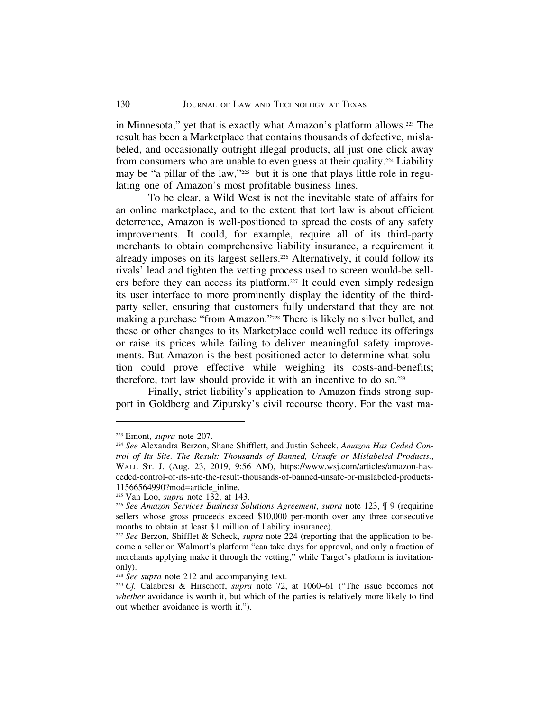in Minnesota," yet that is exactly what Amazon's platform allows.223 The result has been a Marketplace that contains thousands of defective, mislabeled, and occasionally outright illegal products, all just one click away from consumers who are unable to even guess at their quality.224 Liability may be "a pillar of the law,"<sup>225</sup> but it is one that plays little role in regulating one of Amazon's most profitable business lines.

To be clear, a Wild West is not the inevitable state of affairs for an online marketplace, and to the extent that tort law is about efficient deterrence, Amazon is well-positioned to spread the costs of any safety improvements. It could, for example, require all of its third-party merchants to obtain comprehensive liability insurance, a requirement it already imposes on its largest sellers.226 Alternatively, it could follow its rivals' lead and tighten the vetting process used to screen would-be sellers before they can access its platform.227 It could even simply redesign its user interface to more prominently display the identity of the thirdparty seller, ensuring that customers fully understand that they are not making a purchase "from Amazon."228 There is likely no silver bullet, and these or other changes to its Marketplace could well reduce its offerings or raise its prices while failing to deliver meaningful safety improvements. But Amazon is the best positioned actor to determine what solution could prove effective while weighing its costs-and-benefits; therefore, tort law should provide it with an incentive to do so.229

Finally, strict liability's application to Amazon finds strong support in Goldberg and Zipursky's civil recourse theory. For the vast ma-

<sup>223</sup> Emont, *supra* note 207.

<sup>224</sup> *See* Alexandra Berzon, Shane Shifflett, and Justin Scheck, *Amazon Has Ceded Control of Its Site. The Result: Thousands of Banned, Unsafe or Mislabeled Products.*, WALL ST. J. (Aug. 23, 2019, 9:56 AM), https://www.wsj.com/articles/amazon-hasceded-control-of-its-site-the-result-thousands-of-banned-unsafe-or-mislabeled-products-11566564990?mod=article\_inline.

<sup>225</sup> Van Loo, *supra* note 132, at 143.

<sup>226</sup> *See Amazon Services Business Solutions Agreement*, *supra* note 123, ¶ 9 (requiring sellers whose gross proceeds exceed \$10,000 per-month over any three consecutive months to obtain at least \$1 million of liability insurance).

<sup>227</sup> *See* Berzon, Shifflet & Scheck, *supra* note 224 (reporting that the application to become a seller on Walmart's platform "can take days for approval, and only a fraction of merchants applying make it through the vetting," while Target's platform is invitationonly).

<sup>&</sup>lt;sup>228</sup> *See supra* note 212 and accompanying text.

<sup>229</sup> *Cf.* Calabresi & Hirschoff, *supra* note 72, at 1060–61 ("The issue becomes not *whether* avoidance is worth it, but which of the parties is relatively more likely to find out whether avoidance is worth it.").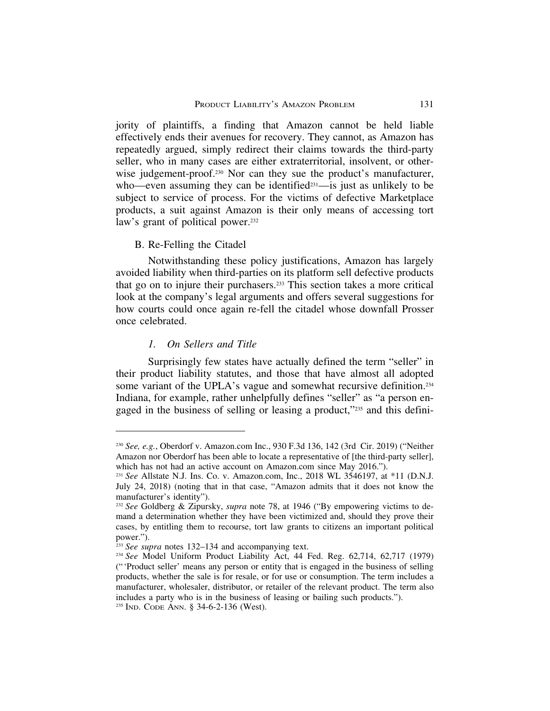jority of plaintiffs, a finding that Amazon cannot be held liable effectively ends their avenues for recovery. They cannot, as Amazon has repeatedly argued, simply redirect their claims towards the third-party seller, who in many cases are either extraterritorial, insolvent, or otherwise judgement-proof.<sup>230</sup> Nor can they sue the product's manufacturer, who—even assuming they can be identified<sup>231</sup>—is just as unlikely to be subject to service of process. For the victims of defective Marketplace products, a suit against Amazon is their only means of accessing tort law's grant of political power.<sup>232</sup>

# B. Re-Felling the Citadel

Notwithstanding these policy justifications, Amazon has largely avoided liability when third-parties on its platform sell defective products that go on to injure their purchasers.233 This section takes a more critical look at the company's legal arguments and offers several suggestions for how courts could once again re-fell the citadel whose downfall Prosser once celebrated.

### *1. On Sellers and Title*

Surprisingly few states have actually defined the term "seller" in their product liability statutes, and those that have almost all adopted some variant of the UPLA's vague and somewhat recursive definition.<sup>234</sup> Indiana, for example, rather unhelpfully defines "seller" as "a person engaged in the business of selling or leasing a product,"235 and this defini-

<sup>230</sup> *See, e.g.*, Oberdorf v. Amazon.com Inc., 930 F.3d 136, 142 (3rd Cir. 2019) ("Neither Amazon nor Oberdorf has been able to locate a representative of [the third-party seller], which has not had an active account on Amazon.com since May 2016.").

<sup>231</sup> *See* Allstate N.J. Ins. Co. v. Amazon.com, Inc., 2018 WL 3546197, at \*11 (D.N.J. July 24, 2018) (noting that in that case, "Amazon admits that it does not know the manufacturer's identity").

<sup>232</sup> *See* Goldberg & Zipursky, *supra* note 78, at 1946 ("By empowering victims to demand a determination whether they have been victimized and, should they prove their cases, by entitling them to recourse, tort law grants to citizens an important political power.").

<sup>&</sup>lt;sup>233</sup> See supra notes 132–134 and accompanying text.

<sup>234</sup> *See* Model Uniform Product Liability Act, 44 Fed. Reg. 62,714, 62,717 (1979) ("'Product seller' means any person or entity that is engaged in the business of selling products, whether the sale is for resale, or for use or consumption. The term includes a manufacturer, wholesaler, distributor, or retailer of the relevant product. The term also includes a party who is in the business of leasing or bailing such products.").

<sup>235</sup> IND. CODE ANN. § 34-6-2-136 (West).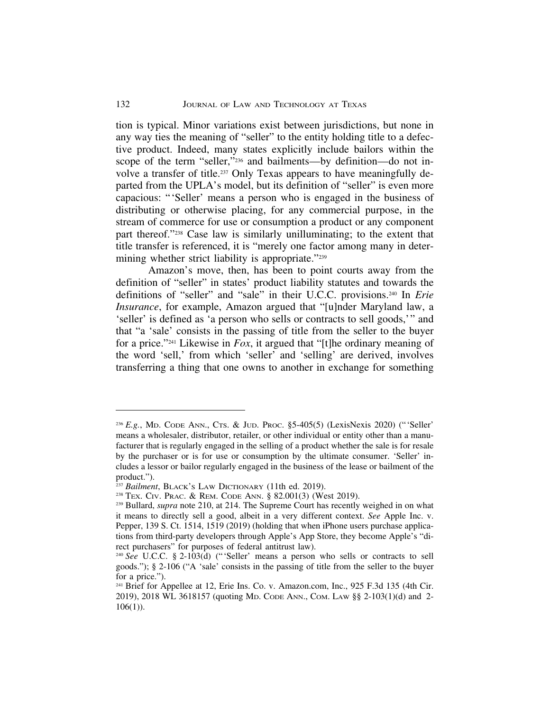tion is typical. Minor variations exist between jurisdictions, but none in any way ties the meaning of "seller" to the entity holding title to a defective product. Indeed, many states explicitly include bailors within the scope of the term "seller,"236 and bailments—by definition—do not involve a transfer of title.237 Only Texas appears to have meaningfully departed from the UPLA's model, but its definition of "seller" is even more capacious: "'Seller' means a person who is engaged in the business of distributing or otherwise placing, for any commercial purpose, in the stream of commerce for use or consumption a product or any component part thereof."238 Case law is similarly unilluminating; to the extent that title transfer is referenced, it is "merely one factor among many in determining whether strict liability is appropriate."<sup>239</sup>

Amazon's move, then, has been to point courts away from the definition of "seller" in states' product liability statutes and towards the definitions of "seller" and "sale" in their U.C.C. provisions.240 In *Erie Insurance*, for example, Amazon argued that "[u]nder Maryland law, a 'seller' is defined as 'a person who sells or contracts to sell goods,'" and that "a 'sale' consists in the passing of title from the seller to the buyer for a price."241 Likewise in *Fox*, it argued that "[t]he ordinary meaning of the word 'sell,' from which 'seller' and 'selling' are derived, involves transferring a thing that one owns to another in exchange for something

<sup>236</sup> *E.g.*, MD. CODE ANN., CTS. & JUD. PROC. §5-405(5) (LexisNexis 2020) ("'Seller' means a wholesaler, distributor, retailer, or other individual or entity other than a manufacturer that is regularly engaged in the selling of a product whether the sale is for resale by the purchaser or is for use or consumption by the ultimate consumer. 'Seller' includes a lessor or bailor regularly engaged in the business of the lease or bailment of the product.").

<sup>&</sup>lt;sup>237</sup> Bailment, BLACK's LAW DICTIONARY (11th ed. 2019).

<sup>238</sup> TEX. CIV. PRAC. & REM. CODE ANN. § 82.001(3) (West 2019).

<sup>&</sup>lt;sup>239</sup> Bullard, *supra* note 210, at 214. The Supreme Court has recently weighed in on what it means to directly sell a good, albeit in a very different context. *See* Apple Inc. v. Pepper, 139 S. Ct. 1514, 1519 (2019) (holding that when iPhone users purchase applications from third-party developers through Apple's App Store, they become Apple's "direct purchasers" for purposes of federal antitrust law).

<sup>&</sup>lt;sup>240</sup> See U.C.C. § 2-103(d) ("Seller' means a person who sells or contracts to sell goods."); § 2-106 ("A 'sale' consists in the passing of title from the seller to the buyer for a price.").

<sup>241</sup> Brief for Appellee at 12, Erie Ins. Co. v. Amazon.com, Inc., 925 F.3d 135 (4th Cir. 2019), 2018 WL 3618157 (quoting MD. CODE ANN., COM. LAW §§ 2-103(1)(d) and 2-  $106(1)$ ).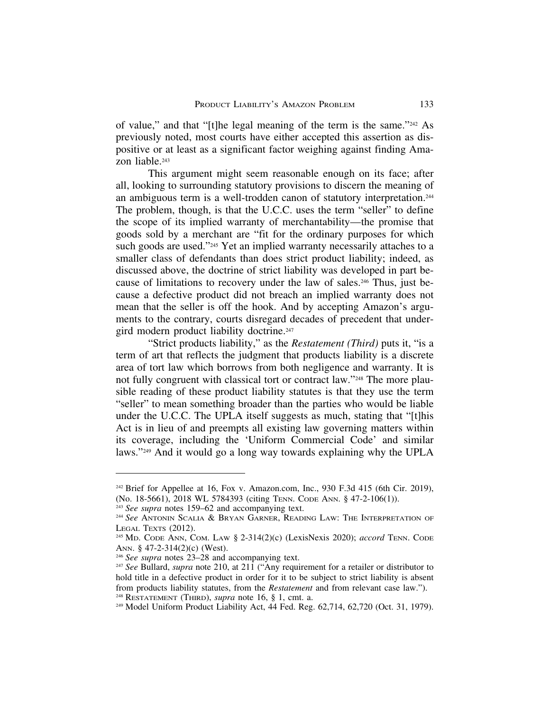of value," and that "[t]he legal meaning of the term is the same."242 As previously noted, most courts have either accepted this assertion as dispositive or at least as a significant factor weighing against finding Amazon liable.<sup>243</sup>

This argument might seem reasonable enough on its face; after all, looking to surrounding statutory provisions to discern the meaning of an ambiguous term is a well-trodden canon of statutory interpretation.244 The problem, though, is that the U.C.C. uses the term "seller" to define the scope of its implied warranty of merchantability—the promise that goods sold by a merchant are "fit for the ordinary purposes for which such goods are used."<sup>245</sup> Yet an implied warranty necessarily attaches to a smaller class of defendants than does strict product liability; indeed, as discussed above, the doctrine of strict liability was developed in part because of limitations to recovery under the law of sales.246 Thus, just because a defective product did not breach an implied warranty does not mean that the seller is off the hook. And by accepting Amazon's arguments to the contrary, courts disregard decades of precedent that undergird modern product liability doctrine.<sup>247</sup>

"Strict products liability," as the *Restatement (Third)* puts it, "is a term of art that reflects the judgment that products liability is a discrete area of tort law which borrows from both negligence and warranty. It is not fully congruent with classical tort or contract law."248 The more plausible reading of these product liability statutes is that they use the term "seller" to mean something broader than the parties who would be liable under the U.C.C. The UPLA itself suggests as much, stating that "[t]his Act is in lieu of and preempts all existing law governing matters within its coverage, including the 'Uniform Commercial Code' and similar laws."249 And it would go a long way towards explaining why the UPLA

<sup>&</sup>lt;sup>242</sup> Brief for Appellee at 16, Fox v. Amazon.com, Inc., 930 F.3d 415 (6th Cir. 2019), (No. 18-5661), 2018 WL 5784393 (citing TENN. CODE ANN. § 47-2-106(1)).

<sup>&</sup>lt;sup>243</sup> See supra notes 159–62 and accompanying text.

<sup>&</sup>lt;sup>244</sup> See ANTONIN SCALIA & BRYAN GARNER, READING LAW: THE INTERPRETATION OF LEGAL TEXTS (2012).

<sup>245</sup> MD. CODE ANN, COM. LAW § 2-314(2)(c) (LexisNexis 2020); *accord* TENN. CODE ANN. § 47-2-314(2)(c) (West).

<sup>246</sup> *See supra* notes 23–28 and accompanying text.

<sup>247</sup> *See* Bullard, *supra* note 210, at 211 ("Any requirement for a retailer or distributor to hold title in a defective product in order for it to be subject to strict liability is absent from products liability statutes, from the *Restatement* and from relevant case law."). <sup>248</sup> RESTATEMENT (THIRD), *supra* note 16, § 1, cmt. a.

<sup>249</sup> Model Uniform Product Liability Act, 44 Fed. Reg. 62,714, 62,720 (Oct. 31, 1979).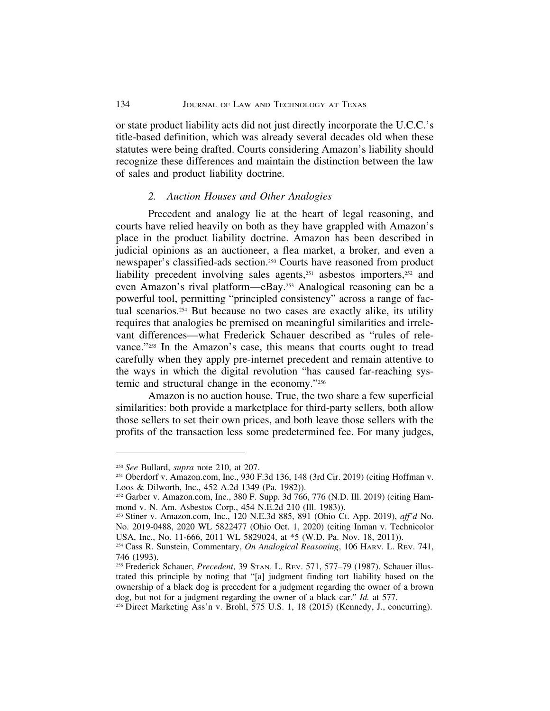or state product liability acts did not just directly incorporate the U.C.C.'s title-based definition, which was already several decades old when these statutes were being drafted. Courts considering Amazon's liability should recognize these differences and maintain the distinction between the law of sales and product liability doctrine.

### *2. Auction Houses and Other Analogies*

Precedent and analogy lie at the heart of legal reasoning, and courts have relied heavily on both as they have grappled with Amazon's place in the product liability doctrine. Amazon has been described in judicial opinions as an auctioneer, a flea market, a broker, and even a newspaper's classified-ads section.250 Courts have reasoned from product liability precedent involving sales agents,<sup>251</sup> asbestos importers,<sup>252</sup> and even Amazon's rival platform—eBay.253 Analogical reasoning can be a powerful tool, permitting "principled consistency" across a range of factual scenarios.254 But because no two cases are exactly alike, its utility requires that analogies be premised on meaningful similarities and irrelevant differences—what Frederick Schauer described as "rules of relevance."255 In the Amazon's case, this means that courts ought to tread carefully when they apply pre-internet precedent and remain attentive to the ways in which the digital revolution "has caused far-reaching systemic and structural change in the economy."256

Amazon is no auction house. True, the two share a few superficial similarities: both provide a marketplace for third-party sellers, both allow those sellers to set their own prices, and both leave those sellers with the profits of the transaction less some predetermined fee. For many judges,

<sup>250</sup> *See* Bullard, *supra* note 210, at 207.

<sup>251</sup> Oberdorf v. Amazon.com, Inc., 930 F.3d 136, 148 (3rd Cir. 2019) (citing Hoffman v. Loos & Dilworth, Inc., 452 A.2d 1349 (Pa. 1982)).

<sup>252</sup> Garber v. Amazon.com, Inc., 380 F. Supp. 3d 766, 776 (N.D. Ill. 2019) (citing Hammond v. N. Am. Asbestos Corp., 454 N.E.2d 210 (Ill. 1983)).

<sup>253</sup> Stiner v. Amazon.com, Inc., 120 N.E.3d 885, 891 (Ohio Ct. App. 2019), *aff'd* No. No. 2019-0488, 2020 WL 5822477 (Ohio Oct. 1, 2020) (citing Inman v. Technicolor USA, Inc., No. 11-666, 2011 WL 5829024, at \*5 (W.D. Pa. Nov. 18, 2011)).

<sup>254</sup> Cass R. Sunstein, Commentary, *On Analogical Reasoning*, 106 HARV. L. REV. 741, 746 (1993).

<sup>255</sup> Frederick Schauer, *Precedent*, 39 STAN. L. REV. 571, 577–79 (1987). Schauer illustrated this principle by noting that "[a] judgment finding tort liability based on the ownership of a black dog is precedent for a judgment regarding the owner of a brown dog, but not for a judgment regarding the owner of a black car." *Id.* at 577.

<sup>256</sup> Direct Marketing Ass'n v. Brohl, 575 U.S. 1, 18 (2015) (Kennedy, J., concurring).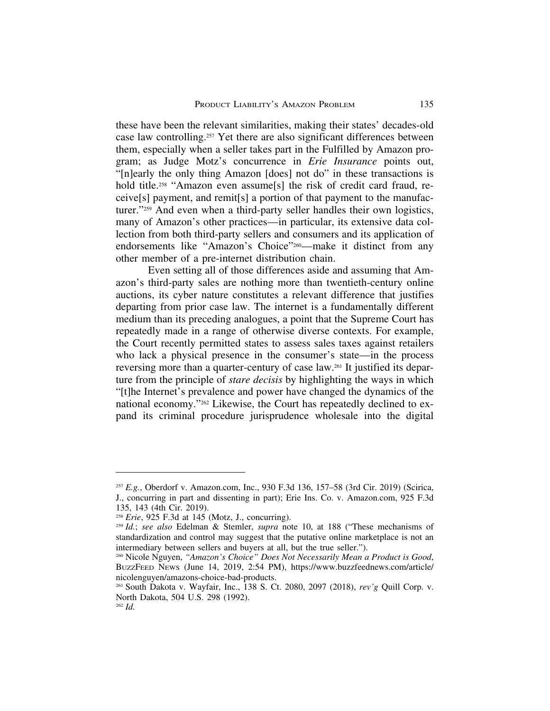these have been the relevant similarities, making their states' decades-old case law controlling.257 Yet there are also significant differences between them, especially when a seller takes part in the Fulfilled by Amazon program; as Judge Motz's concurrence in *Erie Insurance* points out, "[n]early the only thing Amazon [does] not do" in these transactions is hold title.<sup>258</sup> "Amazon even assume<sup>[s]</sup> the risk of credit card fraud, receive[s] payment, and remit[s] a portion of that payment to the manufacturer."259 And even when a third-party seller handles their own logistics, many of Amazon's other practices—in particular, its extensive data collection from both third-party sellers and consumers and its application of endorsements like "Amazon's Choice"<sup>260</sup>—make it distinct from any other member of a pre-internet distribution chain.

Even setting all of those differences aside and assuming that Amazon's third-party sales are nothing more than twentieth-century online auctions, its cyber nature constitutes a relevant difference that justifies departing from prior case law. The internet is a fundamentally different medium than its preceding analogues, a point that the Supreme Court has repeatedly made in a range of otherwise diverse contexts. For example, the Court recently permitted states to assess sales taxes against retailers who lack a physical presence in the consumer's state—in the process reversing more than a quarter-century of case law.261 It justified its departure from the principle of *stare decisis* by highlighting the ways in which "[t]he Internet's prevalence and power have changed the dynamics of the national economy."262 Likewise, the Court has repeatedly declined to expand its criminal procedure jurisprudence wholesale into the digital

<sup>257</sup> *E.g.*, Oberdorf v. Amazon.com, Inc., 930 F.3d 136, 157–58 (3rd Cir. 2019) (Scirica, J., concurring in part and dissenting in part); Erie Ins. Co. v. Amazon.com, 925 F.3d 135, 143 (4th Cir. 2019).

<sup>258</sup> *Erie*, 925 F.3d at 145 (Motz, J., concurring).

<sup>259</sup> *Id.*; *see also* Edelman & Stemler, *supra* note 10, at 188 ("These mechanisms of standardization and control may suggest that the putative online marketplace is not an intermediary between sellers and buyers at all, but the true seller.").

<sup>260</sup> Nicole Nguyen, *"Amazon's Choice" Does Not Necessarily Mean a Product is Good*, BUZZFEED NEWS (June 14, 2019, 2:54 PM), https://www.buzzfeednews.com/article/ nicolenguyen/amazons-choice-bad-products.

<sup>261</sup> South Dakota v. Wayfair, Inc., 138 S. Ct. 2080, 2097 (2018), *rev'g* Quill Corp. v. North Dakota, 504 U.S. 298 (1992).

<sup>262</sup> *Id.*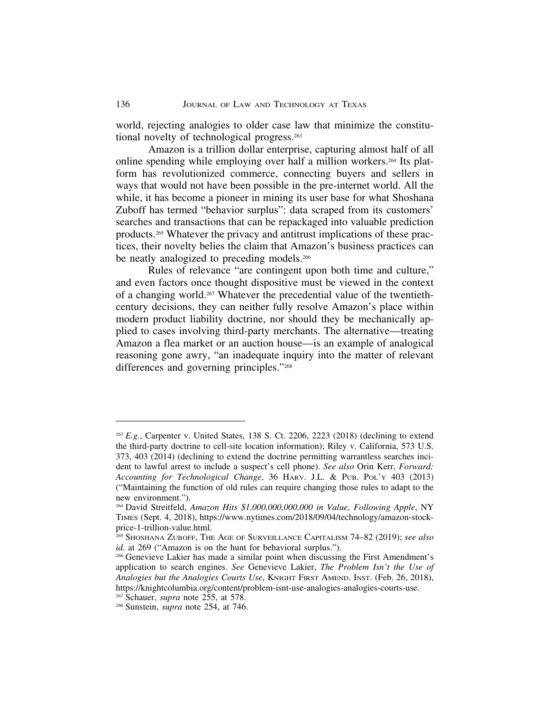world, rejecting analogies to older case law that minimize the constitutional novelty of technological progress.263

Amazon is a trillion dollar enterprise, capturing almost half of all online spending while employing over half a million workers.264 Its platform has revolutionized commerce, connecting buyers and sellers in ways that would not have been possible in the pre-internet world. All the while, it has become a pioneer in mining its user base for what Shoshana Zuboff has termed "behavior surplus": data scraped from its customers' searches and transactions that can be repackaged into valuable prediction products.265 Whatever the privacy and antitrust implications of these practices, their novelty belies the claim that Amazon's business practices can be neatly analogized to preceding models.<sup>266</sup>

Rules of relevance "are contingent upon both time and culture," and even factors once thought dispositive must be viewed in the context of a changing world.267 Whatever the precedential value of the twentiethcentury decisions, they can neither fully resolve Amazon's place within modern product liability doctrine, nor should they be mechanically applied to cases involving third-party merchants. The alternative—treating Amazon a flea market or an auction house—is an example of analogical reasoning gone awry, "an inadequate inquiry into the matter of relevant differences and governing principles."268

<sup>263</sup> *E.g.*, Carpenter v. United States, 138 S. Ct. 2206, 2223 (2018) (declining to extend the third-party doctrine to cell-site location information); Riley v. California, 573 U.S. 373, 403 (2014) (declining to extend the doctrine permitting warrantless searches incident to lawful arrest to include a suspect's cell phone). *See also* Orin Kerr, *Forward: Accounting for Technological Change*, 36 HARV. J.L. & PUB. POL'Y 403 (2013) ("Maintaining the function of old rules can require changing those rules to adapt to the new environment.").

<sup>264</sup> David Streitfeld, *Amazon Hits \$1,000,000,000,000 in Value, Following Apple*, NY TIMES (Sept. 4, 2018), https://www.nytimes.com/2018/09/04/technology/amazon-stockprice-1-trillion-value.html.

<sup>265</sup> SHOSHANA ZUBOFF, THE AGE OF SURVEILLANCE CAPITALISM 74–82 (2019); *see also id.* at 269 ("Amazon is on the hunt for behavioral surplus.").

<sup>266</sup> Genevieve Lakier has made a similar point when discussing the First Amendment's application to search engines. *See* Genevieve Lakier, *The Problem Isn't the Use of Analogies but the Analogies Courts Use*, KNIGHT FIRST AMEND. INST. (Feb. 26, 2018), https://knightcolumbia.org/content/problem-isnt-use-analogies-analogies-courts-use.

<sup>267</sup> Schauer, *supra* note 255, at 578.

<sup>268</sup> Sunstein, *supra* note 254, at 746.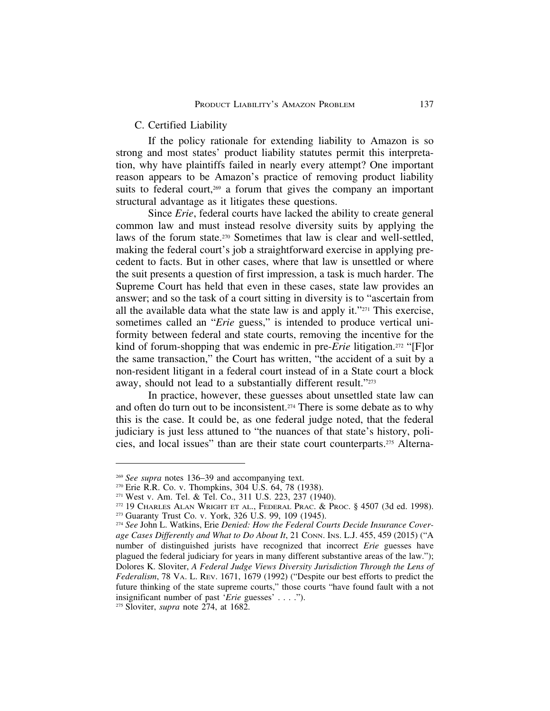# C. Certified Liability

If the policy rationale for extending liability to Amazon is so strong and most states' product liability statutes permit this interpretation, why have plaintiffs failed in nearly every attempt? One important reason appears to be Amazon's practice of removing product liability suits to federal court,<sup>269</sup> a forum that gives the company an important structural advantage as it litigates these questions.

Since *Erie*, federal courts have lacked the ability to create general common law and must instead resolve diversity suits by applying the laws of the forum state.270 Sometimes that law is clear and well-settled, making the federal court's job a straightforward exercise in applying precedent to facts. But in other cases, where that law is unsettled or where the suit presents a question of first impression, a task is much harder. The Supreme Court has held that even in these cases, state law provides an answer; and so the task of a court sitting in diversity is to "ascertain from all the available data what the state law is and apply it."271 This exercise, sometimes called an "*Erie* guess," is intended to produce vertical uniformity between federal and state courts, removing the incentive for the kind of forum-shopping that was endemic in pre-*Erie* litigation.272 "[F]or the same transaction," the Court has written, "the accident of a suit by a non-resident litigant in a federal court instead of in a State court a block away, should not lead to a substantially different result."273

In practice, however, these guesses about unsettled state law can and often do turn out to be inconsistent.<sup>274</sup> There is some debate as to why this is the case. It could be, as one federal judge noted, that the federal judiciary is just less attuned to "the nuances of that state's history, policies, and local issues" than are their state court counterparts.275 Alterna-

<sup>269</sup> *See supra* notes 136–39 and accompanying text.

 $270$  Erie R.R. Co. v. Thompkins, 304 U.S. 64, 78 (1938).

<sup>271</sup> West v. Am. Tel. & Tel. Co., 311 U.S. 223, 237 (1940).

<sup>272</sup> 19 CHARLES ALAN WRIGHT ET AL., FEDERAL PRAC. & PROC. § 4507 (3d ed. 1998).

<sup>273</sup> Guaranty Trust Co. v. York, 326 U.S. 99, 109 (1945).

<sup>274</sup> *See* John L. Watkins, Erie *Denied: How the Federal Courts Decide Insurance Coverage Cases Differently and What to Do About It*, 21 CONN. INS. L.J. 455, 459 (2015) ("A number of distinguished jurists have recognized that incorrect *Erie* guesses have plagued the federal judiciary for years in many different substantive areas of the law."); Dolores K. Sloviter, *A Federal Judge Views Diversity Jurisdiction Through the Lens of Federalism*, 78 VA. L. REV. 1671, 1679 (1992) ("Despite our best efforts to predict the future thinking of the state supreme courts," those courts "have found fault with a not insignificant number of past '*Erie* guesses' . . . .").

<sup>275</sup> Sloviter, *supra* note 274, at 1682.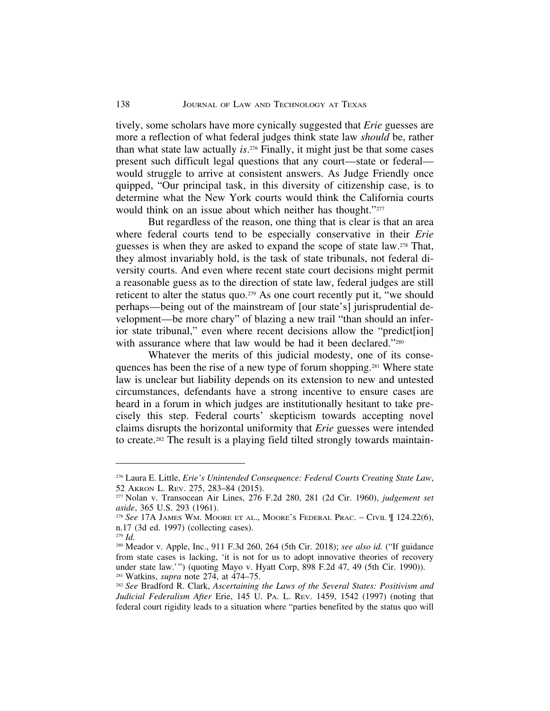tively, some scholars have more cynically suggested that *Erie* guesses are more a reflection of what federal judges think state law *should* be, rather than what state law actually *is*.276 Finally, it might just be that some cases present such difficult legal questions that any court—state or federal would struggle to arrive at consistent answers. As Judge Friendly once quipped, "Our principal task, in this diversity of citizenship case, is to determine what the New York courts would think the California courts would think on an issue about which neither has thought."277

But regardless of the reason, one thing that is clear is that an area where federal courts tend to be especially conservative in their *Erie* guesses is when they are asked to expand the scope of state law.278 That, they almost invariably hold, is the task of state tribunals, not federal diversity courts. And even where recent state court decisions might permit a reasonable guess as to the direction of state law, federal judges are still reticent to alter the status quo.<sup>279</sup> As one court recently put it, "we should perhaps—being out of the mainstream of [our state's] jurisprudential development—be more chary" of blazing a new trail "than should an inferior state tribunal," even where recent decisions allow the "predict[ion] with assurance where that law would be had it been declared."280

Whatever the merits of this judicial modesty, one of its consequences has been the rise of a new type of forum shopping.281 Where state law is unclear but liability depends on its extension to new and untested circumstances, defendants have a strong incentive to ensure cases are heard in a forum in which judges are institutionally hesitant to take precisely this step. Federal courts' skepticism towards accepting novel claims disrupts the horizontal uniformity that *Erie* guesses were intended to create.282 The result is a playing field tilted strongly towards maintain-

<sup>276</sup> Laura E. Little, *Erie's Unintended Consequence: Federal Courts Creating State Law*, 52 AKRON L. REV. 275, 283–84 (2015).

<sup>277</sup> Nolan v. Transocean Air Lines, 276 F.2d 280, 281 (2d Cir. 1960), *judgement set aside*, 365 U.S. 293 (1961).

<sup>278</sup> *See* 17A JAMES WM. MOORE ET AL., MOORE'S FEDERAL PRAC. – CIVIL ¶ 124.22(6), n.17 (3d ed. 1997) (collecting cases).

<sup>279</sup> *Id.*

<sup>280</sup> Meador v. Apple, Inc., 911 F.3d 260, 264 (5th Cir. 2018); *see also id.* ("If guidance from state cases is lacking, 'it is not for us to adopt innovative theories of recovery under state law.'") (quoting Mayo v. Hyatt Corp, 898 F.2d 47, 49 (5th Cir. 1990)). <sup>281</sup> Watkins, *supra* note 274, at 474–75.

<sup>282</sup> *See* Bradford R. Clark, *Ascertaining the Laws of the Several States: Positivism and Judicial Federalism After* Erie, 145 U. PA. L. REV. 1459, 1542 (1997) (noting that federal court rigidity leads to a situation where "parties benefited by the status quo will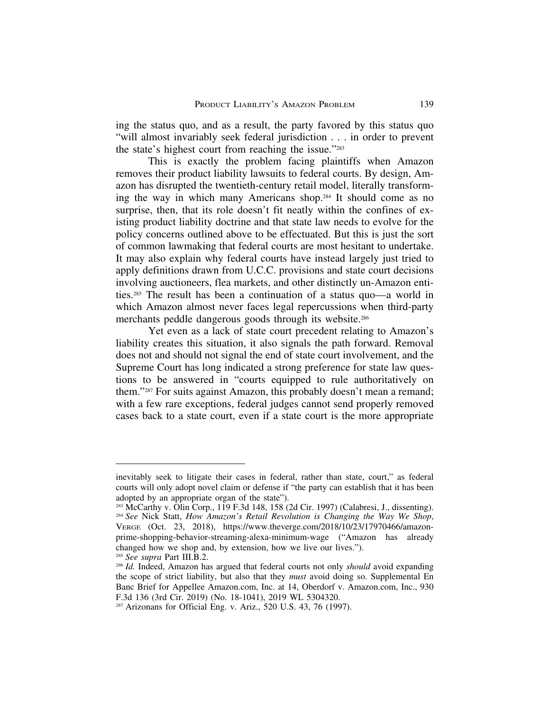ing the status quo, and as a result, the party favored by this status quo "will almost invariably seek federal jurisdiction . . . in order to prevent the state's highest court from reaching the issue."283

This is exactly the problem facing plaintiffs when Amazon removes their product liability lawsuits to federal courts. By design, Amazon has disrupted the twentieth-century retail model, literally transforming the way in which many Americans shop.284 It should come as no surprise, then, that its role doesn't fit neatly within the confines of existing product liability doctrine and that state law needs to evolve for the policy concerns outlined above to be effectuated. But this is just the sort of common lawmaking that federal courts are most hesitant to undertake. It may also explain why federal courts have instead largely just tried to apply definitions drawn from U.C.C. provisions and state court decisions involving auctioneers, flea markets, and other distinctly un-Amazon entities.285 The result has been a continuation of a status quo—a world in which Amazon almost never faces legal repercussions when third-party merchants peddle dangerous goods through its website.286

Yet even as a lack of state court precedent relating to Amazon's liability creates this situation, it also signals the path forward. Removal does not and should not signal the end of state court involvement, and the Supreme Court has long indicated a strong preference for state law questions to be answered in "courts equipped to rule authoritatively on them."287 For suits against Amazon, this probably doesn't mean a remand; with a few rare exceptions, federal judges cannot send properly removed cases back to a state court, even if a state court is the more appropriate

inevitably seek to litigate their cases in federal, rather than state, court," as federal courts will only adopt novel claim or defense if "the party can establish that it has been adopted by an appropriate organ of the state").

<sup>283</sup> McCarthy v. Olin Corp., 119 F.3d 148, 158 (2d Cir. 1997) (Calabresi, J., dissenting). <sup>284</sup> *See* Nick Statt, *How Amazon's Retail Revolution is Changing the Way We Shop*, VERGE (Oct. 23, 2018), https://www.theverge.com/2018/10/23/17970466/amazonprime-shopping-behavior-streaming-alexa-minimum-wage ("Amazon has already changed how we shop and, by extension, how we live our lives.").

<sup>285</sup> *See supra* Part III.B.2.

<sup>286</sup> *Id.* Indeed, Amazon has argued that federal courts not only *should* avoid expanding the scope of strict liability, but also that they *must* avoid doing so. Supplemental En Banc Brief for Appellee Amazon.com, Inc. at 14, Oberdorf v. Amazon.com, Inc., 930 F.3d 136 (3rd Cir. 2019) (No. 18-1041), 2019 WL 5304320.

<sup>287</sup> Arizonans for Official Eng. v. Ariz., 520 U.S. 43, 76 (1997).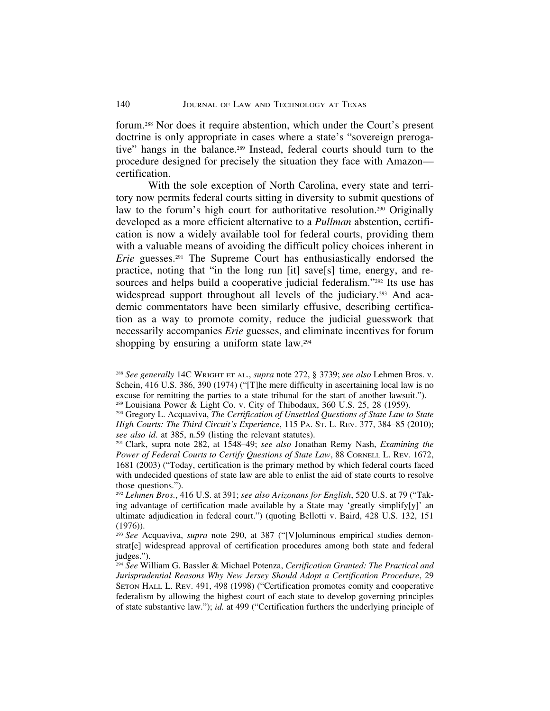forum.288 Nor does it require abstention, which under the Court's present doctrine is only appropriate in cases where a state's "sovereign prerogative" hangs in the balance.289 Instead, federal courts should turn to the procedure designed for precisely the situation they face with Amazon certification.

With the sole exception of North Carolina, every state and territory now permits federal courts sitting in diversity to submit questions of law to the forum's high court for authoritative resolution.<sup>290</sup> Originally developed as a more efficient alternative to a *Pullman* abstention, certification is now a widely available tool for federal courts, providing them with a valuable means of avoiding the difficult policy choices inherent in *Erie* guesses.<sup>291</sup> The Supreme Court has enthusiastically endorsed the practice, noting that "in the long run [it] save[s] time, energy, and resources and helps build a cooperative judicial federalism."<sup>292</sup> Its use has widespread support throughout all levels of the judiciary.<sup>293</sup> And academic commentators have been similarly effusive, describing certification as a way to promote comity, reduce the judicial guesswork that necessarily accompanies *Erie* guesses, and eliminate incentives for forum shopping by ensuring a uniform state law.294

<sup>288</sup> *See generally* 14C WRIGHT ET AL., *supra* note 272, § 3739; *see also* Lehmen Bros. v. Schein, 416 U.S. 386, 390 (1974) ("[T]he mere difficulty in ascertaining local law is no excuse for remitting the parties to a state tribunal for the start of another lawsuit."). <sup>289</sup> Louisiana Power & Light Co. v. City of Thibodaux, 360 U.S. 25, 28 (1959).

<sup>290</sup> Gregory L. Acquaviva, *The Certification of Unsettled Questions of State Law to State High Courts: The Third Circuit's Experience*, 115 PA. ST. L. REV. 377, 384–85 (2010); *see also id*. at 385, n.59 (listing the relevant statutes).

<sup>291</sup> Clark, supra note 282, at 1548–49; *see also* Jonathan Remy Nash, *Examining the Power of Federal Courts to Certify Questions of State Law*, 88 CORNELL L. REV. 1672, 1681 (2003) ("Today, certification is the primary method by which federal courts faced with undecided questions of state law are able to enlist the aid of state courts to resolve those questions.").

<sup>292</sup> *Lehmen Bros.*, 416 U.S. at 391; *see also Arizonans for English*, 520 U.S. at 79 ("Taking advantage of certification made available by a State may 'greatly simplify[y]' an ultimate adjudication in federal court.") (quoting Bellotti v. Baird, 428 U.S. 132, 151 (1976)).

<sup>293</sup> *See* Acquaviva, *supra* note 290, at 387 ("[V]oluminous empirical studies demonstrat[e] widespread approval of certification procedures among both state and federal judges.").

<sup>294</sup> *See* William G. Bassler & Michael Potenza, *Certification Granted: The Practical and Jurisprudential Reasons Why New Jersey Should Adopt a Certification Procedure*, 29 SETON HALL L. REV. 491, 498 (1998) ("Certification promotes comity and cooperative federalism by allowing the highest court of each state to develop governing principles of state substantive law."); *id.* at 499 ("Certification furthers the underlying principle of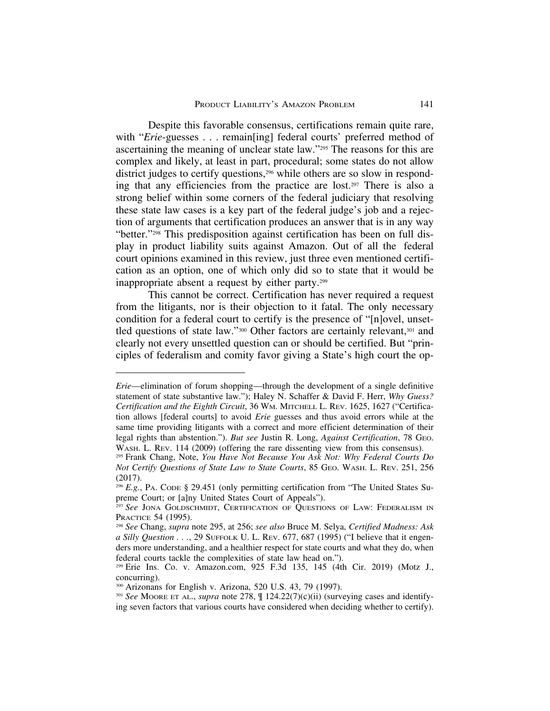Despite this favorable consensus, certifications remain quite rare, with "*Erie*-guesses . . . remain[ing] federal courts' preferred method of ascertaining the meaning of unclear state law."295 The reasons for this are complex and likely, at least in part, procedural; some states do not allow district judges to certify questions,<sup>296</sup> while others are so slow in responding that any efficiencies from the practice are lost.297 There is also a strong belief within some corners of the federal judiciary that resolving these state law cases is a key part of the federal judge's job and a rejection of arguments that certification produces an answer that is in any way "better."298 This predisposition against certification has been on full display in product liability suits against Amazon. Out of all the federal court opinions examined in this review, just three even mentioned certification as an option, one of which only did so to state that it would be inappropriate absent a request by either party.299

This cannot be correct. Certification has never required a request from the litigants, nor is their objection to it fatal. The only necessary condition for a federal court to certify is the presence of "[n]ovel, unsettled questions of state law."<sup>300</sup> Other factors are certainly relevant,<sup>301</sup> and clearly not every unsettled question can or should be certified. But "principles of federalism and comity favor giving a State's high court the op-

*Erie*—elimination of forum shopping—through the development of a single definitive statement of state substantive law."); Haley N. Schaffer & David F. Herr, *Why Guess? Certification and the Eighth Circuit*, 36 WM. MITCHELL L. REV. 1625, 1627 ("Certification allows [federal courts] to avoid *Erie* guesses and thus avoid errors while at the same time providing litigants with a correct and more efficient determination of their legal rights than abstention."). *But see* Justin R. Long, *Against Certification*, 78 GEO. WASH. L. REV. 114 (2009) (offering the rare dissenting view from this consensus).

<sup>295</sup> Frank Chang, Note, *You Have Not Because You Ask Not: Why Federal Courts Do Not Certify Questions of State Law to State Courts*, 85 GEO. WASH. L. REV. 251, 256 (2017).

<sup>296</sup> *E.g.*, PA. CODE § 29.451 (only permitting certification from "The United States Supreme Court; or [a]ny United States Court of Appeals").

<sup>297</sup> *See* JONA GOLDSCHMIDT, CERTIFICATION OF QUESTIONS OF LAW: FEDERALISM IN PRACTICE 54 (1995).

<sup>298</sup> *See* Chang, *supra* note 295, at 256; *see also* Bruce M. Selya, *Certified Madness: Ask a Silly Question . . .*, 29 SUFFOLK U. L. REV. 677, 687 (1995) ("I believe that it engenders more understanding, and a healthier respect for state courts and what they do, when federal courts tackle the complexities of state law head on.").

<sup>299</sup> Erie Ins. Co. v. Amazon.com, 925 F.3d 135, 145 (4th Cir. 2019) (Motz J., concurring).

<sup>300</sup> Arizonans for English v. Arizona, 520 U.S. 43, 79 (1997).

<sup>301</sup> *See* MOORE ET AL., *supra* note 278, ¶ 124.22(7)(c)(ii) (surveying cases and identifying seven factors that various courts have considered when deciding whether to certify).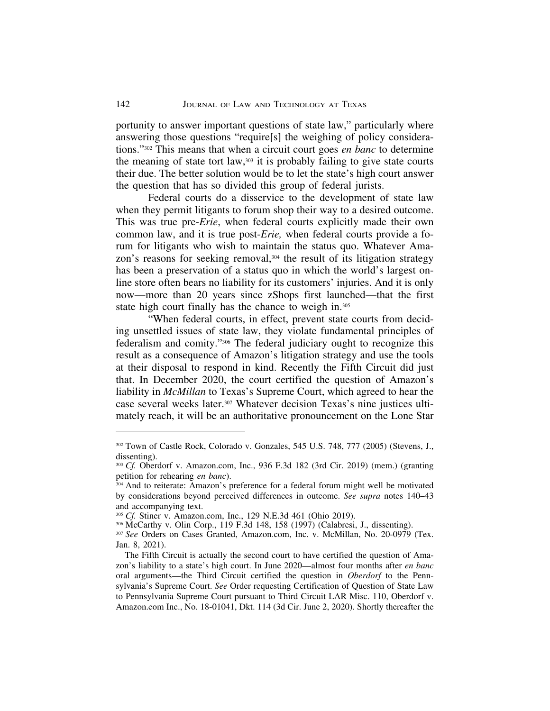portunity to answer important questions of state law," particularly where answering those questions "require[s] the weighing of policy considerations."302 This means that when a circuit court goes *en banc* to determine the meaning of state tort law, $303$  it is probably failing to give state courts their due. The better solution would be to let the state's high court answer the question that has so divided this group of federal jurists.

Federal courts do a disservice to the development of state law when they permit litigants to forum shop their way to a desired outcome. This was true pre-*Erie*, when federal courts explicitly made their own common law, and it is true post-*Erie,* when federal courts provide a forum for litigants who wish to maintain the status quo. Whatever Amazon's reasons for seeking removal,<sup>304</sup> the result of its litigation strategy has been a preservation of a status quo in which the world's largest online store often bears no liability for its customers' injuries. And it is only now—more than 20 years since zShops first launched—that the first state high court finally has the chance to weigh in.305

"When federal courts, in effect, prevent state courts from deciding unsettled issues of state law, they violate fundamental principles of federalism and comity."306 The federal judiciary ought to recognize this result as a consequence of Amazon's litigation strategy and use the tools at their disposal to respond in kind. Recently the Fifth Circuit did just that. In December 2020, the court certified the question of Amazon's liability in *McMillan* to Texas's Supreme Court, which agreed to hear the case several weeks later.307 Whatever decision Texas's nine justices ultimately reach, it will be an authoritative pronouncement on the Lone Star

<sup>302</sup> Town of Castle Rock, Colorado v. Gonzales, 545 U.S. 748, 777 (2005) (Stevens, J., dissenting).

<sup>303</sup> *Cf.* Oberdorf v. Amazon.com, Inc., 936 F.3d 182 (3rd Cir. 2019) (mem.) (granting petition for rehearing *en banc*).

<sup>304</sup> And to reiterate: Amazon's preference for a federal forum might well be motivated by considerations beyond perceived differences in outcome. *See supra* notes 140–43 and accompanying text.

<sup>305</sup> *Cf.* Stiner v. Amazon.com, Inc., 129 N.E.3d 461 (Ohio 2019).

<sup>306</sup> McCarthy v. Olin Corp., 119 F.3d 148, 158 (1997) (Calabresi, J., dissenting).

<sup>307</sup> *See* Orders on Cases Granted, Amazon.com, Inc. v. McMillan, No. 20-0979 (Tex. Jan. 8, 2021).

The Fifth Circuit is actually the second court to have certified the question of Amazon's liability to a state's high court. In June 2020—almost four months after *en banc* oral arguments—the Third Circuit certified the question in *Oberdorf* to the Pennsylvania's Supreme Court. *See* Order requesting Certification of Question of State Law to Pennsylvania Supreme Court pursuant to Third Circuit LAR Misc. 110, Oberdorf v. Amazon.com Inc., No. 18-01041, Dkt. 114 (3d Cir. June 2, 2020). Shortly thereafter the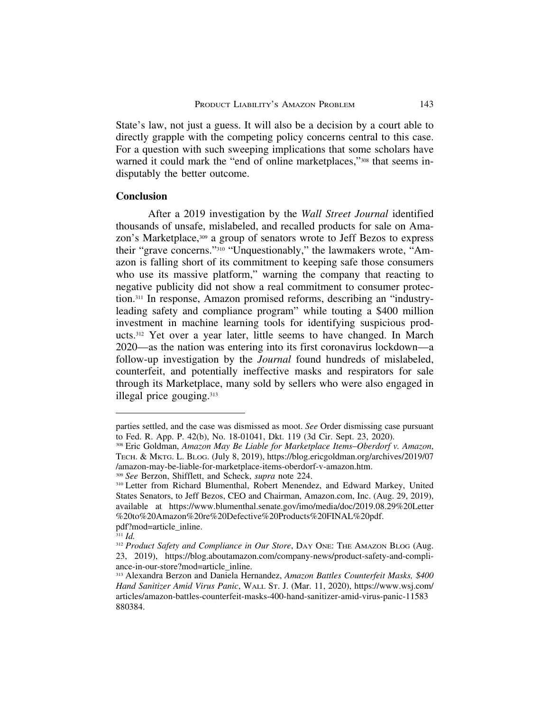State's law, not just a guess. It will also be a decision by a court able to directly grapple with the competing policy concerns central to this case. For a question with such sweeping implications that some scholars have warned it could mark the "end of online marketplaces,"<sup>308</sup> that seems indisputably the better outcome.

#### **Conclusion**

After a 2019 investigation by the *Wall Street Journal* identified thousands of unsafe, mislabeled, and recalled products for sale on Amazon's Marketplace,<sup>309</sup> a group of senators wrote to Jeff Bezos to express their "grave concerns."310 "Unquestionably," the lawmakers wrote, "Amazon is falling short of its commitment to keeping safe those consumers who use its massive platform," warning the company that reacting to negative publicity did not show a real commitment to consumer protection.311 In response, Amazon promised reforms, describing an "industryleading safety and compliance program" while touting a \$400 million investment in machine learning tools for identifying suspicious products.312 Yet over a year later, little seems to have changed. In March 2020—as the nation was entering into its first coronavirus lockdown—a follow-up investigation by the *Journal* found hundreds of mislabeled, counterfeit, and potentially ineffective masks and respirators for sale through its Marketplace, many sold by sellers who were also engaged in illegal price gouging.313

parties settled, and the case was dismissed as moot. *See* Order dismissing case pursuant to Fed. R. App. P. 42(b), No. 18-01041, Dkt. 119 (3d Cir. Sept. 23, 2020).

<sup>308</sup> Eric Goldman, *Amazon May Be Liable for Marketplace Items*–*Oberdorf v. Amazon*, TECH. & MKTG. L. BLOG. (July 8, 2019), https://blog.ericgoldman.org/archives/2019/07 /amazon-may-be-liable-for-marketplace-items-oberdorf-v-amazon.htm.

<sup>309</sup> *See* Berzon, Shifflett, and Scheck, *supra* note 224.

<sup>310</sup> Letter from Richard Blumenthal, Robert Menendez, and Edward Markey, United States Senators, to Jeff Bezos, CEO and Chairman, Amazon.com, Inc. (Aug. 29, 2019), available at https://www.blumenthal.senate.gov/imo/media/doc/2019.08.29%20Letter %20to%20Amazon%20re%20Defective%20Products%20FINAL%20pdf. pdf?mod=article\_inline.

<sup>311</sup> *Id.*

<sup>&</sup>lt;sup>312</sup> Product Safety and Compliance in Our Store, DAY ONE: THE AMAZON BLOG (Aug. 23, 2019), https://blog.aboutamazon.com/company-news/product-safety-and-compliance-in-our-store?mod=article\_inline.

<sup>313</sup> Alexandra Berzon and Daniela Hernandez, *Amazon Battles Counterfeit Masks, \$400 Hand Sanitizer Amid Virus Panic*, WALL ST. J. (Mar. 11, 2020), https://www.wsj.com/ articles/amazon-battles-counterfeit-masks-400-hand-sanitizer-amid-virus-panic-11583 880384.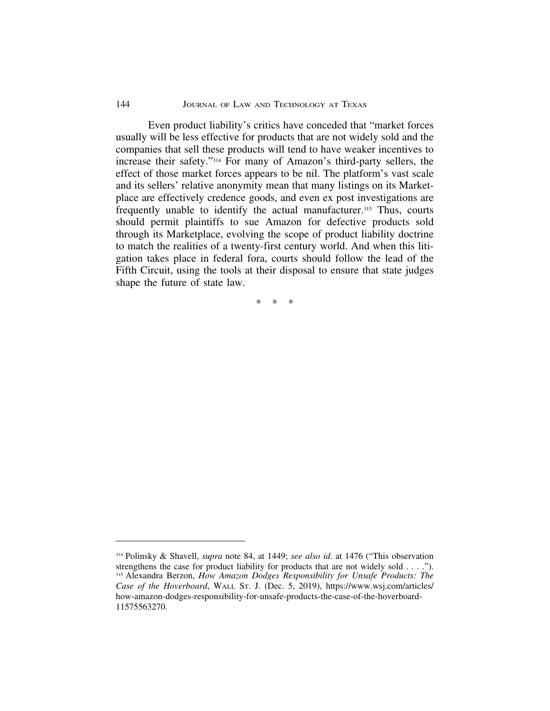#### 144 JOURNAL OF LAW AND TECHNOLOGY AT TEXAS

Even product liability's critics have conceded that "market forces usually will be less effective for products that are not widely sold and the companies that sell these products will tend to have weaker incentives to increase their safety."314 For many of Amazon's third-party sellers, the effect of those market forces appears to be nil. The platform's vast scale and its sellers' relative anonymity mean that many listings on its Marketplace are effectively credence goods, and even ex post investigations are frequently unable to identify the actual manufacturer.<sup>315</sup> Thus, courts should permit plaintiffs to sue Amazon for defective products sold through its Marketplace, evolving the scope of product liability doctrine to match the realities of a twenty-first century world. And when this litigation takes place in federal fora, courts should follow the lead of the Fifth Circuit, using the tools at their disposal to ensure that state judges shape the future of state law.

\*\*\*

<sup>314</sup> Polinsky & Shavell, *supra* note 84, at 1449; *see also id.* at 1476 ("This observation strengthens the case for product liability for products that are not widely sold . . . ."). <sup>315</sup> Alexandra Berzon, *How Amazon Dodges Responsibility for Unsafe Products: The Case of the Hoverboard*, WALL ST. J. (Dec. 5, 2019), https://www.wsj.com/articles/ how-amazon-dodges-responsibility-for-unsafe-products-the-case-of-the-hoverboard-11575563270.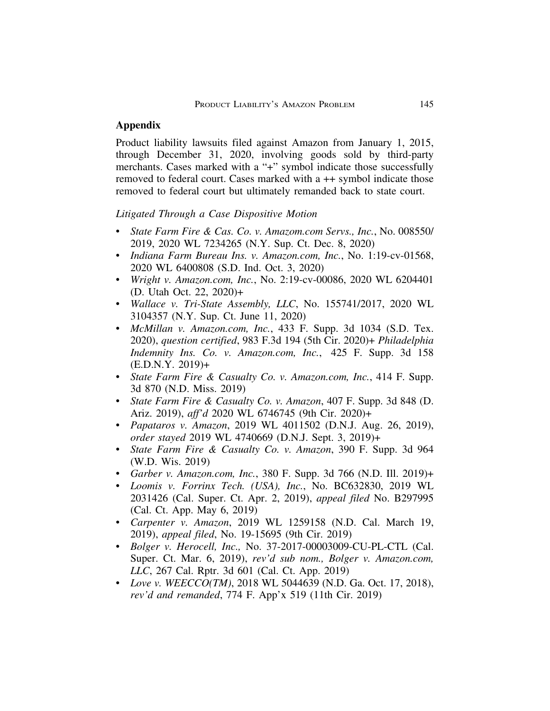## **Appendix**

Product liability lawsuits filed against Amazon from January 1, 2015, through December 31, 2020, involving goods sold by third-party merchants. Cases marked with a "+" symbol indicate those successfully removed to federal court. Cases marked with a ++ symbol indicate those removed to federal court but ultimately remanded back to state court.

*Litigated Through a Case Dispositive Motion*

- *State Farm Fire & Cas. Co. v. Amazom.com Servs., Inc.*, No. 008550/ 2019, 2020 WL 7234265 (N.Y. Sup. Ct. Dec. 8, 2020)
- *Indiana Farm Bureau Ins. v. Amazon.com, Inc.*, No. 1:19-cv-01568, 2020 WL 6400808 (S.D. Ind. Oct. 3, 2020)
- *Wright v. Amazon.com, Inc.*, No. 2:19-cv-00086, 2020 WL 6204401 (D. Utah Oct. 22, 2020)+
- *Wallace v. Tri-State Assembly, LLC*, No. 155741/2017, 2020 WL 3104357 (N.Y. Sup. Ct. June 11, 2020)
- *McMillan v. Amazon.com, Inc.*, 433 F. Supp. 3d 1034 (S.D. Tex. 2020), *question certified*, 983 F.3d 194 (5th Cir. 2020)+ *Philadelphia Indemnity Ins. Co. v. Amazon.com, Inc.*, 425 F. Supp. 3d 158 (E.D.N.Y. 2019)+
- *State Farm Fire & Casualty Co. v. Amazon.com, Inc.*, 414 F. Supp. 3d 870 (N.D. Miss. 2019)
- *State Farm Fire & Casualty Co. v. Amazon*, 407 F. Supp. 3d 848 (D. Ariz. 2019), *aff'd* 2020 WL 6746745 (9th Cir. 2020)+
- *Papataros v. Amazon*, 2019 WL 4011502 (D.N.J. Aug. 26, 2019), *order stayed* 2019 WL 4740669 (D.N.J. Sept. 3, 2019)+
- *State Farm Fire & Casualty Co. v. Amazon*, 390 F. Supp. 3d 964 (W.D. Wis. 2019)
- *Garber v. Amazon.com, Inc.*, 380 F. Supp. 3d 766 (N.D. Ill. 2019)+
- *Loomis v. Forrinx Tech. (USA), Inc.*, No. BC632830, 2019 WL 2031426 (Cal. Super. Ct. Apr. 2, 2019), *appeal filed* No. B297995 (Cal. Ct. App. May 6, 2019)
- *Carpenter v. Amazon*, 2019 WL 1259158 (N.D. Cal. March 19, 2019), *appeal filed*, No. 19-15695 (9th Cir. 2019)
- *Bolger v. Herocell, Inc.,* No. 37-2017-00003009-CU-PL-CTL (Cal. Super. Ct. Mar. 6, 2019), *rev'd sub nom., Bolger v. Amazon.com, LLC*, 267 Cal. Rptr. 3d 601 (Cal. Ct. App. 2019)
- *Love v. WEECCO(TM)*, 2018 WL 5044639 (N.D. Ga. Oct. 17, 2018), *rev'd and remanded*, 774 F. App'x 519 (11th Cir. 2019)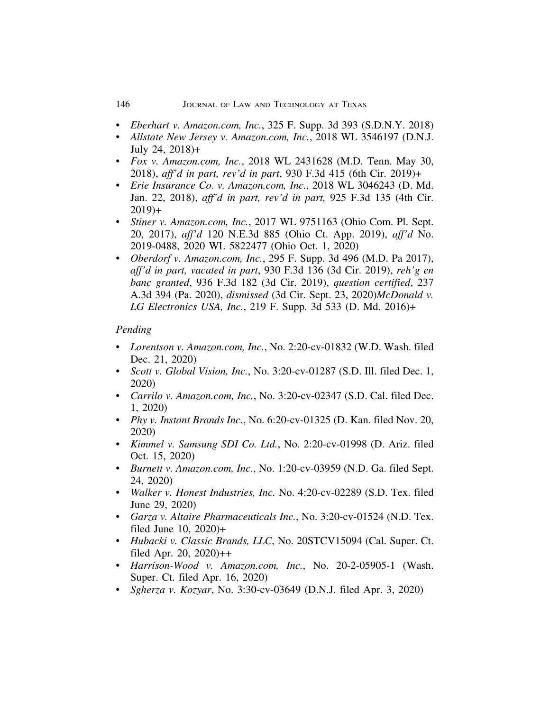- *Eberhart v. Amazon.com, Inc.*, 325 F. Supp. 3d 393 (S.D.N.Y. 2018)
- *Allstate New Jersey v. Amazon.com, Inc.*, 2018 WL 3546197 (D.N.J. July 24, 2018)+
- *Fox v. Amazon.com, Inc.*, 2018 WL 2431628 (M.D. Tenn. May 30, 2018), *aff'd in part, rev'd in part*, 930 F.3d 415 (6th Cir. 2019)+
- *Erie Insurance Co. v. Amazon.com, Inc.*, 2018 WL 3046243 (D. Md. Jan. 22, 2018), *aff'd in part, rev'd in part,* 925 F.3d 135 (4th Cir.  $2019+$
- *Stiner v. Amazon.com, Inc.*, 2017 WL 9751163 (Ohio Com. Pl. Sept. 20, 2017), *aff'd* 120 N.E.3d 885 (Ohio Ct. App. 2019), *aff'd* No. 2019-0488, 2020 WL 5822477 (Ohio Oct. 1, 2020)
- *Oberdorf v. Amazon.com, Inc.*, 295 F. Supp. 3d 496 (M.D. Pa 2017), *aff'd in part, vacated in part*, 930 F.3d 136 (3d Cir. 2019), *reh'g en banc granted*, 936 F.3d 182 (3d Cir. 2019), *question certified*, 237 A.3d 394 (Pa. 2020), *dismissed* (3d Cir. Sept. 23, 2020)*McDonald v. LG Electronics USA, Inc.*, 219 F. Supp. 3d 533 (D. Md. 2016)+

#### *Pending*

- *Lorentson v. Amazon.com, Inc.*, No. 2:20-cv-01832 (W.D. Wash. filed Dec. 21, 2020)
- *Scott v. Global Vision, Inc.*, No. 3:20-cv-01287 (S.D. Ill. filed Dec. 1, 2020)
- *Carrilo v. Amazon.com, Inc.*, No. 3:20-cv-02347 (S.D. Cal. filed Dec. 1, 2020)
- *Phy v. Instant Brands Inc.*, No. 6:20-cv-01325 (D. Kan. filed Nov. 20, 2020)
- *Kimmel v. Samsung SDI Co. Ltd.*, No. 2:20-cv-01998 (D. Ariz. filed Oct. 15, 2020)
- *Burnett v. Amazon.com, Inc.*, No. 1:20-cv-03959 (N.D. Ga. filed Sept. 24, 2020)
- *Walker v. Honest Industries, Inc.* No. 4:20-cv-02289 (S.D. Tex. filed June 29, 2020)
- *Garza v. Altaire Pharmaceuticals Inc.*, No. 3:20-cv-01524 (N.D. Tex. filed June 10, 2020)+
- *Hubacki v. Classic Brands, LLC*, No. 20STCV15094 (Cal. Super. Ct. filed Apr. 20, 2020)++
- *Harrison-Wood v. Amazon.com, Inc.*, No. 20-2-05905-1 (Wash. Super. Ct. filed Apr. 16, 2020)
- *Sgherza v. Kozyar*, No. 3:30-cv-03649 (D.N.J. filed Apr. 3, 2020)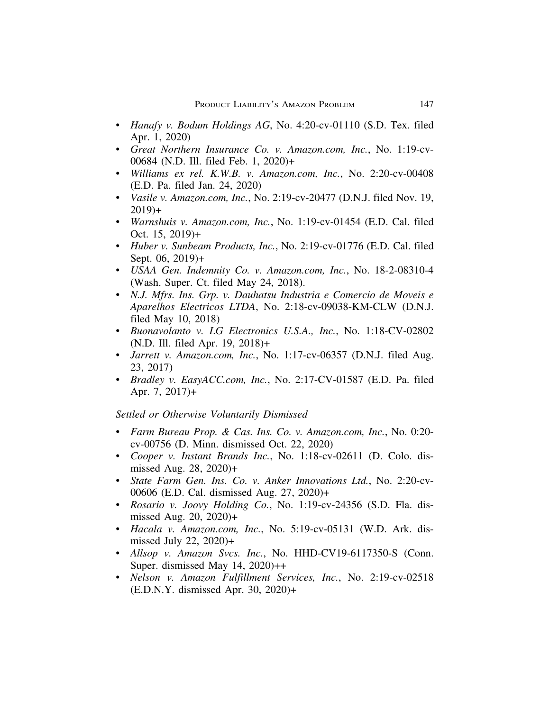- *Hanafy v. Bodum Holdings AG*, No. 4:20-cv-01110 (S.D. Tex. filed Apr. 1, 2020)
- *Great Northern Insurance Co. v. Amazon.com, Inc.*, No. 1:19-cv-00684 (N.D. Ill. filed Feb. 1, 2020)+
- *Williams ex rel. K.W.B. v. Amazon.com, Inc.*, No. 2:20-cv-00408 (E.D. Pa. filed Jan. 24, 2020)
- *Vasile v. Amazon.com, Inc.*, No. 2:19-cv-20477 (D.N.J. filed Nov. 19,  $2019$ <sup>+</sup>
- *Warnshuis v. Amazon.com, Inc.*, No. 1:19-cv-01454 (E.D. Cal. filed Oct. 15, 2019)+
- *Huber v. Sunbeam Products, Inc.*, No. 2:19-cv-01776 (E.D. Cal. filed Sept. 06, 2019)+
- *USAA Gen. Indemnity Co. v. Amazon.com, Inc.*, No. 18-2-08310-4 (Wash. Super. Ct. filed May 24, 2018).
- *N.J. Mfrs. Ins. Grp. v. Dauhatsu Industria e Comercio de Moveis e Aparelhos Electricos LTDA*, No. 2:18-cv-09038-KM-CLW (D.N.J. filed May 10, 2018)
- *Buonavolanto v. LG Electronics U.S.A., Inc.*, No. 1:18-CV-02802 (N.D. Ill. filed Apr. 19, 2018)+
- *Jarrett v. Amazon.com, Inc.*, No. 1:17-cv-06357 (D.N.J. filed Aug. 23, 2017)
- *Bradley v. EasyACC.com, Inc.*, No. 2:17-CV-01587 (E.D. Pa. filed Apr. 7, 2017)+

*Settled or Otherwise Voluntarily Dismissed*

- *Farm Bureau Prop. & Cas. Ins. Co. v. Amazon.com, Inc.*, No. 0:20 cv-00756 (D. Minn. dismissed Oct. 22, 2020)
- *Cooper v. Instant Brands Inc.*, No. 1:18-cv-02611 (D. Colo. dismissed Aug. 28, 2020)+
- *State Farm Gen. Ins. Co. v. Anker Innovations Ltd.*, No. 2:20-cv-00606 (E.D. Cal. dismissed Aug. 27, 2020)+
- *Rosario v. Joovy Holding Co.*, No. 1:19-cv-24356 (S.D. Fla. dismissed Aug. 20, 2020)+
- *Hacala v. Amazon.com, Inc.*, No. 5:19-cv-05131 (W.D. Ark. dismissed July 22, 2020)+
- *Allsop v. Amazon Svcs. Inc.*, No. HHD-CV19-6117350-S (Conn. Super. dismissed May  $14$ ,  $2020$ )++
- *Nelson v. Amazon Fulfillment Services, Inc.*, No. 2:19-cv-02518 (E.D.N.Y. dismissed Apr. 30, 2020)+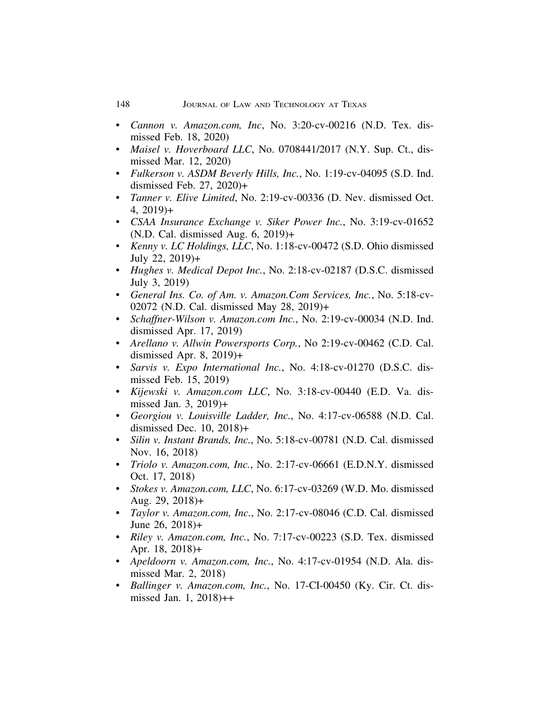- *Cannon v. Amazon.com, Inc*, No. 3:20-cv-00216 (N.D. Tex. dismissed Feb. 18, 2020)
- *Maisel v. Hoverboard LLC*, No. 0708441/2017 (N.Y. Sup. Ct., dismissed Mar. 12, 2020)
- *Fulkerson v. ASDM Beverly Hills, Inc.*, No. 1:19-cv-04095 (S.D. Ind. dismissed Feb. 27, 2020)+
- *Tanner v. Elive Limited*, No. 2:19-cv-00336 (D. Nev. dismissed Oct.  $4, 2019$ <sup>+</sup>
- *CSAA Insurance Exchange v. Siker Power Inc.*, No. 3:19-cv-01652 (N.D. Cal. dismissed Aug. 6, 2019)+
- *Kenny v. LC Holdings, LLC*, No. 1:18-cv-00472 (S.D. Ohio dismissed July 22, 2019)+
- *Hughes v. Medical Depot Inc.*, No. 2:18-cv-02187 (D.S.C. dismissed July 3, 2019)
- *General Ins. Co. of Am. v. Amazon.Com Services, Inc.*, No. 5:18-cv-02072 (N.D. Cal. dismissed May 28, 2019)+
- *Schaffner-Wilson v. Amazon.com Inc.*, No. 2:19-cv-00034 (N.D. Ind. dismissed Apr. 17, 2019)
- *Arellano v. Allwin Powersports Corp.*, No 2:19-cv-00462 (C.D. Cal. dismissed Apr. 8, 2019)+
- *Sarvis v. Expo International Inc.*, No. 4:18-cv-01270 (D.S.C. dismissed Feb. 15, 2019)
- *Kijewski v. Amazon.com LLC*, No. 3:18-cv-00440 (E.D. Va. dismissed Jan. 3, 2019)+
- *Georgiou v. Louisville Ladder, Inc.*, No. 4:17-cv-06588 (N.D. Cal. dismissed Dec. 10, 2018)+
- *Silin v. Instant Brands, Inc.*, No. 5:18-cv-00781 (N.D. Cal. dismissed Nov. 16, 2018)
- *Triolo v. Amazon.com, Inc.*, No. 2:17-cv-06661 (E.D.N.Y. dismissed Oct. 17, 2018)
- *Stokes v. Amazon.com, LLC*, No. 6:17-cv-03269 (W.D. Mo. dismissed Aug. 29, 2018)+
- *Taylor v. Amazon.com, Inc.*, No. 2:17-cv-08046 (C.D. Cal. dismissed June 26, 2018)+
- *Riley v. Amazon.com, Inc.*, No. 7:17-cv-00223 (S.D. Tex. dismissed Apr. 18, 2018)+
- *Apeldoorn v. Amazon.com, Inc.*, No. 4:17-cv-01954 (N.D. Ala. dismissed Mar. 2, 2018)
- *Ballinger v. Amazon.com, Inc.*, No. 17-CI-00450 (Ky. Cir. Ct. dismissed Jan. 1, 2018)++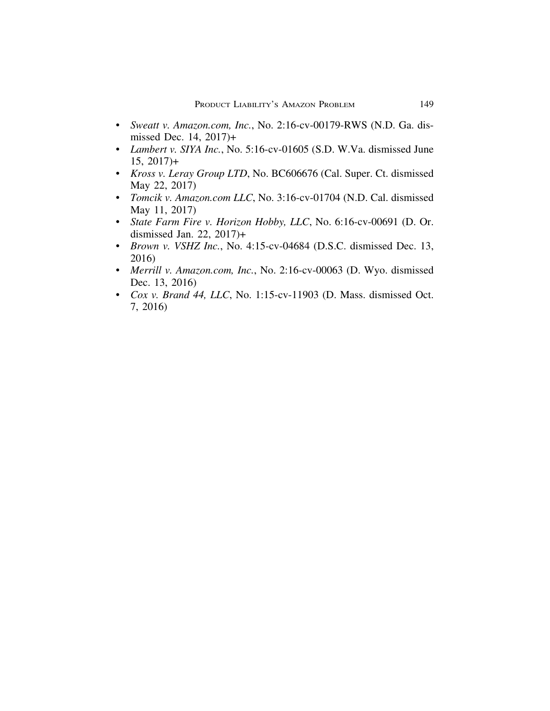- *Sweatt v. Amazon.com, Inc.*, No. 2:16-cv-00179-RWS (N.D. Ga. dismissed Dec. 14, 2017)+
- *Lambert v. SIYA Inc.*, No. 5:16-cv-01605 (S.D. W.Va. dismissed June  $15, 2017+$
- *Kross v. Leray Group LTD*, No. BC606676 (Cal. Super. Ct. dismissed May 22, 2017)
- *Tomcik v. Amazon.com LLC*, No. 3:16-cv-01704 (N.D. Cal. dismissed May 11, 2017)
- *State Farm Fire v. Horizon Hobby, LLC*, No. 6:16-cv-00691 (D. Or. dismissed Jan. 22, 2017)+
- *Brown v. VSHZ Inc.*, No. 4:15-cv-04684 (D.S.C. dismissed Dec. 13, 2016)
- *Merrill v. Amazon.com, Inc.*, No. 2:16-cv-00063 (D. Wyo. dismissed Dec. 13, 2016)
- *Cox v. Brand 44, LLC*, No. 1:15-cv-11903 (D. Mass. dismissed Oct. 7, 2016)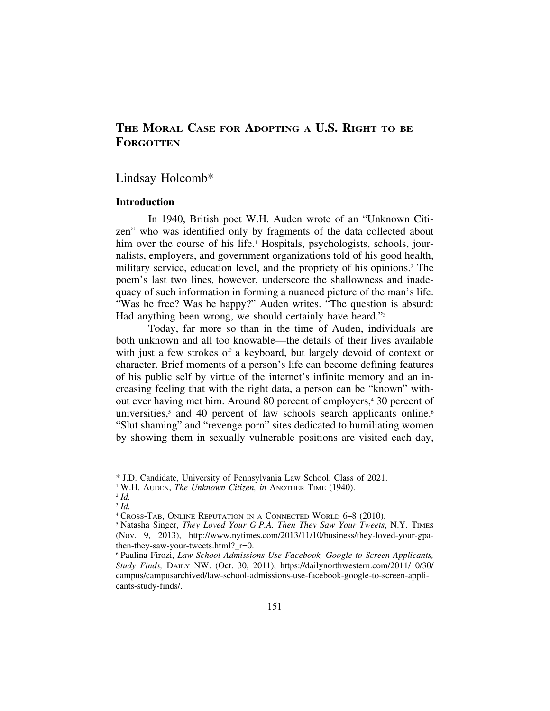# **THE MORAL CASE FOR ADOPTING A U.S. RIGHT TO BE FORGOTTEN**

## Lindsay Holcomb\*

## **Introduction**

In 1940, British poet W.H. Auden wrote of an "Unknown Citizen" who was identified only by fragments of the data collected about him over the course of his life.<sup>1</sup> Hospitals, psychologists, schools, journalists, employers, and government organizations told of his good health, military service, education level, and the propriety of his opinions.2 The poem's last two lines, however, underscore the shallowness and inadequacy of such information in forming a nuanced picture of the man's life. "Was he free? Was he happy?" Auden writes. "The question is absurd: Had anything been wrong, we should certainly have heard."3

Today, far more so than in the time of Auden, individuals are both unknown and all too knowable—the details of their lives available with just a few strokes of a keyboard, but largely devoid of context or character. Brief moments of a person's life can become defining features of his public self by virtue of the internet's infinite memory and an increasing feeling that with the right data, a person can be "known" without ever having met him. Around 80 percent of employers,4 30 percent of universities, $5$  and 40 percent of law schools search applicants online. $6$ "Slut shaming" and "revenge porn" sites dedicated to humiliating women by showing them in sexually vulnerable positions are visited each day,

<sup>\*</sup> J.D. Candidate, University of Pennsylvania Law School, Class of 2021.

<sup>1</sup> W.H. AUDEN, *The Unknown Citizen, in* ANOTHER TIME (1940).

<sup>2</sup> *Id.* <sup>3</sup> *Id.*

<sup>4</sup> CROSS-TAB, ONLINE REPUTATION IN A CONNECTED WORLD 6–8 (2010).

<sup>5</sup> Natasha Singer, *They Loved Your G.P.A. Then They Saw Your Tweets*, N.Y. TIMES (Nov. 9, 2013), http://www.nytimes.com/2013/11/10/business/they-loved-your-gpathen-they-saw-your-tweets.html? r=0.

<sup>6</sup> Paulina Firozi, *Law School Admissions Use Facebook, Google to Screen Applicants, Study Finds,* DAILY NW. (Oct. 30, 2011), https://dailynorthwestern.com/2011/10/30/ campus/campusarchived/law-school-admissions-use-facebook-google-to-screen-applicants-study-finds/.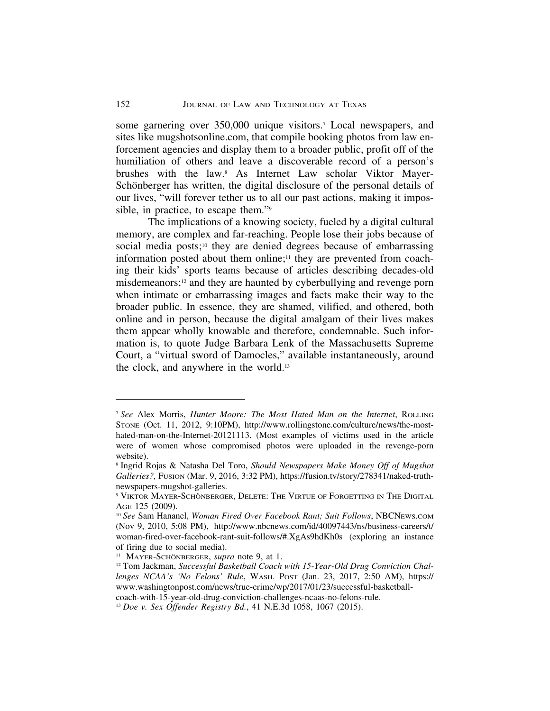some garnering over 350,000 unique visitors.7 Local newspapers, and sites like mugshotsonline.com, that compile booking photos from law enforcement agencies and display them to a broader public, profit off of the humiliation of others and leave a discoverable record of a person's brushes with the law.8 As Internet Law scholar Viktor Mayer-Schönberger has written, the digital disclosure of the personal details of our lives, "will forever tether us to all our past actions, making it impossible, in practice, to escape them."9

The implications of a knowing society, fueled by a digital cultural memory, are complex and far-reaching. People lose their jobs because of social media posts;<sup>10</sup> they are denied degrees because of embarrassing information posted about them online;<sup>11</sup> they are prevented from coaching their kids' sports teams because of articles describing decades-old misdemeanors;12 and they are haunted by cyberbullying and revenge porn when intimate or embarrassing images and facts make their way to the broader public. In essence, they are shamed, vilified, and othered, both online and in person, because the digital amalgam of their lives makes them appear wholly knowable and therefore, condemnable. Such information is, to quote Judge Barbara Lenk of the Massachusetts Supreme Court, a "virtual sword of Damocles," available instantaneously, around the clock, and anywhere in the world.13

<sup>7</sup> *See* Alex Morris, *Hunter Moore: The Most Hated Man on the Internet*, ROLLING STONE (Oct. 11, 2012, 9:10PM), http://www.rollingstone.com/culture/news/the-mosthated-man-on-the-Internet-20121113. (Most examples of victims used in the article were of women whose compromised photos were uploaded in the revenge-porn website).

<sup>8</sup> Ingrid Rojas & Natasha Del Toro, *Should Newspapers Make Money Off of Mugshot Galleries?,* FUSION (Mar. 9, 2016, 3:32 PM), https://fusion.tv/story/278341/naked-truthnewspapers-mugshot-galleries.

<sup>&</sup>lt;sup>9</sup> VIKTOR MAYER-SCHÖNBERGER, DELETE: THE VIRTUE OF FORGETTING IN THE DIGITAL AGE 125 (2009).

<sup>10</sup> *See* Sam Hananel, *Woman Fired Over Facebook Rant; Suit Follows*, NBCNEWS.COM (Nov 9, 2010, 5:08 PM), http://www.nbcnews.com/id/40097443/ns/business-careers/t/ woman-fired-over-facebook-rant-suit-follows/#.XgAs9hdKh0s (exploring an instance of firing due to social media).

<sup>&</sup>lt;sup>11</sup> MAYER-SCHÖNBERGER, *supra* note 9, at 1.

<sup>&</sup>lt;sup>12</sup> Tom Jackman, *Successful Basketball Coach with 15-Year-Old Drug Conviction Challenges NCAA's 'No Felons' Rule*, WASH. POST (Jan. 23, 2017, 2:50 AM), https:// www.washingtonpost.com/news/true-crime/wp/2017/01/23/successful-basketball-

coach-with-15-year-old-drug-conviction-challenges-ncaas-no-felons-rule.

<sup>13</sup> *Doe v. Sex Offender Registry Bd.*, 41 N.E.3d 1058, 1067 (2015).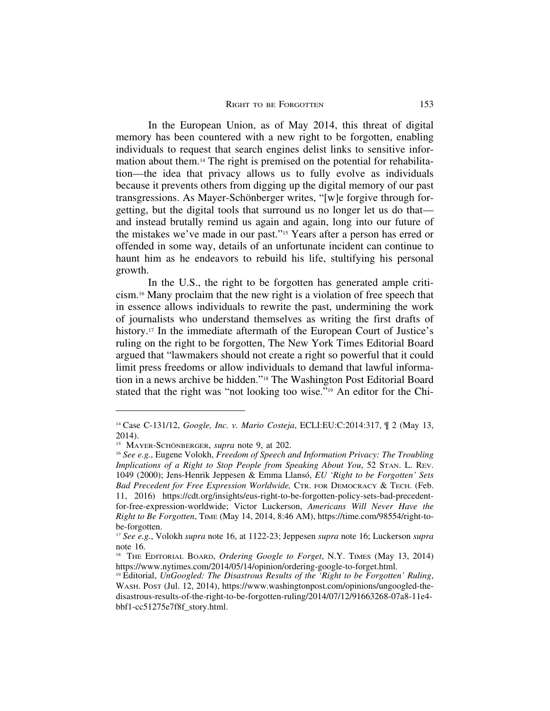In the European Union, as of May 2014, this threat of digital memory has been countered with a new right to be forgotten, enabling individuals to request that search engines delist links to sensitive information about them.14 The right is premised on the potential for rehabilitation—the idea that privacy allows us to fully evolve as individuals because it prevents others from digging up the digital memory of our past transgressions. As Mayer-Schönberger writes, "[w]e forgive through forgetting, but the digital tools that surround us no longer let us do that and instead brutally remind us again and again, long into our future of the mistakes we've made in our past."15 Years after a person has erred or offended in some way, details of an unfortunate incident can continue to haunt him as he endeavors to rebuild his life, stultifying his personal growth.

In the U.S., the right to be forgotten has generated ample criticism.16 Many proclaim that the new right is a violation of free speech that in essence allows individuals to rewrite the past, undermining the work of journalists who understand themselves as writing the first drafts of history.<sup>17</sup> In the immediate aftermath of the European Court of Justice's ruling on the right to be forgotten, The New York Times Editorial Board argued that "lawmakers should not create a right so powerful that it could limit press freedoms or allow individuals to demand that lawful information in a news archive be hidden."18 The Washington Post Editorial Board stated that the right was "not looking too wise."19 An editor for the Chi-

<sup>14</sup> Case C-131/12, *Google, Inc. v. Mario Costeja*, ECLI:EU:C:2014:317, ¶ 2 (May 13, 2014).

<sup>&</sup>lt;sup>15</sup> MAYER-SCHÖNBERGER, *supra* note 9, at 202.

<sup>16</sup> *See e.g.*, Eugene Volokh, *Freedom of Speech and Information Privacy: The Troubling Implications of a Right to Stop People from Speaking About You*, 52 STAN. L. REV. 1049 (2000); Jens-Henrik Jeppesen & Emma Llans´o, *EU 'Right to be Forgotten' Sets Bad Precedent for Free Expression Worldwide,* CTR. FOR DEMOCRACY & TECH. (Feb. 11, 2016) https://cdt.org/insights/eus-right-to-be-forgotten-policy-sets-bad-precedentfor-free-expression-worldwide; Victor Luckerson, *Americans Will Never Have the Right to Be Forgotten*, TIME (May 14, 2014, 8:46 AM), https://time.com/98554/right-tobe-forgotten.

<sup>17</sup> *See e.g.*, Volokh *supra* note 16, at 1122-23; Jeppesen *supra* note 16; Luckerson *supra* note 16.

<sup>18</sup> THE EDITORIAL BOARD, *Ordering Google to Forget*, N.Y. TIMES (May 13, 2014) https://www.nytimes.com/2014/05/14/opinion/ordering-google-to-forget.html.

<sup>19</sup> Editorial, *UnGoogled: The Disastrous Results of the 'Right to be Forgotten' Ruling*, WASH. POST (Jul. 12, 2014), https://www.washingtonpost.com/opinions/ungoogled-thedisastrous-results-of-the-right-to-be-forgotten-ruling/2014/07/12/91663268-07a8-11e4 bbf1-cc51275e7f8f\_story.html.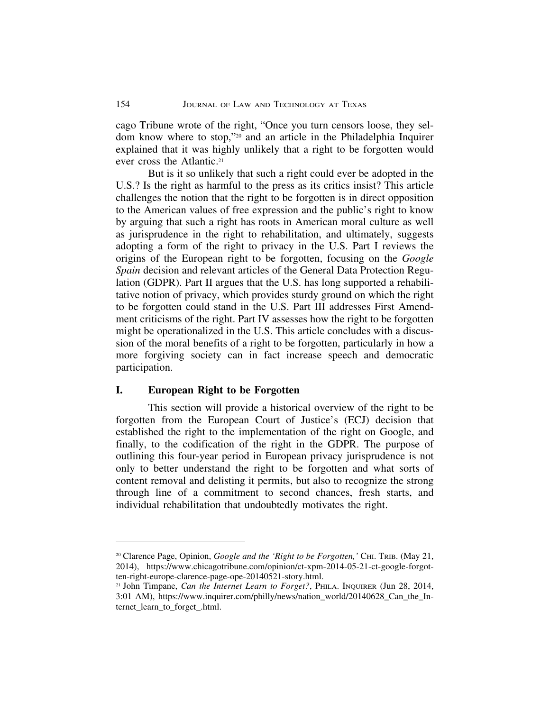cago Tribune wrote of the right, "Once you turn censors loose, they seldom know where to stop,"20 and an article in the Philadelphia Inquirer explained that it was highly unlikely that a right to be forgotten would ever cross the Atlantic.21

But is it so unlikely that such a right could ever be adopted in the U.S.? Is the right as harmful to the press as its critics insist? This article challenges the notion that the right to be forgotten is in direct opposition to the American values of free expression and the public's right to know by arguing that such a right has roots in American moral culture as well as jurisprudence in the right to rehabilitation, and ultimately, suggests adopting a form of the right to privacy in the U.S. Part I reviews the origins of the European right to be forgotten, focusing on the *Google Spain* decision and relevant articles of the General Data Protection Regulation (GDPR). Part II argues that the U.S. has long supported a rehabilitative notion of privacy, which provides sturdy ground on which the right to be forgotten could stand in the U.S. Part III addresses First Amendment criticisms of the right. Part IV assesses how the right to be forgotten might be operationalized in the U.S. This article concludes with a discussion of the moral benefits of a right to be forgotten, particularly in how a more forgiving society can in fact increase speech and democratic participation.

## **I. European Right to be Forgotten**

This section will provide a historical overview of the right to be forgotten from the European Court of Justice's (ECJ) decision that established the right to the implementation of the right on Google, and finally, to the codification of the right in the GDPR. The purpose of outlining this four-year period in European privacy jurisprudence is not only to better understand the right to be forgotten and what sorts of content removal and delisting it permits, but also to recognize the strong through line of a commitment to second chances, fresh starts, and individual rehabilitation that undoubtedly motivates the right.

<sup>&</sup>lt;sup>20</sup> Clarence Page, Opinion, *Google and the 'Right to be Forgotten*,' CHI. TRIB. (May 21, 2014), https://www.chicagotribune.com/opinion/ct-xpm-2014-05-21-ct-google-forgotten-right-europe-clarence-page-ope-20140521-story.html.

<sup>21</sup> John Timpane, *Can the Internet Learn to Forget?*, PHILA. INQUIRER (Jun 28, 2014, 3:01 AM), https://www.inquirer.com/philly/news/nation\_world/20140628\_Can\_the\_Internet\_learn\_to\_forget\_.html.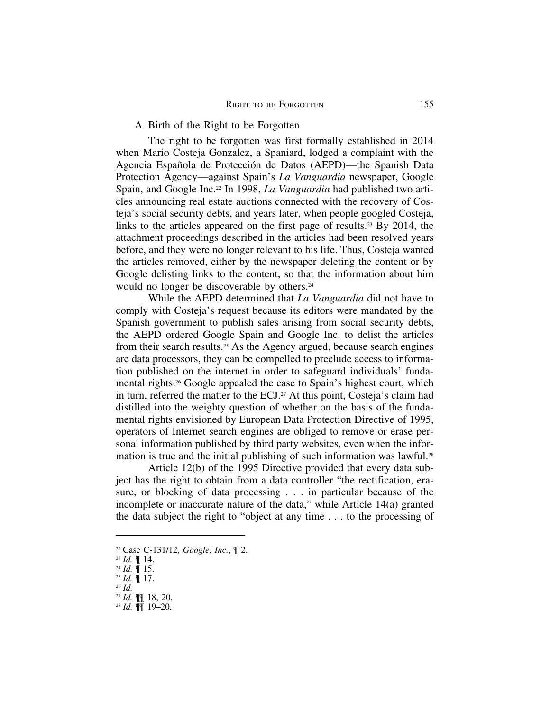#### A. Birth of the Right to be Forgotten

The right to be forgotten was first formally established in 2014 when Mario Costeja Gonzalez, a Spaniard, lodged a complaint with the Agencia Española de Protección de Datos (AEPD)—the Spanish Data Protection Agency—against Spain's *La Vanguardia* newspaper, Google Spain, and Google Inc.22 In 1998, *La Vanguardia* had published two articles announcing real estate auctions connected with the recovery of Costeja's social security debts, and years later, when people googled Costeja, links to the articles appeared on the first page of results.23 By 2014, the attachment proceedings described in the articles had been resolved years before, and they were no longer relevant to his life. Thus, Costeja wanted the articles removed, either by the newspaper deleting the content or by Google delisting links to the content, so that the information about him would no longer be discoverable by others.<sup>24</sup>

While the AEPD determined that *La Vanguardia* did not have to comply with Costeja's request because its editors were mandated by the Spanish government to publish sales arising from social security debts, the AEPD ordered Google Spain and Google Inc. to delist the articles from their search results.25 As the Agency argued, because search engines are data processors, they can be compelled to preclude access to information published on the internet in order to safeguard individuals' fundamental rights.26 Google appealed the case to Spain's highest court, which in turn, referred the matter to the ECJ.<sup>27</sup> At this point, Costeja's claim had distilled into the weighty question of whether on the basis of the fundamental rights envisioned by European Data Protection Directive of 1995, operators of Internet search engines are obliged to remove or erase personal information published by third party websites, even when the information is true and the initial publishing of such information was lawful.<sup>28</sup>

Article 12(b) of the 1995 Directive provided that every data subject has the right to obtain from a data controller "the rectification, erasure, or blocking of data processing . . . in particular because of the incomplete or inaccurate nature of the data," while Article 14(a) granted the data subject the right to "object at any time . . . to the processing of

<sup>22</sup> Case C-131/12, *Google, Inc.*, ¶ 2.

<sup>23</sup> *Id.* ¶ 14.

<sup>24</sup> *Id.* ¶ 15. <sup>25</sup> *Id.* ¶ 17.

<sup>26</sup> *Id.*

<sup>27</sup> *Id.* ¶¶ 18, 20.

<sup>28</sup> *Id.* ¶¶ 19–20.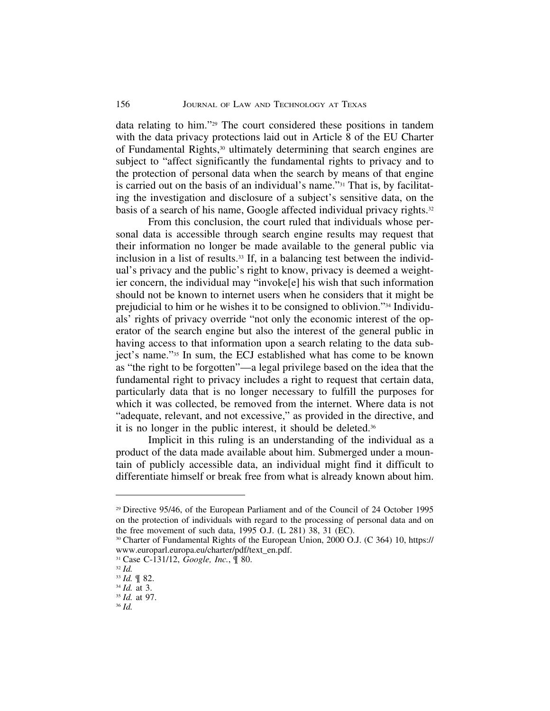data relating to him."29 The court considered these positions in tandem with the data privacy protections laid out in Article 8 of the EU Charter of Fundamental Rights,30 ultimately determining that search engines are subject to "affect significantly the fundamental rights to privacy and to the protection of personal data when the search by means of that engine is carried out on the basis of an individual's name."31 That is, by facilitating the investigation and disclosure of a subject's sensitive data, on the basis of a search of his name, Google affected individual privacy rights.<sup>32</sup>

From this conclusion, the court ruled that individuals whose personal data is accessible through search engine results may request that their information no longer be made available to the general public via inclusion in a list of results.33 If, in a balancing test between the individual's privacy and the public's right to know, privacy is deemed a weightier concern, the individual may "invoke[e] his wish that such information should not be known to internet users when he considers that it might be prejudicial to him or he wishes it to be consigned to oblivion."34 Individuals' rights of privacy override "not only the economic interest of the operator of the search engine but also the interest of the general public in having access to that information upon a search relating to the data subject's name."35 In sum, the ECJ established what has come to be known as "the right to be forgotten"—a legal privilege based on the idea that the fundamental right to privacy includes a right to request that certain data, particularly data that is no longer necessary to fulfill the purposes for which it was collected, be removed from the internet. Where data is not "adequate, relevant, and not excessive," as provided in the directive, and it is no longer in the public interest, it should be deleted.36

Implicit in this ruling is an understanding of the individual as a product of the data made available about him. Submerged under a mountain of publicly accessible data, an individual might find it difficult to differentiate himself or break free from what is already known about him.

<sup>29</sup> Directive 95/46, of the European Parliament and of the Council of 24 October 1995 on the protection of individuals with regard to the processing of personal data and on the free movement of such data, 1995 O.J. (L 281) 38, 31 (EC).

<sup>30</sup> Charter of Fundamental Rights of the European Union, 2000 O.J. (C 364) 10, https:// www.europarl.europa.eu/charter/pdf/text\_en.pdf.

<sup>31</sup> Case C-131/12, *Google, Inc.*, ¶ 80.

<sup>32</sup> *Id.*

<sup>33</sup> *Id.* ¶ 82.

<sup>34</sup> *Id.* at 3.

<sup>35</sup> *Id.* at 97.

<sup>36</sup> *Id.*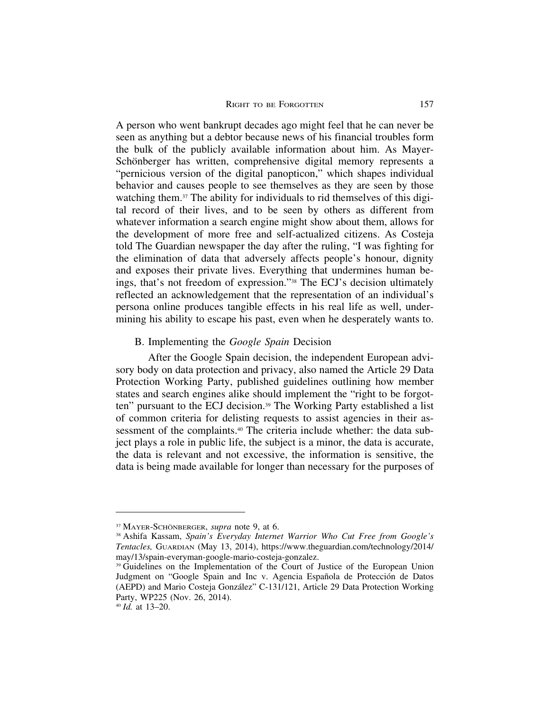A person who went bankrupt decades ago might feel that he can never be seen as anything but a debtor because news of his financial troubles form the bulk of the publicly available information about him. As Mayer-Schönberger has written, comprehensive digital memory represents a "pernicious version of the digital panopticon," which shapes individual behavior and causes people to see themselves as they are seen by those watching them.37 The ability for individuals to rid themselves of this digital record of their lives, and to be seen by others as different from whatever information a search engine might show about them, allows for the development of more free and self-actualized citizens. As Costeja told The Guardian newspaper the day after the ruling, "I was fighting for the elimination of data that adversely affects people's honour, dignity and exposes their private lives. Everything that undermines human beings, that's not freedom of expression."38 The ECJ's decision ultimately reflected an acknowledgement that the representation of an individual's persona online produces tangible effects in his real life as well, undermining his ability to escape his past, even when he desperately wants to.

## B. Implementing the *Google Spain* Decision

After the Google Spain decision, the independent European advisory body on data protection and privacy, also named the Article 29 Data Protection Working Party, published guidelines outlining how member states and search engines alike should implement the "right to be forgotten" pursuant to the ECJ decision.39 The Working Party established a list of common criteria for delisting requests to assist agencies in their assessment of the complaints.<sup>40</sup> The criteria include whether: the data subject plays a role in public life, the subject is a minor, the data is accurate, the data is relevant and not excessive, the information is sensitive, the data is being made available for longer than necessary for the purposes of

<sup>&</sup>lt;sup>37</sup> MAYER-SCHÖNBERGER, *supra* note 9, at 6.

<sup>38</sup> Ashifa Kassam, *Spain's Everyday Internet Warrior Who Cut Free from Google's Tentacles,* GUARDIAN (May 13, 2014), https://www.theguardian.com/technology/2014/ may/13/spain-everyman-google-mario-costeja-gonzalez.

<sup>39</sup> Guidelines on the Implementation of the Court of Justice of the European Union Judgment on "Google Spain and Inc v. Agencia Española de Protección de Datos (AEPD) and Mario Costeja González" C-131/121, Article 29 Data Protection Working Party, WP225 (Nov. 26, 2014).

<sup>40</sup> *Id.* at 13–20.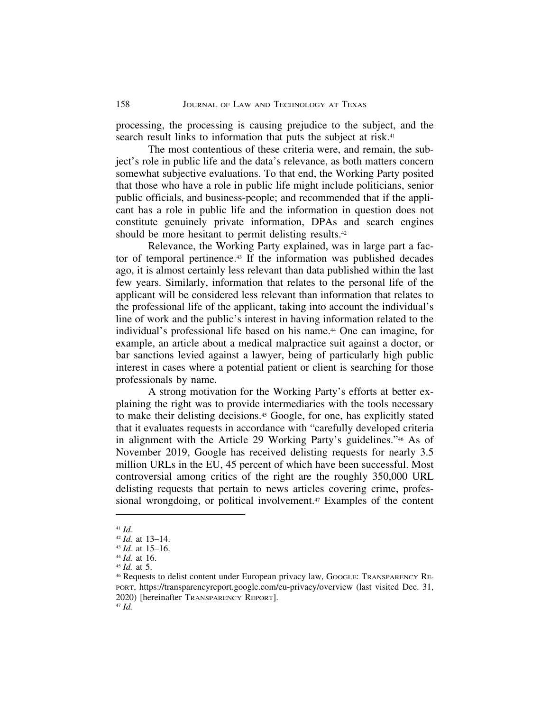processing, the processing is causing prejudice to the subject, and the search result links to information that puts the subject at risk.<sup>41</sup>

The most contentious of these criteria were, and remain, the subject's role in public life and the data's relevance, as both matters concern somewhat subjective evaluations. To that end, the Working Party posited that those who have a role in public life might include politicians, senior public officials, and business-people; and recommended that if the applicant has a role in public life and the information in question does not constitute genuinely private information, DPAs and search engines should be more hesitant to permit delisting results.<sup>42</sup>

Relevance, the Working Party explained, was in large part a factor of temporal pertinence.43 If the information was published decades ago, it is almost certainly less relevant than data published within the last few years. Similarly, information that relates to the personal life of the applicant will be considered less relevant than information that relates to the professional life of the applicant, taking into account the individual's line of work and the public's interest in having information related to the individual's professional life based on his name.<sup>44</sup> One can imagine, for example, an article about a medical malpractice suit against a doctor, or bar sanctions levied against a lawyer, being of particularly high public interest in cases where a potential patient or client is searching for those professionals by name.

A strong motivation for the Working Party's efforts at better explaining the right was to provide intermediaries with the tools necessary to make their delisting decisions.45 Google, for one, has explicitly stated that it evaluates requests in accordance with "carefully developed criteria in alignment with the Article 29 Working Party's guidelines."46 As of November 2019, Google has received delisting requests for nearly 3.5 million URLs in the EU, 45 percent of which have been successful. Most controversial among critics of the right are the roughly 350,000 URL delisting requests that pertain to news articles covering crime, professional wrongdoing, or political involvement.<sup>47</sup> Examples of the content

<sup>45</sup> *Id.* at 5.

<sup>41</sup> *Id.*

<sup>42</sup> *Id.* at 13–14.

<sup>43</sup> *Id.* at 15–16.

<sup>44</sup> *Id.* at 16.

<sup>&</sup>lt;sup>46</sup> Requests to delist content under European privacy law, GOOGLE: TRANSPARENCY RE-PORT, https://transparencyreport.google.com/eu-privacy/overview (last visited Dec. 31, 2020) [hereinafter TRANSPARENCY REPORT]. <sup>47</sup> *Id.*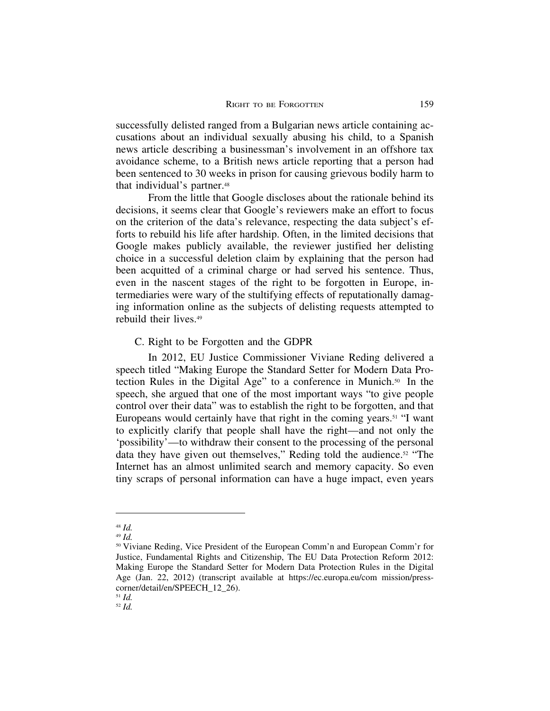successfully delisted ranged from a Bulgarian news article containing accusations about an individual sexually abusing his child, to a Spanish news article describing a businessman's involvement in an offshore tax avoidance scheme, to a British news article reporting that a person had been sentenced to 30 weeks in prison for causing grievous bodily harm to that individual's partner.<sup>48</sup>

From the little that Google discloses about the rationale behind its decisions, it seems clear that Google's reviewers make an effort to focus on the criterion of the data's relevance, respecting the data subject's efforts to rebuild his life after hardship. Often, in the limited decisions that Google makes publicly available, the reviewer justified her delisting choice in a successful deletion claim by explaining that the person had been acquitted of a criminal charge or had served his sentence. Thus, even in the nascent stages of the right to be forgotten in Europe, intermediaries were wary of the stultifying effects of reputationally damaging information online as the subjects of delisting requests attempted to rebuild their lives.49

C. Right to be Forgotten and the GDPR

In 2012, EU Justice Commissioner Viviane Reding delivered a speech titled "Making Europe the Standard Setter for Modern Data Protection Rules in the Digital Age" to a conference in Munich.50 In the speech, she argued that one of the most important ways "to give people control over their data" was to establish the right to be forgotten, and that Europeans would certainly have that right in the coming years.51 "I want to explicitly clarify that people shall have the right—and not only the 'possibility'—to withdraw their consent to the processing of the personal data they have given out themselves," Reding told the audience.<sup>52</sup> "The Internet has an almost unlimited search and memory capacity. So even tiny scraps of personal information can have a huge impact, even years

<sup>48</sup> *Id.*

<sup>49</sup> *Id.*

<sup>50</sup> Viviane Reding, Vice President of the European Comm'n and European Comm'r for Justice, Fundamental Rights and Citizenship, The EU Data Protection Reform 2012: Making Europe the Standard Setter for Modern Data Protection Rules in the Digital Age (Jan. 22, 2012) (transcript available at https://ec.europa.eu/com mission/presscorner/detail/en/SPEECH\_12\_26).

<sup>51</sup> *Id.*

<sup>52</sup> *Id.*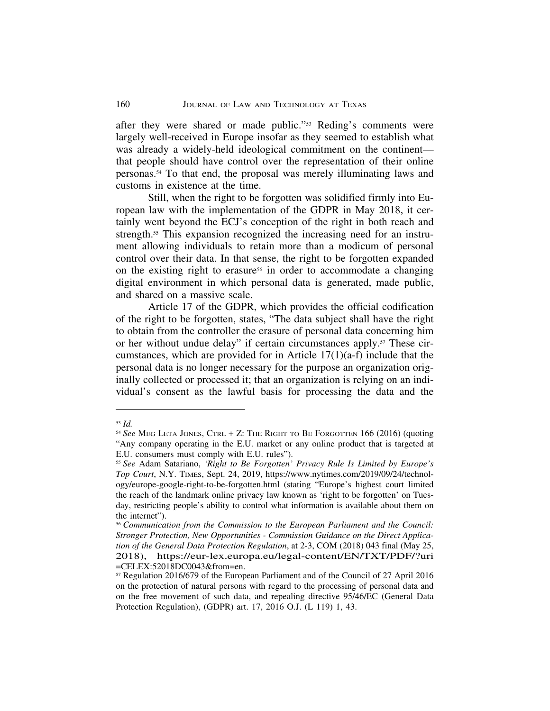after they were shared or made public."53 Reding's comments were largely well-received in Europe insofar as they seemed to establish what was already a widely-held ideological commitment on the continent that people should have control over the representation of their online personas.54 To that end, the proposal was merely illuminating laws and customs in existence at the time.

Still, when the right to be forgotten was solidified firmly into European law with the implementation of the GDPR in May 2018, it certainly went beyond the ECJ's conception of the right in both reach and strength.<sup>55</sup> This expansion recognized the increasing need for an instrument allowing individuals to retain more than a modicum of personal control over their data. In that sense, the right to be forgotten expanded on the existing right to erasure<sup>56</sup> in order to accommodate a changing digital environment in which personal data is generated, made public, and shared on a massive scale.

Article 17 of the GDPR, which provides the official codification of the right to be forgotten, states, "The data subject shall have the right to obtain from the controller the erasure of personal data concerning him or her without undue delay" if certain circumstances apply.57 These circumstances, which are provided for in Article 17(1)(a-f) include that the personal data is no longer necessary for the purpose an organization originally collected or processed it; that an organization is relying on an individual's consent as the lawful basis for processing the data and the

<sup>53</sup> *Id.*

<sup>54</sup> *See* MEG LETA JONES, CTRL + Z: THE RIGHT TO BE FORGOTTEN 166 (2016) (quoting "Any company operating in the E.U. market or any online product that is targeted at E.U. consumers must comply with E.U. rules").

<sup>55</sup> *See* Adam Satariano, *'Right to Be Forgotten' Privacy Rule Is Limited by Europe's Top Court*, N.Y. TIMES, Sept. 24, 2019, https://www.nytimes.com/2019/09/24/technology/europe-google-right-to-be-forgotten.html (stating "Europe's highest court limited the reach of the landmark online privacy law known as 'right to be forgotten' on Tuesday, restricting people's ability to control what information is available about them on the internet").

<sup>56</sup> *Communication from the Commission to the European Parliament and the Council: Stronger Protection, New Opportunities - Commission Guidance on the Direct Application of the General Data Protection Regulation*, at 2-3, COM (2018) 043 final (May 25, 2018), https://eur-lex.europa.eu/legal-content/EN/TXT/PDF/?uri =CELEX:52018DC0043&from=en.

<sup>57</sup> Regulation 2016/679 of the European Parliament and of the Council of 27 April 2016 on the protection of natural persons with regard to the processing of personal data and on the free movement of such data, and repealing directive 95/46/EC (General Data Protection Regulation), (GDPR) art. 17, 2016 O.J. (L 119) 1, 43.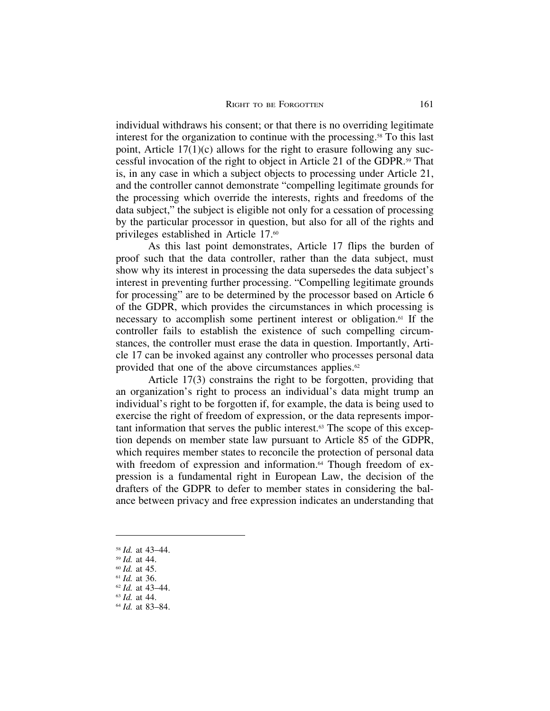individual withdraws his consent; or that there is no overriding legitimate interest for the organization to continue with the processing.58 To this last point, Article  $17(1)(c)$  allows for the right to erasure following any successful invocation of the right to object in Article 21 of the GDPR.59 That is, in any case in which a subject objects to processing under Article 21, and the controller cannot demonstrate "compelling legitimate grounds for the processing which override the interests, rights and freedoms of the data subject," the subject is eligible not only for a cessation of processing by the particular processor in question, but also for all of the rights and privileges established in Article 17.60

As this last point demonstrates, Article 17 flips the burden of proof such that the data controller, rather than the data subject, must show why its interest in processing the data supersedes the data subject's interest in preventing further processing. "Compelling legitimate grounds for processing" are to be determined by the processor based on Article 6 of the GDPR, which provides the circumstances in which processing is necessary to accomplish some pertinent interest or obligation.61 If the controller fails to establish the existence of such compelling circumstances, the controller must erase the data in question. Importantly, Article 17 can be invoked against any controller who processes personal data provided that one of the above circumstances applies. $62$ 

Article 17(3) constrains the right to be forgotten, providing that an organization's right to process an individual's data might trump an individual's right to be forgotten if, for example, the data is being used to exercise the right of freedom of expression, or the data represents important information that serves the public interest.63 The scope of this exception depends on member state law pursuant to Article 85 of the GDPR, which requires member states to reconcile the protection of personal data with freedom of expression and information.<sup>64</sup> Though freedom of expression is a fundamental right in European Law, the decision of the drafters of the GDPR to defer to member states in considering the balance between privacy and free expression indicates an understanding that

<sup>58</sup> *Id.* at 43–44.

<sup>59</sup> *Id.* at 44.

<sup>60</sup> *Id.* at 45.

<sup>61</sup> *Id.* at 36.

<sup>62</sup> *Id.* at 43–44. <sup>63</sup> *Id.* at 44.

<sup>64</sup> *Id.* at 83–84.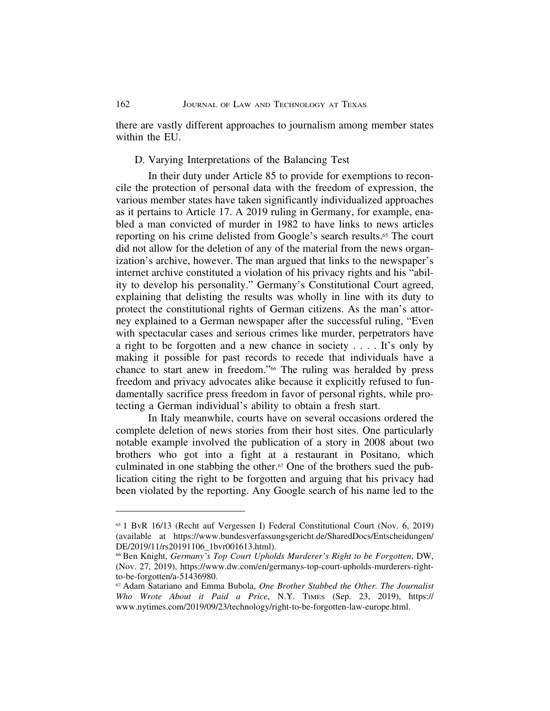there are vastly different approaches to journalism among member states within the EU.

## D. Varying Interpretations of the Balancing Test

In their duty under Article 85 to provide for exemptions to reconcile the protection of personal data with the freedom of expression, the various member states have taken significantly individualized approaches as it pertains to Article 17. A 2019 ruling in Germany, for example, enabled a man convicted of murder in 1982 to have links to news articles reporting on his crime delisted from Google's search results.<sup>65</sup> The court did not allow for the deletion of any of the material from the news organization's archive, however. The man argued that links to the newspaper's internet archive constituted a violation of his privacy rights and his "ability to develop his personality." Germany's Constitutional Court agreed, explaining that delisting the results was wholly in line with its duty to protect the constitutional rights of German citizens. As the man's attorney explained to a German newspaper after the successful ruling, "Even with spectacular cases and serious crimes like murder, perpetrators have a right to be forgotten and a new chance in society . . . . It's only by making it possible for past records to recede that individuals have a chance to start anew in freedom."66 The ruling was heralded by press freedom and privacy advocates alike because it explicitly refused to fundamentally sacrifice press freedom in favor of personal rights, while protecting a German individual's ability to obtain a fresh start.

In Italy meanwhile, courts have on several occasions ordered the complete deletion of news stories from their host sites. One particularly notable example involved the publication of a story in 2008 about two brothers who got into a fight at a restaurant in Positano, which culminated in one stabbing the other.67 One of the brothers sued the publication citing the right to be forgotten and arguing that his privacy had been violated by the reporting. Any Google search of his name led to the

<sup>65</sup> 1 BvR 16/13 (Recht auf Vergessen I) Federal Constitutional Court (Nov. 6, 2019) (available at https://www.bundesverfassungsgericht.de/SharedDocs/Entscheidungen/ DE/2019/11/rs20191106\_1bvr001613.html).

<sup>66</sup> Ben Knight, *Germany's Top Court Upholds Murderer's Right to be Forgotten*, DW, (Nov. 27, 2019), https://www.dw.com/en/germanys-top-court-upholds-murderers-rightto-be-forgotten/a-51436980.

<sup>67</sup> Adam Satariano and Emma Bubola, *One Brother Stabbed the Other. The Journalist Who Wrote About it Paid a Price*, N.Y. TIMES (Sep. 23, 2019), https:// www.nytimes.com/2019/09/23/technology/right-to-be-forgotten-law-europe.html.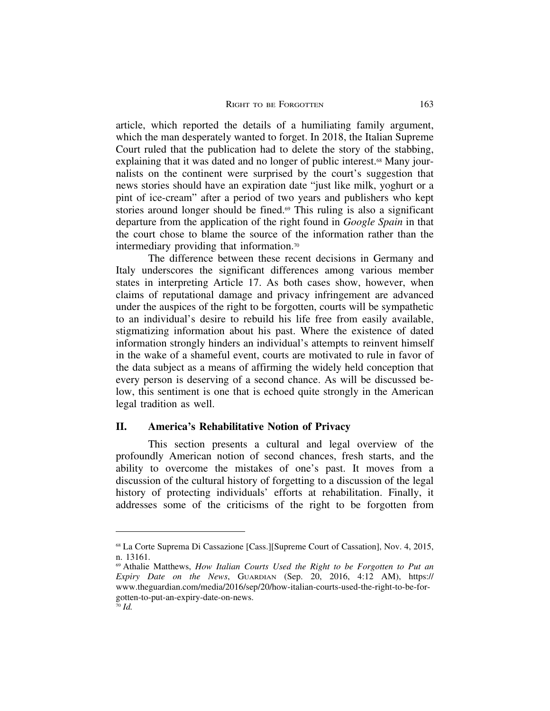article, which reported the details of a humiliating family argument, which the man desperately wanted to forget. In 2018, the Italian Supreme Court ruled that the publication had to delete the story of the stabbing, explaining that it was dated and no longer of public interest.<sup>68</sup> Many journalists on the continent were surprised by the court's suggestion that news stories should have an expiration date "just like milk, yoghurt or a pint of ice-cream" after a period of two years and publishers who kept stories around longer should be fined.<sup>69</sup> This ruling is also a significant departure from the application of the right found in *Google Spain* in that the court chose to blame the source of the information rather than the intermediary providing that information.70

The difference between these recent decisions in Germany and Italy underscores the significant differences among various member states in interpreting Article 17. As both cases show, however, when claims of reputational damage and privacy infringement are advanced under the auspices of the right to be forgotten, courts will be sympathetic to an individual's desire to rebuild his life free from easily available, stigmatizing information about his past. Where the existence of dated information strongly hinders an individual's attempts to reinvent himself in the wake of a shameful event, courts are motivated to rule in favor of the data subject as a means of affirming the widely held conception that every person is deserving of a second chance. As will be discussed below, this sentiment is one that is echoed quite strongly in the American legal tradition as well.

#### **II. America's Rehabilitative Notion of Privacy**

This section presents a cultural and legal overview of the profoundly American notion of second chances, fresh starts, and the ability to overcome the mistakes of one's past. It moves from a discussion of the cultural history of forgetting to a discussion of the legal history of protecting individuals' efforts at rehabilitation. Finally, it addresses some of the criticisms of the right to be forgotten from

<sup>68</sup> La Corte Suprema Di Cassazione [Cass.][Supreme Court of Cassation], Nov. 4, 2015, n. 13161.

<sup>69</sup> Athalie Matthews, *How Italian Courts Used the Right to be Forgotten to Put an Expiry Date on the News*, GUARDIAN (Sep. 20, 2016, 4:12 AM), https:// www.theguardian.com/media/2016/sep/20/how-italian-courts-used-the-right-to-be-forgotten-to-put-an-expiry-date-on-news.

<sup>70</sup> *Id.*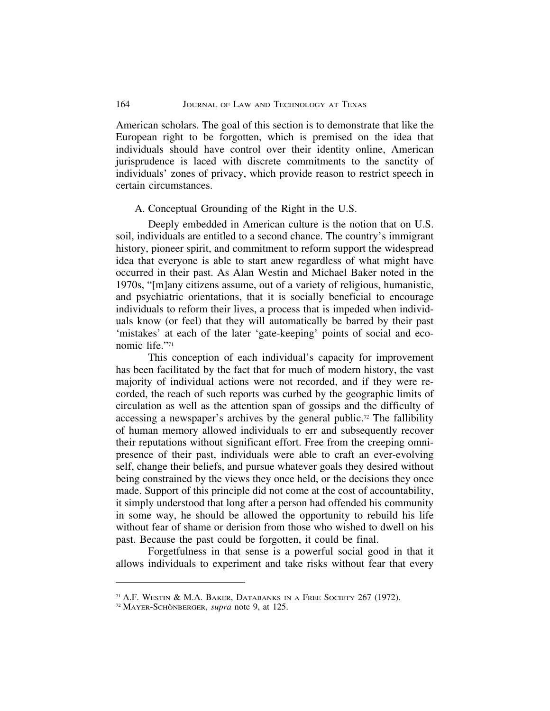American scholars. The goal of this section is to demonstrate that like the European right to be forgotten, which is premised on the idea that individuals should have control over their identity online, American jurisprudence is laced with discrete commitments to the sanctity of individuals' zones of privacy, which provide reason to restrict speech in certain circumstances.

#### A. Conceptual Grounding of the Right in the U.S.

Deeply embedded in American culture is the notion that on U.S. soil, individuals are entitled to a second chance. The country's immigrant history, pioneer spirit, and commitment to reform support the widespread idea that everyone is able to start anew regardless of what might have occurred in their past. As Alan Westin and Michael Baker noted in the 1970s, "[m]any citizens assume, out of a variety of religious, humanistic, and psychiatric orientations, that it is socially beneficial to encourage individuals to reform their lives, a process that is impeded when individuals know (or feel) that they will automatically be barred by their past 'mistakes' at each of the later 'gate-keeping' points of social and economic life."71

This conception of each individual's capacity for improvement has been facilitated by the fact that for much of modern history, the vast majority of individual actions were not recorded, and if they were recorded, the reach of such reports was curbed by the geographic limits of circulation as well as the attention span of gossips and the difficulty of accessing a newspaper's archives by the general public.72 The fallibility of human memory allowed individuals to err and subsequently recover their reputations without significant effort. Free from the creeping omnipresence of their past, individuals were able to craft an ever-evolving self, change their beliefs, and pursue whatever goals they desired without being constrained by the views they once held, or the decisions they once made. Support of this principle did not come at the cost of accountability, it simply understood that long after a person had offended his community in some way, he should be allowed the opportunity to rebuild his life without fear of shame or derision from those who wished to dwell on his past. Because the past could be forgotten, it could be final.

Forgetfulness in that sense is a powerful social good in that it allows individuals to experiment and take risks without fear that every

<sup>71</sup> A.F. WESTIN & M.A. BAKER, DATABANKS IN A FREE SOCIETY 267 (1972).

<sup>&</sup>lt;sup>72</sup> MAYER-SCHÖNBERGER, *supra* note 9, at 125.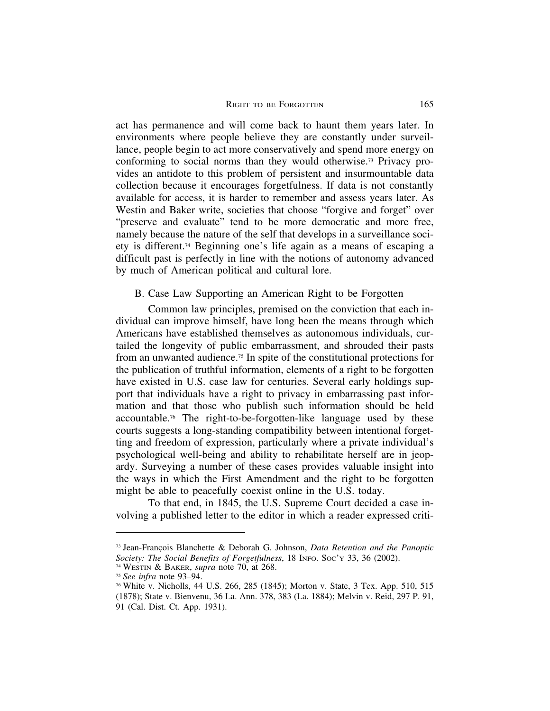act has permanence and will come back to haunt them years later. In environments where people believe they are constantly under surveillance, people begin to act more conservatively and spend more energy on conforming to social norms than they would otherwise.73 Privacy provides an antidote to this problem of persistent and insurmountable data collection because it encourages forgetfulness. If data is not constantly available for access, it is harder to remember and assess years later. As Westin and Baker write, societies that choose "forgive and forget" over "preserve and evaluate" tend to be more democratic and more free, namely because the nature of the self that develops in a surveillance society is different.74 Beginning one's life again as a means of escaping a difficult past is perfectly in line with the notions of autonomy advanced by much of American political and cultural lore.

B. Case Law Supporting an American Right to be Forgotten

Common law principles, premised on the conviction that each individual can improve himself, have long been the means through which Americans have established themselves as autonomous individuals, curtailed the longevity of public embarrassment, and shrouded their pasts from an unwanted audience.75 In spite of the constitutional protections for the publication of truthful information, elements of a right to be forgotten have existed in U.S. case law for centuries. Several early holdings support that individuals have a right to privacy in embarrassing past information and that those who publish such information should be held accountable.76 The right-to-be-forgotten-like language used by these courts suggests a long-standing compatibility between intentional forgetting and freedom of expression, particularly where a private individual's psychological well-being and ability to rehabilitate herself are in jeopardy. Surveying a number of these cases provides valuable insight into the ways in which the First Amendment and the right to be forgotten might be able to peacefully coexist online in the U.S. today.

To that end, in 1845, the U.S. Supreme Court decided a case involving a published letter to the editor in which a reader expressed criti-

<sup>&</sup>lt;sup>73</sup> Jean-François Blanchette & Deborah G. Johnson, *Data Retention and the Panoptic Society: The Social Benefits of Forgetfulness*, 18 INFO. SOC'Y 33, 36 (2002).

<sup>74</sup> WESTIN & BAKER, *supra* note 70, at 268.

<sup>75</sup> *See infra* note 93–94.

<sup>76</sup> White v. Nicholls, 44 U.S. 266, 285 (1845); Morton v. State, 3 Tex. App. 510, 515 (1878); State v. Bienvenu, 36 La. Ann. 378, 383 (La. 1884); Melvin v. Reid, 297 P. 91, 91 (Cal. Dist. Ct. App. 1931).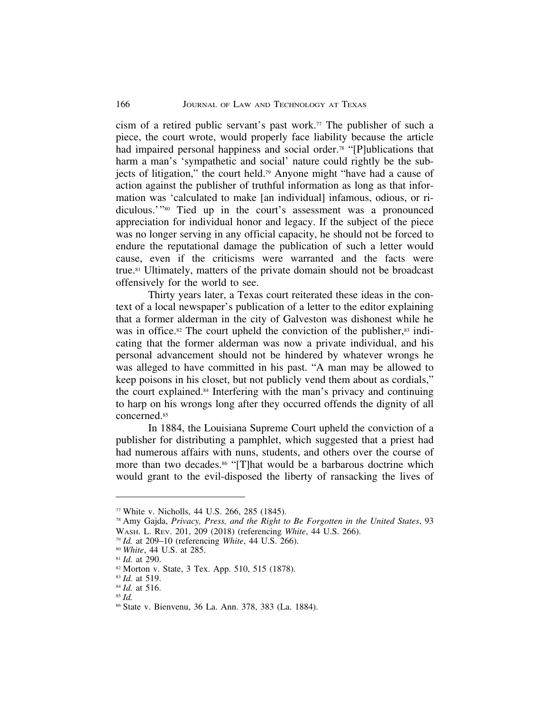cism of a retired public servant's past work.<sup>77</sup> The publisher of such a piece, the court wrote, would properly face liability because the article had impaired personal happiness and social order.<sup>78</sup> "[P]ublications that harm a man's 'sympathetic and social' nature could rightly be the subjects of litigation," the court held.79 Anyone might "have had a cause of action against the publisher of truthful information as long as that information was 'calculated to make [an individual] infamous, odious, or ridiculous.'"80 Tied up in the court's assessment was a pronounced appreciation for individual honor and legacy. If the subject of the piece was no longer serving in any official capacity, he should not be forced to endure the reputational damage the publication of such a letter would cause, even if the criticisms were warranted and the facts were true.81 Ultimately, matters of the private domain should not be broadcast offensively for the world to see.

Thirty years later, a Texas court reiterated these ideas in the context of a local newspaper's publication of a letter to the editor explaining that a former alderman in the city of Galveston was dishonest while he was in office.<sup>82</sup> The court upheld the conviction of the publisher,<sup>83</sup> indicating that the former alderman was now a private individual, and his personal advancement should not be hindered by whatever wrongs he was alleged to have committed in his past. "A man may be allowed to keep poisons in his closet, but not publicly vend them about as cordials," the court explained.84 Interfering with the man's privacy and continuing to harp on his wrongs long after they occurred offends the dignity of all concerned.85

In 1884, the Louisiana Supreme Court upheld the conviction of a publisher for distributing a pamphlet, which suggested that a priest had had numerous affairs with nuns, students, and others over the course of more than two decades.<sup>86</sup> "[T]hat would be a barbarous doctrine which would grant to the evil-disposed the liberty of ransacking the lives of

 $77$  White v. Nicholls, 44 U.S. 266, 285 (1845).

<sup>78</sup> Amy Gajda, *Privacy, Press, and the Right to Be Forgotten in the United States*, 93 WASH. L. REV. 201, 209 (2018) (referencing *White*, 44 U.S. 266).

<sup>79</sup> *Id.* at 209–10 (referencing *White*, 44 U.S. 266).

<sup>80</sup> *White*, 44 U.S. at 285.

<sup>81</sup> *Id.* at 290.

<sup>82</sup> Morton v. State, 3 Tex. App. 510, 515 (1878).

<sup>83</sup> *Id.* at 519.

<sup>84</sup> *Id.* at 516.

<sup>85</sup> *Id.*

<sup>86</sup> State v. Bienvenu, 36 La. Ann. 378, 383 (La. 1884).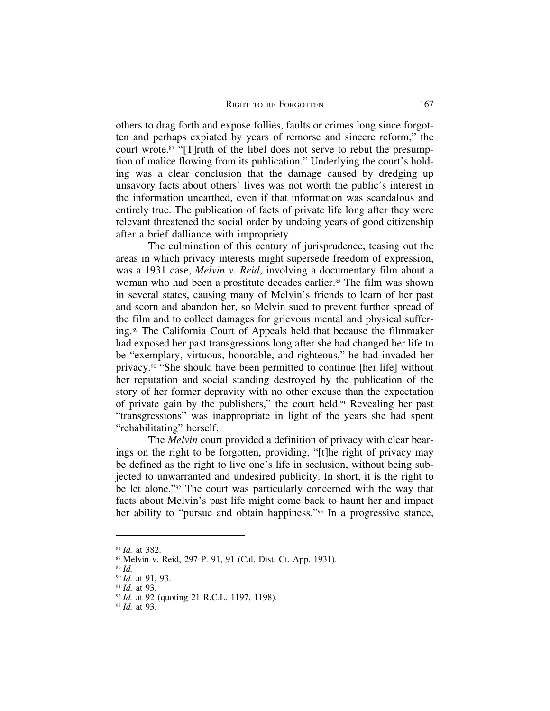others to drag forth and expose follies, faults or crimes long since forgotten and perhaps expiated by years of remorse and sincere reform," the court wrote.<sup>87</sup> "[T]ruth of the libel does not serve to rebut the presumption of malice flowing from its publication." Underlying the court's holding was a clear conclusion that the damage caused by dredging up unsavory facts about others' lives was not worth the public's interest in the information unearthed, even if that information was scandalous and entirely true. The publication of facts of private life long after they were relevant threatened the social order by undoing years of good citizenship after a brief dalliance with impropriety.

The culmination of this century of jurisprudence, teasing out the areas in which privacy interests might supersede freedom of expression, was a 1931 case, *Melvin v. Reid*, involving a documentary film about a woman who had been a prostitute decades earlier.<sup>88</sup> The film was shown in several states, causing many of Melvin's friends to learn of her past and scorn and abandon her, so Melvin sued to prevent further spread of the film and to collect damages for grievous mental and physical suffering.89 The California Court of Appeals held that because the filmmaker had exposed her past transgressions long after she had changed her life to be "exemplary, virtuous, honorable, and righteous," he had invaded her privacy.90 "She should have been permitted to continue [her life] without her reputation and social standing destroyed by the publication of the story of her former depravity with no other excuse than the expectation of private gain by the publishers," the court held.91 Revealing her past "transgressions" was inappropriate in light of the years she had spent "rehabilitating" herself.

The *Melvin* court provided a definition of privacy with clear bearings on the right to be forgotten, providing, "[t]he right of privacy may be defined as the right to live one's life in seclusion, without being subjected to unwarranted and undesired publicity. In short, it is the right to be let alone."92 The court was particularly concerned with the way that facts about Melvin's past life might come back to haunt her and impact her ability to "pursue and obtain happiness."<sup>93</sup> In a progressive stance,

<sup>87</sup> *Id.* at 382.

<sup>88</sup> Melvin v. Reid, 297 P. 91, 91 (Cal. Dist. Ct. App. 1931).

<sup>89</sup> *Id.*

<sup>90</sup> *Id.* at 91, 93.

<sup>91</sup> *Id.* at 93.

<sup>&</sup>lt;sup>92</sup> *Id.* at 92 (quoting 21 R.C.L. 1197, 1198).

<sup>93</sup> *Id.* at 93.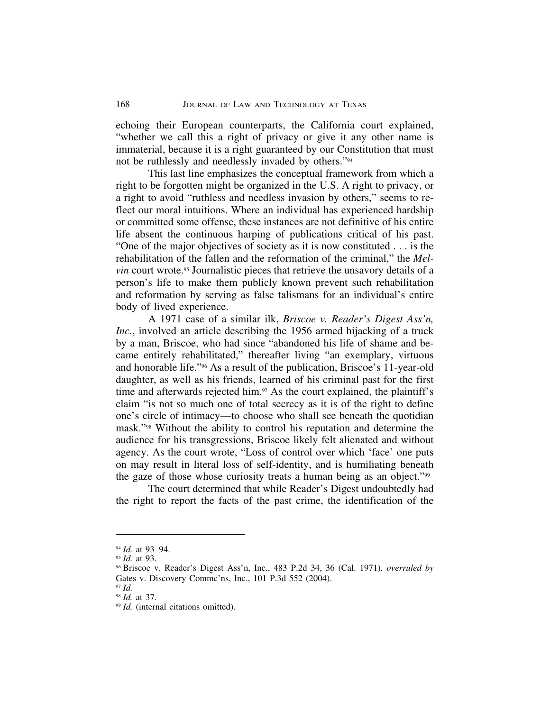echoing their European counterparts, the California court explained, "whether we call this a right of privacy or give it any other name is immaterial, because it is a right guaranteed by our Constitution that must not be ruthlessly and needlessly invaded by others."94

This last line emphasizes the conceptual framework from which a right to be forgotten might be organized in the U.S. A right to privacy, or a right to avoid "ruthless and needless invasion by others," seems to reflect our moral intuitions. Where an individual has experienced hardship or committed some offense, these instances are not definitive of his entire life absent the continuous harping of publications critical of his past. "One of the major objectives of society as it is now constituted . . . is the rehabilitation of the fallen and the reformation of the criminal," the *Melvin* court wrote.<sup>95</sup> Journalistic pieces that retrieve the unsavory details of a person's life to make them publicly known prevent such rehabilitation and reformation by serving as false talismans for an individual's entire body of lived experience.

A 1971 case of a similar ilk, *Briscoe v. Reader's Digest Ass'n, Inc.*, involved an article describing the 1956 armed hijacking of a truck by a man, Briscoe, who had since "abandoned his life of shame and became entirely rehabilitated," thereafter living "an exemplary, virtuous and honorable life."96 As a result of the publication, Briscoe's 11-year-old daughter, as well as his friends, learned of his criminal past for the first time and afterwards rejected him.<sup>97</sup> As the court explained, the plaintiff's claim "is not so much one of total secrecy as it is of the right to define one's circle of intimacy—to choose who shall see beneath the quotidian mask."98 Without the ability to control his reputation and determine the audience for his transgressions, Briscoe likely felt alienated and without agency. As the court wrote, "Loss of control over which 'face' one puts on may result in literal loss of self-identity, and is humiliating beneath the gaze of those whose curiosity treats a human being as an object."99

The court determined that while Reader's Digest undoubtedly had the right to report the facts of the past crime, the identification of the

<sup>94</sup> *Id.* at 93–94.

<sup>95</sup> *Id.* at 93.

<sup>96</sup> Briscoe v. Reader's Digest Ass'n, Inc., 483 P.2d 34, 36 (Cal. 1971)*, overruled by* Gates v. Discovery Commc'ns, Inc., 101 P.3d 552 (2004).

<sup>97</sup> *Id.* <sup>98</sup> *Id.* at 37.

<sup>99</sup> *Id.* (internal citations omitted).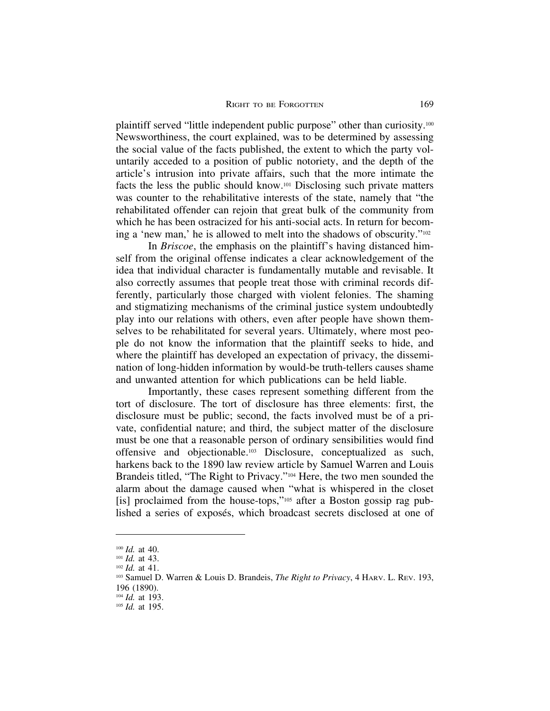plaintiff served "little independent public purpose" other than curiosity.100 Newsworthiness, the court explained, was to be determined by assessing the social value of the facts published, the extent to which the party voluntarily acceded to a position of public notoriety, and the depth of the article's intrusion into private affairs, such that the more intimate the facts the less the public should know.101 Disclosing such private matters was counter to the rehabilitative interests of the state, namely that "the rehabilitated offender can rejoin that great bulk of the community from which he has been ostracized for his anti-social acts. In return for becoming a 'new man,' he is allowed to melt into the shadows of obscurity."102

In *Briscoe*, the emphasis on the plaintiff's having distanced himself from the original offense indicates a clear acknowledgement of the idea that individual character is fundamentally mutable and revisable. It also correctly assumes that people treat those with criminal records differently, particularly those charged with violent felonies. The shaming and stigmatizing mechanisms of the criminal justice system undoubtedly play into our relations with others, even after people have shown themselves to be rehabilitated for several years. Ultimately, where most people do not know the information that the plaintiff seeks to hide, and where the plaintiff has developed an expectation of privacy, the dissemination of long-hidden information by would-be truth-tellers causes shame and unwanted attention for which publications can be held liable.

Importantly, these cases represent something different from the tort of disclosure. The tort of disclosure has three elements: first, the disclosure must be public; second, the facts involved must be of a private, confidential nature; and third, the subject matter of the disclosure must be one that a reasonable person of ordinary sensibilities would find offensive and objectionable.103 Disclosure, conceptualized as such, harkens back to the 1890 law review article by Samuel Warren and Louis Brandeis titled, "The Right to Privacy."104 Here, the two men sounded the alarm about the damage caused when "what is whispered in the closet [is] proclaimed from the house-tops,"<sup>105</sup> after a Boston gossip rag published a series of exposés, which broadcast secrets disclosed at one of

<sup>100</sup> *Id.* at 40.

<sup>101</sup> *Id.* at 43.

<sup>102</sup> *Id.* at 41.

<sup>103</sup> Samuel D. Warren & Louis D. Brandeis, *The Right to Privacy*, 4 HARV. L. REV. 193, 196 (1890).

<sup>104</sup> *Id.* at 193.

<sup>105</sup> *Id.* at 195.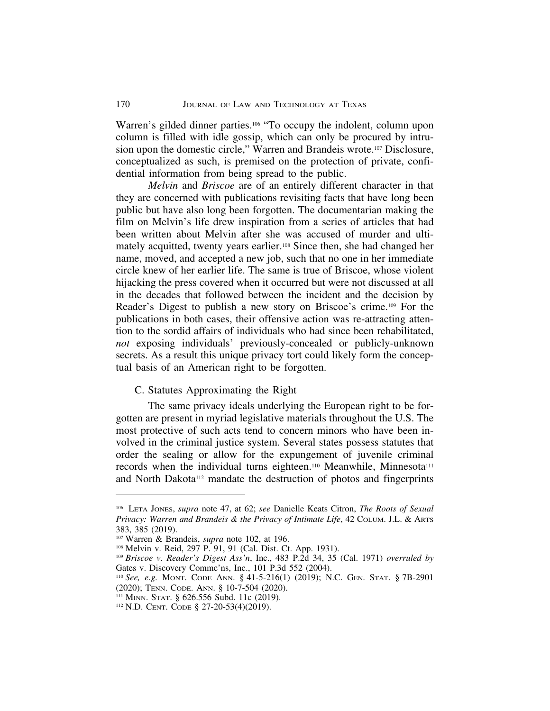Warren's gilded dinner parties.<sup>106</sup> "To occupy the indolent, column upon column is filled with idle gossip, which can only be procured by intrusion upon the domestic circle," Warren and Brandeis wrote.107 Disclosure, conceptualized as such, is premised on the protection of private, confidential information from being spread to the public.

*Melvin* and *Briscoe* are of an entirely different character in that they are concerned with publications revisiting facts that have long been public but have also long been forgotten. The documentarian making the film on Melvin's life drew inspiration from a series of articles that had been written about Melvin after she was accused of murder and ultimately acquitted, twenty years earlier.108 Since then, she had changed her name, moved, and accepted a new job, such that no one in her immediate circle knew of her earlier life. The same is true of Briscoe, whose violent hijacking the press covered when it occurred but were not discussed at all in the decades that followed between the incident and the decision by Reader's Digest to publish a new story on Briscoe's crime.109 For the publications in both cases, their offensive action was re-attracting attention to the sordid affairs of individuals who had since been rehabilitated, *not* exposing individuals' previously-concealed or publicly-unknown secrets. As a result this unique privacy tort could likely form the conceptual basis of an American right to be forgotten.

## C. Statutes Approximating the Right

The same privacy ideals underlying the European right to be forgotten are present in myriad legislative materials throughout the U.S. The most protective of such acts tend to concern minors who have been involved in the criminal justice system. Several states possess statutes that order the sealing or allow for the expungement of juvenile criminal records when the individual turns eighteen.<sup>110</sup> Meanwhile, Minnesota<sup>111</sup> and North Dakota<sup>112</sup> mandate the destruction of photos and fingerprints

<sup>106</sup> LETA JONES, *supra* note 47, at 62; *see* Danielle Keats Citron, *The Roots of Sexual Privacy: Warren and Brandeis & the Privacy of Intimate Life*, 42 COLUM. J.L. & ARTS 383, 385 (2019).

<sup>107</sup> Warren & Brandeis, *supra* note 102, at 196.

<sup>108</sup> Melvin v. Reid, 297 P. 91, 91 (Cal. Dist. Ct. App. 1931).

<sup>109</sup> *Briscoe v. Reader's Digest Ass'n*, Inc., 483 P.2d 34, 35 (Cal. 1971) *overruled by* Gates v. Discovery Commc'ns, Inc., 101 P.3d 552 (2004).

<sup>110</sup> *See, e.g.* MONT. CODE ANN. § 41-5-216(1) (2019); N.C. GEN. STAT. § 7B-2901 (2020); TENN. CODE. ANN. § 10-7-504 (2020).

<sup>111</sup> MINN. STAT. § 626.556 Subd. 11c (2019).

<sup>112</sup> N.D. CENT. CODE § 27-20-53(4)(2019).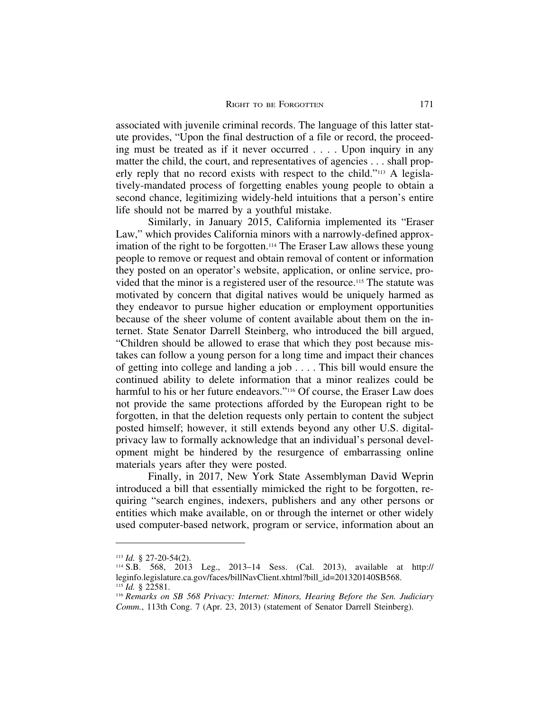associated with juvenile criminal records. The language of this latter statute provides, "Upon the final destruction of a file or record, the proceeding must be treated as if it never occurred . . . . Upon inquiry in any matter the child, the court, and representatives of agencies . . . shall properly reply that no record exists with respect to the child."113 A legislatively-mandated process of forgetting enables young people to obtain a second chance, legitimizing widely-held intuitions that a person's entire life should not be marred by a youthful mistake.

Similarly, in January 2015, California implemented its "Eraser Law," which provides California minors with a narrowly-defined approximation of the right to be forgotten.<sup>114</sup> The Eraser Law allows these young people to remove or request and obtain removal of content or information they posted on an operator's website, application, or online service, provided that the minor is a registered user of the resource.115 The statute was motivated by concern that digital natives would be uniquely harmed as they endeavor to pursue higher education or employment opportunities because of the sheer volume of content available about them on the internet. State Senator Darrell Steinberg, who introduced the bill argued, "Children should be allowed to erase that which they post because mistakes can follow a young person for a long time and impact their chances of getting into college and landing a job . . . . This bill would ensure the continued ability to delete information that a minor realizes could be harmful to his or her future endeavors."<sup>116</sup> Of course, the Eraser Law does not provide the same protections afforded by the European right to be forgotten, in that the deletion requests only pertain to content the subject posted himself; however, it still extends beyond any other U.S. digitalprivacy law to formally acknowledge that an individual's personal development might be hindered by the resurgence of embarrassing online materials years after they were posted.

Finally, in 2017, New York State Assemblyman David Weprin introduced a bill that essentially mimicked the right to be forgotten, requiring "search engines, indexers, publishers and any other persons or entities which make available, on or through the internet or other widely used computer-based network, program or service, information about an

<sup>113</sup> *Id.* § 27-20-54(2).

<sup>114</sup> S.B. 568, 2013 Leg., 2013–14 Sess. (Cal. 2013), available at http:// leginfo.legislature.ca.gov/faces/billNavClient.xhtml?bill\_id=201320140SB568.  $^{115}$ *Id.* § 22581.

<sup>116</sup> *Remarks on SB 568 Privacy: Internet: Minors, Hearing Before the Sen. Judiciary Comm.*, 113th Cong. 7 (Apr. 23, 2013) (statement of Senator Darrell Steinberg).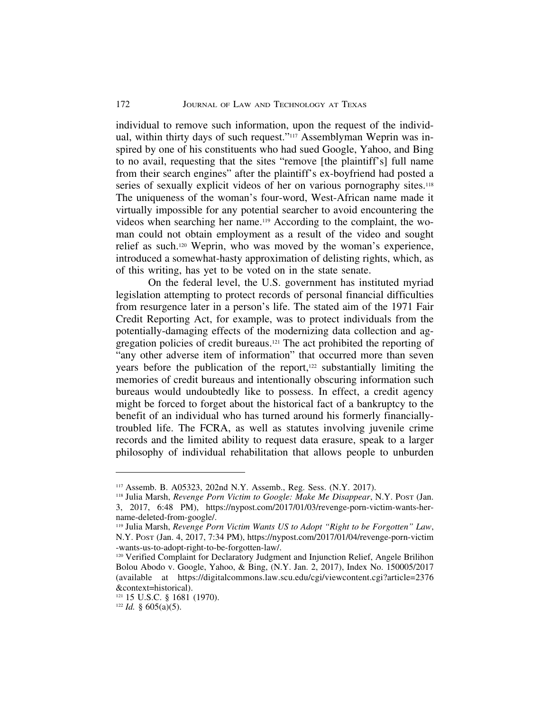individual to remove such information, upon the request of the individual, within thirty days of such request."<sup>117</sup> Assemblyman Weprin was inspired by one of his constituents who had sued Google, Yahoo, and Bing to no avail, requesting that the sites "remove [the plaintiff's] full name from their search engines" after the plaintiff's ex-boyfriend had posted a series of sexually explicit videos of her on various pornography sites.<sup>118</sup> The uniqueness of the woman's four-word, West-African name made it virtually impossible for any potential searcher to avoid encountering the videos when searching her name.119 According to the complaint, the woman could not obtain employment as a result of the video and sought relief as such.120 Weprin, who was moved by the woman's experience, introduced a somewhat-hasty approximation of delisting rights, which, as of this writing, has yet to be voted on in the state senate.

On the federal level, the U.S. government has instituted myriad legislation attempting to protect records of personal financial difficulties from resurgence later in a person's life. The stated aim of the 1971 Fair Credit Reporting Act, for example, was to protect individuals from the potentially-damaging effects of the modernizing data collection and aggregation policies of credit bureaus.121 The act prohibited the reporting of "any other adverse item of information" that occurred more than seven years before the publication of the report,<sup>122</sup> substantially limiting the memories of credit bureaus and intentionally obscuring information such bureaus would undoubtedly like to possess. In effect, a credit agency might be forced to forget about the historical fact of a bankruptcy to the benefit of an individual who has turned around his formerly financiallytroubled life. The FCRA, as well as statutes involving juvenile crime records and the limited ability to request data erasure, speak to a larger philosophy of individual rehabilitation that allows people to unburden

<sup>117</sup> Assemb. B. A05323, 202nd N.Y. Assemb., Reg. Sess. (N.Y. 2017).

<sup>118</sup> Julia Marsh, *Revenge Porn Victim to Google: Make Me Disappear*, N.Y. POST (Jan. 3, 2017, 6:48 PM), https://nypost.com/2017/01/03/revenge-porn-victim-wants-hername-deleted-from-google/.

<sup>119</sup> Julia Marsh, *Revenge Porn Victim Wants US to Adopt "Right to be Forgotten" Law*, N.Y. POST (Jan. 4, 2017, 7:34 PM), https://nypost.com/2017/01/04/revenge-porn-victim -wants-us-to-adopt-right-to-be-forgotten-law/.

<sup>&</sup>lt;sup>120</sup> Verified Complaint for Declaratory Judgment and Injunction Relief, Angele Brilihon Bolou Abodo v. Google, Yahoo, & Bing, (N.Y. Jan. 2, 2017), Index No. 150005/2017 (available at https://digitalcommons.law.scu.edu/cgi/viewcontent.cgi?article=2376 &context=historical).

<sup>121</sup> 15 U.S.C. § 1681 (1970).

 $122$  *Id.* § 605(a)(5).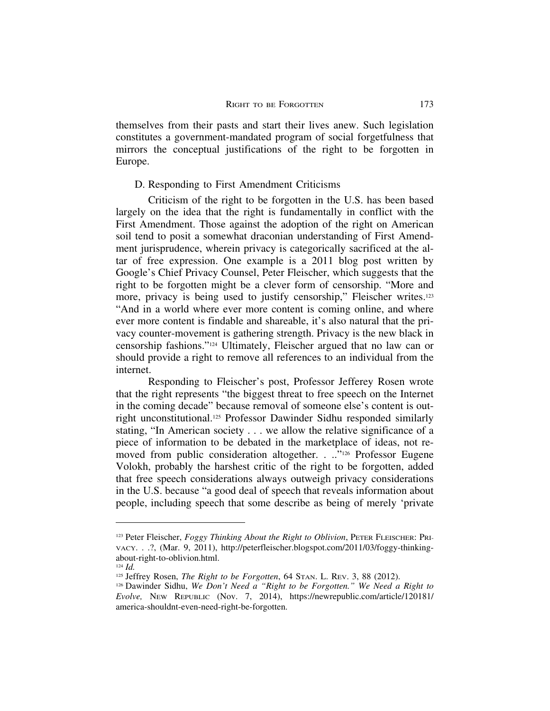themselves from their pasts and start their lives anew. Such legislation constitutes a government-mandated program of social forgetfulness that mirrors the conceptual justifications of the right to be forgotten in Europe.

#### D. Responding to First Amendment Criticisms

Criticism of the right to be forgotten in the U.S. has been based largely on the idea that the right is fundamentally in conflict with the First Amendment. Those against the adoption of the right on American soil tend to posit a somewhat draconian understanding of First Amendment jurisprudence, wherein privacy is categorically sacrificed at the altar of free expression. One example is a 2011 blog post written by Google's Chief Privacy Counsel, Peter Fleischer, which suggests that the right to be forgotten might be a clever form of censorship. "More and more, privacy is being used to justify censorship," Fleischer writes.123 "And in a world where ever more content is coming online, and where ever more content is findable and shareable, it's also natural that the privacy counter-movement is gathering strength. Privacy is the new black in censorship fashions."124 Ultimately, Fleischer argued that no law can or should provide a right to remove all references to an individual from the internet.

Responding to Fleischer's post, Professor Jefferey Rosen wrote that the right represents "the biggest threat to free speech on the Internet in the coming decade" because removal of someone else's content is outright unconstitutional.125 Professor Dawinder Sidhu responded similarly stating, "In American society . . . we allow the relative significance of a piece of information to be debated in the marketplace of ideas, not removed from public consideration altogether. . ..."<sup>126</sup> Professor Eugene Volokh, probably the harshest critic of the right to be forgotten, added that free speech considerations always outweigh privacy considerations in the U.S. because "a good deal of speech that reveals information about people, including speech that some describe as being of merely 'private

<sup>&</sup>lt;sup>123</sup> Peter Fleischer, *Foggy Thinking About the Right to Oblivion*, PETER FLEISCHER: PRI-VACY. . .?, (Mar. 9, 2011), http://peterfleischer.blogspot.com/2011/03/foggy-thinkingabout-right-to-oblivion.html.

<sup>124</sup> *Id.*

<sup>&</sup>lt;sup>125</sup> Jeffrey Rosen, *The Right to be Forgotten*, 64 STAN. L. REV. 3, 88 (2012).

<sup>126</sup> Dawinder Sidhu, *We Don't Need a "Right to be Forgotten." We Need a Right to Evolve,* NEW REPUBLIC (Nov. 7, 2014), https://newrepublic.com/article/120181/ america-shouldnt-even-need-right-be-forgotten.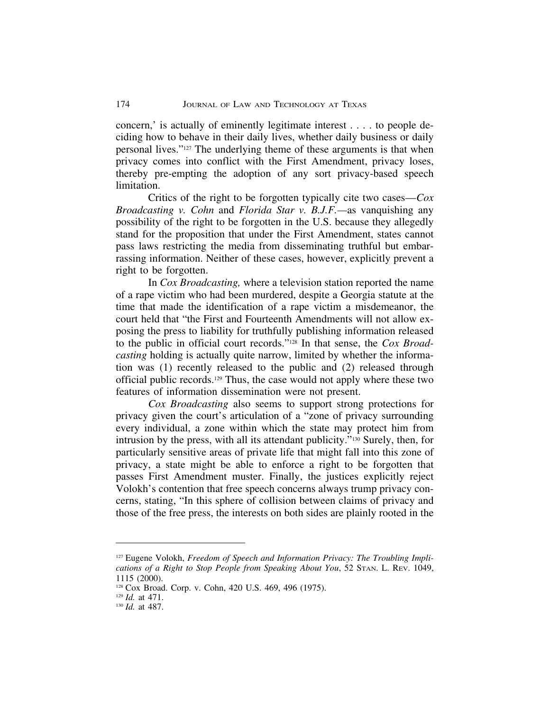concern,' is actually of eminently legitimate interest . . . . to people deciding how to behave in their daily lives, whether daily business or daily personal lives."127 The underlying theme of these arguments is that when privacy comes into conflict with the First Amendment, privacy loses, thereby pre-empting the adoption of any sort privacy-based speech limitation.

Critics of the right to be forgotten typically cite two cases—*Cox Broadcasting v. Cohn* and *Florida Star v. B.J.F.—*as vanquishing any possibility of the right to be forgotten in the U.S. because they allegedly stand for the proposition that under the First Amendment, states cannot pass laws restricting the media from disseminating truthful but embarrassing information. Neither of these cases, however, explicitly prevent a right to be forgotten.

In *Cox Broadcasting,* where a television station reported the name of a rape victim who had been murdered, despite a Georgia statute at the time that made the identification of a rape victim a misdemeanor, the court held that "the First and Fourteenth Amendments will not allow exposing the press to liability for truthfully publishing information released to the public in official court records."128 In that sense, the *Cox Broadcasting* holding is actually quite narrow, limited by whether the information was (1) recently released to the public and (2) released through official public records.129 Thus, the case would not apply where these two features of information dissemination were not present.

*Cox Broadcasting* also seems to support strong protections for privacy given the court's articulation of a "zone of privacy surrounding every individual, a zone within which the state may protect him from intrusion by the press, with all its attendant publicity."130 Surely, then, for particularly sensitive areas of private life that might fall into this zone of privacy, a state might be able to enforce a right to be forgotten that passes First Amendment muster. Finally, the justices explicitly reject Volokh's contention that free speech concerns always trump privacy concerns, stating, "In this sphere of collision between claims of privacy and those of the free press, the interests on both sides are plainly rooted in the

<sup>&</sup>lt;sup>127</sup> Eugene Volokh, *Freedom of Speech and Information Privacy: The Troubling Implications of a Right to Stop People from Speaking About You*, 52 STAN. L. REV. 1049, 1115 (2000).

<sup>128</sup> Cox Broad. Corp. v. Cohn, 420 U.S. 469, 496 (1975).

<sup>129</sup> *Id.* at 471.

<sup>130</sup> *Id.* at 487.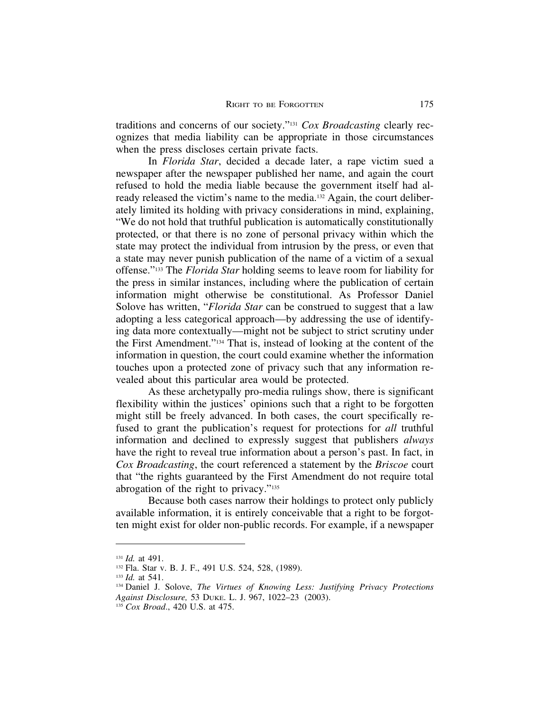traditions and concerns of our society."131 *Cox Broadcasting* clearly recognizes that media liability can be appropriate in those circumstances when the press discloses certain private facts.

In *Florida Star*, decided a decade later, a rape victim sued a newspaper after the newspaper published her name, and again the court refused to hold the media liable because the government itself had already released the victim's name to the media.132 Again, the court deliberately limited its holding with privacy considerations in mind, explaining, "We do not hold that truthful publication is automatically constitutionally protected, or that there is no zone of personal privacy within which the state may protect the individual from intrusion by the press, or even that a state may never punish publication of the name of a victim of a sexual offense."133 The *Florida Star* holding seems to leave room for liability for the press in similar instances, including where the publication of certain information might otherwise be constitutional. As Professor Daniel Solove has written, "*Florida Star* can be construed to suggest that a law adopting a less categorical approach—by addressing the use of identifying data more contextually—might not be subject to strict scrutiny under the First Amendment."134 That is, instead of looking at the content of the information in question, the court could examine whether the information touches upon a protected zone of privacy such that any information revealed about this particular area would be protected.

As these archetypally pro-media rulings show, there is significant flexibility within the justices' opinions such that a right to be forgotten might still be freely advanced. In both cases, the court specifically refused to grant the publication's request for protections for *all* truthful information and declined to expressly suggest that publishers *always* have the right to reveal true information about a person's past. In fact, in *Cox Broadcasting*, the court referenced a statement by the *Briscoe* court that "the rights guaranteed by the First Amendment do not require total abrogation of the right to privacy."135

Because both cases narrow their holdings to protect only publicly available information, it is entirely conceivable that a right to be forgotten might exist for older non-public records. For example, if a newspaper

<sup>131</sup> *Id.* at 491.

<sup>132</sup> Fla. Star v. B. J. F., 491 U.S. 524, 528, (1989).

<sup>133</sup> *Id.* at 541.

<sup>134</sup> Daniel J. Solove, *The Virtues of Knowing Less: Justifying Privacy Protections Against Disclosure,* 53 DUKE. L. J. 967, 1022–23 (2003).

<sup>135</sup> *Cox Broad*., 420 U.S. at 475.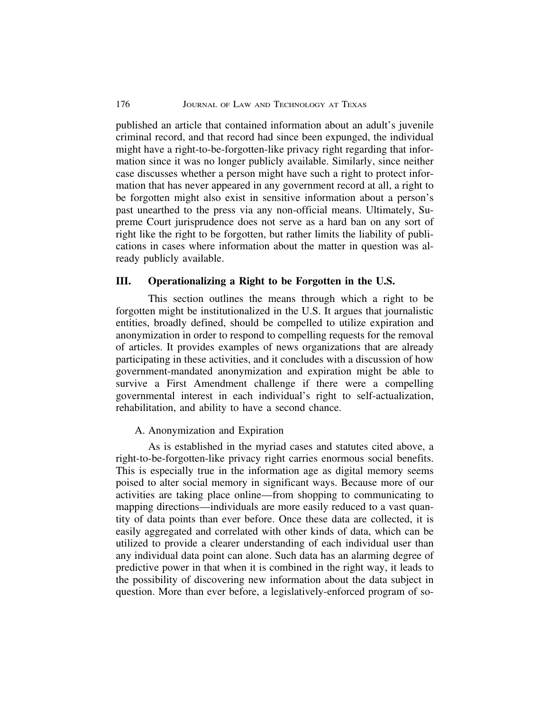published an article that contained information about an adult's juvenile criminal record, and that record had since been expunged, the individual might have a right-to-be-forgotten-like privacy right regarding that information since it was no longer publicly available. Similarly, since neither case discusses whether a person might have such a right to protect information that has never appeared in any government record at all, a right to be forgotten might also exist in sensitive information about a person's past unearthed to the press via any non-official means. Ultimately, Supreme Court jurisprudence does not serve as a hard ban on any sort of right like the right to be forgotten, but rather limits the liability of publications in cases where information about the matter in question was already publicly available.

## **III. Operationalizing a Right to be Forgotten in the U.S.**

This section outlines the means through which a right to be forgotten might be institutionalized in the U.S. It argues that journalistic entities, broadly defined, should be compelled to utilize expiration and anonymization in order to respond to compelling requests for the removal of articles. It provides examples of news organizations that are already participating in these activities, and it concludes with a discussion of how government-mandated anonymization and expiration might be able to survive a First Amendment challenge if there were a compelling governmental interest in each individual's right to self-actualization, rehabilitation, and ability to have a second chance.

#### A. Anonymization and Expiration

As is established in the myriad cases and statutes cited above, a right-to-be-forgotten-like privacy right carries enormous social benefits. This is especially true in the information age as digital memory seems poised to alter social memory in significant ways. Because more of our activities are taking place online—from shopping to communicating to mapping directions—individuals are more easily reduced to a vast quantity of data points than ever before. Once these data are collected, it is easily aggregated and correlated with other kinds of data, which can be utilized to provide a clearer understanding of each individual user than any individual data point can alone. Such data has an alarming degree of predictive power in that when it is combined in the right way, it leads to the possibility of discovering new information about the data subject in question. More than ever before, a legislatively-enforced program of so-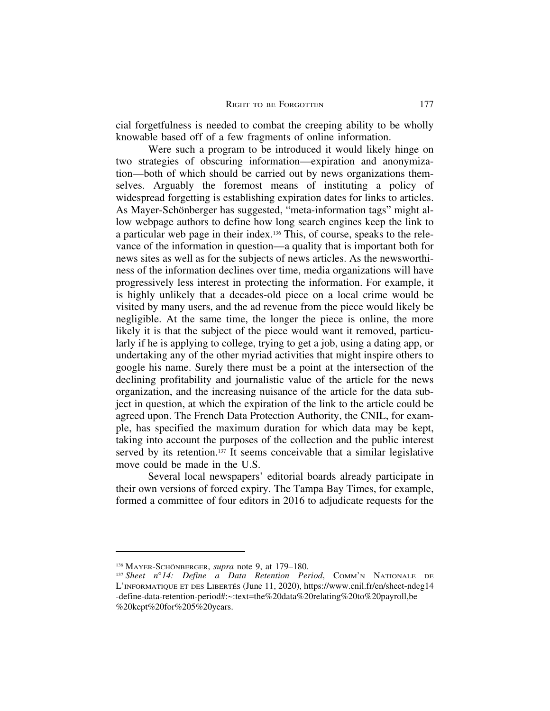cial forgetfulness is needed to combat the creeping ability to be wholly knowable based off of a few fragments of online information.

Were such a program to be introduced it would likely hinge on two strategies of obscuring information—expiration and anonymization—both of which should be carried out by news organizations themselves. Arguably the foremost means of instituting a policy of widespread forgetting is establishing expiration dates for links to articles. As Mayer-Schönberger has suggested, "meta-information tags" might allow webpage authors to define how long search engines keep the link to a particular web page in their index.136 This, of course, speaks to the relevance of the information in question—a quality that is important both for news sites as well as for the subjects of news articles. As the newsworthiness of the information declines over time, media organizations will have progressively less interest in protecting the information. For example, it is highly unlikely that a decades-old piece on a local crime would be visited by many users, and the ad revenue from the piece would likely be negligible. At the same time, the longer the piece is online, the more likely it is that the subject of the piece would want it removed, particularly if he is applying to college, trying to get a job, using a dating app, or undertaking any of the other myriad activities that might inspire others to google his name. Surely there must be a point at the intersection of the declining profitability and journalistic value of the article for the news organization, and the increasing nuisance of the article for the data subject in question, at which the expiration of the link to the article could be agreed upon. The French Data Protection Authority, the CNIL, for example, has specified the maximum duration for which data may be kept, taking into account the purposes of the collection and the public interest served by its retention.<sup>137</sup> It seems conceivable that a similar legislative move could be made in the U.S.

Several local newspapers' editorial boards already participate in their own versions of forced expiry. The Tampa Bay Times, for example, formed a committee of four editors in 2016 to adjudicate requests for the

<sup>136</sup> MAYER-SCHÖNBERGER, *supra* note 9, at 179–180.

<sup>137</sup> *Sheet n*°*14: Define a Data Retention Period*, COMM'N NATIONALE DE L'INFORMATIQUE ET DES LIBERTES´ (June 11, 2020), https://www.cnil.fr/en/sheet-ndeg14 -define-data-retention-period#:~:text=the%20data%20relating%20to%20payroll,be %20kept%20for%205%20years.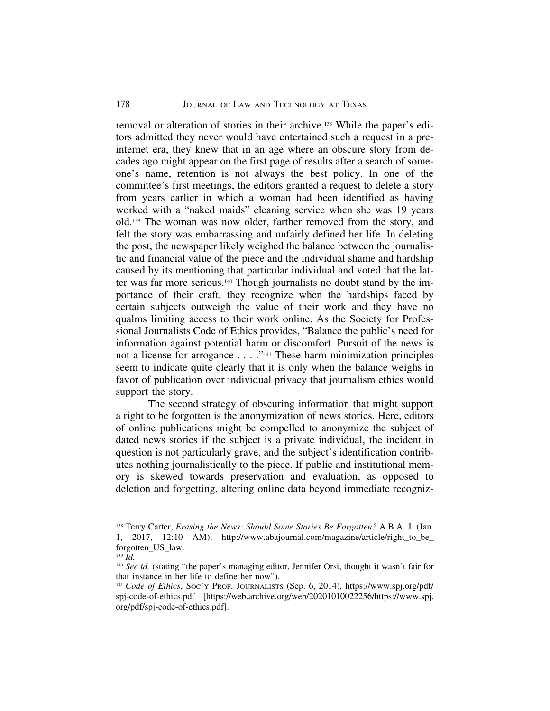removal or alteration of stories in their archive.138 While the paper's editors admitted they never would have entertained such a request in a preinternet era, they knew that in an age where an obscure story from decades ago might appear on the first page of results after a search of someone's name, retention is not always the best policy. In one of the committee's first meetings, the editors granted a request to delete a story from years earlier in which a woman had been identified as having worked with a "naked maids" cleaning service when she was 19 years old.139 The woman was now older, farther removed from the story, and felt the story was embarrassing and unfairly defined her life. In deleting the post, the newspaper likely weighed the balance between the journalistic and financial value of the piece and the individual shame and hardship caused by its mentioning that particular individual and voted that the latter was far more serious.140 Though journalists no doubt stand by the importance of their craft, they recognize when the hardships faced by certain subjects outweigh the value of their work and they have no qualms limiting access to their work online. As the Society for Professional Journalists Code of Ethics provides, "Balance the public's need for information against potential harm or discomfort. Pursuit of the news is not a license for arrogance . . . ."141 These harm-minimization principles seem to indicate quite clearly that it is only when the balance weighs in favor of publication over individual privacy that journalism ethics would support the story.

The second strategy of obscuring information that might support a right to be forgotten is the anonymization of news stories. Here, editors of online publications might be compelled to anonymize the subject of dated news stories if the subject is a private individual, the incident in question is not particularly grave, and the subject's identification contributes nothing journalistically to the piece. If public and institutional memory is skewed towards preservation and evaluation, as opposed to deletion and forgetting, altering online data beyond immediate recogniz-

<sup>138</sup> Terry Carter, *Erasing the News: Should Some Stories Be Forgotten?* A.B.A. J. (Jan. 1, 2017, 12:10 AM), http://www.abajournal.com/magazine/article/right\_to\_be\_ forgotten\_US\_law.

<sup>139</sup> *Id.*

<sup>140</sup> *See id.* (stating "the paper's managing editor, Jennifer Orsi, thought it wasn't fair for that instance in her life to define her now").

<sup>141</sup> *Code of Ethics*, SOC'Y PROF. JOURNALISTS (Sep. 6, 2014), https://www.spj.org/pdf/ spj-code-of-ethics.pdf [https://web.archive.org/web/20201010022256/https://www.spj. org/pdf/spj-code-of-ethics.pdf].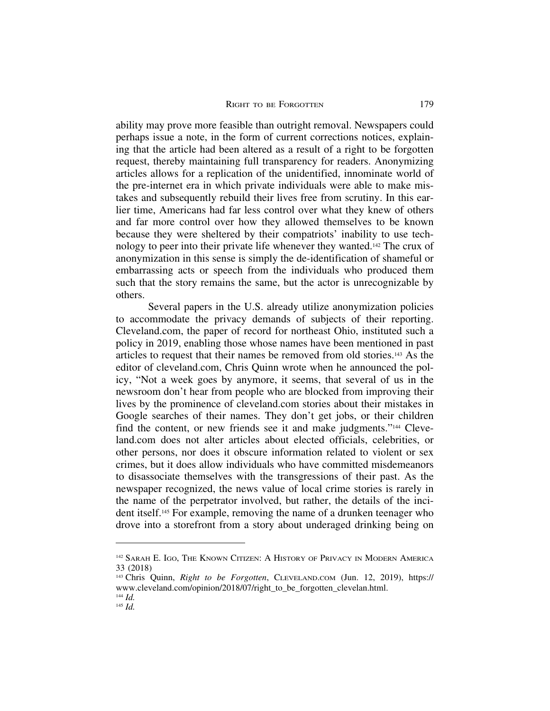ability may prove more feasible than outright removal. Newspapers could perhaps issue a note, in the form of current corrections notices, explaining that the article had been altered as a result of a right to be forgotten request, thereby maintaining full transparency for readers. Anonymizing articles allows for a replication of the unidentified, innominate world of the pre-internet era in which private individuals were able to make mistakes and subsequently rebuild their lives free from scrutiny. In this earlier time, Americans had far less control over what they knew of others and far more control over how they allowed themselves to be known because they were sheltered by their compatriots' inability to use technology to peer into their private life whenever they wanted.142 The crux of anonymization in this sense is simply the de-identification of shameful or embarrassing acts or speech from the individuals who produced them such that the story remains the same, but the actor is unrecognizable by others.

Several papers in the U.S. already utilize anonymization policies to accommodate the privacy demands of subjects of their reporting. Cleveland.com, the paper of record for northeast Ohio, instituted such a policy in 2019, enabling those whose names have been mentioned in past articles to request that their names be removed from old stories.143 As the editor of cleveland.com, Chris Quinn wrote when he announced the policy, "Not a week goes by anymore, it seems, that several of us in the newsroom don't hear from people who are blocked from improving their lives by the prominence of cleveland.com stories about their mistakes in Google searches of their names. They don't get jobs, or their children find the content, or new friends see it and make judgments."144 Cleveland.com does not alter articles about elected officials, celebrities, or other persons, nor does it obscure information related to violent or sex crimes, but it does allow individuals who have committed misdemeanors to disassociate themselves with the transgressions of their past. As the newspaper recognized, the news value of local crime stories is rarely in the name of the perpetrator involved, but rather, the details of the incident itself.145 For example, removing the name of a drunken teenager who drove into a storefront from a story about underaged drinking being on

<sup>142</sup> SARAH E. IGO, THE KNOWN CITIZEN: A HISTORY OF PRIVACY IN MODERN AMERICA 33 (2018)

<sup>143</sup> Chris Quinn, *Right to be Forgotten*, CLEVELAND.COM (Jun. 12, 2019), https:// www.cleveland.com/opinion/2018/07/right\_to\_be\_forgotten\_clevelan.html.

<sup>144</sup> *Id.*

<sup>145</sup> *Id.*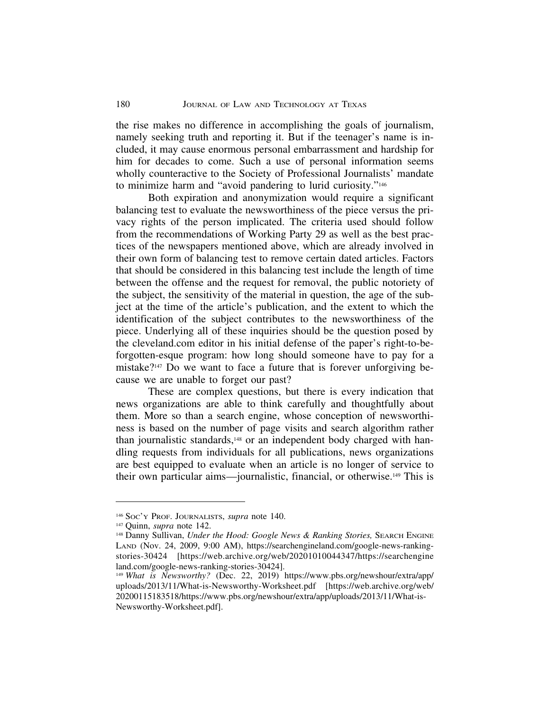the rise makes no difference in accomplishing the goals of journalism, namely seeking truth and reporting it. But if the teenager's name is included, it may cause enormous personal embarrassment and hardship for him for decades to come. Such a use of personal information seems wholly counteractive to the Society of Professional Journalists' mandate to minimize harm and "avoid pandering to lurid curiosity."146

Both expiration and anonymization would require a significant balancing test to evaluate the newsworthiness of the piece versus the privacy rights of the person implicated. The criteria used should follow from the recommendations of Working Party 29 as well as the best practices of the newspapers mentioned above, which are already involved in their own form of balancing test to remove certain dated articles. Factors that should be considered in this balancing test include the length of time between the offense and the request for removal, the public notoriety of the subject, the sensitivity of the material in question, the age of the subject at the time of the article's publication, and the extent to which the identification of the subject contributes to the newsworthiness of the piece. Underlying all of these inquiries should be the question posed by the cleveland.com editor in his initial defense of the paper's right-to-beforgotten-esque program: how long should someone have to pay for a mistake?147 Do we want to face a future that is forever unforgiving because we are unable to forget our past?

These are complex questions, but there is every indication that news organizations are able to think carefully and thoughtfully about them. More so than a search engine, whose conception of newsworthiness is based on the number of page visits and search algorithm rather than journalistic standards,148 or an independent body charged with handling requests from individuals for all publications, news organizations are best equipped to evaluate when an article is no longer of service to their own particular aims—journalistic, financial, or otherwise.149 This is

<sup>146</sup> SOC'Y PROF. JOURNALISTS, *supra* note 140.

<sup>147</sup> Quinn, *supra* note 142.

<sup>&</sup>lt;sup>148</sup> Danny Sullivan, *Under the Hood: Google News & Ranking Stories*, SEARCH ENGINE LAND (Nov. 24, 2009, 9:00 AM), https://searchengineland.com/google-news-rankingstories-30424 [https://web.archive.org/web/20201010044347/https://searchengine land.com/google-news-ranking-stories-30424].

<sup>149</sup> *What is Newsworthy?* (Dec. 22, 2019) https://www.pbs.org/newshour/extra/app/ uploads/2013/11/What-is-Newsworthy-Worksheet.pdf [https://web.archive.org/web/ 20200115183518/https://www.pbs.org/newshour/extra/app/uploads/2013/11/What-is-Newsworthy-Worksheet.pdf].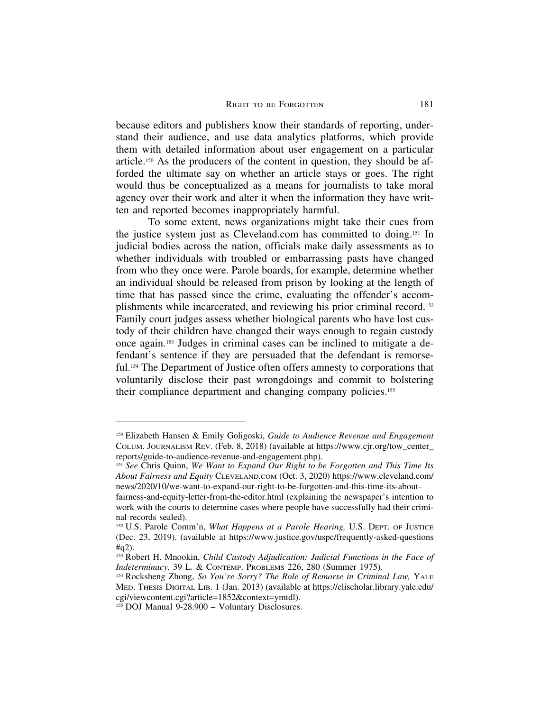because editors and publishers know their standards of reporting, understand their audience, and use data analytics platforms, which provide them with detailed information about user engagement on a particular article.150 As the producers of the content in question, they should be afforded the ultimate say on whether an article stays or goes. The right would thus be conceptualized as a means for journalists to take moral agency over their work and alter it when the information they have written and reported becomes inappropriately harmful.

To some extent, news organizations might take their cues from the justice system just as Cleveland.com has committed to doing.151 In judicial bodies across the nation, officials make daily assessments as to whether individuals with troubled or embarrassing pasts have changed from who they once were. Parole boards, for example, determine whether an individual should be released from prison by looking at the length of time that has passed since the crime, evaluating the offender's accomplishments while incarcerated, and reviewing his prior criminal record.152 Family court judges assess whether biological parents who have lost custody of their children have changed their ways enough to regain custody once again.153 Judges in criminal cases can be inclined to mitigate a defendant's sentence if they are persuaded that the defendant is remorseful.154 The Department of Justice often offers amnesty to corporations that voluntarily disclose their past wrongdoings and commit to bolstering their compliance department and changing company policies.155

<sup>150</sup> Elizabeth Hansen & Emily Goligoski, *Guide to Audience Revenue and Engagement* COLUM. JOURNALISM REV. (Feb. 8, 2018) (available at https://www.cjr.org/tow\_center\_ reports/guide-to-audience-revenue-and-engagement.php).

<sup>151</sup> *See* Chris Quinn, *We Want to Expand Our Right to be Forgotten and This Time Its About Fairness and Equity* CLEVELAND.COM (Oct. 3, 2020) https://www.cleveland.com/ news/2020/10/we-want-to-expand-our-right-to-be-forgotten-and-this-time-its-about-

fairness-and-equity-letter-from-the-editor.html (explaining the newspaper's intention to work with the courts to determine cases where people have successfully had their criminal records sealed).

<sup>152</sup> U.S. Parole Comm'n, *What Happens at a Parole Hearing,* U.S. DEPT. OF JUSTICE (Dec. 23, 2019). (available at https://www.justice.gov/uspc/frequently-asked-questions #q2).

<sup>153</sup> Robert H. Mnookin, *Child Custody Adjudication: Judicial Functions in the Face of Indeterminacy,* 39 L. & CONTEMP. PROBLEMS 226, 280 (Summer 1975).

<sup>&</sup>lt;sup>154</sup> Rocksheng Zhong, *So You're Sorry? The Role of Remorse in Criminal Law*, YALE MED. THESIS DIGITAL LIB. 1 (Jan. 2013) (available at https://elischolar.library.yale.edu/ cgi/viewcontent.cgi?article=1852&context=ymtdl).

<sup>155</sup> DOJ Manual 9-28.900 – Voluntary Disclosures.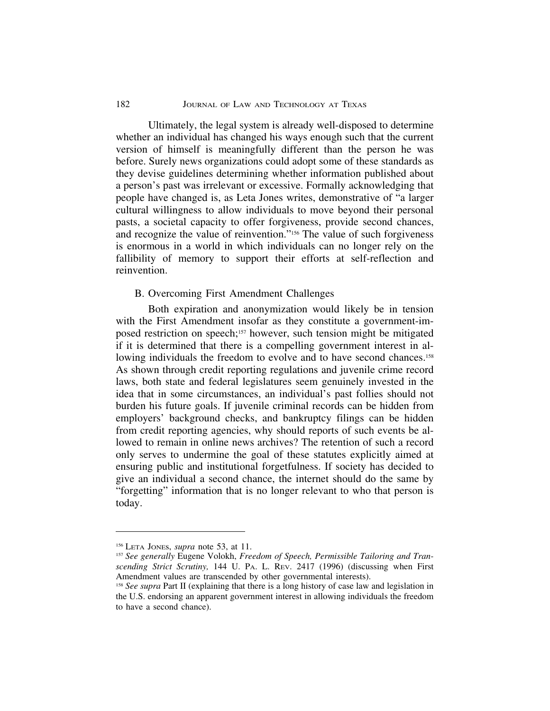## 182 JOURNAL OF LAW AND TECHNOLOGY AT TEXAS

Ultimately, the legal system is already well-disposed to determine whether an individual has changed his ways enough such that the current version of himself is meaningfully different than the person he was before. Surely news organizations could adopt some of these standards as they devise guidelines determining whether information published about a person's past was irrelevant or excessive. Formally acknowledging that people have changed is, as Leta Jones writes, demonstrative of "a larger cultural willingness to allow individuals to move beyond their personal pasts, a societal capacity to offer forgiveness, provide second chances, and recognize the value of reinvention."156 The value of such forgiveness is enormous in a world in which individuals can no longer rely on the fallibility of memory to support their efforts at self-reflection and reinvention.

## B. Overcoming First Amendment Challenges

Both expiration and anonymization would likely be in tension with the First Amendment insofar as they constitute a government-imposed restriction on speech;157 however, such tension might be mitigated if it is determined that there is a compelling government interest in allowing individuals the freedom to evolve and to have second chances.<sup>158</sup> As shown through credit reporting regulations and juvenile crime record laws, both state and federal legislatures seem genuinely invested in the idea that in some circumstances, an individual's past follies should not burden his future goals. If juvenile criminal records can be hidden from employers' background checks, and bankruptcy filings can be hidden from credit reporting agencies, why should reports of such events be allowed to remain in online news archives? The retention of such a record only serves to undermine the goal of these statutes explicitly aimed at ensuring public and institutional forgetfulness. If society has decided to give an individual a second chance, the internet should do the same by "forgetting" information that is no longer relevant to who that person is today.

<sup>156</sup> LETA JONEs, *supra* note 53, at 11.

<sup>157</sup> *See generally* Eugene Volokh, *Freedom of Speech, Permissible Tailoring and Transcending Strict Scrutiny,* 144 U. PA. L. REV. 2417 (1996) (discussing when First Amendment values are transcended by other governmental interests).

<sup>158</sup> *See supra* Part II (explaining that there is a long history of case law and legislation in the U.S. endorsing an apparent government interest in allowing individuals the freedom to have a second chance).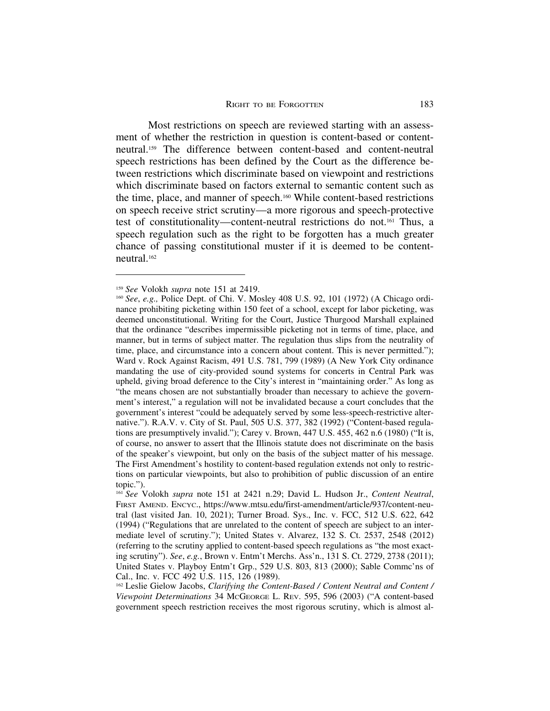Most restrictions on speech are reviewed starting with an assessment of whether the restriction in question is content-based or contentneutral.159 The difference between content-based and content-neutral speech restrictions has been defined by the Court as the difference between restrictions which discriminate based on viewpoint and restrictions which discriminate based on factors external to semantic content such as the time, place, and manner of speech.160 While content-based restrictions on speech receive strict scrutiny—a more rigorous and speech-protective test of constitutionality—content-neutral restrictions do not.161 Thus, a speech regulation such as the right to be forgotten has a much greater chance of passing constitutional muster if it is deemed to be contentneutral.162

<sup>159</sup> *See* Volokh *supra* note 151 at 2419.

<sup>160</sup> *See*, *e.g.,* Police Dept. of Chi. V. Mosley 408 U.S. 92, 101 (1972) (A Chicago ordinance prohibiting picketing within 150 feet of a school, except for labor picketing, was deemed unconstitutional. Writing for the Court, Justice Thurgood Marshall explained that the ordinance "describes impermissible picketing not in terms of time, place, and manner, but in terms of subject matter. The regulation thus slips from the neutrality of time, place, and circumstance into a concern about content. This is never permitted."); Ward v. Rock Against Racism, 491 U.S. 781, 799 (1989) (A New York City ordinance mandating the use of city-provided sound systems for concerts in Central Park was upheld, giving broad deference to the City's interest in "maintaining order." As long as "the means chosen are not substantially broader than necessary to achieve the government's interest," a regulation will not be invalidated because a court concludes that the government's interest "could be adequately served by some less-speech-restrictive alternative."). R.A.V. v. City of St. Paul, 505 U.S. 377, 382 (1992) ("Content-based regulations are presumptively invalid."); Carey v. Brown, 447 U.S. 455, 462 n.6 (1980) ("It is, of course, no answer to assert that the Illinois statute does not discriminate on the basis of the speaker's viewpoint, but only on the basis of the subject matter of his message. The First Amendment's hostility to content-based regulation extends not only to restrictions on particular viewpoints, but also to prohibition of public discussion of an entire topic.").

<sup>161</sup> *See* Volokh *supra* note 151 at 2421 n.29; David L. Hudson Jr., *Content Neutral*, FIRST AMEND. ENCYC., https://www.mtsu.edu/first-amendment/article/937/content-neutral (last visited Jan. 10, 2021); Turner Broad. Sys., Inc. v. FCC, 512 U.S. 622, 642 (1994) ("Regulations that are unrelated to the content of speech are subject to an intermediate level of scrutiny."); United States v. Alvarez, 132 S. Ct. 2537, 2548 (2012) (referring to the scrutiny applied to content-based speech regulations as "the most exacting scrutiny"). *See*, *e.g.*, Brown v. Entm't Merchs. Ass'n., 131 S. Ct. 2729, 2738 (2011); United States v. Playboy Entm't Grp., 529 U.S. 803, 813 (2000); Sable Commc'ns of Cal., Inc. v. FCC 492 U.S. 115, 126 (1989).

<sup>162</sup> Leslie Gielow Jacobs, *Clarifying the Content-Based / Content Neutral and Content / Viewpoint Determinations* 34 MCGEORGE L. REV. 595, 596 (2003) ("A content-based government speech restriction receives the most rigorous scrutiny, which is almost al-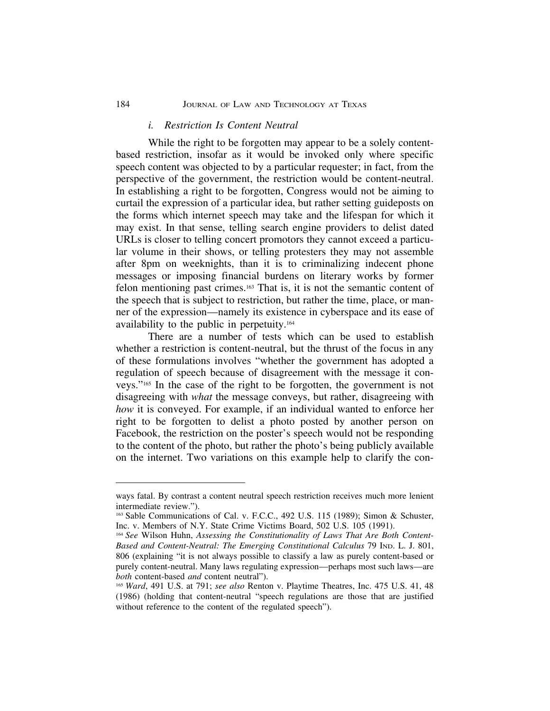#### *i. Restriction Is Content Neutral*

While the right to be forgotten may appear to be a solely contentbased restriction, insofar as it would be invoked only where specific speech content was objected to by a particular requester; in fact, from the perspective of the government, the restriction would be content-neutral. In establishing a right to be forgotten, Congress would not be aiming to curtail the expression of a particular idea, but rather setting guideposts on the forms which internet speech may take and the lifespan for which it may exist. In that sense, telling search engine providers to delist dated URLs is closer to telling concert promotors they cannot exceed a particular volume in their shows, or telling protesters they may not assemble after 8pm on weeknights, than it is to criminalizing indecent phone messages or imposing financial burdens on literary works by former felon mentioning past crimes.163 That is, it is not the semantic content of the speech that is subject to restriction, but rather the time, place, or manner of the expression—namely its existence in cyberspace and its ease of availability to the public in perpetuity.164

There are a number of tests which can be used to establish whether a restriction is content-neutral, but the thrust of the focus in any of these formulations involves "whether the government has adopted a regulation of speech because of disagreement with the message it conveys."165 In the case of the right to be forgotten, the government is not disagreeing with *what* the message conveys, but rather, disagreeing with *how* it is conveyed. For example, if an individual wanted to enforce her right to be forgotten to delist a photo posted by another person on Facebook, the restriction on the poster's speech would not be responding to the content of the photo, but rather the photo's being publicly available on the internet. Two variations on this example help to clarify the con-

ways fatal. By contrast a content neutral speech restriction receives much more lenient intermediate review.").

<sup>163</sup> Sable Communications of Cal. v. F.C.C., 492 U.S. 115 (1989); Simon & Schuster, Inc. v. Members of N.Y. State Crime Victims Board, 502 U.S. 105 (1991).

<sup>164</sup> *See* Wilson Huhn, *Assessing the Constitutionality of Laws That Are Both Content-Based and Content-Neutral: The Emerging Constitutional Calculus* 79 IND. L. J. 801, 806 (explaining "it is not always possible to classify a law as purely content-based or purely content-neutral. Many laws regulating expression—perhaps most such laws—are *both* content-based *and* content neutral").

<sup>165</sup> *Ward*, 491 U.S. at 791; *see also* Renton v. Playtime Theatres, Inc. 475 U.S. 41, 48 (1986) (holding that content-neutral "speech regulations are those that are justified without reference to the content of the regulated speech").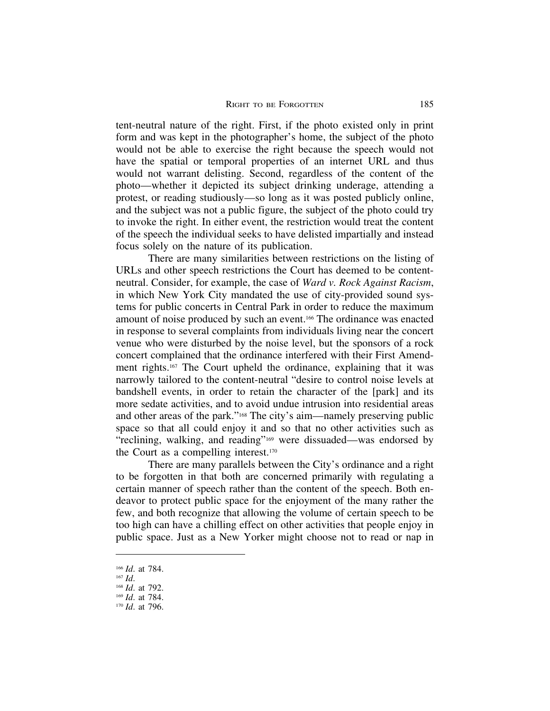tent-neutral nature of the right. First, if the photo existed only in print form and was kept in the photographer's home, the subject of the photo would not be able to exercise the right because the speech would not have the spatial or temporal properties of an internet URL and thus would not warrant delisting. Second, regardless of the content of the photo—whether it depicted its subject drinking underage, attending a protest, or reading studiously—so long as it was posted publicly online, and the subject was not a public figure, the subject of the photo could try to invoke the right. In either event, the restriction would treat the content of the speech the individual seeks to have delisted impartially and instead focus solely on the nature of its publication.

There are many similarities between restrictions on the listing of URLs and other speech restrictions the Court has deemed to be contentneutral. Consider, for example, the case of *Ward v. Rock Against Racism*, in which New York City mandated the use of city-provided sound systems for public concerts in Central Park in order to reduce the maximum amount of noise produced by such an event.166 The ordinance was enacted in response to several complaints from individuals living near the concert venue who were disturbed by the noise level, but the sponsors of a rock concert complained that the ordinance interfered with their First Amendment rights.167 The Court upheld the ordinance, explaining that it was narrowly tailored to the content-neutral "desire to control noise levels at bandshell events, in order to retain the character of the [park] and its more sedate activities, and to avoid undue intrusion into residential areas and other areas of the park."168 The city's aim—namely preserving public space so that all could enjoy it and so that no other activities such as "reclining, walking, and reading"169 were dissuaded—was endorsed by the Court as a compelling interest.170

There are many parallels between the City's ordinance and a right to be forgotten in that both are concerned primarily with regulating a certain manner of speech rather than the content of the speech. Both endeavor to protect public space for the enjoyment of the many rather the few, and both recognize that allowing the volume of certain speech to be too high can have a chilling effect on other activities that people enjoy in public space. Just as a New Yorker might choose not to read or nap in

<sup>166</sup> *Id*. at 784.

<sup>167</sup> *Id*.

<sup>168</sup> *Id*. at 792.

<sup>169</sup> *Id*. at 784.

<sup>170</sup> *Id*. at 796.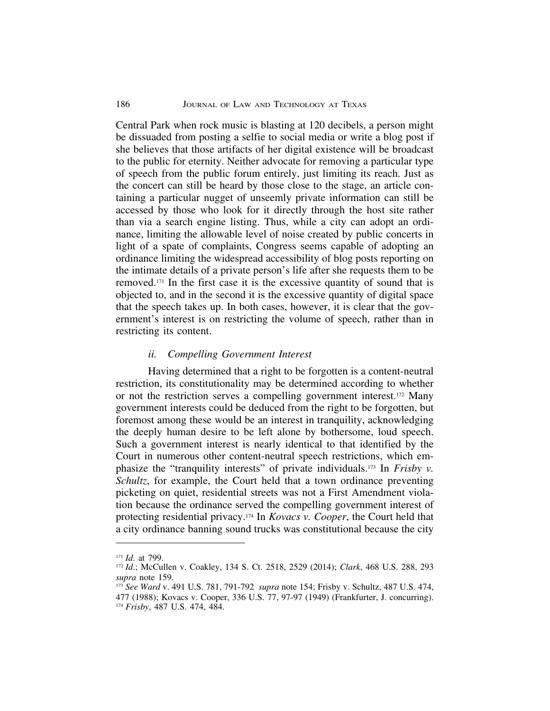#### 186 JOURNAL OF LAW AND TECHNOLOGY AT TEXAS

Central Park when rock music is blasting at 120 decibels, a person might be dissuaded from posting a selfie to social media or write a blog post if she believes that those artifacts of her digital existence will be broadcast to the public for eternity. Neither advocate for removing a particular type of speech from the public forum entirely, just limiting its reach. Just as the concert can still be heard by those close to the stage, an article containing a particular nugget of unseemly private information can still be accessed by those who look for it directly through the host site rather than via a search engine listing. Thus, while a city can adopt an ordinance, limiting the allowable level of noise created by public concerts in light of a spate of complaints, Congress seems capable of adopting an ordinance limiting the widespread accessibility of blog posts reporting on the intimate details of a private person's life after she requests them to be removed.171 In the first case it is the excessive quantity of sound that is objected to, and in the second it is the excessive quantity of digital space that the speech takes up. In both cases, however, it is clear that the government's interest is on restricting the volume of speech, rather than in restricting its content.

## *ii. Compelling Government Interest*

Having determined that a right to be forgotten is a content-neutral restriction, its constitutionality may be determined according to whether or not the restriction serves a compelling government interest.172 Many government interests could be deduced from the right to be forgotten, but foremost among these would be an interest in tranquility, acknowledging the deeply human desire to be left alone by bothersome, loud speech. Such a government interest is nearly identical to that identified by the Court in numerous other content-neutral speech restrictions, which emphasize the "tranquility interests" of private individuals.173 In *Frisby v. Schultz*, for example, the Court held that a town ordinance preventing picketing on quiet, residential streets was not a First Amendment violation because the ordinance served the compelling government interest of protecting residential privacy.174 In *Kovacs v. Cooper*, the Court held that a city ordinance banning sound trucks was constitutional because the city

<sup>171</sup> *Id*. at 799.

<sup>172</sup> *Id*.; McCullen v. Coakley, 134 S. Ct. 2518, 2529 (2014); *Clark*, 468 U.S. 288, 293 *supra* note 159.

<sup>173</sup> *See Ward* v. 491 U.S. 781, 791-792 *supra* note 154; Frisby v. Schultz, 487 U.S. 474, 477 (1988); Kovacs v. Cooper, 336 U.S. 77, 97-97 (1949) (Frankfurter, J. concurring). <sup>174</sup> *Frisby*, 487 U.S. 474, 484.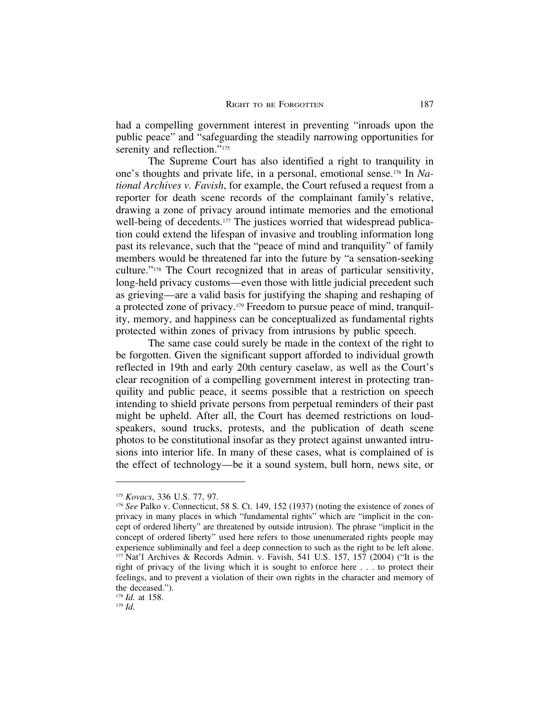had a compelling government interest in preventing "inroads upon the public peace" and "safeguarding the steadily narrowing opportunities for serenity and reflection."<sup>175</sup>

The Supreme Court has also identified a right to tranquility in one's thoughts and private life, in a personal, emotional sense.176 In *National Archives v. Favish*, for example, the Court refused a request from a reporter for death scene records of the complainant family's relative, drawing a zone of privacy around intimate memories and the emotional well-being of decedents.<sup>177</sup> The justices worried that widespread publication could extend the lifespan of invasive and troubling information long past its relevance, such that the "peace of mind and tranquility" of family members would be threatened far into the future by "a sensation-seeking culture."178 The Court recognized that in areas of particular sensitivity, long-held privacy customs—even those with little judicial precedent such as grieving—are a valid basis for justifying the shaping and reshaping of a protected zone of privacy.179 Freedom to pursue peace of mind, tranquility, memory, and happiness can be conceptualized as fundamental rights protected within zones of privacy from intrusions by public speech.

The same case could surely be made in the context of the right to be forgotten. Given the significant support afforded to individual growth reflected in 19th and early 20th century caselaw, as well as the Court's clear recognition of a compelling government interest in protecting tranquility and public peace, it seems possible that a restriction on speech intending to shield private persons from perpetual reminders of their past might be upheld. After all, the Court has deemed restrictions on loudspeakers, sound trucks, protests, and the publication of death scene photos to be constitutional insofar as they protect against unwanted intrusions into interior life. In many of these cases, what is complained of is the effect of technology—be it a sound system, bull horn, news site, or

<sup>175</sup> *Kovacs*, 336 U.S. 77, 97.

<sup>176</sup> *See* Palko v. Connecticut, 58 S. Ct. 149, 152 (1937) (noting the existence of zones of privacy in many places in which "fundamental rights" which are "implicit in the concept of ordered liberty" are threatened by outside intrusion). The phrase "implicit in the concept of ordered liberty" used here refers to those unenumerated rights people may experience subliminally and feel a deep connection to such as the right to be left alone.  $177$  Nat'l Archives & Records Admin. v. Favish, 541 U.S. 157, 157 (2004) ("It is the right of privacy of the living which it is sought to enforce here . . . to protect their feelings, and to prevent a violation of their own rights in the character and memory of the deceased.").

<sup>178</sup> *Id.* at 158.

<sup>179</sup> *Id.*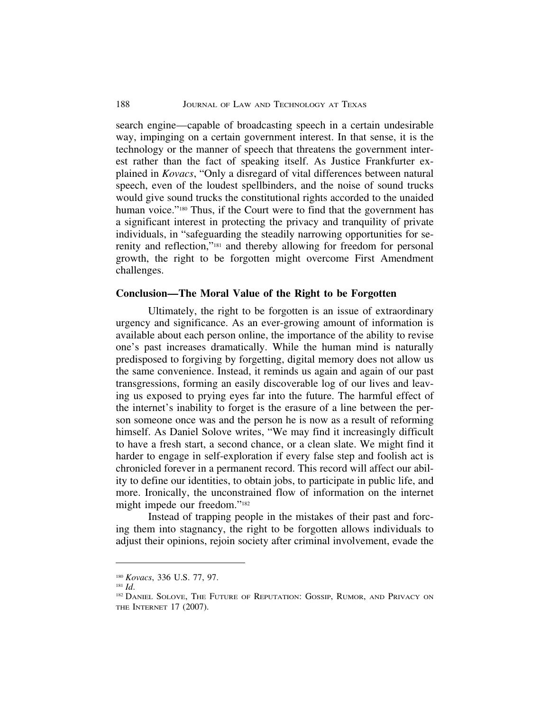search engine—capable of broadcasting speech in a certain undesirable way, impinging on a certain government interest. In that sense, it is the technology or the manner of speech that threatens the government interest rather than the fact of speaking itself. As Justice Frankfurter explained in *Kovacs*, "Only a disregard of vital differences between natural speech, even of the loudest spellbinders, and the noise of sound trucks would give sound trucks the constitutional rights accorded to the unaided human voice."<sup>180</sup> Thus, if the Court were to find that the government has a significant interest in protecting the privacy and tranquility of private individuals, in "safeguarding the steadily narrowing opportunities for serenity and reflection,"181 and thereby allowing for freedom for personal growth, the right to be forgotten might overcome First Amendment challenges.

## **Conclusion—The Moral Value of the Right to be Forgotten**

Ultimately, the right to be forgotten is an issue of extraordinary urgency and significance. As an ever-growing amount of information is available about each person online, the importance of the ability to revise one's past increases dramatically. While the human mind is naturally predisposed to forgiving by forgetting, digital memory does not allow us the same convenience. Instead, it reminds us again and again of our past transgressions, forming an easily discoverable log of our lives and leaving us exposed to prying eyes far into the future. The harmful effect of the internet's inability to forget is the erasure of a line between the person someone once was and the person he is now as a result of reforming himself. As Daniel Solove writes, "We may find it increasingly difficult to have a fresh start, a second chance, or a clean slate. We might find it harder to engage in self-exploration if every false step and foolish act is chronicled forever in a permanent record. This record will affect our ability to define our identities, to obtain jobs, to participate in public life, and more. Ironically, the unconstrained flow of information on the internet might impede our freedom."182

Instead of trapping people in the mistakes of their past and forcing them into stagnancy, the right to be forgotten allows individuals to adjust their opinions, rejoin society after criminal involvement, evade the

<sup>180</sup> *Kovacs*, 336 U.S. 77, 97.

<sup>181</sup> *Id*.

<sup>&</sup>lt;sup>182</sup> DANIEL SOLOVE, THE FUTURE OF REPUTATION: GOSSIP, RUMOR, AND PRIVACY ON THE INTERNET 17 (2007).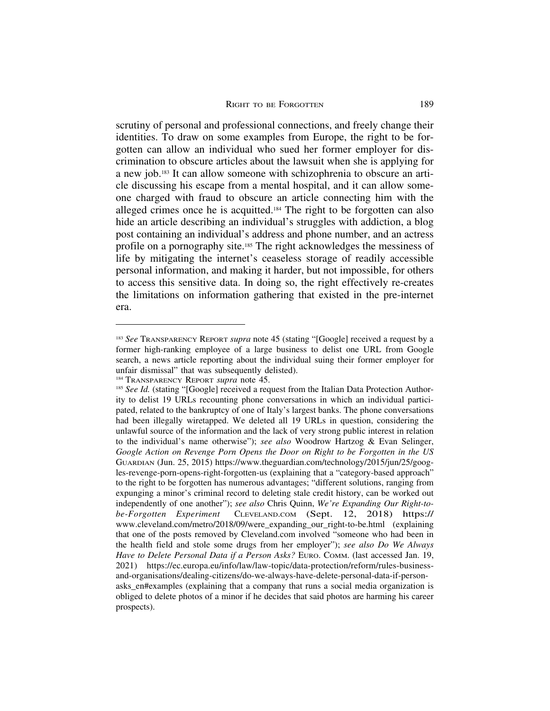scrutiny of personal and professional connections, and freely change their identities. To draw on some examples from Europe, the right to be forgotten can allow an individual who sued her former employer for discrimination to obscure articles about the lawsuit when she is applying for a new job.183 It can allow someone with schizophrenia to obscure an article discussing his escape from a mental hospital, and it can allow someone charged with fraud to obscure an article connecting him with the alleged crimes once he is acquitted.184 The right to be forgotten can also hide an article describing an individual's struggles with addiction, a blog post containing an individual's address and phone number, and an actress profile on a pornography site.<sup>185</sup> The right acknowledges the messiness of life by mitigating the internet's ceaseless storage of readily accessible personal information, and making it harder, but not impossible, for others to access this sensitive data. In doing so, the right effectively re-creates the limitations on information gathering that existed in the pre-internet era.

<sup>183</sup> *See* TRANSPARENCY REPORT *supra* note 45 (stating "[Google] received a request by a former high-ranking employee of a large business to delist one URL from Google search, a news article reporting about the individual suing their former employer for unfair dismissal" that was subsequently delisted).

<sup>184</sup> TRANSPARENCY REPORT *supra* note 45.

<sup>&</sup>lt;sup>185</sup> See Id. (stating "[Google] received a request from the Italian Data Protection Authority to delist 19 URLs recounting phone conversations in which an individual participated, related to the bankruptcy of one of Italy's largest banks. The phone conversations had been illegally wiretapped. We deleted all 19 URLs in question, considering the unlawful source of the information and the lack of very strong public interest in relation to the individual's name otherwise"); *see also* Woodrow Hartzog & Evan Selinger, *Google Action on Revenge Porn Opens the Door on Right to be Forgotten in the US* GUARDIAN (Jun. 25, 2015) https://www.theguardian.com/technology/2015/jun/25/googles-revenge-porn-opens-right-forgotten-us (explaining that a "category-based approach" to the right to be forgotten has numerous advantages; "different solutions, ranging from expunging a minor's criminal record to deleting stale credit history, can be worked out independently of one another"); *see also* Chris Quinn, *We're Expanding Our Right-tobe-Forgotten Experiment* CLEVELAND.COM (Sept. 12, 2018) https:// www.cleveland.com/metro/2018/09/were\_expanding\_our\_right-to-be.html (explaining that one of the posts removed by Cleveland.com involved "someone who had been in the health field and stole some drugs from her employer"); *see also Do We Always Have to Delete Personal Data if a Person Asks?* EURO. COMM. (last accessed Jan. 19, 2021) https://ec.europa.eu/info/law/law-topic/data-protection/reform/rules-businessand-organisations/dealing-citizens/do-we-always-have-delete-personal-data-if-personasks\_en#examples (explaining that a company that runs a social media organization is obliged to delete photos of a minor if he decides that said photos are harming his career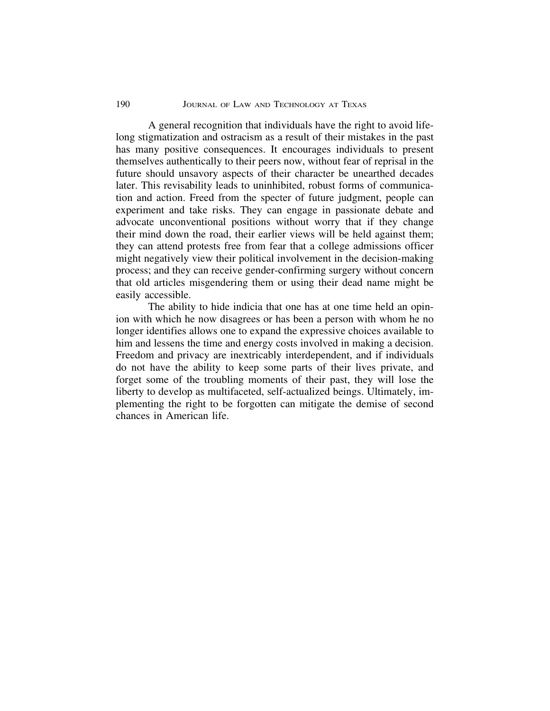# 190 JOURNAL OF LAW AND TECHNOLOGY AT TEXAS

A general recognition that individuals have the right to avoid lifelong stigmatization and ostracism as a result of their mistakes in the past has many positive consequences. It encourages individuals to present themselves authentically to their peers now, without fear of reprisal in the future should unsavory aspects of their character be unearthed decades later. This revisability leads to uninhibited, robust forms of communication and action. Freed from the specter of future judgment, people can experiment and take risks. They can engage in passionate debate and advocate unconventional positions without worry that if they change their mind down the road, their earlier views will be held against them; they can attend protests free from fear that a college admissions officer might negatively view their political involvement in the decision-making process; and they can receive gender-confirming surgery without concern that old articles misgendering them or using their dead name might be easily accessible.

The ability to hide indicia that one has at one time held an opinion with which he now disagrees or has been a person with whom he no longer identifies allows one to expand the expressive choices available to him and lessens the time and energy costs involved in making a decision. Freedom and privacy are inextricably interdependent, and if individuals do not have the ability to keep some parts of their lives private, and forget some of the troubling moments of their past, they will lose the liberty to develop as multifaceted, self-actualized beings. Ultimately, implementing the right to be forgotten can mitigate the demise of second chances in American life.